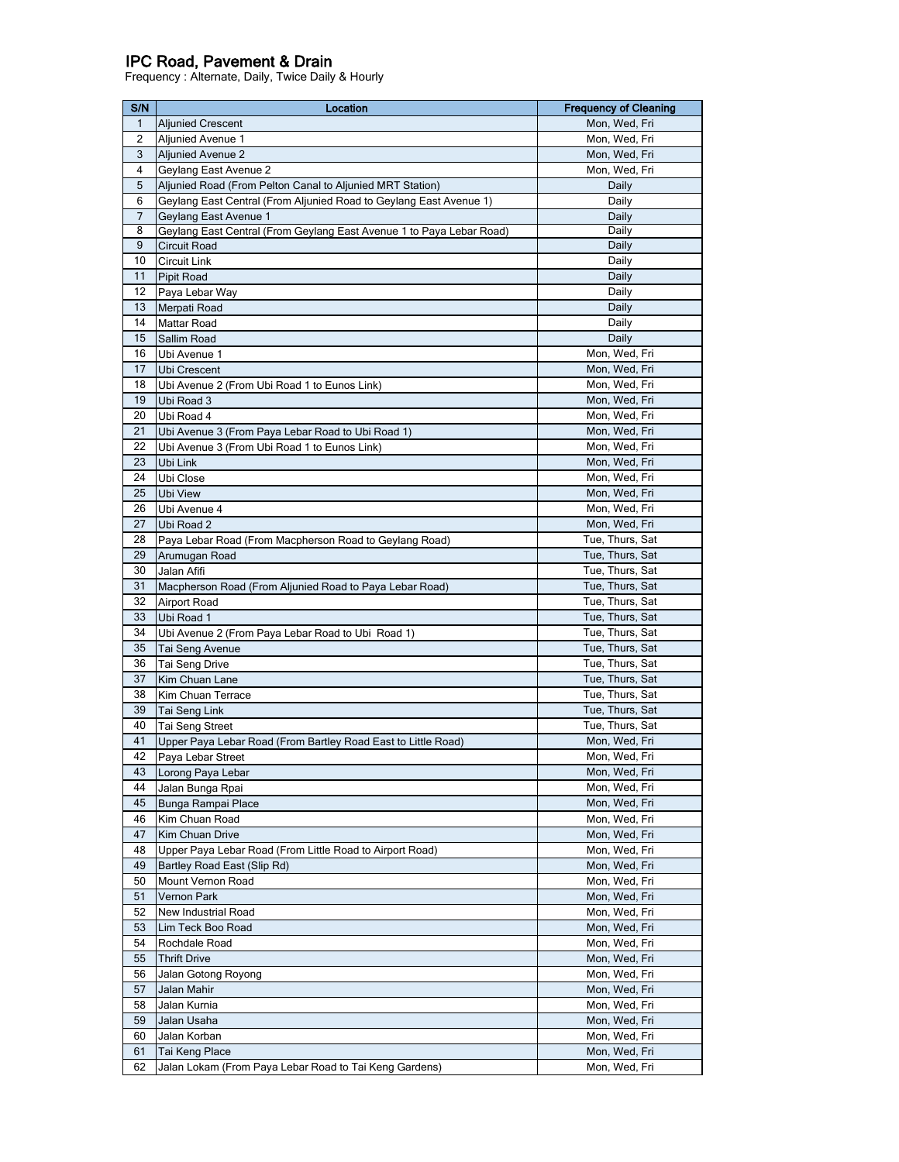## IPC Road, Pavement & Drain

Frequency : Alternate, Daily, Twice Daily & Hourly

| S/N          | Location                                                             | <b>Frequency of Cleaning</b> |
|--------------|----------------------------------------------------------------------|------------------------------|
| $\mathbf{1}$ | <b>Aljunied Crescent</b>                                             | Mon, Wed, Fri                |
| 2            | Aljunied Avenue 1                                                    | Mon, Wed, Fri                |
| 3            | <b>Aljunied Avenue 2</b>                                             | Mon, Wed, Fri                |
| 4            | Geylang East Avenue 2                                                | Mon, Wed, Fri                |
| 5            | Aljunied Road (From Pelton Canal to Aljunied MRT Station)            | Daily                        |
| 6            | Geylang East Central (From Aljunied Road to Geylang East Avenue 1)   | Daily                        |
| 7            | Geylang East Avenue 1                                                | Daily                        |
| 8            | Geylang East Central (From Geylang East Avenue 1 to Paya Lebar Road) | Daily                        |
| 9            | <b>Circuit Road</b>                                                  | Daily                        |
| 10           | Circuit Link                                                         | Daily                        |
| 11           | Pipit Road                                                           | Daily                        |
| 12           | Paya Lebar Way                                                       | Daily                        |
| 13           | Merpati Road                                                         | Daily                        |
| 14           | Mattar Road                                                          | Daily                        |
| 15           | Sallim Road                                                          | Daily                        |
| 16           | Ubi Avenue 1                                                         | Mon, Wed, Fri                |
| 17           | Ubi Crescent                                                         | Mon, Wed, Fri                |
| 18           | Ubi Avenue 2 (From Ubi Road 1 to Eunos Link)                         | Mon, Wed, Fri                |
| 19           | Ubi Road 3                                                           | Mon, Wed, Fri                |
| 20           | Ubi Road 4                                                           | Mon, Wed, Fri                |
| 21           | Ubi Avenue 3 (From Paya Lebar Road to Ubi Road 1)                    | Mon, Wed, Fri                |
| 22           | Ubi Avenue 3 (From Ubi Road 1 to Eunos Link)                         | Mon, Wed, Fri                |
| 23           | Ubi Link                                                             | Mon, Wed, Fri                |
| 24           | Ubi Close                                                            | Mon, Wed, Fri                |
| 25           | Ubi View                                                             | Mon, Wed, Fri                |
| 26           | Ubi Avenue 4                                                         | Mon, Wed, Fri                |
| 27           | Ubi Road 2                                                           | Mon, Wed, Fri                |
| 28           | Paya Lebar Road (From Macpherson Road to Geylang Road)               | Tue, Thurs, Sat              |
| 29           | Arumugan Road                                                        | Tue, Thurs, Sat              |
| 30           | Jalan Afifi                                                          | Tue, Thurs, Sat              |
| 31           | Macpherson Road (From Aljunied Road to Paya Lebar Road)              | Tue, Thurs, Sat              |
| 32           | <b>Airport Road</b>                                                  | Tue, Thurs, Sat              |
| 33           | Ubi Road 1                                                           | Tue, Thurs, Sat              |
| 34           | Ubi Avenue 2 (From Paya Lebar Road to Ubi Road 1)                    | Tue, Thurs, Sat              |
| 35           | Tai Seng Avenue                                                      | Tue, Thurs, Sat              |
| 36           | Tai Seng Drive                                                       | Tue, Thurs, Sat              |
| 37           | Kim Chuan Lane                                                       | Tue, Thurs, Sat              |
| 38           | Kim Chuan Terrace                                                    | Tue, Thurs, Sat              |
| 39           | Tai Seng Link                                                        | Tue, Thurs, Sat              |
| 40           | <b>Tai Seng Street</b>                                               | Tue, Thurs, Sat              |
| 41           | Upper Paya Lebar Road (From Bartley Road East to Little Road)        | Mon, Wed, Fri                |
| 42           | Paya Lebar Street                                                    | Mon, Wed, Fri                |
| 43           | Lorong Paya Lebar                                                    | Mon, Wed, Fri                |
| 44           | Jalan Bunga Rpai                                                     | Mon, Wed, Fri                |
| 45           | Bunga Rampai Place                                                   | Mon, Wed, Fri                |
| 46           | Kim Chuan Road                                                       | Mon, Wed, Fri                |
| 47           | Kim Chuan Drive                                                      | Mon, Wed, Fri                |
| 48           | Upper Paya Lebar Road (From Little Road to Airport Road)             | Mon, Wed, Fri                |
| 49           | Bartley Road East (Slip Rd)                                          | Mon, Wed, Fri                |
| 50           | Mount Vernon Road                                                    | Mon, Wed, Fri                |
| 51           | Vernon Park                                                          | Mon, Wed, Fri                |
| 52           | New Industrial Road                                                  | Mon, Wed, Fri                |
| 53           | Lim Teck Boo Road                                                    | Mon, Wed, Fri                |
| 54           | Rochdale Road                                                        | Mon, Wed, Fri                |
| 55           | <b>Thrift Drive</b>                                                  | Mon, Wed, Fri                |
| 56           | Jalan Gotong Royong                                                  | Mon, Wed, Fri                |
| 57           | Jalan Mahir                                                          | Mon, Wed, Fri                |
| 58           | Jalan Kurnia                                                         | Mon, Wed, Fri                |
| 59           | Jalan Usaha                                                          | Mon, Wed, Fri                |
| 60           | Jalan Korban                                                         | Mon, Wed, Fri                |
| 61           | Tai Keng Place                                                       | Mon, Wed, Fri                |
| 62           | Jalan Lokam (From Paya Lebar Road to Tai Keng Gardens)               | Mon, Wed, Fri                |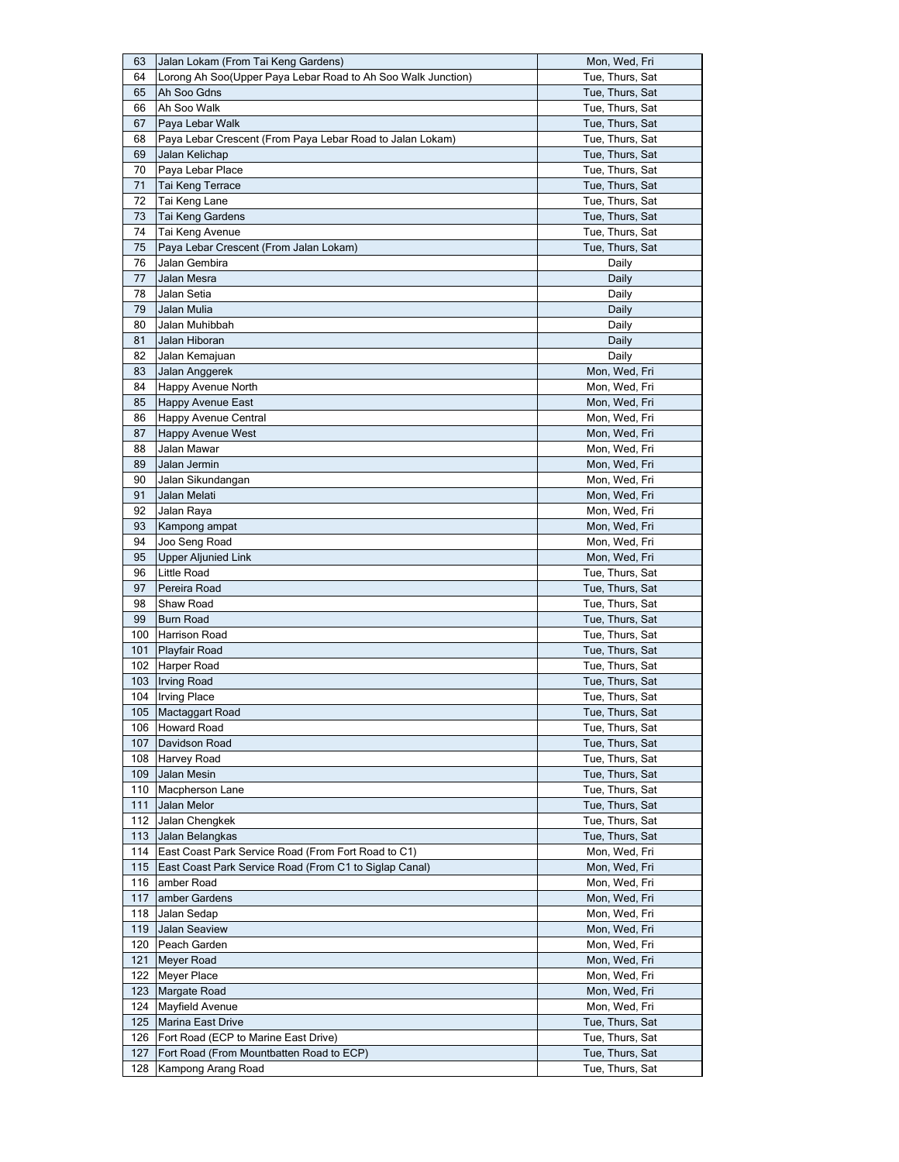| 63  | Jalan Lokam (From Tai Keng Gardens)                          | Mon, Wed, Fri   |
|-----|--------------------------------------------------------------|-----------------|
| 64  | Lorong Ah Soo(Upper Paya Lebar Road to Ah Soo Walk Junction) | Tue, Thurs, Sat |
| 65  | Ah Soo Gdns                                                  | Tue, Thurs, Sat |
| 66  | Ah Soo Walk                                                  | Tue, Thurs, Sat |
| 67  | Paya Lebar Walk                                              | Tue, Thurs, Sat |
| 68  | Paya Lebar Crescent (From Paya Lebar Road to Jalan Lokam)    | Tue, Thurs, Sat |
| 69  | Jalan Kelichap                                               | Tue, Thurs, Sat |
| 70  | Paya Lebar Place                                             | Tue, Thurs, Sat |
| 71  |                                                              |                 |
|     | Tai Keng Terrace                                             | Tue, Thurs, Sat |
| 72  | Tai Keng Lane                                                | Tue, Thurs, Sat |
| 73  | Tai Keng Gardens                                             | Tue, Thurs, Sat |
| 74  | Tai Keng Avenue                                              | Tue, Thurs, Sat |
| 75  | Paya Lebar Crescent (From Jalan Lokam)                       | Tue, Thurs, Sat |
| 76  | Jalan Gembira                                                | Daily           |
| 77  | Jalan Mesra                                                  | Daily           |
| 78  | Jalan Setia                                                  | Daily           |
| 79  | Jalan Mulia                                                  | Daily           |
| 80  | Jalan Muhibbah                                               | Daily           |
| 81  | Jalan Hiboran                                                | Daily           |
| 82  | Jalan Kemajuan                                               | Daily           |
| 83  | Jalan Anggerek                                               | Mon, Wed, Fri   |
| 84  | Happy Avenue North                                           | Mon, Wed, Fri   |
| 85  | Happy Avenue East                                            | Mon, Wed, Fri   |
| 86  | Happy Avenue Central                                         | Mon, Wed, Fri   |
| 87  | <b>Happy Avenue West</b>                                     | Mon, Wed, Fri   |
| 88  | Jalan Mawar                                                  | Mon, Wed, Fri   |
| 89  | Jalan Jermin                                                 | Mon, Wed, Fri   |
|     |                                                              |                 |
| 90  | Jalan Sikundangan                                            | Mon, Wed, Fri   |
| 91  | Jalan Melati                                                 | Mon, Wed, Fri   |
| 92  | Jalan Raya                                                   | Mon, Wed, Fri   |
| 93  | Kampong ampat                                                | Mon, Wed, Fri   |
| 94  | Joo Seng Road                                                | Mon, Wed, Fri   |
| 95  | <b>Upper Aljunied Link</b>                                   | Mon, Wed, Fri   |
| 96  | Little Road                                                  | Tue, Thurs, Sat |
| 97  | Pereira Road                                                 | Tue, Thurs, Sat |
| 98  | Shaw Road                                                    | Tue, Thurs, Sat |
| 99  | <b>Burn Road</b>                                             | Tue, Thurs, Sat |
| 100 | Harrison Road                                                | Tue, Thurs, Sat |
| 101 | Playfair Road                                                | Tue, Thurs, Sat |
|     | 102 Harper Road                                              | Tue, Thurs, Sat |
| 103 | <b>Irving Road</b>                                           | Tue, Thurs, Sat |
| 104 | <b>Irving Place</b>                                          | Tue, Thurs, Sat |
|     | 105 Mactaggart Road                                          | Tue, Thurs, Sat |
| 106 | Howard Road                                                  | Tue, Thurs, Sat |
| 107 | Davidson Road                                                | Tue, Thurs, Sat |
| 108 | Harvey Road                                                  | Tue, Thurs, Sat |
| 109 | Jalan Mesin                                                  | Tue, Thurs, Sat |
| 110 | Macpherson Lane                                              | Tue, Thurs, Sat |
| 111 | Jalan Melor                                                  | Tue, Thurs, Sat |
| 112 | Jalan Chengkek                                               | Tue, Thurs, Sat |
|     |                                                              |                 |
| 113 | Jalan Belangkas                                              | Tue, Thurs, Sat |
| 114 | East Coast Park Service Road (From Fort Road to C1)          | Mon, Wed, Fri   |
| 115 | East Coast Park Service Road (From C1 to Siglap Canal)       | Mon, Wed, Fri   |
| 116 | amber Road                                                   | Mon, Wed, Fri   |
| 117 | amber Gardens                                                | Mon, Wed, Fri   |
| 118 | Jalan Sedap                                                  | Mon, Wed, Fri   |
| 119 | Jalan Seaview                                                | Mon, Wed, Fri   |
| 120 | Peach Garden                                                 | Mon, Wed, Fri   |
| 121 | Meyer Road                                                   | Mon, Wed, Fri   |
| 122 | Meyer Place                                                  | Mon, Wed, Fri   |
| 123 | Margate Road                                                 | Mon, Wed, Fri   |
| 124 | Mayfield Avenue                                              | Mon, Wed, Fri   |
| 125 | Marina East Drive                                            | Tue, Thurs, Sat |
| 126 | Fort Road (ECP to Marine East Drive)                         | Tue, Thurs, Sat |
| 127 | Fort Road (From Mountbatten Road to ECP)                     | Tue, Thurs, Sat |
| 128 | Kampong Arang Road                                           | Tue, Thurs, Sat |
|     |                                                              |                 |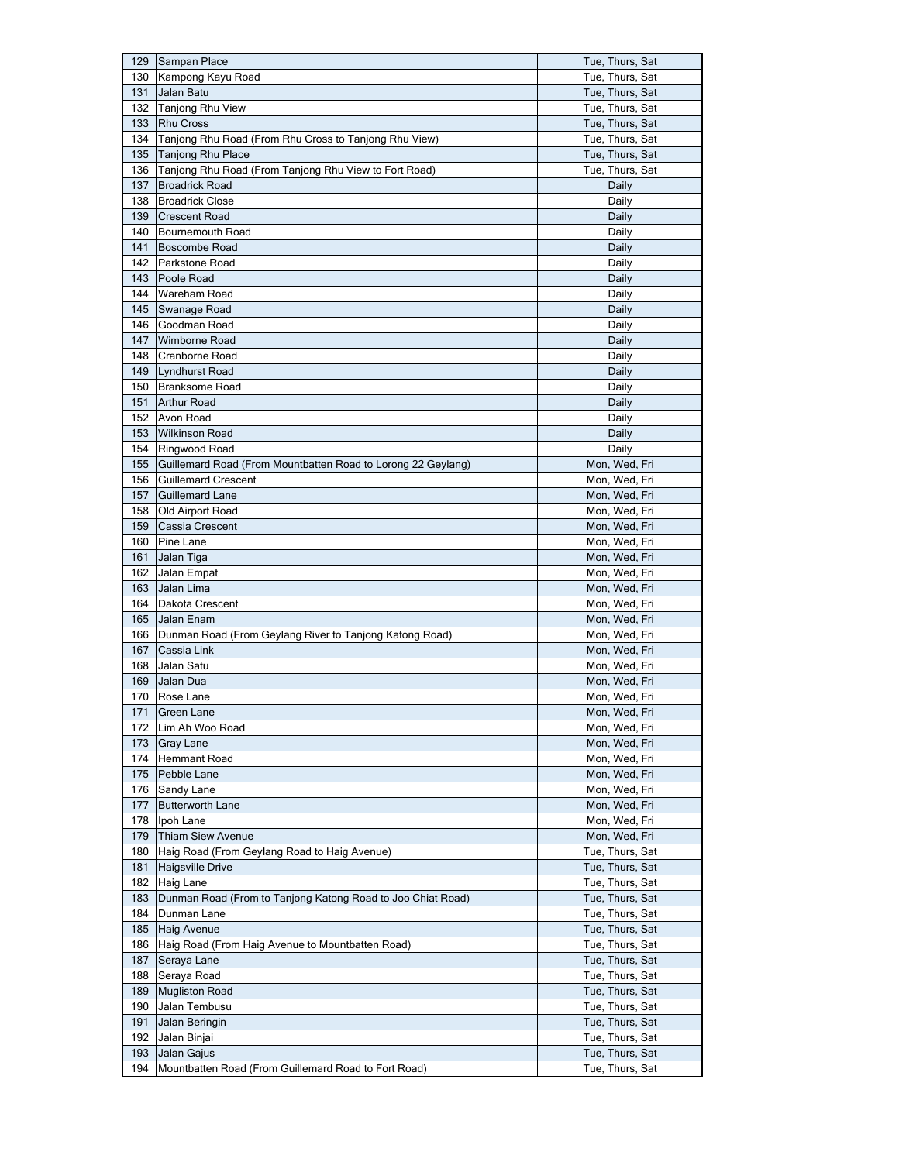| 129   | Sampan Place                                                 | Tue, Thurs, Sat |
|-------|--------------------------------------------------------------|-----------------|
| 130   | Kampong Kayu Road                                            | Tue, Thurs, Sat |
| 131   | Jalan Batu                                                   | Tue, Thurs, Sat |
| 132   | <b>Tanjong Rhu View</b>                                      | Tue, Thurs, Sat |
| 133   | <b>Rhu Cross</b>                                             | Tue, Thurs, Sat |
| 134   | Tanjong Rhu Road (From Rhu Cross to Tanjong Rhu View)        | Tue, Thurs, Sat |
| 135   | <b>Tanjong Rhu Place</b>                                     | Tue, Thurs, Sat |
| 136   | Tanjong Rhu Road (From Tanjong Rhu View to Fort Road)        | Tue, Thurs, Sat |
| 137   | <b>Broadrick Road</b>                                        | Daily           |
| 138   | <b>Broadrick Close</b>                                       | Daily           |
| 139   | <b>Crescent Road</b>                                         | Daily           |
| 140   | Bournemouth Road                                             | Daily           |
| 141   | <b>Boscombe Road</b>                                         |                 |
|       |                                                              | Daily           |
| 142   | Parkstone Road                                               | Daily           |
| 143   | Poole Road                                                   | Daily           |
| 144   | Wareham Road                                                 | Daily           |
| 145   | Swanage Road                                                 | Daily           |
|       | 146 Goodman Road                                             | Daily           |
| 147   | Wimborne Road                                                | Daily           |
| 148   | <b>Cranborne Road</b>                                        | Daily           |
| 149   | Lyndhurst Road                                               | Daily           |
| 150   | <b>Branksome Road</b>                                        | Daily           |
| 151   | <b>Arthur Road</b>                                           | Daily           |
| 152   | Avon Road                                                    | Daily           |
| 153   | <b>Wilkinson Road</b>                                        | Daily           |
| 154   | Ringwood Road                                                | Daily           |
| 155   | Guillemard Road (From Mountbatten Road to Lorong 22 Geylang) | Mon, Wed, Fri   |
| 156   | <b>Guillemard Crescent</b>                                   | Mon, Wed, Fri   |
| 157   | <b>Guillemard Lane</b>                                       | Mon, Wed, Fri   |
| 158   | Old Airport Road                                             | Mon, Wed, Fri   |
| 159   | Cassia Crescent                                              | Mon, Wed, Fri   |
| 160   | <b>Pine Lane</b>                                             | Mon, Wed, Fri   |
| 161   | Jalan Tiga                                                   | Mon, Wed, Fri   |
| 162   | Jalan Empat                                                  | Mon, Wed, Fri   |
| 163   | Jalan Lima                                                   | Mon, Wed, Fri   |
| 164   | Dakota Crescent                                              | Mon, Wed, Fri   |
| 165   | Jalan Enam                                                   | Mon, Wed, Fri   |
| 166   | Dunman Road (From Geylang River to Tanjong Katong Road)      | Mon, Wed, Fri   |
| 167   | Cassia Link                                                  | Mon, Wed, Fri   |
| 168   | Jalan Satu                                                   | Mon, Wed, Fri   |
| 169   | Jalan Dua                                                    | Mon, Wed, Fri   |
| 170   | Rose Lane                                                    | Mon, Wed, Fri   |
| $171$ | <b>Green Lane</b>                                            | Mon, Wed, Fri   |
| 172   | Lim Ah Woo Road                                              | Mon, Wed, Fri   |
| 173   | Gray Lane                                                    | Mon, Wed, Fri   |
| 174   | Hemmant Road                                                 | Mon, Wed, Fri   |
| 175   | Pebble Lane                                                  | Mon, Wed, Fri   |
| 176   | Sandy Lane                                                   | Mon, Wed, Fri   |
| 177   | <b>Butterworth Lane</b>                                      | Mon, Wed, Fri   |
| 178   | Ipoh Lane                                                    | Mon, Wed, Fri   |
| 179   | <b>Thiam Siew Avenue</b>                                     | Mon, Wed, Fri   |
| 180   | Haig Road (From Geylang Road to Haig Avenue)                 | Tue, Thurs, Sat |
| 181   | <b>Haigsville Drive</b>                                      | Tue, Thurs, Sat |
| 182   | Haig Lane                                                    | Tue, Thurs, Sat |
| 183   | Dunman Road (From to Tanjong Katong Road to Joo Chiat Road)  | Tue, Thurs, Sat |
| 184   | Dunman Lane                                                  | Tue, Thurs, Sat |
| 185   | <b>Haig Avenue</b>                                           | Tue, Thurs, Sat |
| 186   | Haig Road (From Haig Avenue to Mountbatten Road)             | Tue, Thurs, Sat |
| 187   | Seraya Lane                                                  | Tue, Thurs, Sat |
| 188   | Seraya Road                                                  | Tue, Thurs, Sat |
| 189   | <b>Mugliston Road</b>                                        | Tue, Thurs, Sat |
| 190   | Jalan Tembusu                                                | Tue, Thurs, Sat |
| 191   | Jalan Beringin                                               | Tue, Thurs, Sat |
| 192   | Jalan Binjai                                                 | Tue, Thurs, Sat |
| 193   | Jalan Gajus                                                  | Tue, Thurs, Sat |
|       | Mountbatten Road (From Guillemard Road to Fort Road)         |                 |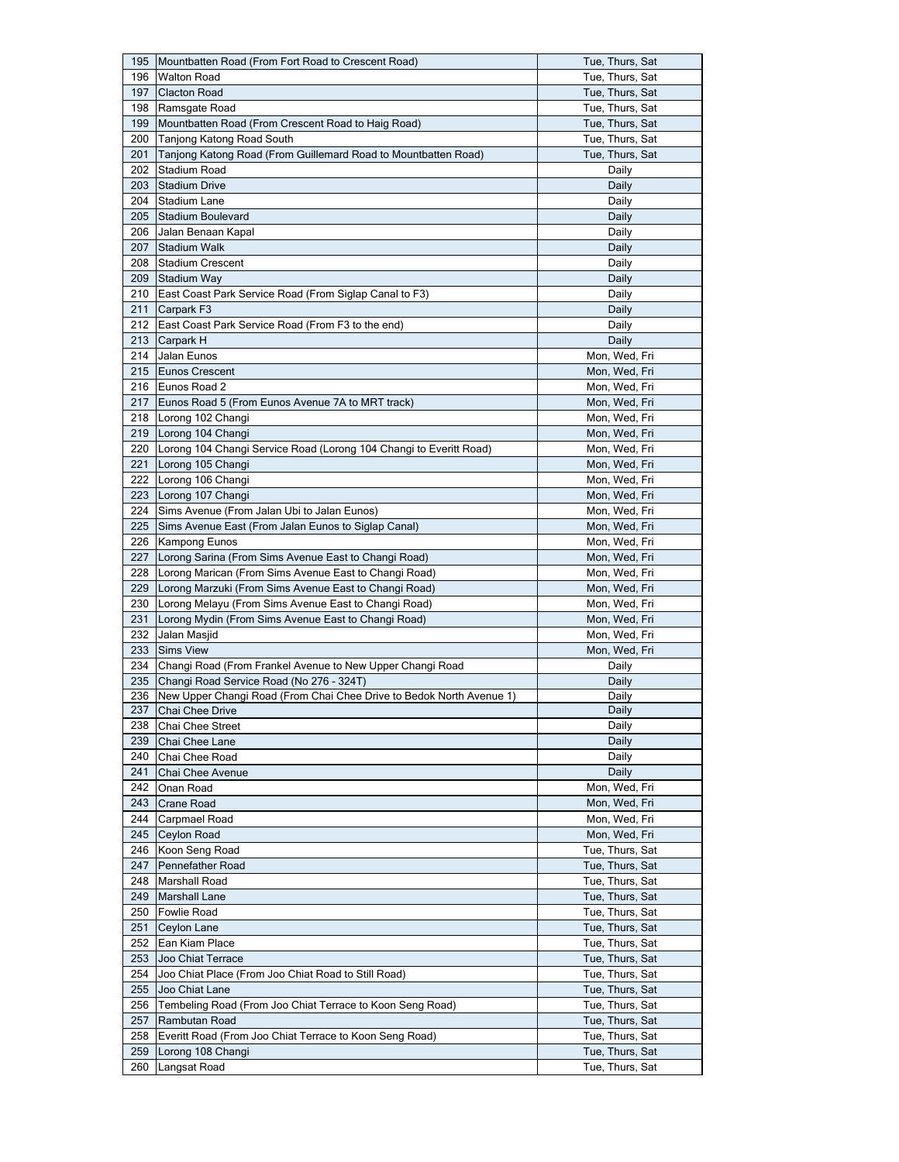| 195 | Mountbatten Road (From Fort Road to Crescent Road)                                          | Tue, Thurs, Sat |
|-----|---------------------------------------------------------------------------------------------|-----------------|
| 196 | <b>Walton Road</b>                                                                          | Tue, Thurs, Sat |
| 197 | <b>Clacton Road</b>                                                                         | Tue, Thurs, Sat |
| 198 | Ramsgate Road                                                                               | Tue, Thurs, Sat |
| 199 | Mountbatten Road (From Crescent Road to Haig Road)                                          | Tue, Thurs, Sat |
| 200 | Tanjong Katong Road South                                                                   | Tue, Thurs, Sat |
| 201 | Tanjong Katong Road (From Guillemard Road to Mountbatten Road)                              | Tue, Thurs, Sat |
| 202 | Stadium Road                                                                                |                 |
|     |                                                                                             | Daily           |
| 203 | <b>Stadium Drive</b>                                                                        | Daily           |
| 204 | Stadium Lane                                                                                | Daily           |
| 205 | <b>Stadium Boulevard</b>                                                                    | Daily           |
| 206 | Jalan Benaan Kapal                                                                          | Daily           |
| 207 | Stadium Walk                                                                                | Daily           |
| 208 | <b>Stadium Crescent</b>                                                                     | Daily           |
| 209 | Stadium Way                                                                                 | Daily           |
| 210 | East Coast Park Service Road (From Siglap Canal to F3)                                      | Daily           |
| 211 | Carpark F3                                                                                  | Daily           |
| 212 | East Coast Park Service Road (From F3 to the end)                                           | Daily           |
| 213 | Carpark H                                                                                   | Daily           |
| 214 | Jalan Eunos                                                                                 | Mon, Wed, Fri   |
| 215 | <b>Eunos Crescent</b>                                                                       | Mon, Wed, Fri   |
|     | 216 Eunos Road 2                                                                            | Mon, Wed, Fri   |
| 217 | Eunos Road 5 (From Eunos Avenue 7A to MRT track)                                            | Mon, Wed, Fri   |
|     | 218 Lorong 102 Changi                                                                       | Mon, Wed, Fri   |
| 219 | Lorong 104 Changi                                                                           | Mon, Wed, Fri   |
|     |                                                                                             |                 |
| 220 | Lorong 104 Changi Service Road (Lorong 104 Changi to Everitt Road)                          | Mon, Wed, Fri   |
| 221 | Lorong 105 Changi                                                                           | Mon, Wed, Fri   |
| 222 | Lorong 106 Changi                                                                           | Mon, Wed, Fri   |
| 223 | Lorong 107 Changi                                                                           | Mon, Wed, Fri   |
| 224 | Sims Avenue (From Jalan Ubi to Jalan Eunos)                                                 | Mon, Wed, Fri   |
| 225 | Sims Avenue East (From Jalan Eunos to Siglap Canal)                                         | Mon, Wed, Fri   |
| 226 | Kampong Eunos                                                                               | Mon, Wed, Fri   |
| 227 | Lorong Sarina (From Sims Avenue East to Changi Road)                                        | Mon, Wed, Fri   |
|     |                                                                                             |                 |
| 228 | Lorong Marican (From Sims Avenue East to Changi Road)                                       | Mon, Wed, Fri   |
| 229 | Lorong Marzuki (From Sims Avenue East to Changi Road)                                       | Mon, Wed, Fri   |
| 230 | Lorong Melayu (From Sims Avenue East to Changi Road)                                        | Mon, Wed, Fri   |
| 231 | Lorong Mydin (From Sims Avenue East to Changi Road)                                         | Mon, Wed, Fri   |
| 232 | Jalan Masjid                                                                                | Mon, Wed, Fri   |
| 233 | <b>Sims View</b>                                                                            | Mon, Wed, Fri   |
| 234 | Changi Road (From Frankel Avenue to New Upper Changi Road                                   | Daily           |
| 235 | Changi Road Service Road (No 276 - 324T)                                                    | Daily           |
|     |                                                                                             | Daily           |
| 237 | 236 New Upper Changi Road (From Chai Chee Drive to Bedok North Avenue 1)<br>Chai Chee Drive | Daily           |
| 238 | Chai Chee Street                                                                            | Daily           |
| 239 |                                                                                             | Daily           |
| 240 | Chai Chee Lane<br>Chai Chee Road                                                            | Daily           |
|     |                                                                                             |                 |
| 241 | Chai Chee Avenue                                                                            | Daily           |
| 242 | Onan Road                                                                                   | Mon, Wed, Fri   |
| 243 | <b>Crane Road</b>                                                                           | Mon, Wed, Fri   |
| 244 | Carpmael Road                                                                               | Mon, Wed, Fri   |
| 245 | Ceylon Road                                                                                 | Mon, Wed, Fri   |
| 246 | Koon Seng Road                                                                              | Tue, Thurs, Sat |
| 247 | Pennefather Road                                                                            | Tue, Thurs, Sat |
| 248 | <b>Marshall Road</b>                                                                        | Tue, Thurs, Sat |
| 249 | <b>Marshall Lane</b>                                                                        | Tue, Thurs, Sat |
| 250 | <b>Fowlie Road</b>                                                                          | Tue, Thurs, Sat |
| 251 | Ceylon Lane                                                                                 | Tue, Thurs, Sat |
| 252 | Ean Kiam Place                                                                              | Tue, Thurs, Sat |
| 253 | Joo Chiat Terrace                                                                           | Tue, Thurs, Sat |
| 254 | Joo Chiat Place (From Joo Chiat Road to Still Road)                                         | Tue, Thurs, Sat |
| 255 | Joo Chiat Lane                                                                              | Tue, Thurs, Sat |
| 256 | Tembeling Road (From Joo Chiat Terrace to Koon Seng Road)                                   | Tue, Thurs, Sat |
| 257 | Rambutan Road                                                                               | Tue, Thurs, Sat |
| 258 | Everitt Road (From Joo Chiat Terrace to Koon Seng Road)                                     | Tue, Thurs, Sat |
| 259 | Lorong 108 Changi                                                                           | Tue, Thurs, Sat |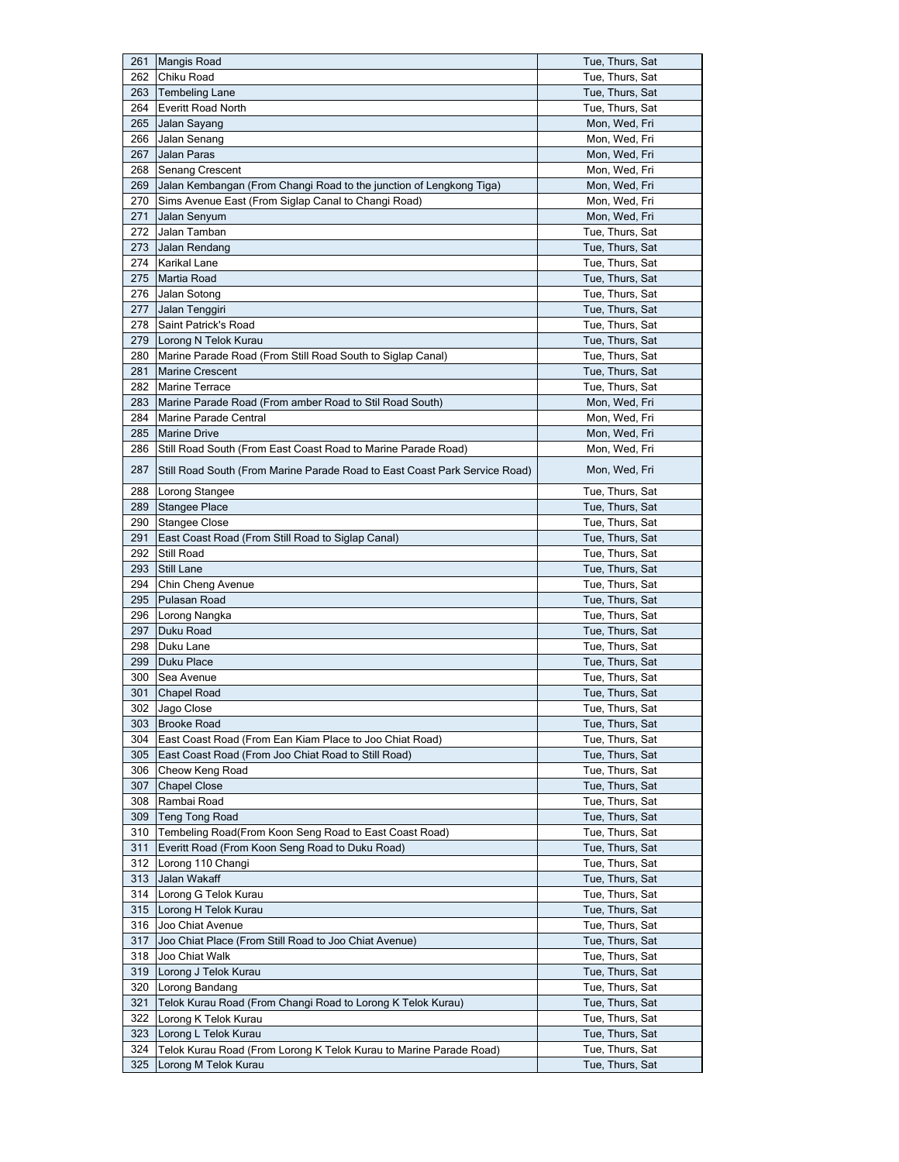| 261 | <b>Mangis Road</b>                                                         | Tue, Thurs, Sat |
|-----|----------------------------------------------------------------------------|-----------------|
| 262 | Chiku Road                                                                 | Tue, Thurs, Sat |
| 263 | <b>Tembeling Lane</b>                                                      | Tue, Thurs, Sat |
| 264 | <b>Everitt Road North</b>                                                  | Tue, Thurs, Sat |
| 265 | Jalan Sayang                                                               | Mon, Wed, Fri   |
| 266 | Jalan Senang                                                               | Mon, Wed, Fri   |
| 267 | Jalan Paras                                                                | Mon, Wed, Fri   |
| 268 | Senang Crescent                                                            | Mon, Wed, Fri   |
| 269 | Jalan Kembangan (From Changi Road to the junction of Lengkong Tiga)        | Mon, Wed, Fri   |
| 270 | Sims Avenue East (From Siglap Canal to Changi Road)                        | Mon, Wed, Fri   |
| 271 | Jalan Senyum                                                               | Mon, Wed, Fri   |
| 272 | Jalan Tamban                                                               | Tue, Thurs, Sat |
| 273 | Jalan Rendang                                                              | Tue, Thurs, Sat |
| 274 | Karikal Lane                                                               | Tue, Thurs, Sat |
| 275 | Martia Road                                                                | Tue, Thurs, Sat |
| 276 | Jalan Sotong                                                               | Tue, Thurs, Sat |
| 277 | Jalan Tenggiri                                                             | Tue, Thurs, Sat |
| 278 | Saint Patrick's Road                                                       | Tue, Thurs, Sat |
| 279 |                                                                            | Tue, Thurs, Sat |
|     | Lorong N Telok Kurau                                                       |                 |
| 280 | Marine Parade Road (From Still Road South to Siglap Canal)                 | Tue, Thurs, Sat |
| 281 | <b>Marine Crescent</b>                                                     | Tue, Thurs, Sat |
| 282 | Marine Terrace                                                             | Tue, Thurs, Sat |
| 283 | Marine Parade Road (From amber Road to Stil Road South)                    | Mon, Wed, Fri   |
| 284 | Marine Parade Central                                                      | Mon, Wed, Fri   |
| 285 | <b>Marine Drive</b>                                                        | Mon, Wed, Fri   |
| 286 | Still Road South (From East Coast Road to Marine Parade Road)              | Mon, Wed, Fri   |
| 287 | Still Road South (From Marine Parade Road to East Coast Park Service Road) | Mon, Wed, Fri   |
| 288 | <b>Lorong Stangee</b>                                                      | Tue, Thurs, Sat |
|     | 289 Stangee Place                                                          | Tue, Thurs, Sat |
| 290 | Stangee Close                                                              | Tue, Thurs, Sat |
| 291 | East Coast Road (From Still Road to Siglap Canal)                          | Tue, Thurs, Sat |
| 292 | Still Road                                                                 | Tue, Thurs, Sat |
| 293 | Still Lane                                                                 | Tue, Thurs, Sat |
| 294 | Chin Cheng Avenue                                                          | Tue, Thurs, Sat |
| 295 | Pulasan Road                                                               | Tue, Thurs, Sat |
| 296 | Lorong Nangka                                                              | Tue, Thurs, Sat |
| 297 | Duku Road                                                                  | Tue, Thurs, Sat |
| 298 | Duku Lane                                                                  | Tue, Thurs, Sat |
| 299 | Duku Place                                                                 | Tue, Thurs, Sat |
| 300 | Sea Avenue                                                                 | Tue, Thurs, Sat |
| 301 | <b>Chapel Road</b>                                                         | Tue, Thurs, Sat |
| 302 | Jago Close                                                                 | Tue, Thurs, Sat |
| 303 | <b>Brooke Road</b>                                                         | Tue, Thurs, Sat |
| 304 | East Coast Road (From Ean Kiam Place to Joo Chiat Road)                    | Tue, Thurs, Sat |
| 305 | East Coast Road (From Joo Chiat Road to Still Road)                        | Tue, Thurs, Sat |
| 306 | Cheow Keng Road                                                            | Tue, Thurs, Sat |
|     | <b>Chapel Close</b>                                                        | Tue, Thurs, Sat |
| 307 |                                                                            | Tue, Thurs, Sat |
| 308 | Rambai Road                                                                |                 |
| 309 | <b>Teng Tong Road</b>                                                      | Tue, Thurs, Sat |
| 310 | Tembeling Road(From Koon Seng Road to East Coast Road)                     | Tue, Thurs, Sat |
| 311 | Everitt Road (From Koon Seng Road to Duku Road)                            | Tue, Thurs, Sat |
| 312 | Lorong 110 Changi                                                          | Tue, Thurs, Sat |
| 313 | Jalan Wakaff                                                               | Tue, Thurs, Sat |
| 314 | Lorong G Telok Kurau                                                       | Tue, Thurs, Sat |
| 315 | Lorong H Telok Kurau                                                       | Tue, Thurs, Sat |
| 316 | Joo Chiat Avenue                                                           | Tue, Thurs, Sat |
| 317 | Joo Chiat Place (From Still Road to Joo Chiat Avenue)                      | Tue, Thurs, Sat |
| 318 | Joo Chiat Walk                                                             | Tue, Thurs, Sat |
| 319 | Lorong J Telok Kurau                                                       | Tue, Thurs, Sat |
| 320 | Lorong Bandang                                                             | Tue, Thurs, Sat |
| 321 | Telok Kurau Road (From Changi Road to Lorong K Telok Kurau)                | Tue, Thurs, Sat |
| 322 | Lorong K Telok Kurau                                                       | Tue, Thurs, Sat |
| 323 | Lorong L Telok Kurau                                                       | Tue, Thurs, Sat |
| 324 | Telok Kurau Road (From Lorong K Telok Kurau to Marine Parade Road)         | Tue, Thurs, Sat |
| 325 | Lorong M Telok Kurau                                                       | Tue, Thurs, Sat |
|     |                                                                            |                 |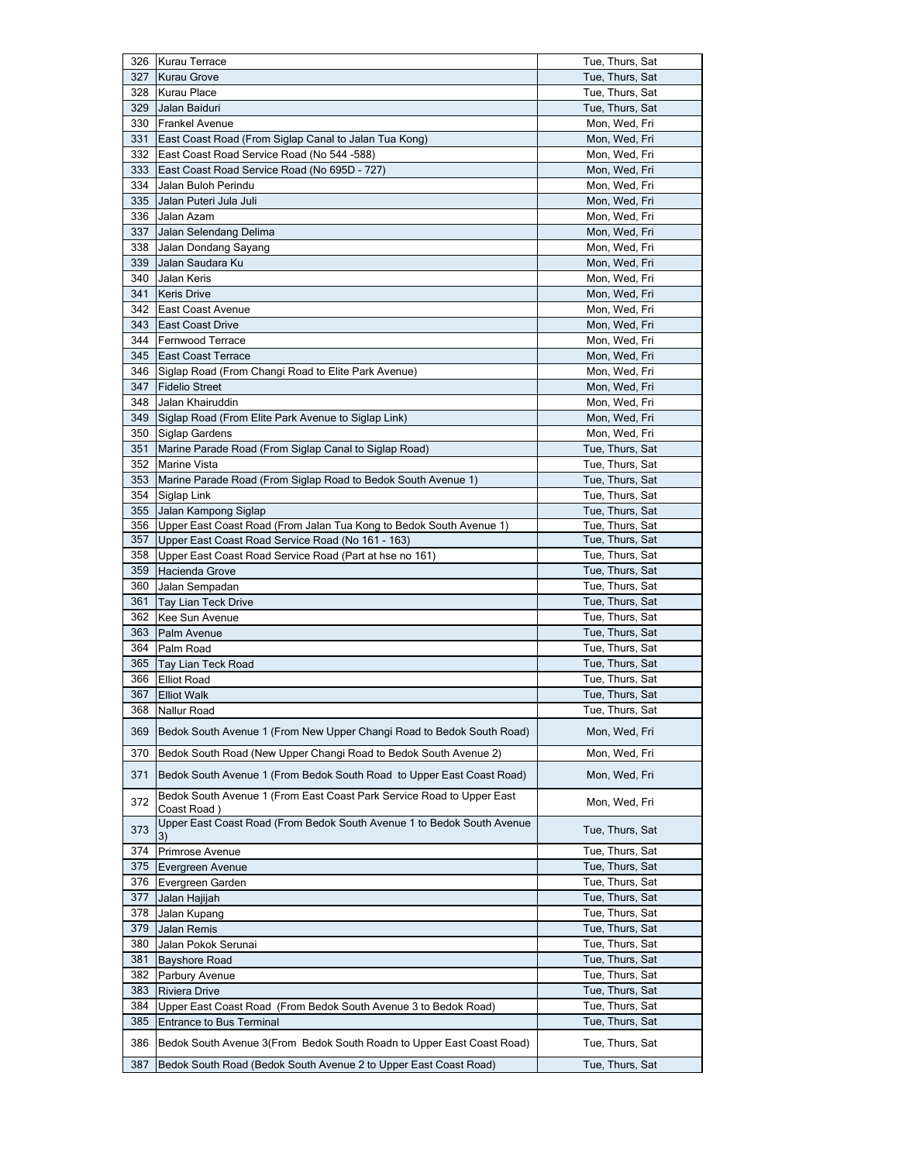|     | 326 Kurau Terrace                                                       | Tue, Thurs, Sat |
|-----|-------------------------------------------------------------------------|-----------------|
| 327 | <b>Kurau Grove</b>                                                      | Tue, Thurs, Sat |
| 328 | Kurau Place                                                             | Tue, Thurs, Sat |
| 329 | Jalan Baiduri                                                           | Tue, Thurs, Sat |
| 330 | <b>Frankel Avenue</b>                                                   | Mon, Wed, Fri   |
| 331 | East Coast Road (From Siglap Canal to Jalan Tua Kong)                   | Mon, Wed, Fri   |
| 332 | East Coast Road Service Road (No 544 -588)                              | Mon, Wed, Fri   |
| 333 | East Coast Road Service Road (No 695D - 727)                            | Mon, Wed, Fri   |
| 334 | Jalan Buloh Perindu                                                     | Mon, Wed, Fri   |
|     |                                                                         |                 |
| 335 | Jalan Puteri Jula Juli                                                  | Mon, Wed, Fri   |
| 336 | Jalan Azam                                                              | Mon, Wed, Fri   |
| 337 | Jalan Selendang Delima                                                  | Mon, Wed, Fri   |
| 338 | Jalan Dondang Sayang                                                    | Mon, Wed, Fri   |
| 339 | Jalan Saudara Ku                                                        | Mon, Wed, Fri   |
| 340 | Jalan Keris                                                             | Mon, Wed, Fri   |
| 341 | <b>Keris Drive</b>                                                      | Mon, Wed, Fri   |
| 342 | East Coast Avenue                                                       | Mon, Wed, Fri   |
| 343 | East Coast Drive                                                        | Mon, Wed, Fri   |
| 344 | <b>Fernwood Terrace</b>                                                 | Mon, Wed, Fri   |
| 345 | <b>East Coast Terrace</b>                                               | Mon, Wed, Fri   |
| 346 | Siglap Road (From Changi Road to Elite Park Avenue)                     | Mon, Wed, Fri   |
| 347 | <b>Fidelio Street</b>                                                   | Mon, Wed, Fri   |
| 348 | Jalan Khairuddin                                                        | Mon, Wed, Fri   |
| 349 | Siglap Road (From Elite Park Avenue to Siglap Link)                     | Mon, Wed, Fri   |
| 350 | Siglap Gardens                                                          | Mon, Wed, Fri   |
| 351 | Marine Parade Road (From Siglap Canal to Siglap Road)                   | Tue, Thurs, Sat |
| 352 | <b>Marine Vista</b>                                                     | Tue, Thurs, Sat |
| 353 | Marine Parade Road (From Siglap Road to Bedok South Avenue 1)           | Tue, Thurs, Sat |
| 354 | Siglap Link                                                             | Tue, Thurs, Sat |
| 355 | Jalan Kampong Siglap                                                    | Tue, Thurs, Sat |
|     | 356 Upper East Coast Road (From Jalan Tua Kong to Bedok South Avenue 1) | Tue, Thurs, Sat |
| 357 | Upper East Coast Road Service Road (No 161 - 163)                       | Tue, Thurs, Sat |
| 358 | Upper East Coast Road Service Road (Part at hse no 161)                 | Tue, Thurs, Sat |
| 359 | Hacienda Grove                                                          | Tue, Thurs, Sat |
| 360 | Jalan Sempadan                                                          | Tue, Thurs, Sat |
| 361 | <b>Tay Lian Teck Drive</b>                                              | Tue, Thurs, Sat |
| 362 | Kee Sun Avenue                                                          | Tue, Thurs, Sat |
| 363 | Palm Avenue                                                             | Tue, Thurs, Sat |
| 364 | Palm Road                                                               | Tue, Thurs, Sat |
| 365 | Tay Lian Teck Road                                                      | Tue, Thurs, Sat |
| 366 | <b>Elliot Road</b>                                                      | Tue, Thurs, Sat |
| 367 | <b>Elliot Walk</b>                                                      | Tue, Thurs, Sat |
| 368 | Nallur Road                                                             | Tue, Thurs, Sat |
|     |                                                                         |                 |
| 369 | Bedok South Avenue 1 (From New Upper Changi Road to Bedok South Road)   | Mon, Wed, Fri   |
| 370 | Bedok South Road (New Upper Changi Road to Bedok South Avenue 2)        | Mon, Wed, Fri   |
| 371 | Bedok South Avenue 1 (From Bedok South Road to Upper East Coast Road)   | Mon, Wed, Fri   |
|     |                                                                         |                 |
| 372 | Bedok South Avenue 1 (From East Coast Park Service Road to Upper East   | Mon, Wed, Fri   |
|     | Coast Road )                                                            |                 |
| 373 | Upper East Coast Road (From Bedok South Avenue 1 to Bedok South Avenue  | Tue, Thurs, Sat |
|     | 3)                                                                      |                 |
| 374 | Primrose Avenue                                                         | Tue, Thurs, Sat |
| 375 | Evergreen Avenue                                                        | Tue, Thurs, Sat |
| 376 | Evergreen Garden                                                        | Tue, Thurs, Sat |
| 377 | Jalan Hajijah                                                           | Tue, Thurs, Sat |
| 378 | Jalan Kupang                                                            | Tue, Thurs, Sat |
| 379 | Jalan Remis                                                             | Tue, Thurs, Sat |
| 380 | Jalan Pokok Serunai                                                     | Tue, Thurs, Sat |
| 381 | <b>Bayshore Road</b>                                                    | Tue, Thurs, Sat |
| 382 | Parbury Avenue                                                          | Tue, Thurs, Sat |
| 383 | Riviera Drive                                                           | Tue, Thurs, Sat |
| 384 | Upper East Coast Road (From Bedok South Avenue 3 to Bedok Road)         | Tue, Thurs, Sat |
| 385 | <b>Entrance to Bus Terminal</b>                                         | Tue, Thurs, Sat |
| 386 | Bedok South Avenue 3(From Bedok South Roadn to Upper East Coast Road)   | Tue, Thurs, Sat |
|     |                                                                         |                 |
| 387 | Bedok South Road (Bedok South Avenue 2 to Upper East Coast Road)        | Tue, Thurs, Sat |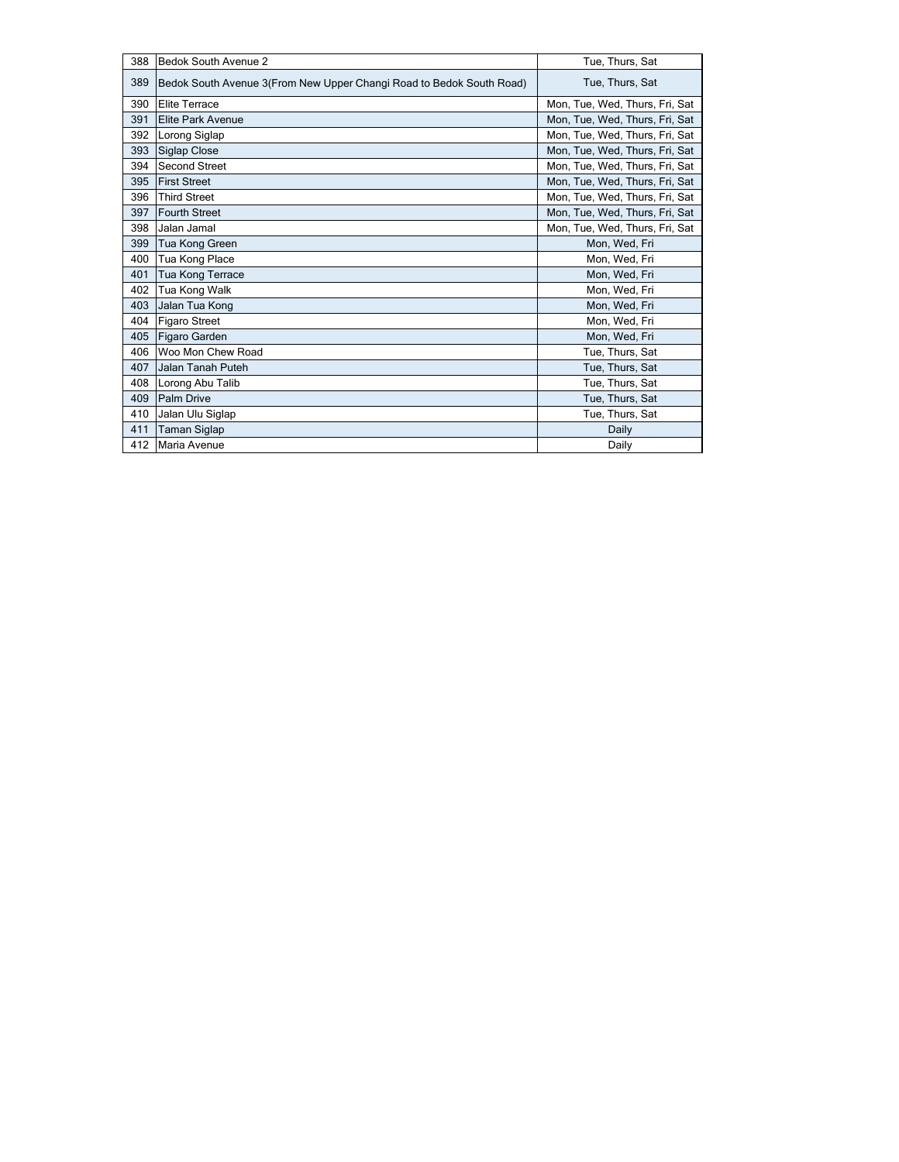| 388 | <b>Bedok South Avenue 2</b>                                          | Tue, Thurs, Sat                |
|-----|----------------------------------------------------------------------|--------------------------------|
| 389 | Bedok South Avenue 3(From New Upper Changi Road to Bedok South Road) | Tue, Thurs, Sat                |
| 390 | <b>Elite Terrace</b>                                                 | Mon, Tue, Wed, Thurs, Fri, Sat |
| 391 | <b>Elite Park Avenue</b>                                             | Mon, Tue, Wed, Thurs, Fri, Sat |
| 392 | Lorong Siglap                                                        | Mon, Tue, Wed, Thurs, Fri, Sat |
| 393 | Siglap Close                                                         | Mon, Tue, Wed, Thurs, Fri, Sat |
| 394 | <b>Second Street</b>                                                 | Mon, Tue, Wed, Thurs, Fri, Sat |
| 395 | <b>First Street</b>                                                  | Mon, Tue, Wed, Thurs, Fri, Sat |
| 396 | <b>Third Street</b>                                                  | Mon, Tue, Wed, Thurs, Fri, Sat |
| 397 | <b>Fourth Street</b>                                                 | Mon, Tue, Wed, Thurs, Fri, Sat |
| 398 | Jalan Jamal                                                          | Mon, Tue, Wed, Thurs, Fri, Sat |
| 399 | Tua Kong Green                                                       | Mon, Wed, Fri                  |
| 400 | Tua Kong Place                                                       | Mon, Wed, Fri                  |
| 401 | Tua Kong Terrace                                                     | Mon, Wed, Fri                  |
| 402 | Tua Kong Walk                                                        | Mon, Wed, Fri                  |
| 403 | Jalan Tua Kong                                                       | Mon, Wed, Fri                  |
| 404 | <b>Figaro Street</b>                                                 | Mon, Wed, Fri                  |
| 405 | <b>Figaro Garden</b>                                                 | Mon, Wed, Fri                  |
| 406 | Woo Mon Chew Road                                                    | Tue, Thurs, Sat                |
| 407 | Jalan Tanah Puteh                                                    | Tue, Thurs, Sat                |
| 408 | Lorong Abu Talib                                                     | Tue, Thurs, Sat                |
| 409 | Palm Drive                                                           | Tue, Thurs, Sat                |
| 410 | Jalan Ulu Siglap                                                     | Tue, Thurs, Sat                |
| 411 | <b>Taman Siglap</b>                                                  | Daily                          |
| 412 | Maria Avenue                                                         | Daily                          |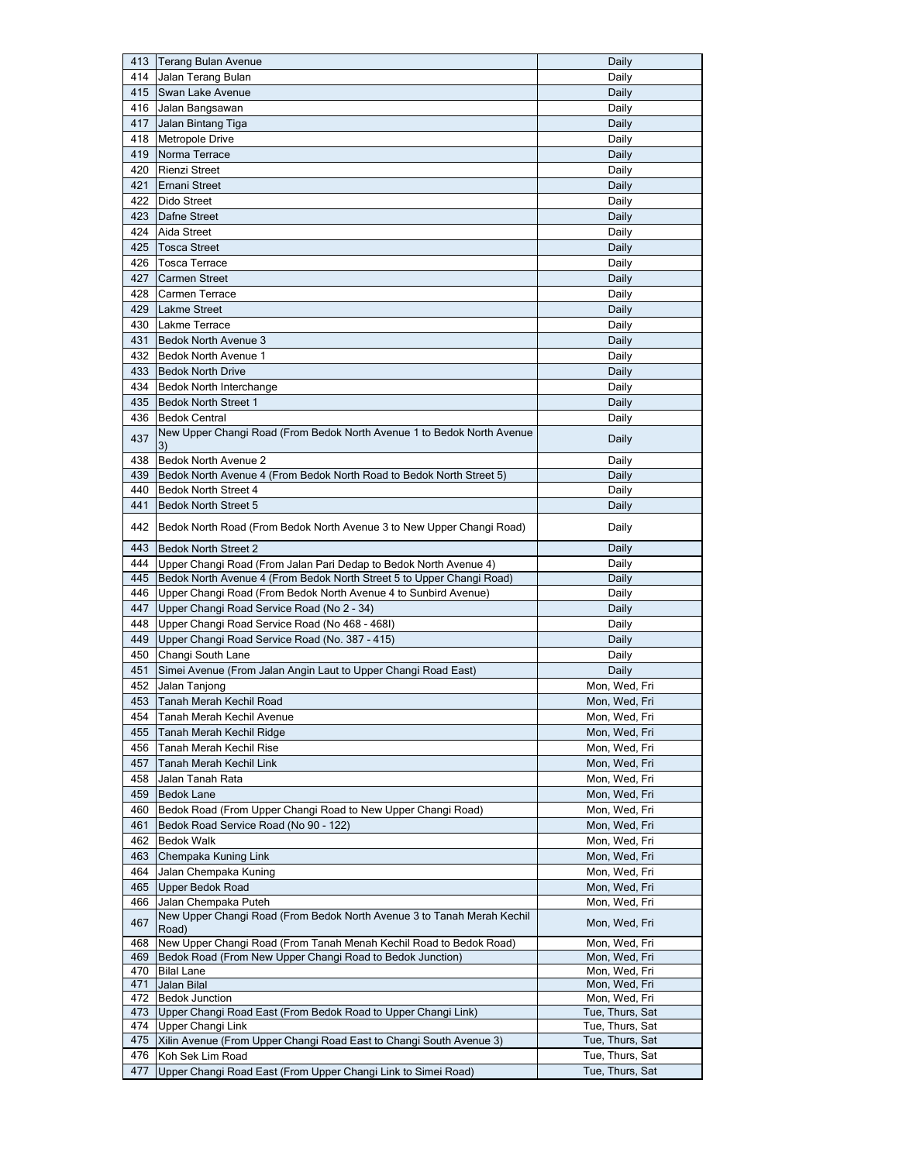| 413        | Terang Bulan Avenue                                                            | Daily                          |
|------------|--------------------------------------------------------------------------------|--------------------------------|
| 414        | Jalan Terang Bulan                                                             | Daily                          |
|            | 415 Swan Lake Avenue                                                           | Daily                          |
| 416        | Jalan Bangsawan                                                                | Daily                          |
| 417        | Jalan Bintang Tiga                                                             | Daily                          |
| 418        | Metropole Drive                                                                | Daily                          |
| 419        | Norma Terrace                                                                  | Daily                          |
| 420        | <b>Rienzi Street</b>                                                           | Daily                          |
| 421        | Ernani Street                                                                  | Daily                          |
| 422        | Dido Street                                                                    | Daily                          |
| 423        | Dafne Street                                                                   | Daily                          |
| 424        | Aida Street                                                                    | Daily                          |
| 425        | <b>Tosca Street</b>                                                            | Daily                          |
| 426        | <b>Tosca Terrace</b>                                                           | Daily                          |
| 427        | <b>Carmen Street</b>                                                           | Daily                          |
| 428        | Carmen Terrace                                                                 | Daily                          |
| 429        | <b>Lakme Street</b>                                                            | Daily                          |
| 430        | Lakme Terrace                                                                  | Daily                          |
| 431        | Bedok North Avenue 3                                                           |                                |
| 432        |                                                                                | Daily                          |
|            | <b>Bedok North Avenue 1</b>                                                    | Daily                          |
| 433        | <b>Bedok North Drive</b>                                                       | Daily                          |
| 434        | <b>Bedok North Interchange</b>                                                 | Daily                          |
| 435        | <b>Bedok North Street 1</b>                                                    | Daily                          |
| 436        | <b>Bedok Central</b>                                                           | Daily                          |
| 437        | New Upper Changi Road (From Bedok North Avenue 1 to Bedok North Avenue<br>3)   | Daily                          |
| 438        | Bedok North Avenue 2                                                           | Daily                          |
| 439        | Bedok North Avenue 4 (From Bedok North Road to Bedok North Street 5)           | Daily                          |
| 440        | Bedok North Street 4                                                           | Daily                          |
| 441        | <b>Bedok North Street 5</b>                                                    | Daily                          |
|            |                                                                                |                                |
| 442        | Bedok North Road (From Bedok North Avenue 3 to New Upper Changi Road)          | Daily                          |
| 443        | <b>Bedok North Street 2</b>                                                    | Daily                          |
| 444        | Upper Changi Road (From Jalan Pari Dedap to Bedok North Avenue 4)              | Daily                          |
|            |                                                                                |                                |
| 445        | Bedok North Avenue 4 (From Bedok North Street 5 to Upper Changi Road)          | Daily                          |
| 446        | Upper Changi Road (From Bedok North Avenue 4 to Sunbird Avenue)                | Daily                          |
| 447        | Upper Changi Road Service Road (No 2 - 34)                                     | Daily                          |
| 448        | Upper Changi Road Service Road (No 468 - 468I)                                 | Daily                          |
| 449        | Upper Changi Road Service Road (No. 387 - 415)                                 | Daily                          |
| 450        | Changi South Lane                                                              | Daily                          |
| 451        | Simei Avenue (From Jalan Angin Laut to Upper Changi Road East)                 | Daily                          |
| 452        | Jalan Tanjong                                                                  | Mon, Wed, Fri                  |
| 453        | Tanah Merah Kechil Road                                                        | Mon, Wed, Fri                  |
| 454        | Tanah Merah Kechil Avenue                                                      | Mon, Wed, Fri                  |
| 455        | Tanah Merah Kechil Ridge                                                       | Mon, Wed, Fri                  |
| 456        | Tanah Merah Kechil Rise                                                        | Mon, Wed, Fri                  |
| 457        | Tanah Merah Kechil Link                                                        | Mon, Wed, Fri                  |
| 458        | Jalan Tanah Rata                                                               | Mon, Wed, Fri                  |
| 459        | <b>Bedok Lane</b>                                                              | Mon, Wed, Fri                  |
| 460        | Bedok Road (From Upper Changi Road to New Upper Changi Road)                   | Mon, Wed, Fri                  |
| 461        | Bedok Road Service Road (No 90 - 122)                                          | Mon, Wed, Fri                  |
| 462        | <b>Bedok Walk</b>                                                              | Mon, Wed, Fri                  |
| 463        | Chempaka Kuning Link                                                           | Mon, Wed, Fri                  |
| 464        | Jalan Chempaka Kuning                                                          | Mon, Wed, Fri                  |
| 465        | <b>Upper Bedok Road</b>                                                        | Mon, Wed, Fri                  |
| 466        | Jalan Chempaka Puteh                                                           | Mon, Wed, Fri                  |
| 467        | New Upper Changi Road (From Bedok North Avenue 3 to Tanah Merah Kechil         | Mon, Wed, Fri                  |
|            | Road)                                                                          |                                |
| 468        | New Upper Changi Road (From Tanah Menah Kechil Road to Bedok Road)             | Mon, Wed, Fri                  |
| 469<br>470 | Bedok Road (From New Upper Changi Road to Bedok Junction)<br><b>Bilal Lane</b> | Mon, Wed, Fri<br>Mon, Wed, Fri |
| 471        | Jalan Bilal                                                                    | Mon, Wed, Fri                  |
| 472        | <b>Bedok Junction</b>                                                          | Mon, Wed, Fri                  |
|            | 473 Upper Changi Road East (From Bedok Road to Upper Changi Link)              | Tue, Thurs, Sat                |
| 474        | Upper Changi Link                                                              | Tue, Thurs, Sat                |
| 475        | Xilin Avenue (From Upper Changi Road East to Changi South Avenue 3)            | Tue, Thurs, Sat                |
| 476        | Koh Sek Lim Road                                                               | Tue, Thurs, Sat                |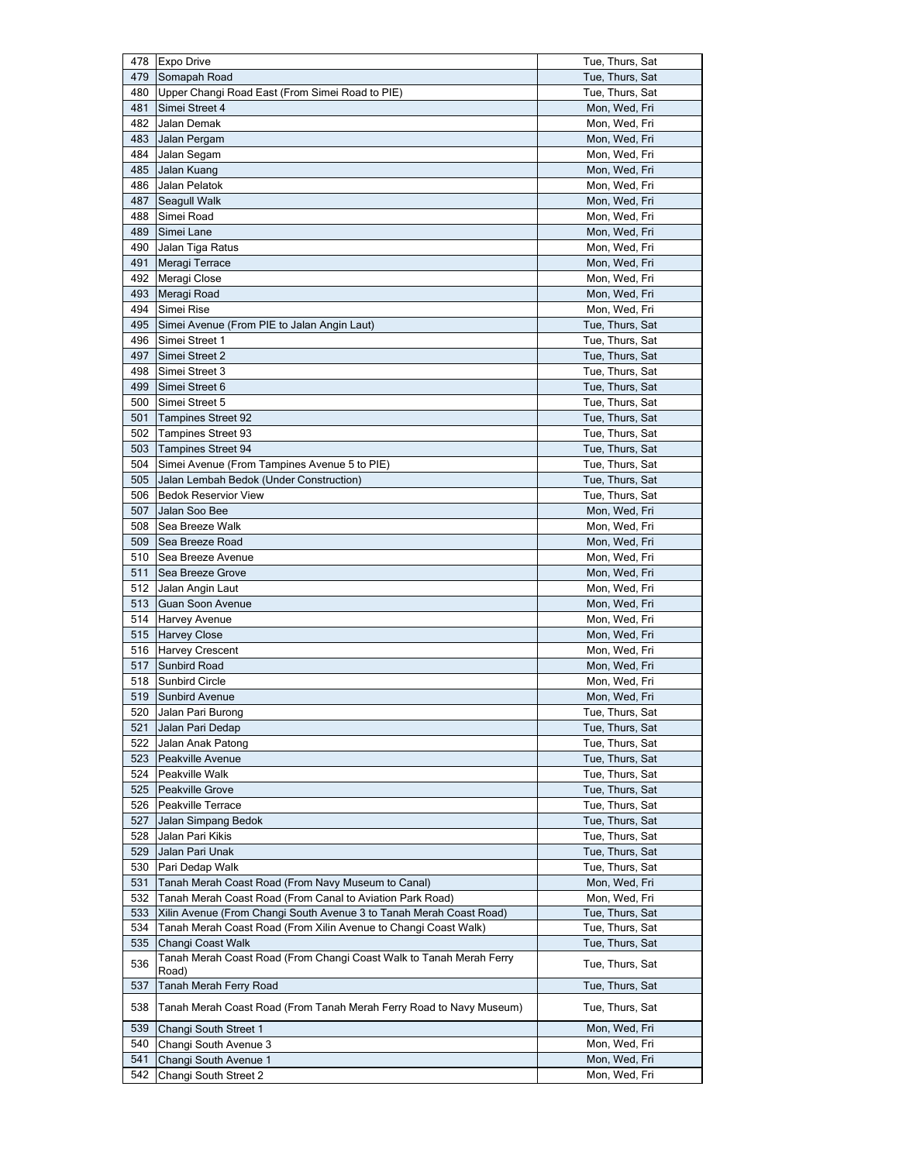| 478        | <b>Expo Drive</b>                                                            | Tue, Thurs, Sat                |
|------------|------------------------------------------------------------------------------|--------------------------------|
| 479        | Somapah Road                                                                 | Tue, Thurs, Sat                |
| 480        | Upper Changi Road East (From Simei Road to PIE)                              | Tue, Thurs, Sat                |
| 481        | Simei Street 4                                                               | Mon, Wed, Fri                  |
| 482        | Jalan Demak                                                                  | Mon, Wed, Fri                  |
| 483        | Jalan Pergam                                                                 | Mon, Wed, Fri                  |
| 484        | Jalan Segam                                                                  | Mon, Wed, Fri                  |
| 485        | Jalan Kuang                                                                  | Mon, Wed, Fri                  |
| 486        | Jalan Pelatok                                                                | Mon, Wed, Fri                  |
| 487        | Seagull Walk                                                                 | Mon, Wed, Fri                  |
| 488        | Simei Road                                                                   | Mon, Wed, Fri                  |
| 489        | Simei Lane                                                                   | Mon, Wed, Fri                  |
| 490        | Jalan Tiga Ratus                                                             | Mon, Wed, Fri                  |
| 491        | Meragi Terrace                                                               | Mon, Wed, Fri                  |
| 492        | Meragi Close                                                                 | Mon, Wed, Fri                  |
| 493        | Meragi Road                                                                  | Mon, Wed, Fri                  |
| 494        | Simei Rise                                                                   | Mon, Wed, Fri                  |
| 495        | Simei Avenue (From PIE to Jalan Angin Laut)                                  | Tue, Thurs, Sat                |
| 496        | Simei Street 1                                                               | Tue, Thurs, Sat                |
| 497        | Simei Street 2                                                               | Tue, Thurs, Sat                |
| 498        | Simei Street 3                                                               | Tue, Thurs, Sat                |
| 499        | Simei Street 6                                                               | Tue, Thurs, Sat                |
| 500        | Simei Street 5                                                               | Tue, Thurs, Sat                |
| 501        | <b>Tampines Street 92</b>                                                    | Tue, Thurs, Sat                |
| 502        | <b>Tampines Street 93</b>                                                    | Tue, Thurs, Sat                |
| 503        | <b>Tampines Street 94</b>                                                    | Tue, Thurs, Sat                |
| 504        | Simei Avenue (From Tampines Avenue 5 to PIE)                                 | Tue, Thurs, Sat                |
| 505        | Jalan Lembah Bedok (Under Construction)                                      | Tue, Thurs, Sat                |
| 506        | <b>Bedok Reservior View</b>                                                  | Tue, Thurs, Sat                |
| 507        | Jalan Soo Bee                                                                | Mon, Wed, Fri                  |
| 508        | Sea Breeze Walk                                                              | Mon, Wed, Fri                  |
| 509        | Sea Breeze Road                                                              | Mon, Wed, Fri                  |
| 510        | Sea Breeze Avenue                                                            | Mon, Wed, Fri                  |
| 511        | Sea Breeze Grove                                                             | Mon, Wed, Fri                  |
| 512<br>513 | Jalan Angin Laut                                                             | Mon, Wed, Fri<br>Mon, Wed, Fri |
| 514        | Guan Soon Avenue<br><b>Harvey Avenue</b>                                     | Mon, Wed, Fri                  |
| 515        | <b>Harvey Close</b>                                                          | Mon, Wed, Fri                  |
| 516        | Harvey Crescent                                                              | Mon, Wed, Fri                  |
| 517        | <b>Sunbird Road</b>                                                          | Mon, Wed, Fri                  |
| 518        | <b>Sunbird Circle</b>                                                        | Mon, Wed, Fri                  |
| 519        | Sunbird Avenue                                                               | Mon, Wed, Fri                  |
|            | 520 Jalan Pari Burong                                                        | Tue, Thurs, Sat                |
| 521        | Jalan Pari Dedap                                                             | Tue, Thurs, Sat                |
| 522        | Jalan Anak Patong                                                            | Tue, Thurs, Sat                |
| 523        | Peakville Avenue                                                             | Tue, Thurs, Sat                |
| 524        | Peakville Walk                                                               | Tue, Thurs, Sat                |
| 525        | Peakville Grove                                                              | Tue, Thurs, Sat                |
| 526        | Peakville Terrace                                                            | Tue, Thurs, Sat                |
| 527        | Jalan Simpang Bedok                                                          | Tue, Thurs, Sat                |
| 528        | Jalan Pari Kikis                                                             | Tue, Thurs, Sat                |
| 529        | Jalan Pari Unak                                                              | Tue, Thurs, Sat                |
| 530        | Pari Dedap Walk                                                              | Tue, Thurs, Sat                |
| 531        | Tanah Merah Coast Road (From Navy Museum to Canal)                           | Mon, Wed, Fri                  |
| 532        | Tanah Merah Coast Road (From Canal to Aviation Park Road)                    | Mon, Wed, Fri                  |
| 533        | Xilin Avenue (From Changi South Avenue 3 to Tanah Merah Coast Road)          | Tue, Thurs, Sat                |
| 534        | Tanah Merah Coast Road (From Xilin Avenue to Changi Coast Walk)              | Tue, Thurs, Sat                |
| 535        | Changi Coast Walk                                                            | Tue, Thurs, Sat                |
| 536        | Tanah Merah Coast Road (From Changi Coast Walk to Tanah Merah Ferry<br>Road) | Tue, Thurs, Sat                |
| 537        | Tanah Merah Ferry Road                                                       | Tue, Thurs, Sat                |
| 538        | Tanah Merah Coast Road (From Tanah Merah Ferry Road to Navy Museum)          | Tue, Thurs, Sat                |
| 539        | Changi South Street 1                                                        | Mon, Wed, Fri                  |
| 540        | Changi South Avenue 3                                                        | Mon, Wed, Fri                  |
| 541        | Changi South Avenue 1                                                        | Mon, Wed, Fri                  |
| 542        | Changi South Street 2                                                        | Mon, Wed, Fri                  |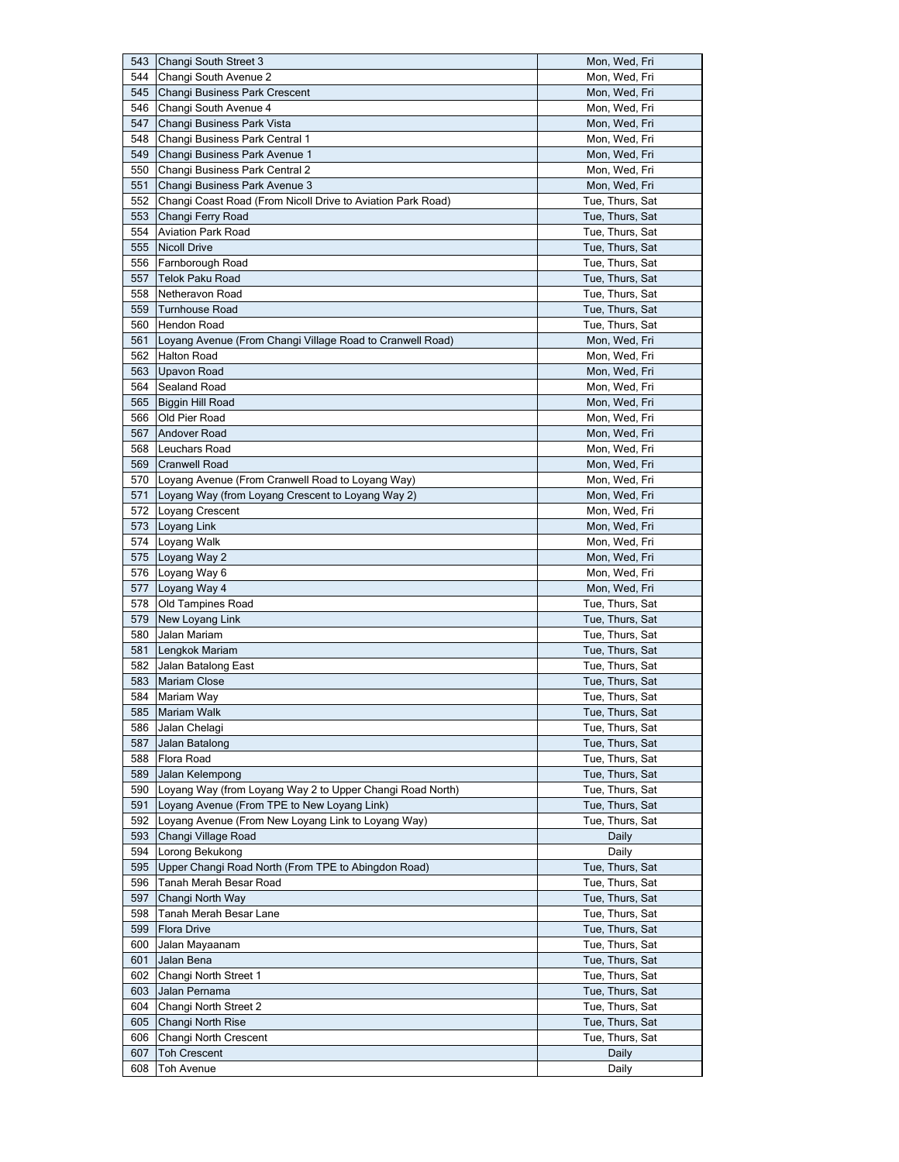|            | Changi South Street 3                                       | Mon, Wed, Fri                      |
|------------|-------------------------------------------------------------|------------------------------------|
| 544        | Changi South Avenue 2                                       | Mon, Wed, Fri                      |
| 545        | Changi Business Park Crescent                               | Mon, Wed, Fri                      |
| 546        | Changi South Avenue 4                                       | Mon, Wed, Fri                      |
| 547        | Changi Business Park Vista                                  | Mon, Wed, Fri                      |
| 548        | Changi Business Park Central 1                              | Mon, Wed, Fri                      |
| 549        | Changi Business Park Avenue 1                               | Mon, Wed, Fri                      |
| 550        | Changi Business Park Central 2                              | Mon, Wed, Fri                      |
| 551        | Changi Business Park Avenue 3                               | Mon, Wed, Fri                      |
| 552        | Changi Coast Road (From Nicoll Drive to Aviation Park Road) | Tue, Thurs, Sat                    |
| 553        | Changi Ferry Road                                           | Tue, Thurs, Sat                    |
| 554        | <b>Aviation Park Road</b>                                   | Tue, Thurs, Sat                    |
| 555        | <b>Nicoll Drive</b>                                         | Tue, Thurs, Sat                    |
| 556        | Farnborough Road                                            | Tue, Thurs, Sat                    |
| 557        | <b>Telok Paku Road</b>                                      | Tue, Thurs, Sat                    |
| 558        | Netheravon Road                                             | Tue, Thurs, Sat                    |
| 559        | <b>Turnhouse Road</b>                                       | Tue, Thurs, Sat                    |
| 560        | <b>Hendon Road</b>                                          | Tue, Thurs, Sat                    |
|            |                                                             |                                    |
| 561<br>562 | Loyang Avenue (From Changi Village Road to Cranwell Road)   | Mon, Wed, Fri                      |
|            | <b>Halton Road</b>                                          | Mon, Wed, Fri                      |
| 563        | Upavon Road                                                 | Mon, Wed, Fri                      |
| 564        | Sealand Road                                                | Mon, Wed, Fri                      |
| 565        | Biggin Hill Road                                            | Mon, Wed, Fri                      |
| 566        | Old Pier Road                                               | Mon, Wed, Fri                      |
| 567        | <b>Andover Road</b>                                         | Mon, Wed, Fri                      |
| 568        | Leuchars Road                                               | Mon, Wed, Fri                      |
| 569        | <b>Cranwell Road</b>                                        | Mon, Wed, Fri                      |
|            | 570 Loyang Avenue (From Cranwell Road to Loyang Way)        | Mon, Wed, Fri                      |
| 571        | Loyang Way (from Loyang Crescent to Loyang Way 2)           | Mon, Wed, Fri                      |
|            | 572   Loyang Crescent                                       | Mon, Wed, Fri                      |
| 573        | Loyang Link                                                 | Mon, Wed, Fri                      |
|            | 574 Loyang Walk                                             | Mon, Wed, Fri                      |
| 575        | Loyang Way 2                                                | Mon, Wed, Fri                      |
|            | 576 Loyang Way 6                                            | Mon, Wed, Fri                      |
| 577        | Loyang Way 4                                                | Mon, Wed, Fri                      |
| 578        | Old Tampines Road                                           | Tue, Thurs, Sat                    |
| 579        | New Loyang Link                                             | Tue, Thurs, Sat                    |
| 580        | Jalan Mariam                                                | Tue, Thurs, Sat                    |
| 581        | Lengkok Mariam                                              |                                    |
|            |                                                             | Tue, Thurs, Sat                    |
|            | 582 Jalan Batalong East                                     | Tue, Thurs, Sat                    |
| 583        | <b>Mariam Close</b>                                         | Tue, Thurs, Sat                    |
| 584        | Mariam Way                                                  | Tue, Thurs, Sat                    |
|            |                                                             |                                    |
| 585<br>586 | Mariam Walk<br>Jalan Chelagi                                | Tue, Thurs, Sat<br>Tue, Thurs, Sat |
| 587        | Jalan Batalong                                              | Tue, Thurs, Sat                    |
|            |                                                             |                                    |
| 588<br>589 | Flora Road<br>Jalan Kelempong                               | Tue, Thurs, Sat                    |
|            |                                                             | Tue, Thurs, Sat                    |
| 590        | Loyang Way (from Loyang Way 2 to Upper Changi Road North)   | Tue, Thurs, Sat                    |
| 591        | Loyang Avenue (From TPE to New Loyang Link)                 | Tue, Thurs, Sat                    |
| 592        | Loyang Avenue (From New Loyang Link to Loyang Way)          | Tue, Thurs, Sat                    |
| 593        | Changi Village Road                                         | Daily                              |
| 594        | Lorong Bekukong                                             | Daily                              |
| 595        | Upper Changi Road North (From TPE to Abingdon Road)         | Tue, Thurs, Sat                    |
| 596        | Tanah Merah Besar Road                                      | Tue, Thurs, Sat                    |
| 597        | Changi North Way                                            | Tue, Thurs, Sat                    |
| 598        | Tanah Merah Besar Lane                                      | Tue, Thurs, Sat                    |
| 599        | <b>Flora Drive</b>                                          | Tue, Thurs, Sat                    |
| 600        | Jalan Mayaanam                                              | Tue, Thurs, Sat                    |
| 601        | Jalan Bena                                                  | Tue, Thurs, Sat                    |
| 602        | Changi North Street 1                                       | Tue, Thurs, Sat                    |
| 603        | Jalan Pernama                                               | Tue, Thurs, Sat                    |
| 604        | Changi North Street 2                                       | Tue, Thurs, Sat                    |
| 605        | Changi North Rise                                           | Tue, Thurs, Sat                    |
| 606        | Changi North Crescent                                       | Tue, Thurs, Sat                    |
| 607        | <b>Toh Crescent</b>                                         | Daily                              |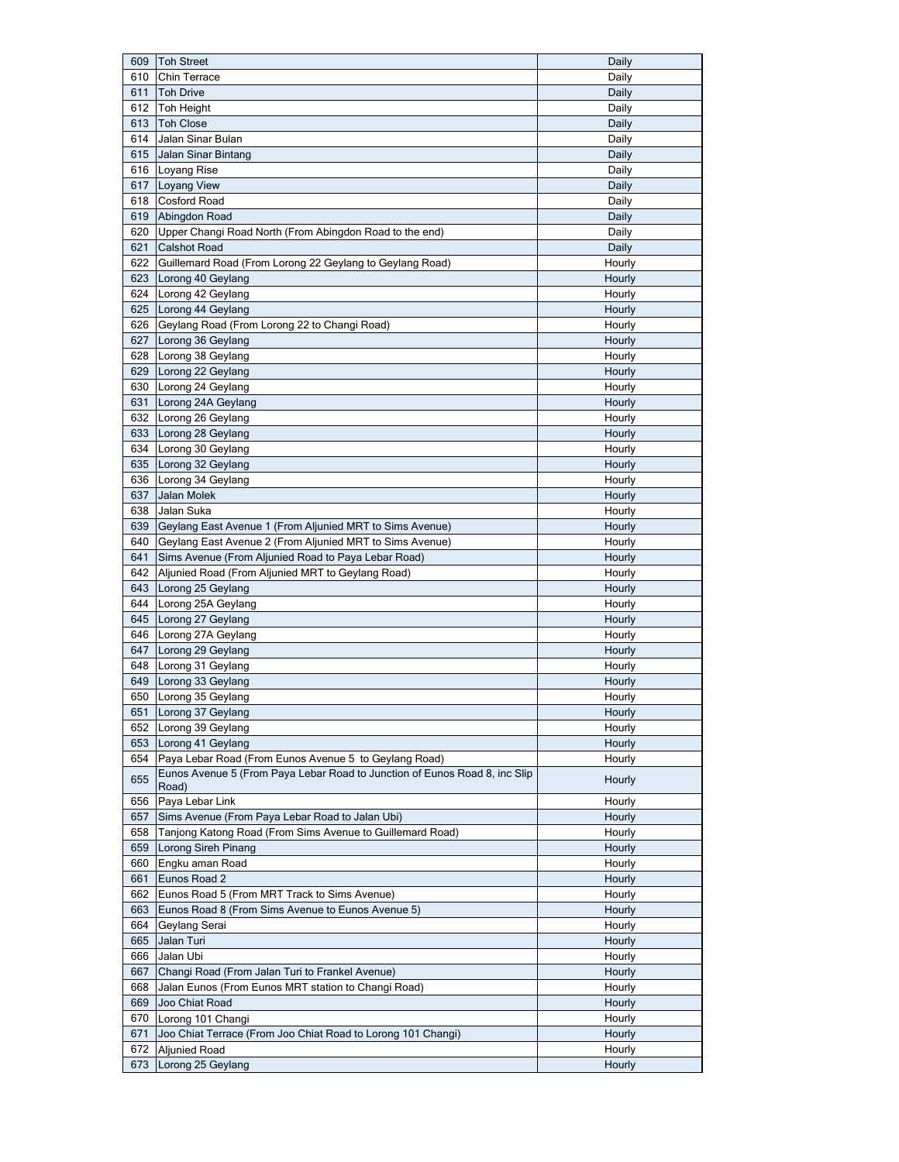| 609 | <b>Toh Street</b>                                                          | Daily  |
|-----|----------------------------------------------------------------------------|--------|
| 610 | Chin Terrace                                                               | Daily  |
| 611 | <b>Toh Drive</b>                                                           | Daily  |
| 612 | Toh Height                                                                 | Daily  |
| 613 | <b>Toh Close</b>                                                           | Daily  |
| 614 | Jalan Sinar Bulan                                                          | Daily  |
| 615 | Jalan Sinar Bintang                                                        | Daily  |
|     | 616 Loyang Rise                                                            | Daily  |
| 617 | Loyang View                                                                | Daily  |
| 618 | Cosford Road                                                               | Daily  |
| 619 | Abingdon Road                                                              | Daily  |
| 620 | Upper Changi Road North (From Abingdon Road to the end)                    | Daily  |
| 621 | <b>Calshot Road</b>                                                        | Daily  |
| 622 | Guillemard Road (From Lorong 22 Geylang to Geylang Road)                   | Hourly |
| 623 | Lorong 40 Geylang                                                          | Hourly |
|     | 624 Lorong 42 Geylang                                                      | Hourly |
| 625 | Lorong 44 Geylang                                                          | Hourly |
| 626 | Geylang Road (From Lorong 22 to Changi Road)                               | Hourly |
| 627 | Lorong 36 Geylang                                                          | Hourly |
| 628 | Lorong 38 Geylang                                                          | Hourly |
| 629 | Lorong 22 Geylang                                                          | Hourly |
| 630 | Lorong 24 Geylang                                                          | Hourly |
| 631 | Lorong 24A Geylang                                                         | Hourly |
|     | 632 Lorong 26 Geylang                                                      | Hourly |
| 633 | Lorong 28 Geylang                                                          | Hourly |
| 634 | Lorong 30 Geylang                                                          | Hourly |
| 635 | Lorong 32 Geylang                                                          | Hourly |
| 636 | Lorong 34 Geylang                                                          | Hourly |
| 637 | Jalan Molek                                                                | Hourly |
| 638 | Jalan Suka                                                                 | Hourly |
| 639 | Geylang East Avenue 1 (From Aljunied MRT to Sims Avenue)                   | Hourly |
| 640 | Geylang East Avenue 2 (From Aljunied MRT to Sims Avenue)                   | Hourly |
| 641 | Sims Avenue (From Aljunied Road to Paya Lebar Road)                        | Hourly |
| 642 | Aljunied Road (From Aljunied MRT to Geylang Road)                          | Hourly |
| 643 | Lorong 25 Geylang                                                          | Hourly |
| 644 | Lorong 25A Geylang                                                         | Hourly |
| 645 | Lorong 27 Geylang                                                          | Hourly |
| 646 | Lorong 27A Geylang                                                         | Hourly |
| 647 | Lorong 29 Geylang                                                          | Hourly |
|     | 648 Lorong 31 Geylang                                                      | Hourly |
|     | 649 Lorong 33 Geylang                                                      | Hourly |
| 650 | Lorong 35 Geylang                                                          | Hourly |
|     | 651 Lorong 37 Geylang                                                      | Hourly |
|     | 652 Lorong 39 Geylang                                                      | Hourly |
| 653 | Lorong 41 Geylang                                                          | Hourly |
| 654 | Paya Lebar Road (From Eunos Avenue 5 to Geylang Road)                      | Hourly |
|     | Eunos Avenue 5 (From Paya Lebar Road to Junction of Eunos Road 8, inc Slip |        |
| 655 | Road)                                                                      | Hourly |
| 656 | Paya Lebar Link                                                            | Hourly |
| 657 | Sims Avenue (From Paya Lebar Road to Jalan Ubi)                            | Hourly |
| 658 | Tanjong Katong Road (From Sims Avenue to Guillemard Road)                  | Hourly |
| 659 | Lorong Sireh Pinang                                                        | Hourly |
| 660 | Engku aman Road                                                            | Hourly |
| 661 | Eunos Road 2                                                               | Hourly |
| 662 | Eunos Road 5 (From MRT Track to Sims Avenue)                               | Hourly |
| 663 | Eunos Road 8 (From Sims Avenue to Eunos Avenue 5)                          | Hourly |
| 664 | Geylang Serai                                                              | Hourly |
| 665 | Jalan Turi                                                                 | Hourly |
| 666 | Jalan Ubi                                                                  | Hourly |
| 667 | Changi Road (From Jalan Turi to Frankel Avenue)                            | Hourly |
| 668 | Jalan Eunos (From Eunos MRT station to Changi Road)                        | Hourly |
| 669 | Joo Chiat Road                                                             | Hourly |
| 670 | Lorong 101 Changi                                                          | Hourly |
| 671 | Joo Chiat Terrace (From Joo Chiat Road to Lorong 101 Changi)               | Hourly |
| 672 | <b>Aljunied Road</b>                                                       | Hourly |
|     |                                                                            |        |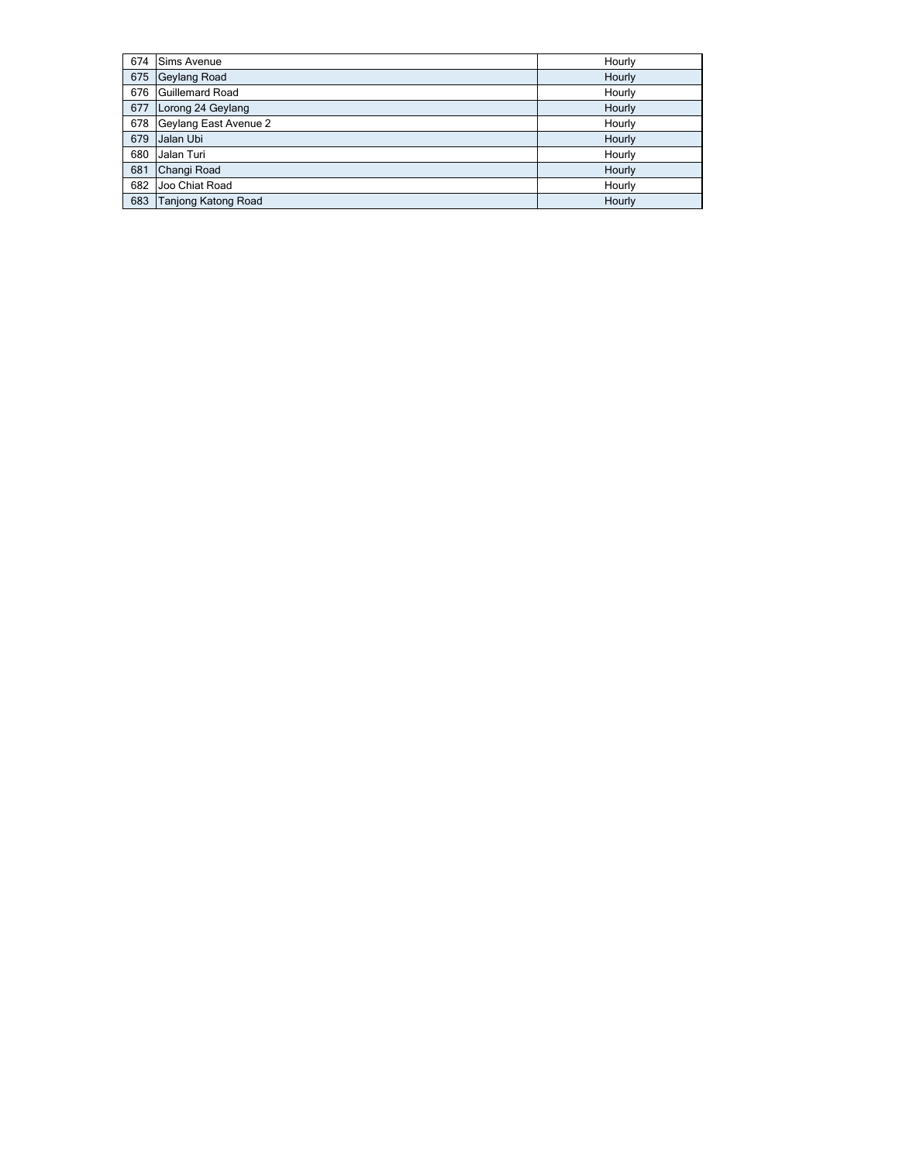| 674 | <b>Sims Avenue</b>         | Hourly |
|-----|----------------------------|--------|
| 675 | Geylang Road               | Hourly |
| 676 | <b>Guillemard Road</b>     | Hourly |
| 677 | Lorong 24 Geylang          | Hourly |
| 678 | Geylang East Avenue 2      | Hourly |
| 679 | Jalan Ubi                  | Hourly |
| 680 | Jalan Turi                 | Hourly |
| 681 | Changi Road                | Hourly |
| 682 | Joo Chiat Road             | Hourly |
| 683 | <b>Tanjong Katong Road</b> | Hourly |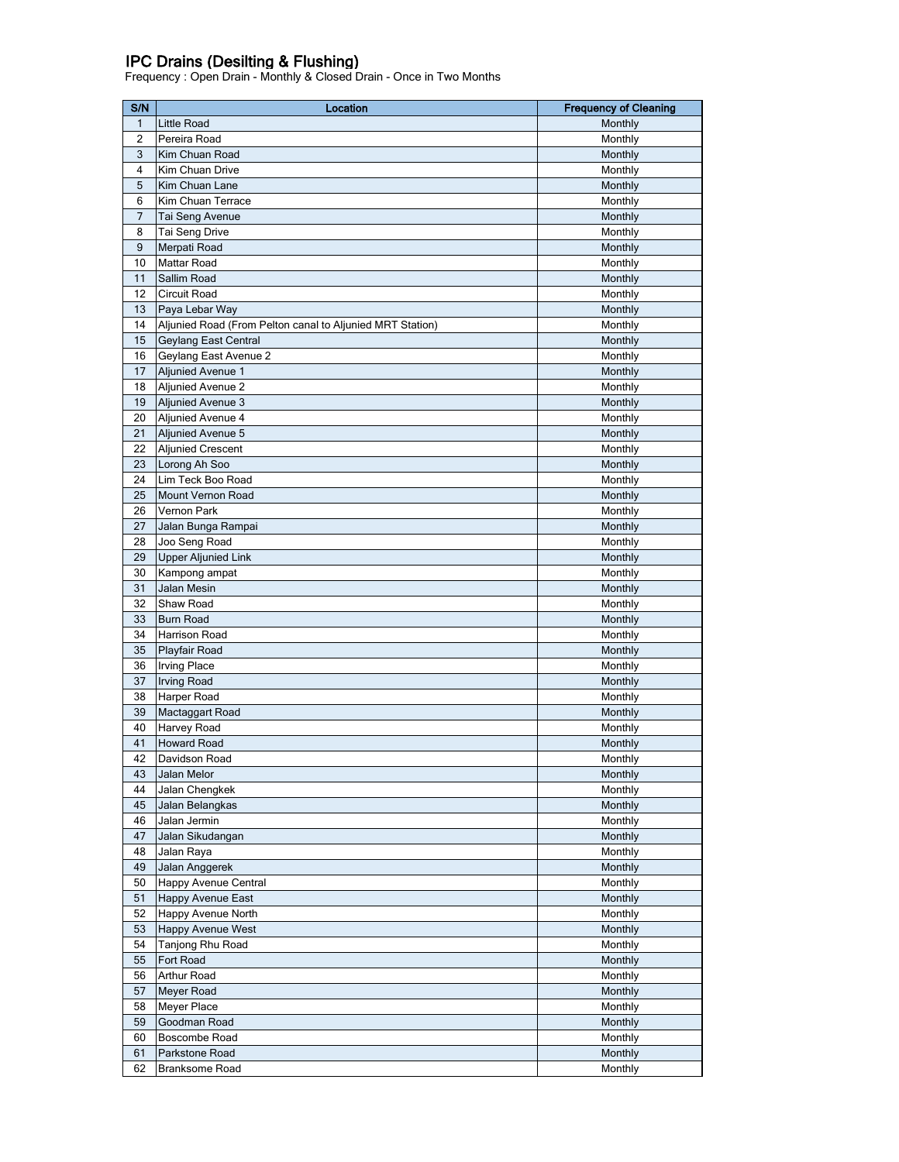## IPC Drains (Desilting & Flushing)

Frequency : Open Drain - Monthly & Closed Drain - Once in Two Months

| $\mathbf{1}$<br>Little Road<br>Monthly<br>$\overline{2}$<br>Monthly<br>Pereira Road<br>3<br>Kim Chuan Road<br>Monthly<br>$\overline{4}$<br>Kim Chuan Drive<br>Monthly<br>5<br>Kim Chuan Lane<br>Monthly<br>6<br>Kim Chuan Terrace<br>Monthly<br>$\overline{7}$<br>Tai Seng Avenue<br>Monthly<br>8<br>Tai Seng Drive<br>Monthly<br>$9\,$<br>Monthly<br>Merpati Road<br>10<br>Mattar Road<br>Monthly<br>11<br>Sallim Road<br>Monthly<br>12<br>Circuit Road<br>Monthly<br>13<br>Paya Lebar Way<br>Monthly<br>14<br>Aljunied Road (From Pelton canal to Aljunied MRT Station)<br>Monthly<br>15<br>Geylang East Central<br>Monthly<br>16<br>Geylang East Avenue 2<br>Monthly<br>17<br>Monthly<br><b>Aljunied Avenue 1</b><br>18<br><b>Aljunied Avenue 2</b><br>Monthly<br>19<br><b>Aljunied Avenue 3</b><br>Monthly<br>20<br>Aljunied Avenue 4<br>Monthly<br>21<br>Aljunied Avenue 5<br>Monthly<br>22<br><b>Aljunied Crescent</b><br>Monthly<br>23<br>Lorong Ah Soo<br>Monthly<br>24<br>Lim Teck Boo Road<br>Monthly<br>25<br><b>Mount Vernon Road</b><br>Monthly<br>26<br>Vernon Park<br>Monthly<br>27<br>Jalan Bunga Rampai<br>Monthly<br>28<br>Joo Seng Road<br>Monthly<br>29<br><b>Upper Aljunied Link</b><br>Monthly<br>30<br>Kampong ampat<br>Monthly<br>31<br>Jalan Mesin<br>Monthly<br>32<br>Shaw Road<br>Monthly<br>33<br><b>Burn Road</b><br>Monthly<br>34<br>Harrison Road<br>Monthly<br>35<br>Playfair Road<br>Monthly<br><b>Irving Place</b><br>36<br>Monthly<br>37<br><b>Irving Road</b><br>Monthly<br>38<br>Harper Road<br>Monthly<br>39<br>Mactaggart Road<br>Monthly<br>40<br>Monthly<br>Harvey Road<br>41<br><b>Howard Road</b><br>Monthly<br>42<br>Davidson Road<br>Monthly<br>43<br>Monthly<br>Jalan Melor<br>44<br>Jalan Chengkek<br>Monthly<br>45<br>Monthly<br>Jalan Belangkas<br>46<br>Jalan Jermin<br>Monthly<br>47<br>Monthly<br>Jalan Sikudangan<br>48<br>Jalan Raya<br>Monthly<br>Jalan Anggerek<br>49<br>Monthly<br>Happy Avenue Central<br>50<br>Monthly<br>51<br><b>Happy Avenue East</b><br>Monthly<br>52<br>Happy Avenue North<br>Monthly<br>53<br><b>Happy Avenue West</b><br>Monthly<br>54<br>Tanjong Rhu Road<br>Monthly<br>55<br>Monthly<br>Fort Road<br>Arthur Road<br>56<br>Monthly<br>57<br>Meyer Road<br>Monthly<br>58<br>Meyer Place<br>Monthly<br>59<br>Goodman Road<br>Monthly<br>60<br>Boscombe Road<br>Monthly<br>61<br>Parkstone Road<br>Monthly<br>62<br>Branksome Road<br>Monthly | S/N | Location | <b>Frequency of Cleaning</b> |
|-------------------------------------------------------------------------------------------------------------------------------------------------------------------------------------------------------------------------------------------------------------------------------------------------------------------------------------------------------------------------------------------------------------------------------------------------------------------------------------------------------------------------------------------------------------------------------------------------------------------------------------------------------------------------------------------------------------------------------------------------------------------------------------------------------------------------------------------------------------------------------------------------------------------------------------------------------------------------------------------------------------------------------------------------------------------------------------------------------------------------------------------------------------------------------------------------------------------------------------------------------------------------------------------------------------------------------------------------------------------------------------------------------------------------------------------------------------------------------------------------------------------------------------------------------------------------------------------------------------------------------------------------------------------------------------------------------------------------------------------------------------------------------------------------------------------------------------------------------------------------------------------------------------------------------------------------------------------------------------------------------------------------------------------------------------------------------------------------------------------------------------------------------------------------------------------------------------------------------------------------------------------------------------------------------------------------------------------------------------------------------------------------------------------------------|-----|----------|------------------------------|
|                                                                                                                                                                                                                                                                                                                                                                                                                                                                                                                                                                                                                                                                                                                                                                                                                                                                                                                                                                                                                                                                                                                                                                                                                                                                                                                                                                                                                                                                                                                                                                                                                                                                                                                                                                                                                                                                                                                                                                                                                                                                                                                                                                                                                                                                                                                                                                                                                               |     |          |                              |
|                                                                                                                                                                                                                                                                                                                                                                                                                                                                                                                                                                                                                                                                                                                                                                                                                                                                                                                                                                                                                                                                                                                                                                                                                                                                                                                                                                                                                                                                                                                                                                                                                                                                                                                                                                                                                                                                                                                                                                                                                                                                                                                                                                                                                                                                                                                                                                                                                               |     |          |                              |
|                                                                                                                                                                                                                                                                                                                                                                                                                                                                                                                                                                                                                                                                                                                                                                                                                                                                                                                                                                                                                                                                                                                                                                                                                                                                                                                                                                                                                                                                                                                                                                                                                                                                                                                                                                                                                                                                                                                                                                                                                                                                                                                                                                                                                                                                                                                                                                                                                               |     |          |                              |
|                                                                                                                                                                                                                                                                                                                                                                                                                                                                                                                                                                                                                                                                                                                                                                                                                                                                                                                                                                                                                                                                                                                                                                                                                                                                                                                                                                                                                                                                                                                                                                                                                                                                                                                                                                                                                                                                                                                                                                                                                                                                                                                                                                                                                                                                                                                                                                                                                               |     |          |                              |
|                                                                                                                                                                                                                                                                                                                                                                                                                                                                                                                                                                                                                                                                                                                                                                                                                                                                                                                                                                                                                                                                                                                                                                                                                                                                                                                                                                                                                                                                                                                                                                                                                                                                                                                                                                                                                                                                                                                                                                                                                                                                                                                                                                                                                                                                                                                                                                                                                               |     |          |                              |
|                                                                                                                                                                                                                                                                                                                                                                                                                                                                                                                                                                                                                                                                                                                                                                                                                                                                                                                                                                                                                                                                                                                                                                                                                                                                                                                                                                                                                                                                                                                                                                                                                                                                                                                                                                                                                                                                                                                                                                                                                                                                                                                                                                                                                                                                                                                                                                                                                               |     |          |                              |
|                                                                                                                                                                                                                                                                                                                                                                                                                                                                                                                                                                                                                                                                                                                                                                                                                                                                                                                                                                                                                                                                                                                                                                                                                                                                                                                                                                                                                                                                                                                                                                                                                                                                                                                                                                                                                                                                                                                                                                                                                                                                                                                                                                                                                                                                                                                                                                                                                               |     |          |                              |
|                                                                                                                                                                                                                                                                                                                                                                                                                                                                                                                                                                                                                                                                                                                                                                                                                                                                                                                                                                                                                                                                                                                                                                                                                                                                                                                                                                                                                                                                                                                                                                                                                                                                                                                                                                                                                                                                                                                                                                                                                                                                                                                                                                                                                                                                                                                                                                                                                               |     |          |                              |
|                                                                                                                                                                                                                                                                                                                                                                                                                                                                                                                                                                                                                                                                                                                                                                                                                                                                                                                                                                                                                                                                                                                                                                                                                                                                                                                                                                                                                                                                                                                                                                                                                                                                                                                                                                                                                                                                                                                                                                                                                                                                                                                                                                                                                                                                                                                                                                                                                               |     |          |                              |
|                                                                                                                                                                                                                                                                                                                                                                                                                                                                                                                                                                                                                                                                                                                                                                                                                                                                                                                                                                                                                                                                                                                                                                                                                                                                                                                                                                                                                                                                                                                                                                                                                                                                                                                                                                                                                                                                                                                                                                                                                                                                                                                                                                                                                                                                                                                                                                                                                               |     |          |                              |
|                                                                                                                                                                                                                                                                                                                                                                                                                                                                                                                                                                                                                                                                                                                                                                                                                                                                                                                                                                                                                                                                                                                                                                                                                                                                                                                                                                                                                                                                                                                                                                                                                                                                                                                                                                                                                                                                                                                                                                                                                                                                                                                                                                                                                                                                                                                                                                                                                               |     |          |                              |
|                                                                                                                                                                                                                                                                                                                                                                                                                                                                                                                                                                                                                                                                                                                                                                                                                                                                                                                                                                                                                                                                                                                                                                                                                                                                                                                                                                                                                                                                                                                                                                                                                                                                                                                                                                                                                                                                                                                                                                                                                                                                                                                                                                                                                                                                                                                                                                                                                               |     |          |                              |
|                                                                                                                                                                                                                                                                                                                                                                                                                                                                                                                                                                                                                                                                                                                                                                                                                                                                                                                                                                                                                                                                                                                                                                                                                                                                                                                                                                                                                                                                                                                                                                                                                                                                                                                                                                                                                                                                                                                                                                                                                                                                                                                                                                                                                                                                                                                                                                                                                               |     |          |                              |
|                                                                                                                                                                                                                                                                                                                                                                                                                                                                                                                                                                                                                                                                                                                                                                                                                                                                                                                                                                                                                                                                                                                                                                                                                                                                                                                                                                                                                                                                                                                                                                                                                                                                                                                                                                                                                                                                                                                                                                                                                                                                                                                                                                                                                                                                                                                                                                                                                               |     |          |                              |
|                                                                                                                                                                                                                                                                                                                                                                                                                                                                                                                                                                                                                                                                                                                                                                                                                                                                                                                                                                                                                                                                                                                                                                                                                                                                                                                                                                                                                                                                                                                                                                                                                                                                                                                                                                                                                                                                                                                                                                                                                                                                                                                                                                                                                                                                                                                                                                                                                               |     |          |                              |
|                                                                                                                                                                                                                                                                                                                                                                                                                                                                                                                                                                                                                                                                                                                                                                                                                                                                                                                                                                                                                                                                                                                                                                                                                                                                                                                                                                                                                                                                                                                                                                                                                                                                                                                                                                                                                                                                                                                                                                                                                                                                                                                                                                                                                                                                                                                                                                                                                               |     |          |                              |
|                                                                                                                                                                                                                                                                                                                                                                                                                                                                                                                                                                                                                                                                                                                                                                                                                                                                                                                                                                                                                                                                                                                                                                                                                                                                                                                                                                                                                                                                                                                                                                                                                                                                                                                                                                                                                                                                                                                                                                                                                                                                                                                                                                                                                                                                                                                                                                                                                               |     |          |                              |
|                                                                                                                                                                                                                                                                                                                                                                                                                                                                                                                                                                                                                                                                                                                                                                                                                                                                                                                                                                                                                                                                                                                                                                                                                                                                                                                                                                                                                                                                                                                                                                                                                                                                                                                                                                                                                                                                                                                                                                                                                                                                                                                                                                                                                                                                                                                                                                                                                               |     |          |                              |
|                                                                                                                                                                                                                                                                                                                                                                                                                                                                                                                                                                                                                                                                                                                                                                                                                                                                                                                                                                                                                                                                                                                                                                                                                                                                                                                                                                                                                                                                                                                                                                                                                                                                                                                                                                                                                                                                                                                                                                                                                                                                                                                                                                                                                                                                                                                                                                                                                               |     |          |                              |
|                                                                                                                                                                                                                                                                                                                                                                                                                                                                                                                                                                                                                                                                                                                                                                                                                                                                                                                                                                                                                                                                                                                                                                                                                                                                                                                                                                                                                                                                                                                                                                                                                                                                                                                                                                                                                                                                                                                                                                                                                                                                                                                                                                                                                                                                                                                                                                                                                               |     |          |                              |
|                                                                                                                                                                                                                                                                                                                                                                                                                                                                                                                                                                                                                                                                                                                                                                                                                                                                                                                                                                                                                                                                                                                                                                                                                                                                                                                                                                                                                                                                                                                                                                                                                                                                                                                                                                                                                                                                                                                                                                                                                                                                                                                                                                                                                                                                                                                                                                                                                               |     |          |                              |
|                                                                                                                                                                                                                                                                                                                                                                                                                                                                                                                                                                                                                                                                                                                                                                                                                                                                                                                                                                                                                                                                                                                                                                                                                                                                                                                                                                                                                                                                                                                                                                                                                                                                                                                                                                                                                                                                                                                                                                                                                                                                                                                                                                                                                                                                                                                                                                                                                               |     |          |                              |
|                                                                                                                                                                                                                                                                                                                                                                                                                                                                                                                                                                                                                                                                                                                                                                                                                                                                                                                                                                                                                                                                                                                                                                                                                                                                                                                                                                                                                                                                                                                                                                                                                                                                                                                                                                                                                                                                                                                                                                                                                                                                                                                                                                                                                                                                                                                                                                                                                               |     |          |                              |
|                                                                                                                                                                                                                                                                                                                                                                                                                                                                                                                                                                                                                                                                                                                                                                                                                                                                                                                                                                                                                                                                                                                                                                                                                                                                                                                                                                                                                                                                                                                                                                                                                                                                                                                                                                                                                                                                                                                                                                                                                                                                                                                                                                                                                                                                                                                                                                                                                               |     |          |                              |
|                                                                                                                                                                                                                                                                                                                                                                                                                                                                                                                                                                                                                                                                                                                                                                                                                                                                                                                                                                                                                                                                                                                                                                                                                                                                                                                                                                                                                                                                                                                                                                                                                                                                                                                                                                                                                                                                                                                                                                                                                                                                                                                                                                                                                                                                                                                                                                                                                               |     |          |                              |
|                                                                                                                                                                                                                                                                                                                                                                                                                                                                                                                                                                                                                                                                                                                                                                                                                                                                                                                                                                                                                                                                                                                                                                                                                                                                                                                                                                                                                                                                                                                                                                                                                                                                                                                                                                                                                                                                                                                                                                                                                                                                                                                                                                                                                                                                                                                                                                                                                               |     |          |                              |
|                                                                                                                                                                                                                                                                                                                                                                                                                                                                                                                                                                                                                                                                                                                                                                                                                                                                                                                                                                                                                                                                                                                                                                                                                                                                                                                                                                                                                                                                                                                                                                                                                                                                                                                                                                                                                                                                                                                                                                                                                                                                                                                                                                                                                                                                                                                                                                                                                               |     |          |                              |
|                                                                                                                                                                                                                                                                                                                                                                                                                                                                                                                                                                                                                                                                                                                                                                                                                                                                                                                                                                                                                                                                                                                                                                                                                                                                                                                                                                                                                                                                                                                                                                                                                                                                                                                                                                                                                                                                                                                                                                                                                                                                                                                                                                                                                                                                                                                                                                                                                               |     |          |                              |
|                                                                                                                                                                                                                                                                                                                                                                                                                                                                                                                                                                                                                                                                                                                                                                                                                                                                                                                                                                                                                                                                                                                                                                                                                                                                                                                                                                                                                                                                                                                                                                                                                                                                                                                                                                                                                                                                                                                                                                                                                                                                                                                                                                                                                                                                                                                                                                                                                               |     |          |                              |
|                                                                                                                                                                                                                                                                                                                                                                                                                                                                                                                                                                                                                                                                                                                                                                                                                                                                                                                                                                                                                                                                                                                                                                                                                                                                                                                                                                                                                                                                                                                                                                                                                                                                                                                                                                                                                                                                                                                                                                                                                                                                                                                                                                                                                                                                                                                                                                                                                               |     |          |                              |
|                                                                                                                                                                                                                                                                                                                                                                                                                                                                                                                                                                                                                                                                                                                                                                                                                                                                                                                                                                                                                                                                                                                                                                                                                                                                                                                                                                                                                                                                                                                                                                                                                                                                                                                                                                                                                                                                                                                                                                                                                                                                                                                                                                                                                                                                                                                                                                                                                               |     |          |                              |
|                                                                                                                                                                                                                                                                                                                                                                                                                                                                                                                                                                                                                                                                                                                                                                                                                                                                                                                                                                                                                                                                                                                                                                                                                                                                                                                                                                                                                                                                                                                                                                                                                                                                                                                                                                                                                                                                                                                                                                                                                                                                                                                                                                                                                                                                                                                                                                                                                               |     |          |                              |
|                                                                                                                                                                                                                                                                                                                                                                                                                                                                                                                                                                                                                                                                                                                                                                                                                                                                                                                                                                                                                                                                                                                                                                                                                                                                                                                                                                                                                                                                                                                                                                                                                                                                                                                                                                                                                                                                                                                                                                                                                                                                                                                                                                                                                                                                                                                                                                                                                               |     |          |                              |
|                                                                                                                                                                                                                                                                                                                                                                                                                                                                                                                                                                                                                                                                                                                                                                                                                                                                                                                                                                                                                                                                                                                                                                                                                                                                                                                                                                                                                                                                                                                                                                                                                                                                                                                                                                                                                                                                                                                                                                                                                                                                                                                                                                                                                                                                                                                                                                                                                               |     |          |                              |
|                                                                                                                                                                                                                                                                                                                                                                                                                                                                                                                                                                                                                                                                                                                                                                                                                                                                                                                                                                                                                                                                                                                                                                                                                                                                                                                                                                                                                                                                                                                                                                                                                                                                                                                                                                                                                                                                                                                                                                                                                                                                                                                                                                                                                                                                                                                                                                                                                               |     |          |                              |
|                                                                                                                                                                                                                                                                                                                                                                                                                                                                                                                                                                                                                                                                                                                                                                                                                                                                                                                                                                                                                                                                                                                                                                                                                                                                                                                                                                                                                                                                                                                                                                                                                                                                                                                                                                                                                                                                                                                                                                                                                                                                                                                                                                                                                                                                                                                                                                                                                               |     |          |                              |
|                                                                                                                                                                                                                                                                                                                                                                                                                                                                                                                                                                                                                                                                                                                                                                                                                                                                                                                                                                                                                                                                                                                                                                                                                                                                                                                                                                                                                                                                                                                                                                                                                                                                                                                                                                                                                                                                                                                                                                                                                                                                                                                                                                                                                                                                                                                                                                                                                               |     |          |                              |
|                                                                                                                                                                                                                                                                                                                                                                                                                                                                                                                                                                                                                                                                                                                                                                                                                                                                                                                                                                                                                                                                                                                                                                                                                                                                                                                                                                                                                                                                                                                                                                                                                                                                                                                                                                                                                                                                                                                                                                                                                                                                                                                                                                                                                                                                                                                                                                                                                               |     |          |                              |
|                                                                                                                                                                                                                                                                                                                                                                                                                                                                                                                                                                                                                                                                                                                                                                                                                                                                                                                                                                                                                                                                                                                                                                                                                                                                                                                                                                                                                                                                                                                                                                                                                                                                                                                                                                                                                                                                                                                                                                                                                                                                                                                                                                                                                                                                                                                                                                                                                               |     |          |                              |
|                                                                                                                                                                                                                                                                                                                                                                                                                                                                                                                                                                                                                                                                                                                                                                                                                                                                                                                                                                                                                                                                                                                                                                                                                                                                                                                                                                                                                                                                                                                                                                                                                                                                                                                                                                                                                                                                                                                                                                                                                                                                                                                                                                                                                                                                                                                                                                                                                               |     |          |                              |
|                                                                                                                                                                                                                                                                                                                                                                                                                                                                                                                                                                                                                                                                                                                                                                                                                                                                                                                                                                                                                                                                                                                                                                                                                                                                                                                                                                                                                                                                                                                                                                                                                                                                                                                                                                                                                                                                                                                                                                                                                                                                                                                                                                                                                                                                                                                                                                                                                               |     |          |                              |
|                                                                                                                                                                                                                                                                                                                                                                                                                                                                                                                                                                                                                                                                                                                                                                                                                                                                                                                                                                                                                                                                                                                                                                                                                                                                                                                                                                                                                                                                                                                                                                                                                                                                                                                                                                                                                                                                                                                                                                                                                                                                                                                                                                                                                                                                                                                                                                                                                               |     |          |                              |
|                                                                                                                                                                                                                                                                                                                                                                                                                                                                                                                                                                                                                                                                                                                                                                                                                                                                                                                                                                                                                                                                                                                                                                                                                                                                                                                                                                                                                                                                                                                                                                                                                                                                                                                                                                                                                                                                                                                                                                                                                                                                                                                                                                                                                                                                                                                                                                                                                               |     |          |                              |
|                                                                                                                                                                                                                                                                                                                                                                                                                                                                                                                                                                                                                                                                                                                                                                                                                                                                                                                                                                                                                                                                                                                                                                                                                                                                                                                                                                                                                                                                                                                                                                                                                                                                                                                                                                                                                                                                                                                                                                                                                                                                                                                                                                                                                                                                                                                                                                                                                               |     |          |                              |
|                                                                                                                                                                                                                                                                                                                                                                                                                                                                                                                                                                                                                                                                                                                                                                                                                                                                                                                                                                                                                                                                                                                                                                                                                                                                                                                                                                                                                                                                                                                                                                                                                                                                                                                                                                                                                                                                                                                                                                                                                                                                                                                                                                                                                                                                                                                                                                                                                               |     |          |                              |
|                                                                                                                                                                                                                                                                                                                                                                                                                                                                                                                                                                                                                                                                                                                                                                                                                                                                                                                                                                                                                                                                                                                                                                                                                                                                                                                                                                                                                                                                                                                                                                                                                                                                                                                                                                                                                                                                                                                                                                                                                                                                                                                                                                                                                                                                                                                                                                                                                               |     |          |                              |
|                                                                                                                                                                                                                                                                                                                                                                                                                                                                                                                                                                                                                                                                                                                                                                                                                                                                                                                                                                                                                                                                                                                                                                                                                                                                                                                                                                                                                                                                                                                                                                                                                                                                                                                                                                                                                                                                                                                                                                                                                                                                                                                                                                                                                                                                                                                                                                                                                               |     |          |                              |
|                                                                                                                                                                                                                                                                                                                                                                                                                                                                                                                                                                                                                                                                                                                                                                                                                                                                                                                                                                                                                                                                                                                                                                                                                                                                                                                                                                                                                                                                                                                                                                                                                                                                                                                                                                                                                                                                                                                                                                                                                                                                                                                                                                                                                                                                                                                                                                                                                               |     |          |                              |
|                                                                                                                                                                                                                                                                                                                                                                                                                                                                                                                                                                                                                                                                                                                                                                                                                                                                                                                                                                                                                                                                                                                                                                                                                                                                                                                                                                                                                                                                                                                                                                                                                                                                                                                                                                                                                                                                                                                                                                                                                                                                                                                                                                                                                                                                                                                                                                                                                               |     |          |                              |
|                                                                                                                                                                                                                                                                                                                                                                                                                                                                                                                                                                                                                                                                                                                                                                                                                                                                                                                                                                                                                                                                                                                                                                                                                                                                                                                                                                                                                                                                                                                                                                                                                                                                                                                                                                                                                                                                                                                                                                                                                                                                                                                                                                                                                                                                                                                                                                                                                               |     |          |                              |
|                                                                                                                                                                                                                                                                                                                                                                                                                                                                                                                                                                                                                                                                                                                                                                                                                                                                                                                                                                                                                                                                                                                                                                                                                                                                                                                                                                                                                                                                                                                                                                                                                                                                                                                                                                                                                                                                                                                                                                                                                                                                                                                                                                                                                                                                                                                                                                                                                               |     |          |                              |
|                                                                                                                                                                                                                                                                                                                                                                                                                                                                                                                                                                                                                                                                                                                                                                                                                                                                                                                                                                                                                                                                                                                                                                                                                                                                                                                                                                                                                                                                                                                                                                                                                                                                                                                                                                                                                                                                                                                                                                                                                                                                                                                                                                                                                                                                                                                                                                                                                               |     |          |                              |
|                                                                                                                                                                                                                                                                                                                                                                                                                                                                                                                                                                                                                                                                                                                                                                                                                                                                                                                                                                                                                                                                                                                                                                                                                                                                                                                                                                                                                                                                                                                                                                                                                                                                                                                                                                                                                                                                                                                                                                                                                                                                                                                                                                                                                                                                                                                                                                                                                               |     |          |                              |
|                                                                                                                                                                                                                                                                                                                                                                                                                                                                                                                                                                                                                                                                                                                                                                                                                                                                                                                                                                                                                                                                                                                                                                                                                                                                                                                                                                                                                                                                                                                                                                                                                                                                                                                                                                                                                                                                                                                                                                                                                                                                                                                                                                                                                                                                                                                                                                                                                               |     |          |                              |
|                                                                                                                                                                                                                                                                                                                                                                                                                                                                                                                                                                                                                                                                                                                                                                                                                                                                                                                                                                                                                                                                                                                                                                                                                                                                                                                                                                                                                                                                                                                                                                                                                                                                                                                                                                                                                                                                                                                                                                                                                                                                                                                                                                                                                                                                                                                                                                                                                               |     |          |                              |
|                                                                                                                                                                                                                                                                                                                                                                                                                                                                                                                                                                                                                                                                                                                                                                                                                                                                                                                                                                                                                                                                                                                                                                                                                                                                                                                                                                                                                                                                                                                                                                                                                                                                                                                                                                                                                                                                                                                                                                                                                                                                                                                                                                                                                                                                                                                                                                                                                               |     |          |                              |
|                                                                                                                                                                                                                                                                                                                                                                                                                                                                                                                                                                                                                                                                                                                                                                                                                                                                                                                                                                                                                                                                                                                                                                                                                                                                                                                                                                                                                                                                                                                                                                                                                                                                                                                                                                                                                                                                                                                                                                                                                                                                                                                                                                                                                                                                                                                                                                                                                               |     |          |                              |
|                                                                                                                                                                                                                                                                                                                                                                                                                                                                                                                                                                                                                                                                                                                                                                                                                                                                                                                                                                                                                                                                                                                                                                                                                                                                                                                                                                                                                                                                                                                                                                                                                                                                                                                                                                                                                                                                                                                                                                                                                                                                                                                                                                                                                                                                                                                                                                                                                               |     |          |                              |
|                                                                                                                                                                                                                                                                                                                                                                                                                                                                                                                                                                                                                                                                                                                                                                                                                                                                                                                                                                                                                                                                                                                                                                                                                                                                                                                                                                                                                                                                                                                                                                                                                                                                                                                                                                                                                                                                                                                                                                                                                                                                                                                                                                                                                                                                                                                                                                                                                               |     |          |                              |
|                                                                                                                                                                                                                                                                                                                                                                                                                                                                                                                                                                                                                                                                                                                                                                                                                                                                                                                                                                                                                                                                                                                                                                                                                                                                                                                                                                                                                                                                                                                                                                                                                                                                                                                                                                                                                                                                                                                                                                                                                                                                                                                                                                                                                                                                                                                                                                                                                               |     |          |                              |
|                                                                                                                                                                                                                                                                                                                                                                                                                                                                                                                                                                                                                                                                                                                                                                                                                                                                                                                                                                                                                                                                                                                                                                                                                                                                                                                                                                                                                                                                                                                                                                                                                                                                                                                                                                                                                                                                                                                                                                                                                                                                                                                                                                                                                                                                                                                                                                                                                               |     |          |                              |
|                                                                                                                                                                                                                                                                                                                                                                                                                                                                                                                                                                                                                                                                                                                                                                                                                                                                                                                                                                                                                                                                                                                                                                                                                                                                                                                                                                                                                                                                                                                                                                                                                                                                                                                                                                                                                                                                                                                                                                                                                                                                                                                                                                                                                                                                                                                                                                                                                               |     |          |                              |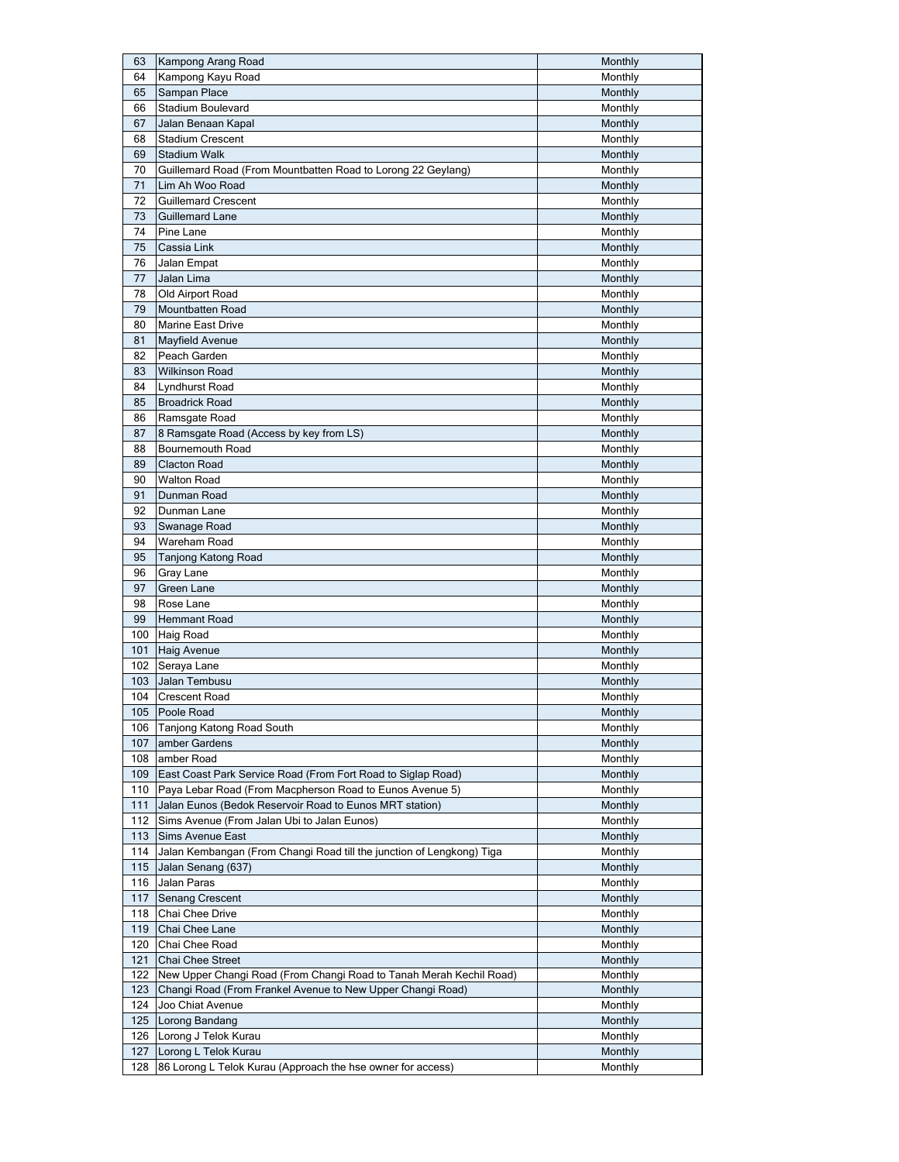| 63  | Kampong Arang Road                                                    | Monthly        |
|-----|-----------------------------------------------------------------------|----------------|
| 64  | Kampong Kayu Road                                                     | Monthly        |
| 65  | Sampan Place                                                          | Monthly        |
| 66  | Stadium Boulevard                                                     | Monthly        |
| 67  | Jalan Benaan Kapal                                                    | Monthly        |
| 68  | <b>Stadium Crescent</b>                                               | Monthly        |
| 69  | <b>Stadium Walk</b>                                                   | Monthly        |
| 70  | Guillemard Road (From Mountbatten Road to Lorong 22 Geylang)          | Monthly        |
| 71  | Lim Ah Woo Road                                                       | Monthly        |
| 72  | <b>Guillemard Crescent</b>                                            |                |
|     |                                                                       | Monthly        |
| 73  | Guillemard Lane                                                       | Monthly        |
| 74  | Pine Lane                                                             | Monthly        |
| 75  | Cassia Link                                                           | Monthly        |
| 76  | Jalan Empat                                                           | Monthly        |
| 77  | Jalan Lima                                                            | Monthly        |
| 78  | Old Airport Road                                                      | Monthly        |
| 79  | Mountbatten Road                                                      | Monthly        |
| 80  | Marine East Drive                                                     | Monthly        |
| 81  | Mayfield Avenue                                                       | Monthly        |
| 82  | Peach Garden                                                          | Monthly        |
| 83  | <b>Wilkinson Road</b>                                                 | Monthly        |
| 84  | Lyndhurst Road                                                        | Monthly        |
| 85  | <b>Broadrick Road</b>                                                 | Monthly        |
| 86  | Ramsgate Road                                                         | Monthly        |
| 87  | 8 Ramsgate Road (Access by key from LS)                               | Monthly        |
| 88  | <b>Bournemouth Road</b>                                               | Monthly        |
| 89  | <b>Clacton Road</b>                                                   |                |
| 90  |                                                                       | Monthly        |
|     | <b>Walton Road</b>                                                    | Monthly        |
| 91  | Dunman Road                                                           | Monthly        |
| 92  | Dunman Lane                                                           | Monthly        |
| 93  | Swanage Road                                                          | Monthly        |
| 94  | Wareham Road                                                          | Monthly        |
| 95  | <b>Tanjong Katong Road</b>                                            | Monthly        |
| 96  | Gray Lane                                                             | Monthly        |
| 97  | Green Lane                                                            | Monthly        |
| 98  | Rose Lane                                                             | Monthly        |
| 99  | <b>Hemmant Road</b>                                                   | Monthly        |
| 100 | <b>Haig Road</b>                                                      | Monthly        |
| 101 | <b>Haig Avenue</b>                                                    | Monthly        |
| 102 | Seraya Lane                                                           | Monthly        |
| 103 | Jalan Tembusu                                                         | Monthly        |
| 104 | <b>Crescent Road</b>                                                  | Monthly        |
| 105 | Poole Road                                                            | Monthly        |
| 106 | Tanjong Katong Road South                                             | Monthly        |
| 107 | amber Gardens                                                         | Monthly        |
| 108 | amber Road                                                            | Monthly        |
| 109 | East Coast Park Service Road (From Fort Road to Siglap Road)          | Monthly        |
| 110 |                                                                       | Monthly        |
|     | Paya Lebar Road (From Macpherson Road to Eunos Avenue 5)              |                |
| 111 | Jalan Eunos (Bedok Reservoir Road to Eunos MRT station)               | Monthly        |
| 112 | Sims Avenue (From Jalan Ubi to Jalan Eunos)                           | Monthly        |
| 113 | Sims Avenue East                                                      | Monthly        |
| 114 | Jalan Kembangan (From Changi Road till the junction of Lengkong) Tiga | Monthly        |
| 115 | Jalan Senang (637)                                                    | Monthly        |
| 116 | Jalan Paras                                                           | Monthly        |
| 117 | <b>Senang Crescent</b>                                                | Monthly        |
| 118 | Chai Chee Drive                                                       | Monthly        |
| 119 | Chai Chee Lane                                                        | Monthly        |
| 120 | Chai Chee Road                                                        | Monthly        |
| 121 | Chai Chee Street                                                      | Monthly        |
| 122 | New Upper Changi Road (From Changi Road to Tanah Merah Kechil Road)   | Monthly        |
| 123 | Changi Road (From Frankel Avenue to New Upper Changi Road)            | Monthly        |
| 124 | Joo Chiat Avenue                                                      | Monthly        |
| 125 | Lorong Bandang                                                        | <b>Monthly</b> |
| 126 | Lorong J Telok Kurau                                                  | Monthly        |
| 127 | Lorong L Telok Kurau                                                  | Monthly        |
| 128 | 86 Lorong L Telok Kurau (Approach the hse owner for access)           | Monthly        |
|     |                                                                       |                |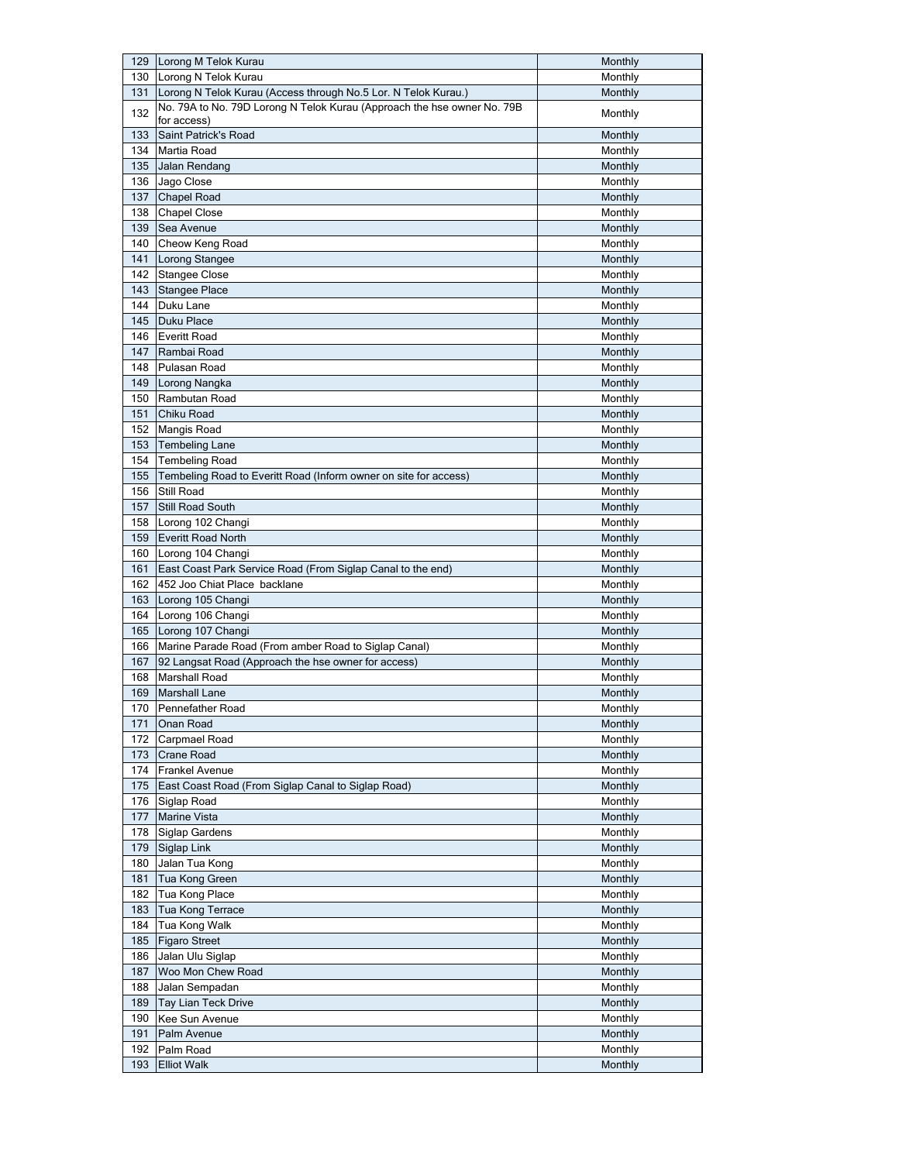|     | 129 Lorong M Telok Kurau                                                | Monthly |
|-----|-------------------------------------------------------------------------|---------|
| 130 | Lorong N Telok Kurau                                                    | Monthly |
| 131 | Lorong N Telok Kurau (Access through No.5 Lor. N Telok Kurau.)          | Monthly |
|     | No. 79A to No. 79D Lorong N Telok Kurau (Approach the hse owner No. 79B |         |
| 132 | for access)                                                             | Monthly |
| 133 | Saint Patrick's Road                                                    | Monthly |
| 134 | Martia Road                                                             | Monthly |
| 135 | Jalan Rendang                                                           | Monthly |
| 136 | Jago Close                                                              | Monthly |
|     |                                                                         |         |
| 137 | <b>Chapel Road</b>                                                      | Monthly |
| 138 | <b>Chapel Close</b>                                                     | Monthly |
| 139 | Sea Avenue                                                              | Monthly |
| 140 | Cheow Keng Road                                                         | Monthly |
| 141 | Lorong Stangee                                                          | Monthly |
| 142 | <b>Stangee Close</b>                                                    | Monthly |
| 143 | <b>Stangee Place</b>                                                    | Monthly |
| 144 | Duku Lane                                                               | Monthly |
| 145 | Duku Place                                                              | Monthly |
| 146 | <b>Everitt Road</b>                                                     | Monthly |
| 147 | Rambai Road                                                             | Monthly |
|     |                                                                         |         |
| 148 | Pulasan Road                                                            | Monthly |
| 149 | Lorong Nangka                                                           | Monthly |
| 150 | Rambutan Road                                                           | Monthly |
| 151 | Chiku Road                                                              | Monthly |
| 152 | Mangis Road                                                             | Monthly |
| 153 | <b>Tembeling Lane</b>                                                   | Monthly |
| 154 | <b>Tembeling Road</b>                                                   | Monthly |
| 155 | Tembeling Road to Everitt Road (Inform owner on site for access)        | Monthly |
| 156 | Still Road                                                              | Monthly |
| 157 | Still Road South                                                        | Monthly |
|     |                                                                         |         |
| 158 | Lorong 102 Changi                                                       | Monthly |
| 159 | <b>Everitt Road North</b>                                               | Monthly |
| 160 | Lorong 104 Changi                                                       | Monthly |
| 161 | East Coast Park Service Road (From Siglap Canal to the end)             | Monthly |
| 162 | 452 Joo Chiat Place backlane                                            | Monthly |
| 163 | Lorong 105 Changi                                                       | Monthly |
| 164 | Lorong 106 Changi                                                       | Monthly |
| 165 | Lorong 107 Changi                                                       | Monthly |
| 166 | Marine Parade Road (From amber Road to Siglap Canal)                    | Monthly |
| 167 | 92 Langsat Road (Approach the hse owner for access)                     | Monthly |
| 168 | Marshall Road                                                           | Monthly |
| 169 | <b>Marshall Lane</b>                                                    | Monthly |
|     |                                                                         |         |
|     | 170 Pennefather Road                                                    | Monthly |
| 171 | Onan Road                                                               | Monthly |
| 172 | Carpmael Road                                                           | Monthly |
| 173 | <b>Crane Road</b>                                                       | Monthly |
| 174 | <b>Frankel Avenue</b>                                                   | Monthly |
| 175 | East Coast Road (From Siglap Canal to Siglap Road)                      | Monthly |
| 176 | Siglap Road                                                             | Monthly |
| 177 | <b>Marine Vista</b>                                                     | Monthly |
| 178 | Siglap Gardens                                                          | Monthly |
| 179 | <b>Siglap Link</b>                                                      | Monthly |
| 180 | Jalan Tua Kong                                                          | Monthly |
| 181 | Tua Kong Green                                                          | Monthly |
|     |                                                                         |         |
| 182 | Tua Kong Place                                                          | Monthly |
| 183 | Tua Kong Terrace                                                        | Monthly |
| 184 | Tua Kong Walk                                                           | Monthly |
| 185 | <b>Figaro Street</b>                                                    | Monthly |
| 186 | Jalan Ulu Siglap                                                        | Monthly |
| 187 | Woo Mon Chew Road                                                       | Monthly |
| 188 | Jalan Sempadan                                                          | Monthly |
| 189 | Tay Lian Teck Drive                                                     | Monthly |
| 190 | Kee Sun Avenue                                                          | Monthly |
| 191 | Palm Avenue                                                             | Monthly |
| 192 | Palm Road                                                               | Monthly |
|     |                                                                         |         |
| 193 | <b>Elliot Walk</b>                                                      | Monthly |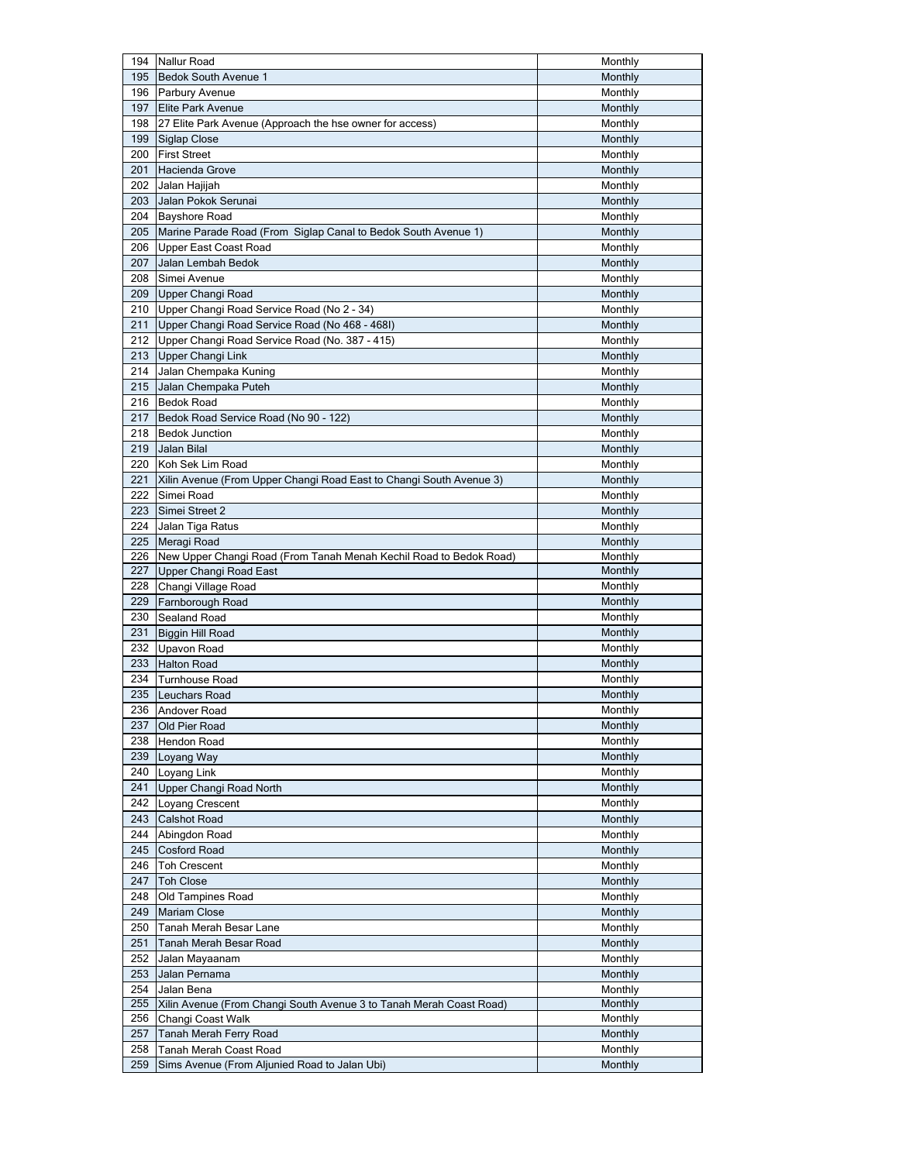| 194 | Nallur Road                                                         | Monthly |
|-----|---------------------------------------------------------------------|---------|
| 195 | <b>Bedok South Avenue 1</b>                                         | Monthly |
| 196 | Parbury Avenue                                                      | Monthly |
| 197 | <b>Elite Park Avenue</b>                                            | Monthly |
| 198 | 27 Elite Park Avenue (Approach the hse owner for access)            | Monthly |
| 199 | <b>Siglap Close</b>                                                 | Monthly |
| 200 | <b>First Street</b>                                                 | Monthly |
| 201 | Hacienda Grove                                                      | Monthly |
| 202 | Jalan Hajijah                                                       | Monthly |
| 203 | Jalan Pokok Serunai                                                 | Monthly |
| 204 | <b>Bayshore Road</b>                                                | Monthly |
| 205 | Marine Parade Road (From Siglap Canal to Bedok South Avenue 1)      | Monthly |
| 206 | Upper East Coast Road                                               | Monthly |
| 207 | Jalan Lembah Bedok                                                  | Monthly |
| 208 | Simei Avenue                                                        | Monthly |
| 209 | Upper Changi Road                                                   | Monthly |
| 210 | Upper Changi Road Service Road (No 2 - 34)                          | Monthly |
|     |                                                                     |         |
| 211 | Upper Changi Road Service Road (No 468 - 468I)                      | Monthly |
| 212 | Upper Changi Road Service Road (No. 387 - 415)                      | Monthly |
|     | 213 Upper Changi Link                                               | Monthly |
| 214 | Jalan Chempaka Kuning                                               | Monthly |
| 215 | Jalan Chempaka Puteh                                                | Monthly |
| 216 | <b>Bedok Road</b>                                                   | Monthly |
| 217 | Bedok Road Service Road (No 90 - 122)                               | Monthly |
| 218 | <b>Bedok Junction</b>                                               | Monthly |
| 219 | Jalan Bilal                                                         | Monthly |
| 220 | Koh Sek Lim Road                                                    | Monthly |
| 221 | Xilin Avenue (From Upper Changi Road East to Changi South Avenue 3) | Monthly |
| 222 | Simei Road                                                          | Monthly |
| 223 | Simei Street 2                                                      | Monthly |
| 224 | Jalan Tiga Ratus                                                    | Monthly |
| 225 | Meragi Road                                                         | Monthly |
| 226 | New Upper Changi Road (From Tanah Menah Kechil Road to Bedok Road)  | Monthly |
| 227 | Upper Changi Road East                                              | Monthly |
| 228 | Changi Village Road                                                 | Monthly |
| 229 | Farnborough Road                                                    | Monthly |
| 230 | Sealand Road                                                        | Monthly |
| 231 | Biggin Hill Road                                                    | Monthly |
| 232 | Upavon Road                                                         | Monthly |
| 233 | <b>Halton Road</b>                                                  | Monthly |
| 234 | <b>Turnhouse Road</b>                                               | Monthly |
| 235 | Leuchars Road                                                       | Monthly |
| 236 | Andover Road                                                        | Monthly |
| 237 | Old Pier Road                                                       | Monthly |
| 238 | <b>Hendon Road</b>                                                  | Monthly |
| 239 | Loyang Way                                                          | Monthly |
|     | 240 Loyang Link                                                     | Monthly |
| 241 | Upper Changi Road North                                             | Monthly |
|     | 242   Loyang Crescent                                               | Monthly |
| 243 | Calshot Road                                                        | Monthly |
| 244 | Abingdon Road                                                       | Monthly |
| 245 | <b>Cosford Road</b>                                                 | Monthly |
|     | 246   Toh Crescent                                                  | Monthly |
| 247 | <b>Toh Close</b>                                                    | Monthly |
| 248 | Old Tampines Road                                                   | Monthly |
| 249 |                                                                     |         |
|     | <b>Mariam Close</b>                                                 | Monthly |
| 250 | Tanah Merah Besar Lane                                              | Monthly |
| 251 | Tanah Merah Besar Road                                              | Monthly |
| 252 | Jalan Mayaanam                                                      | Monthly |
| 253 | Jalan Pernama                                                       | Monthly |
| 254 | Jalan Bena                                                          | Monthly |
| 255 | Xilin Avenue (From Changi South Avenue 3 to Tanah Merah Coast Road) | Monthly |
| 256 | Changi Coast Walk                                                   | Monthly |
| 257 | Tanah Merah Ferry Road                                              | Monthly |
| 258 | Tanah Merah Coast Road                                              | Monthly |
| 259 | Sims Avenue (From Aljunied Road to Jalan Ubi)                       | Monthly |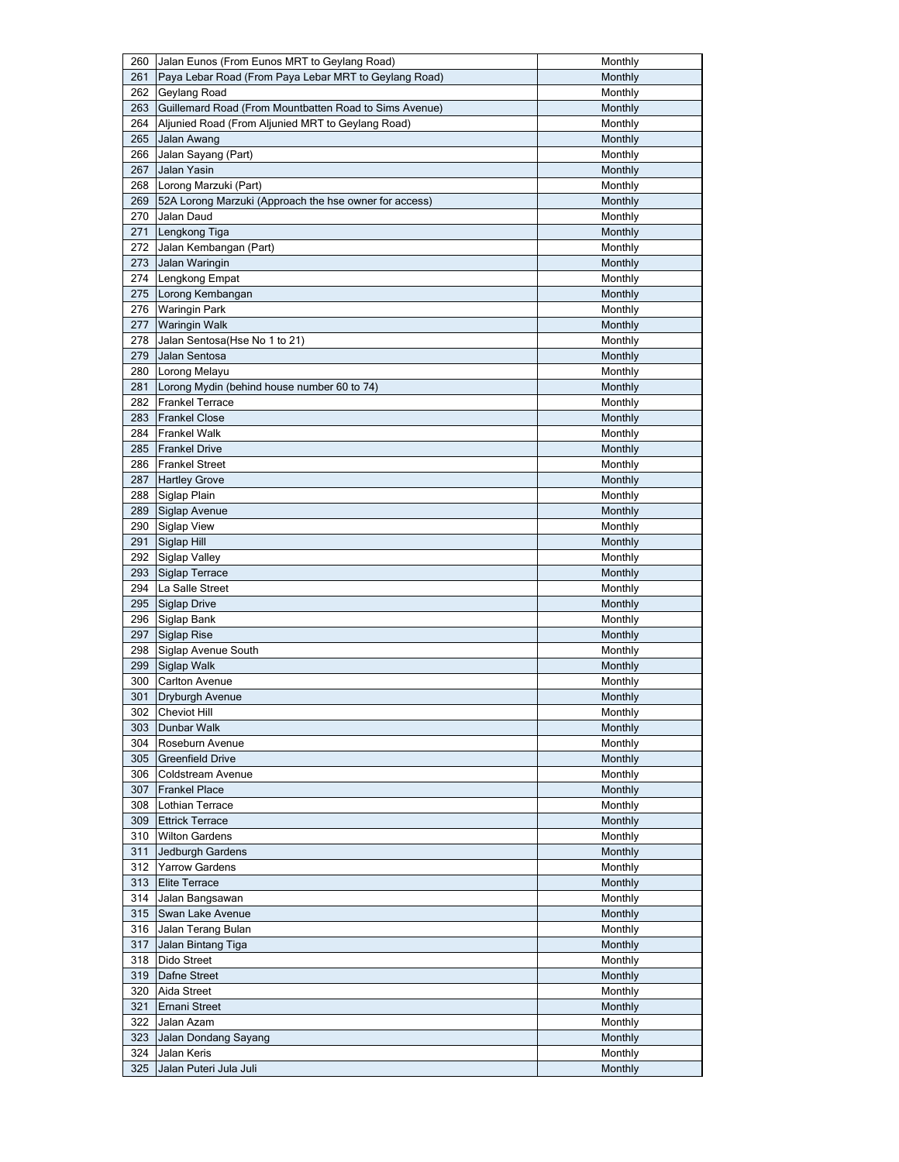| 260 | Jalan Eunos (From Eunos MRT to Geylang Road)           | Monthly |
|-----|--------------------------------------------------------|---------|
| 261 | Paya Lebar Road (From Paya Lebar MRT to Geylang Road)  | Monthly |
|     | 262 Geylang Road                                       | Monthly |
| 263 | Guillemard Road (From Mountbatten Road to Sims Avenue) | Monthly |
| 264 | Aljunied Road (From Aljunied MRT to Geylang Road)      | Monthly |
| 265 | Jalan Awang                                            | Monthly |
| 266 | Jalan Sayang (Part)                                    | Monthly |
| 267 | Jalan Yasin                                            | Monthly |
| 268 | Lorong Marzuki (Part)                                  | Monthly |
| 269 | 52A Lorong Marzuki (Approach the hse owner for access) | Monthly |
| 270 | Jalan Daud                                             | Monthly |
| 271 | Lengkong Tiga                                          | Monthly |
| 272 | Jalan Kembangan (Part)                                 | Monthly |
| 273 | Jalan Waringin                                         | Monthly |
| 274 | Lengkong Empat                                         | Monthly |
| 275 | Lorong Kembangan                                       | Monthly |
| 276 | <b>Waringin Park</b>                                   | Monthly |
| 277 | <b>Waringin Walk</b>                                   | Monthly |
| 278 | Jalan Sentosa(Hse No 1 to 21)                          | Monthly |
| 279 | Jalan Sentosa                                          |         |
|     |                                                        | Monthly |
| 280 | Lorong Melayu                                          | Monthly |
| 281 | Lorong Mydin (behind house number 60 to 74)            | Monthly |
| 282 | <b>Frankel Terrace</b>                                 | Monthly |
| 283 | <b>Frankel Close</b>                                   | Monthly |
| 284 | <b>Frankel Walk</b>                                    | Monthly |
| 285 | <b>Frankel Drive</b>                                   | Monthly |
| 286 | <b>Frankel Street</b>                                  | Monthly |
| 287 | <b>Hartley Grove</b>                                   | Monthly |
| 288 | Siglap Plain                                           | Monthly |
| 289 | Siglap Avenue                                          | Monthly |
| 290 | <b>Siglap View</b>                                     | Monthly |
| 291 | Siglap Hill                                            | Monthly |
| 292 | Siglap Valley                                          | Monthly |
| 293 | Siglap Terrace                                         | Monthly |
| 294 | La Salle Street                                        | Monthly |
| 295 | <b>Siglap Drive</b>                                    | Monthly |
|     | 296 Siglap Bank                                        | Monthly |
| 297 | Siglap Rise                                            | Monthly |
| 298 | Siglap Avenue South                                    | Monthly |
| 299 | Siglap Walk                                            | Monthly |
| 300 | <b>Carlton Avenue</b>                                  | Monthly |
| 301 | Dryburgh Avenue                                        | Monthly |
|     | 302 Cheviot Hill                                       | Monthly |
| 303 | Dunbar Walk                                            | Monthly |
| 304 | Roseburn Avenue                                        | Monthly |
| 305 | <b>Greenfield Drive</b>                                | Monthly |
| 306 | Coldstream Avenue                                      | Monthly |
| 307 | <b>Frankel Place</b>                                   | Monthly |
|     | 308 Lothian Terrace                                    | Monthly |
| 309 | <b>Ettrick Terrace</b>                                 | Monthly |
|     | 310 Wilton Gardens                                     | Monthly |
| 311 | Jedburgh Gardens                                       | Monthly |
|     | 312 Yarrow Gardens                                     | Monthly |
| 313 | <b>Elite Terrace</b>                                   | Monthly |
| 314 |                                                        | Monthly |
| 315 | Jalan Bangsawan<br>Swan Lake Avenue                    | Monthly |
|     |                                                        |         |
| 316 | Jalan Terang Bulan                                     | Monthly |
| 317 | Jalan Bintang Tiga                                     | Monthly |
| 318 | Dido Street                                            | Monthly |
| 319 | Dafne Street                                           | Monthly |
| 320 | Aida Street                                            | Monthly |
| 321 | Ernani Street                                          | Monthly |
| 322 | Jalan Azam                                             | Monthly |
| 323 | Jalan Dondang Sayang                                   | Monthly |
| 324 | Jalan Keris                                            | Monthly |
| 325 | Jalan Puteri Jula Juli                                 | Monthly |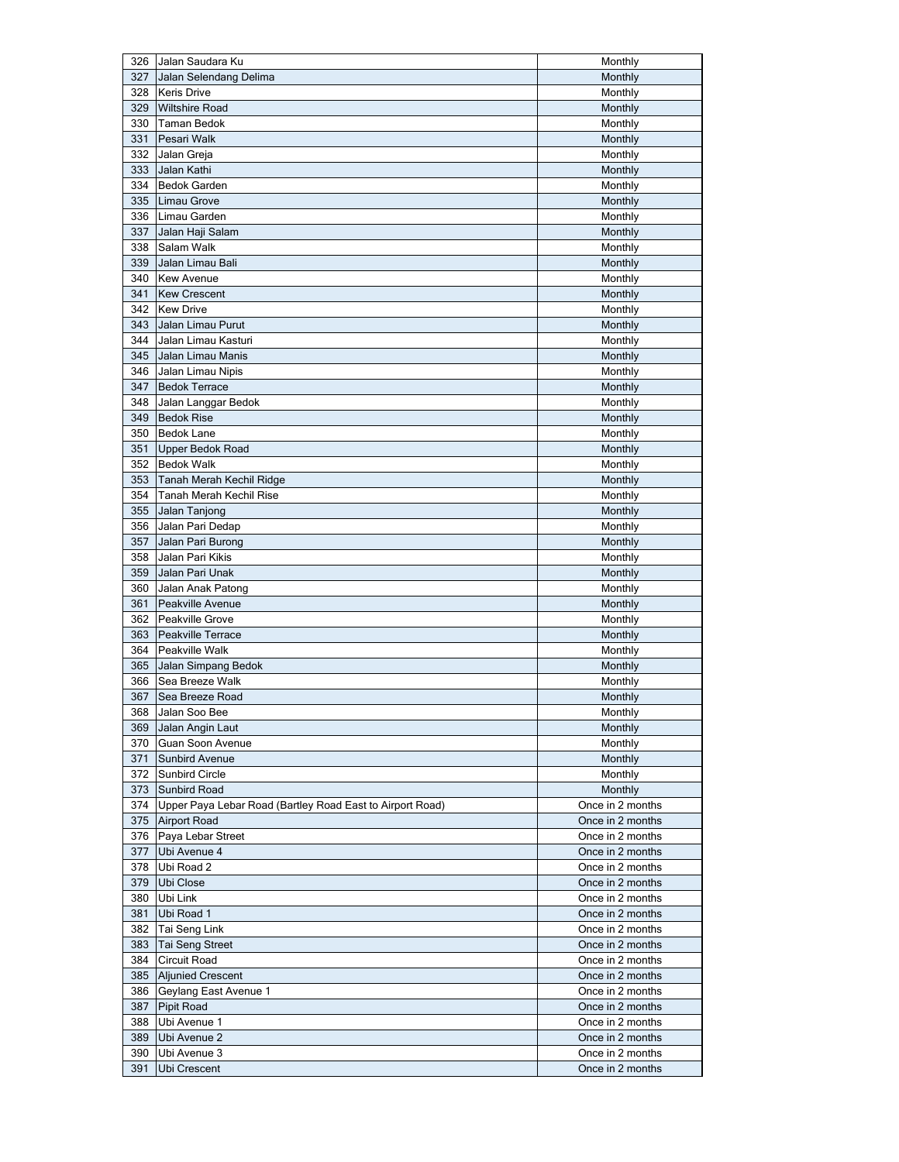|     | 326 Jalan Saudara Ku                                          | Monthly          |
|-----|---------------------------------------------------------------|------------------|
| 327 | Jalan Selendang Delima                                        | Monthly          |
| 328 | <b>Keris Drive</b>                                            | Monthly          |
| 329 | <b>Wiltshire Road</b>                                         | Monthly          |
|     | 330 Taman Bedok                                               | Monthly          |
| 331 | Pesari Walk                                                   | Monthly          |
| 332 | Jalan Greja                                                   | Monthly          |
| 333 | Jalan Kathi                                                   | Monthly          |
| 334 | <b>Bedok Garden</b>                                           | Monthly          |
| 335 | Limau Grove                                                   | Monthly          |
|     | 336 Limau Garden                                              | Monthly          |
| 337 | Jalan Haji Salam                                              | Monthly          |
| 338 | Salam Walk                                                    | Monthly          |
| 339 | Jalan Limau Bali                                              | Monthly          |
| 340 | <b>Kew Avenue</b>                                             | Monthly          |
| 341 | <b>Kew Crescent</b>                                           | Monthly          |
| 342 | <b>Kew Drive</b>                                              | Monthly          |
| 343 | Jalan Limau Purut                                             | Monthly          |
| 344 | Jalan Limau Kasturi                                           | Monthly          |
| 345 | Jalan Limau Manis                                             |                  |
|     |                                                               | Monthly          |
| 346 | Jalan Limau Nipis                                             | Monthly          |
| 347 | <b>Bedok Terrace</b>                                          | Monthly          |
| 348 | Jalan Langgar Bedok                                           | Monthly          |
| 349 | <b>Bedok Rise</b>                                             | Monthly          |
| 350 | <b>Bedok Lane</b>                                             | Monthly          |
| 351 | Upper Bedok Road                                              | Monthly          |
| 352 | <b>Bedok Walk</b>                                             | Monthly          |
| 353 | Tanah Merah Kechil Ridge                                      | Monthly          |
| 354 | Tanah Merah Kechil Rise                                       | Monthly          |
| 355 | Jalan Tanjong                                                 | Monthly          |
| 356 | Jalan Pari Dedap                                              | Monthly          |
| 357 | Jalan Pari Burong                                             | Monthly          |
| 358 | Jalan Pari Kikis                                              | Monthly          |
| 359 | Jalan Pari Unak                                               | Monthly          |
| 360 | Jalan Anak Patong                                             | Monthly          |
| 361 | Peakville Avenue                                              | Monthly          |
| 362 | Peakville Grove                                               | Monthly          |
| 363 | <b>Peakville Terrace</b>                                      | Monthly          |
| 364 | Peakville Walk                                                | Monthly          |
|     | 365 Jalan Simpang Bedok                                       | Monthly          |
|     | 366 Sea Breeze Walk                                           | Monthly          |
| 367 | Sea Breeze Road                                               | Monthly          |
|     | 368 Jalan Soo Bee                                             | Monthly          |
| 369 | Jalan Angin Laut                                              | Monthly          |
| 370 | Guan Soon Avenue                                              | Monthly          |
| 371 | <b>Sunbird Avenue</b>                                         | Monthly          |
| 372 | <b>Sunbird Circle</b>                                         | Monthly          |
| 373 | <b>Sunbird Road</b>                                           | Monthly          |
|     | 374 Upper Paya Lebar Road (Bartley Road East to Airport Road) | Once in 2 months |
| 375 | <b>Airport Road</b>                                           | Once in 2 months |
|     | 376 Paya Lebar Street                                         | Once in 2 months |
| 377 | Ubi Avenue 4                                                  | Once in 2 months |
| 378 | Ubi Road 2                                                    | Once in 2 months |
| 379 | Ubi Close                                                     | Once in 2 months |
| 380 | Ubi Link                                                      | Once in 2 months |
| 381 | Ubi Road 1                                                    | Once in 2 months |
|     | Tai Seng Link                                                 |                  |
| 382 |                                                               | Once in 2 months |
| 383 | Tai Seng Street                                               | Once in 2 months |
| 384 | Circuit Road                                                  | Once in 2 months |
| 385 | <b>Aljunied Crescent</b>                                      | Once in 2 months |
| 386 | Geylang East Avenue 1                                         | Once in 2 months |
| 387 | <b>Pipit Road</b>                                             | Once in 2 months |
| 388 | Ubi Avenue 1                                                  | Once in 2 months |
| 389 | Ubi Avenue 2                                                  | Once in 2 months |
| 390 | Ubi Avenue 3                                                  | Once in 2 months |
| 391 | Ubi Crescent                                                  | Once in 2 months |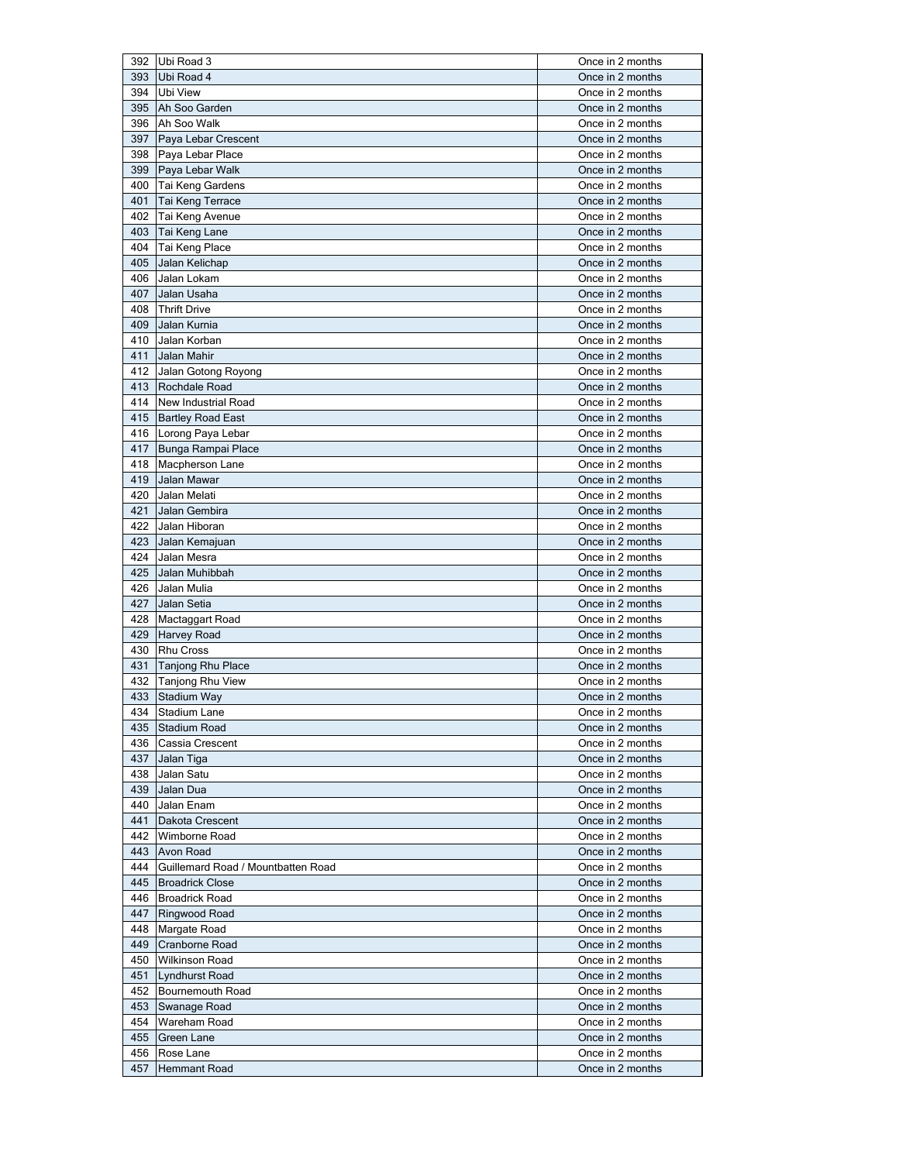|            | 392 Ubi Road 3                     | Once in 2 months                     |
|------------|------------------------------------|--------------------------------------|
| 393        | Ubi Road 4                         | Once in 2 months                     |
| 394        | <b>Ubi View</b>                    | Once in 2 months                     |
| 395        | Ah Soo Garden                      | Once in 2 months                     |
|            | 396 Ah Soo Walk                    | Once in 2 months                     |
| 397        | Paya Lebar Crescent                | Once in 2 months                     |
|            | 398 Paya Lebar Place               | Once in 2 months                     |
|            | 399   Paya Lebar Walk              | Once in 2 months                     |
| 400        | Tai Keng Gardens                   | Once in 2 months                     |
| 401        | Tai Keng Terrace                   | Once in 2 months                     |
| 402        | Tai Keng Avenue                    | Once in 2 months                     |
| 403        | Tai Keng Lane                      | Once in 2 months                     |
| 404        | Tai Keng Place                     | Once in 2 months                     |
| 405        | Jalan Kelichap                     | Once in 2 months                     |
| 406        | Jalan Lokam                        | Once in 2 months                     |
| 407        | Jalan Usaha                        | Once in 2 months                     |
| 408        | <b>Thrift Drive</b>                | Once in 2 months                     |
| 409        | Jalan Kurnia                       | Once in 2 months                     |
| 410        |                                    | Once in 2 months                     |
|            | Jalan Korban                       |                                      |
| 411        | Jalan Mahir                        | Once in 2 months                     |
| 412        | Jalan Gotong Royong                | Once in 2 months                     |
| 413        | Rochdale Road                      | Once in 2 months                     |
| 414        | New Industrial Road                | Once in 2 months                     |
| 415        | <b>Bartley Road East</b>           | Once in 2 months                     |
| 416        | Lorong Paya Lebar                  | Once in 2 months                     |
| 417        | Bunga Rampai Place                 | Once in 2 months                     |
| 418        | Macpherson Lane                    | Once in 2 months                     |
| 419        | Jalan Mawar                        | Once in 2 months                     |
| 420        | Jalan Melati                       | Once in 2 months                     |
| 421        | Jalan Gembira                      | Once in 2 months                     |
| 422        | Jalan Hiboran                      | Once in 2 months                     |
| 423        | Jalan Kemajuan                     | Once in 2 months                     |
| 424        | Jalan Mesra                        | Once in 2 months                     |
| 425        | Jalan Muhibbah                     | Once in 2 months                     |
| 426        | Jalan Mulia                        | Once in 2 months                     |
| 427        | Jalan Setia                        | Once in 2 months                     |
| 428        | Mactaggart Road                    | Once in 2 months                     |
| 429        | <b>Harvey Road</b>                 | Once in 2 months                     |
| 430        | <b>Rhu Cross</b>                   | Once in 2 months                     |
| 431        | Tanjong Rhu Place                  | Once in 2 months                     |
|            | 432 Tanjong Rhu View               | Once in 2 months                     |
| 433        | Stadium Way                        | Once in 2 months                     |
| 434        | Stadium Lane                       | Once in 2 months                     |
| 435        | Stadium Road                       | Once in 2 months                     |
| 436        | Cassia Crescent                    | Once in 2 months                     |
| 437        | Jalan Tiga                         |                                      |
| 438        |                                    | Once in 2 months                     |
|            | Jalan Satu                         | Once in 2 months                     |
| 439        | Jalan Dua                          | Once in 2 months                     |
| 440        | Jalan Enam                         | Once in 2 months                     |
| 441        | Dakota Crescent                    |                                      |
|            |                                    | Once in 2 months                     |
| 442        | Wimborne Road                      | Once in 2 months                     |
| 443        | Avon Road                          | Once in 2 months                     |
| 444        | Guillemard Road / Mountbatten Road | Once in 2 months                     |
| 445        | <b>Broadrick Close</b>             | Once in 2 months                     |
| 446        | <b>Broadrick Road</b>              | Once in 2 months                     |
| 447        | Ringwood Road                      | Once in 2 months                     |
| 448        | Margate Road                       | Once in 2 months                     |
| 449        | Cranborne Road                     | Once in 2 months                     |
| 450        | Wilkinson Road                     | Once in 2 months                     |
| 451        | Lyndhurst Road                     | Once in 2 months                     |
| 452        | Bournemouth Road                   | Once in 2 months                     |
| 453        | Swanage Road                       | Once in 2 months                     |
| 454        | Wareham Road                       | Once in 2 months                     |
| 455        | Green Lane                         | Once in 2 months                     |
| 456<br>457 | Rose Lane<br>Hemmant Road          | Once in 2 months<br>Once in 2 months |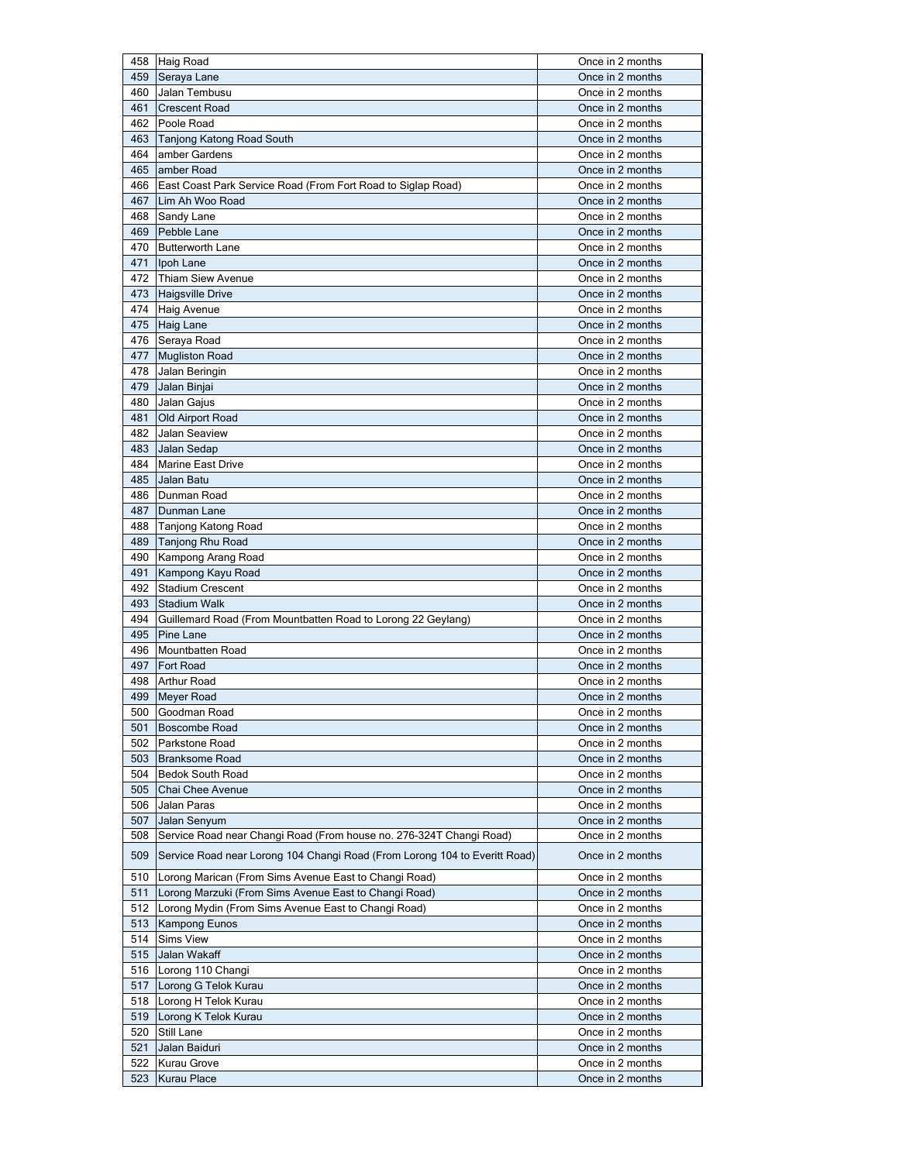|     | 458 Haig Road                                                              | Once in 2 months |
|-----|----------------------------------------------------------------------------|------------------|
| 459 | Seraya Lane                                                                | Once in 2 months |
| 460 | Jalan Tembusu                                                              | Once in 2 months |
| 461 | <b>Crescent Road</b>                                                       | Once in 2 months |
| 462 | Poole Road                                                                 | Once in 2 months |
| 463 | Tanjong Katong Road South                                                  | Once in 2 months |
| 464 | amber Gardens                                                              | Once in 2 months |
| 465 | amber Road                                                                 | Once in 2 months |
|     |                                                                            |                  |
| 466 | East Coast Park Service Road (From Fort Road to Siglap Road)               | Once in 2 months |
| 467 | Lim Ah Woo Road                                                            | Once in 2 months |
| 468 | Sandy Lane                                                                 | Once in 2 months |
| 469 | Pebble Lane                                                                | Once in 2 months |
| 470 | <b>Butterworth Lane</b>                                                    | Once in 2 months |
| 471 | Ipoh Lane                                                                  | Once in 2 months |
|     | 472 Thiam Siew Avenue                                                      | Once in 2 months |
|     | 473 Haigsville Drive                                                       | Once in 2 months |
| 474 | <b>Haig Avenue</b>                                                         | Once in 2 months |
| 475 | <b>Haig Lane</b>                                                           | Once in 2 months |
|     | 476 Seraya Road                                                            | Once in 2 months |
| 477 | <b>Mugliston Road</b>                                                      | Once in 2 months |
| 478 | Jalan Beringin                                                             | Once in 2 months |
| 479 | Jalan Binjai                                                               | Once in 2 months |
| 480 | Jalan Gajus                                                                | Once in 2 months |
| 481 | Old Airport Road                                                           | Once in 2 months |
| 482 | Jalan Seaview                                                              | Once in 2 months |
|     |                                                                            |                  |
| 483 | Jalan Sedap                                                                | Once in 2 months |
| 484 | Marine East Drive                                                          | Once in 2 months |
| 485 | Jalan Batu                                                                 | Once in 2 months |
| 486 | Dunman Road                                                                | Once in 2 months |
| 487 | Dunman Lane                                                                | Once in 2 months |
| 488 | Tanjong Katong Road                                                        | Once in 2 months |
| 489 | Tanjong Rhu Road                                                           | Once in 2 months |
| 490 | Kampong Arang Road                                                         | Once in 2 months |
| 491 | Kampong Kayu Road                                                          | Once in 2 months |
| 492 | <b>Stadium Crescent</b>                                                    | Once in 2 months |
| 493 | <b>Stadium Walk</b>                                                        | Once in 2 months |
| 494 | Guillemard Road (From Mountbatten Road to Lorong 22 Geylang)               | Once in 2 months |
| 495 | Pine Lane                                                                  | Once in 2 months |
| 496 | Mountbatten Road                                                           | Once in 2 months |
| 497 | <b>Fort Road</b>                                                           | Once in 2 months |
| 498 | <b>Arthur Road</b>                                                         | Once in 2 months |
|     |                                                                            |                  |
| 499 | <b>Meyer Road</b>                                                          | Once in 2 months |
|     | 500 Goodman Road                                                           | Once in 2 months |
| 501 | Boscombe Road                                                              | Once in 2 months |
| 502 | Parkstone Road                                                             | Once in 2 months |
| 503 | <b>Branksome Road</b>                                                      | Once in 2 months |
| 504 | <b>Bedok South Road</b>                                                    | Once in 2 months |
| 505 | Chai Chee Avenue                                                           | Once in 2 months |
| 506 | Jalan Paras                                                                | Once in 2 months |
| 507 | Jalan Senyum                                                               | Once in 2 months |
| 508 | Service Road near Changi Road (From house no. 276-324T Changi Road)        | Once in 2 months |
| 509 | Service Road near Lorong 104 Changi Road (From Lorong 104 to Everitt Road) | Once in 2 months |
| 510 | Lorong Marican (From Sims Avenue East to Changi Road)                      | Once in 2 months |
| 511 | Lorong Marzuki (From Sims Avenue East to Changi Road)                      | Once in 2 months |
| 512 | Lorong Mydin (From Sims Avenue East to Changi Road)                        | Once in 2 months |
| 513 | Kampong Eunos                                                              | Once in 2 months |
| 514 | Sims View                                                                  | Once in 2 months |
|     |                                                                            |                  |
| 515 | Jalan Wakaff                                                               | Once in 2 months |
| 516 | Lorong 110 Changi                                                          | Once in 2 months |
| 517 | Lorong G Telok Kurau                                                       | Once in 2 months |
| 518 | Lorong H Telok Kurau                                                       | Once in 2 months |
| 519 | Lorong K Telok Kurau                                                       | Once in 2 months |
| 520 | Still Lane                                                                 | Once in 2 months |
| 521 | Jalan Baiduri                                                              | Once in 2 months |
| 522 | Kurau Grove                                                                | Once in 2 months |
| 523 | Kurau Place                                                                | Once in 2 months |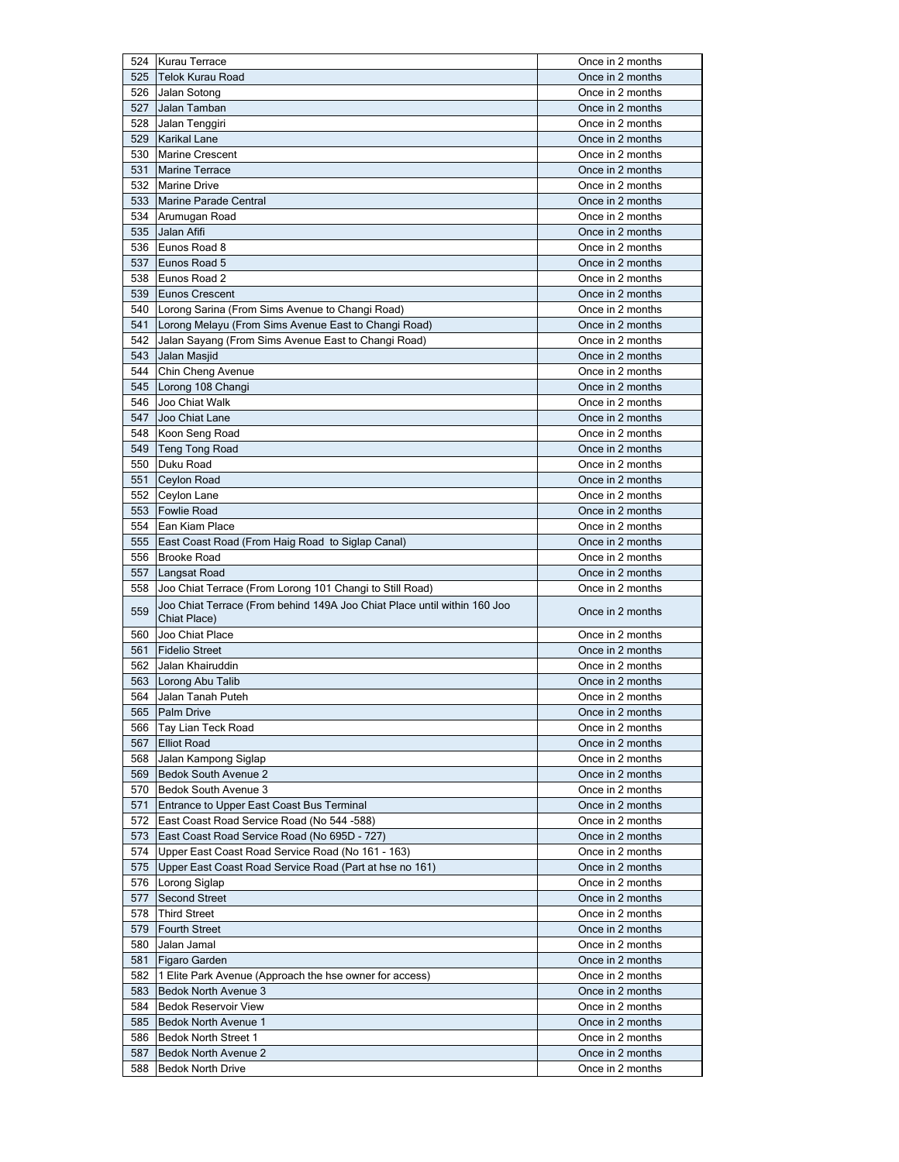|     | 524 Kurau Terrace                                                                        | Once in 2 months |
|-----|------------------------------------------------------------------------------------------|------------------|
| 525 | <b>Telok Kurau Road</b>                                                                  | Once in 2 months |
| 526 | Jalan Sotong                                                                             | Once in 2 months |
| 527 | Jalan Tamban                                                                             | Once in 2 months |
| 528 | Jalan Tenggiri                                                                           | Once in 2 months |
| 529 | <b>Karikal Lane</b>                                                                      | Once in 2 months |
| 530 | <b>Marine Crescent</b>                                                                   | Once in 2 months |
| 531 | <b>Marine Terrace</b>                                                                    | Once in 2 months |
| 532 | <b>Marine Drive</b>                                                                      | Once in 2 months |
| 533 | Marine Parade Central                                                                    | Once in 2 months |
|     | 534 Arumugan Road                                                                        | Once in 2 months |
| 535 | Jalan Afifi                                                                              | Once in 2 months |
| 536 | Eunos Road 8                                                                             | Once in 2 months |
| 537 | Eunos Road 5                                                                             | Once in 2 months |
| 538 | Eunos Road 2                                                                             | Once in 2 months |
| 539 | <b>Eunos Crescent</b>                                                                    | Once in 2 months |
| 540 | Lorong Sarina (From Sims Avenue to Changi Road)                                          | Once in 2 months |
|     |                                                                                          |                  |
| 541 | Lorong Melayu (From Sims Avenue East to Changi Road)                                     | Once in 2 months |
| 542 | Jalan Sayang (From Sims Avenue East to Changi Road)                                      | Once in 2 months |
| 543 | Jalan Masjid                                                                             | Once in 2 months |
| 544 | Chin Cheng Avenue                                                                        | Once in 2 months |
| 545 | Lorong 108 Changi                                                                        | Once in 2 months |
| 546 | Joo Chiat Walk                                                                           | Once in 2 months |
| 547 | Joo Chiat Lane                                                                           | Once in 2 months |
| 548 | Koon Seng Road                                                                           | Once in 2 months |
| 549 | Teng Tong Road                                                                           | Once in 2 months |
| 550 | Duku Road                                                                                | Once in 2 months |
| 551 | <b>Ceylon Road</b>                                                                       | Once in 2 months |
| 552 | Ceylon Lane                                                                              | Once in 2 months |
| 553 | <b>Fowlie Road</b>                                                                       | Once in 2 months |
| 554 | Ean Kiam Place                                                                           | Once in 2 months |
| 555 | East Coast Road (From Haig Road to Siglap Canal)                                         | Once in 2 months |
|     |                                                                                          |                  |
| 556 | <b>Brooke Road</b>                                                                       | Once in 2 months |
| 557 | Langsat Road                                                                             | Once in 2 months |
| 558 | Joo Chiat Terrace (From Lorong 101 Changi to Still Road)                                 | Once in 2 months |
| 559 | Joo Chiat Terrace (From behind 149A Joo Chiat Place until within 160 Joo<br>Chiat Place) | Once in 2 months |
| 560 | Joo Chiat Place                                                                          | Once in 2 months |
| 561 | <b>Fidelio Street</b>                                                                    | Once in 2 months |
| 562 | Jalan Khairuddin                                                                         | Once in 2 months |
| 563 | Lorong Abu Talib                                                                         | Once in 2 months |
| 564 | Jalan Tanah Puteh                                                                        | Once in 2 months |
|     |                                                                                          | Once in 2 months |
| 566 | 565 Palm Drive                                                                           | Once in 2 months |
| 567 | Tay Lian Teck Road<br><b>Elliot Road</b>                                                 | Once in 2 months |
| 568 |                                                                                          | Once in 2 months |
| 569 | Jalan Kampong Siglap                                                                     |                  |
|     | <b>Bedok South Avenue 2</b>                                                              | Once in 2 months |
| 570 | Bedok South Avenue 3                                                                     | Once in 2 months |
| 571 | Entrance to Upper East Coast Bus Terminal                                                | Once in 2 months |
| 572 | East Coast Road Service Road (No 544 -588)                                               | Once in 2 months |
| 573 | East Coast Road Service Road (No 695D - 727)                                             | Once in 2 months |
| 574 | Upper East Coast Road Service Road (No 161 - 163)                                        | Once in 2 months |
| 575 | Upper East Coast Road Service Road (Part at hse no 161)                                  | Once in 2 months |
| 576 | Lorong Siglap                                                                            | Once in 2 months |
| 577 | <b>Second Street</b>                                                                     | Once in 2 months |
| 578 | <b>Third Street</b>                                                                      | Once in 2 months |
| 579 | <b>Fourth Street</b>                                                                     | Once in 2 months |
| 580 | Jalan Jamal                                                                              | Once in 2 months |
| 581 | Figaro Garden                                                                            | Once in 2 months |
| 582 | 1 Elite Park Avenue (Approach the hse owner for access)                                  | Once in 2 months |
| 583 | <b>Bedok North Avenue 3</b>                                                              | Once in 2 months |
| 584 | <b>Bedok Reservoir View</b>                                                              | Once in 2 months |
| 585 | Bedok North Avenue 1                                                                     | Once in 2 months |
| 586 | <b>Bedok North Street 1</b>                                                              | Once in 2 months |
| 587 | Bedok North Avenue 2                                                                     | Once in 2 months |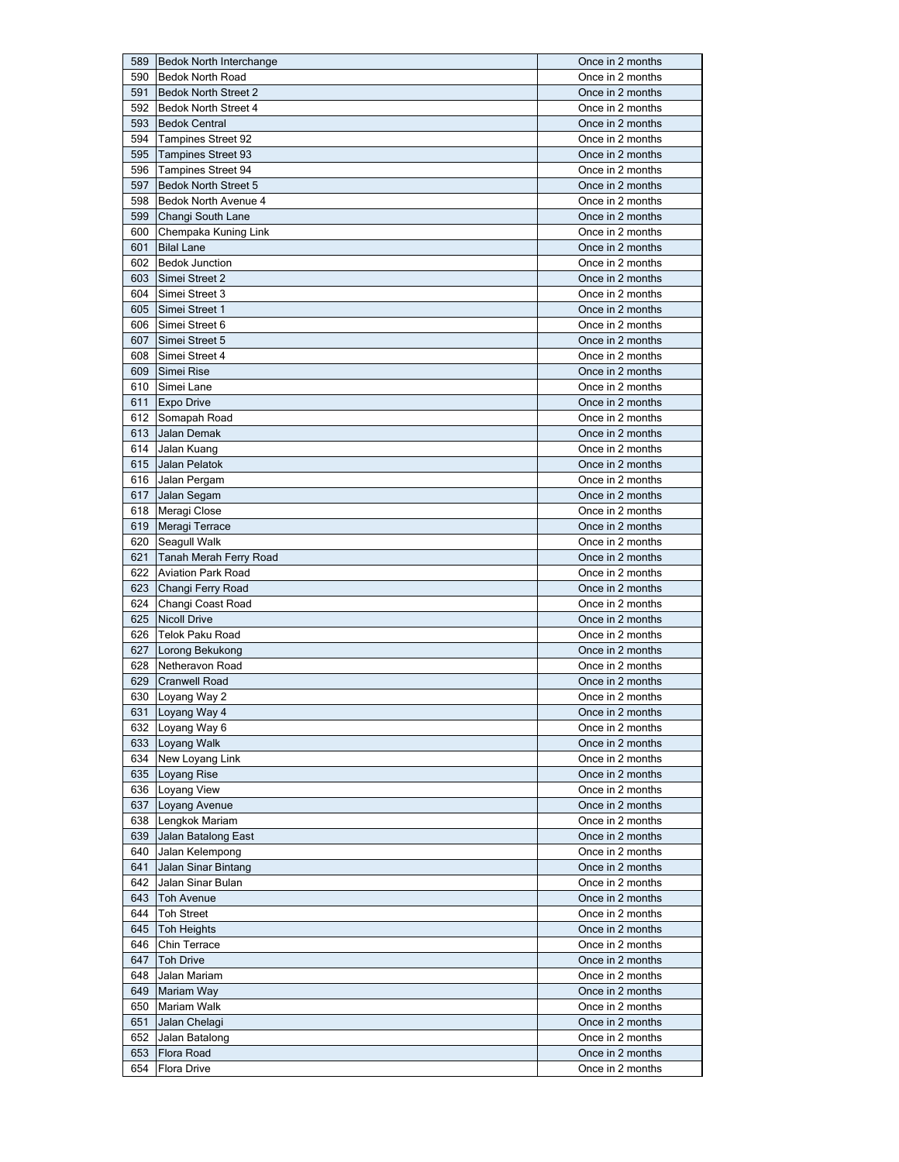| 589        | <b>Bedok North Interchange</b> | Once in 2 months                     |
|------------|--------------------------------|--------------------------------------|
| 590        | <b>Bedok North Road</b>        | Once in 2 months                     |
| 591        | <b>Bedok North Street 2</b>    | Once in 2 months                     |
| 592        | <b>Bedok North Street 4</b>    | Once in 2 months                     |
| 593        | <b>Bedok Central</b>           | Once in 2 months                     |
| 594        | <b>Tampines Street 92</b>      | Once in 2 months                     |
|            |                                |                                      |
| 595        | <b>Tampines Street 93</b>      | Once in 2 months                     |
| 596        | <b>Tampines Street 94</b>      | Once in 2 months                     |
| 597        | <b>Bedok North Street 5</b>    | Once in 2 months                     |
| 598        | Bedok North Avenue 4           | Once in 2 months                     |
| 599        | Changi South Lane              | Once in 2 months                     |
| 600        | Chempaka Kuning Link           | Once in 2 months                     |
| 601        | <b>Bilal Lane</b>              | Once in 2 months                     |
| 602        | <b>Bedok Junction</b>          | Once in 2 months                     |
| 603        | Simei Street 2                 | Once in 2 months                     |
| 604        | Simei Street 3                 | Once in 2 months                     |
|            |                                |                                      |
| 605        | Simei Street 1                 | Once in 2 months                     |
| 606        | Simei Street 6                 | Once in 2 months                     |
| 607        | Simei Street 5                 | Once in 2 months                     |
| 608        | Simei Street 4                 | Once in 2 months                     |
| 609        | Simei Rise                     | Once in 2 months                     |
| 610        | Simei Lane                     | Once in 2 months                     |
| 611        | <b>Expo Drive</b>              | Once in 2 months                     |
| 612        | Somapah Road                   | Once in 2 months                     |
| 613        | Jalan Demak                    | Once in 2 months                     |
|            |                                |                                      |
| 614        | Jalan Kuang                    | Once in 2 months                     |
| 615        | Jalan Pelatok                  | Once in 2 months                     |
|            | 616 Jalan Pergam               | Once in 2 months                     |
| 617        | Jalan Segam                    | Once in 2 months                     |
| 618        | Meragi Close                   | Once in 2 months                     |
| 619        | Meragi Terrace                 | Once in 2 months                     |
| 620        | Seagull Walk                   | Once in 2 months                     |
| 621        | Tanah Merah Ferry Road         | Once in 2 months                     |
|            |                                |                                      |
|            |                                |                                      |
| 622        | <b>Aviation Park Road</b>      | Once in 2 months                     |
| 623        | Changi Ferry Road              | Once in 2 months                     |
| 624        | Changi Coast Road              | Once in 2 months                     |
| 625        | <b>Nicoll Drive</b>            | Once in 2 months                     |
| 626        | <b>Telok Paku Road</b>         | Once in 2 months                     |
| 627        | Lorong Bekukong                | Once in 2 months                     |
| 628        | Netheravon Road                | Once in 2 months                     |
| 629        | <b>Cranwell Road</b>           | Once in 2 months                     |
|            | 630 Loyang Way 2               | Once in 2 months                     |
| 631        |                                | Once in 2 months                     |
|            | Loyang Way 4                   |                                      |
|            | 632 Loyang Way 6               | Once in 2 months                     |
|            | 633 Loyang Walk                | Once in 2 months                     |
|            | 634 New Loyang Link            | Once in 2 months                     |
| 635        | Loyang Rise                    | Once in 2 months                     |
|            | 636 Loyang View                | Once in 2 months                     |
| 637        | Loyang Avenue                  | Once in 2 months                     |
| 638        | Lengkok Mariam                 | Once in 2 months                     |
| 639        | Jalan Batalong East            | Once in 2 months                     |
| 640        | Jalan Kelempong                | Once in 2 months                     |
| 641        |                                | Once in 2 months                     |
|            | Jalan Sinar Bintang            |                                      |
| 642        | Jalan Sinar Bulan              | Once in 2 months                     |
| 643        | Toh Avenue                     | Once in 2 months                     |
| 644        | <b>Toh Street</b>              | Once in 2 months                     |
| 645        | <b>Toh Heights</b>             | Once in 2 months                     |
| 646        | Chin Terrace                   | Once in 2 months                     |
| 647        | <b>Toh Drive</b>               | Once in 2 months                     |
| 648        | Jalan Mariam                   | Once in 2 months                     |
| 649        | Mariam Way                     | Once in 2 months                     |
| 650        | Mariam Walk                    | Once in 2 months                     |
|            |                                |                                      |
| 651        | Jalan Chelagi                  | Once in 2 months                     |
| 652        | Jalan Batalong                 | Once in 2 months                     |
| 653<br>654 | Flora Road<br>Flora Drive      | Once in 2 months<br>Once in 2 months |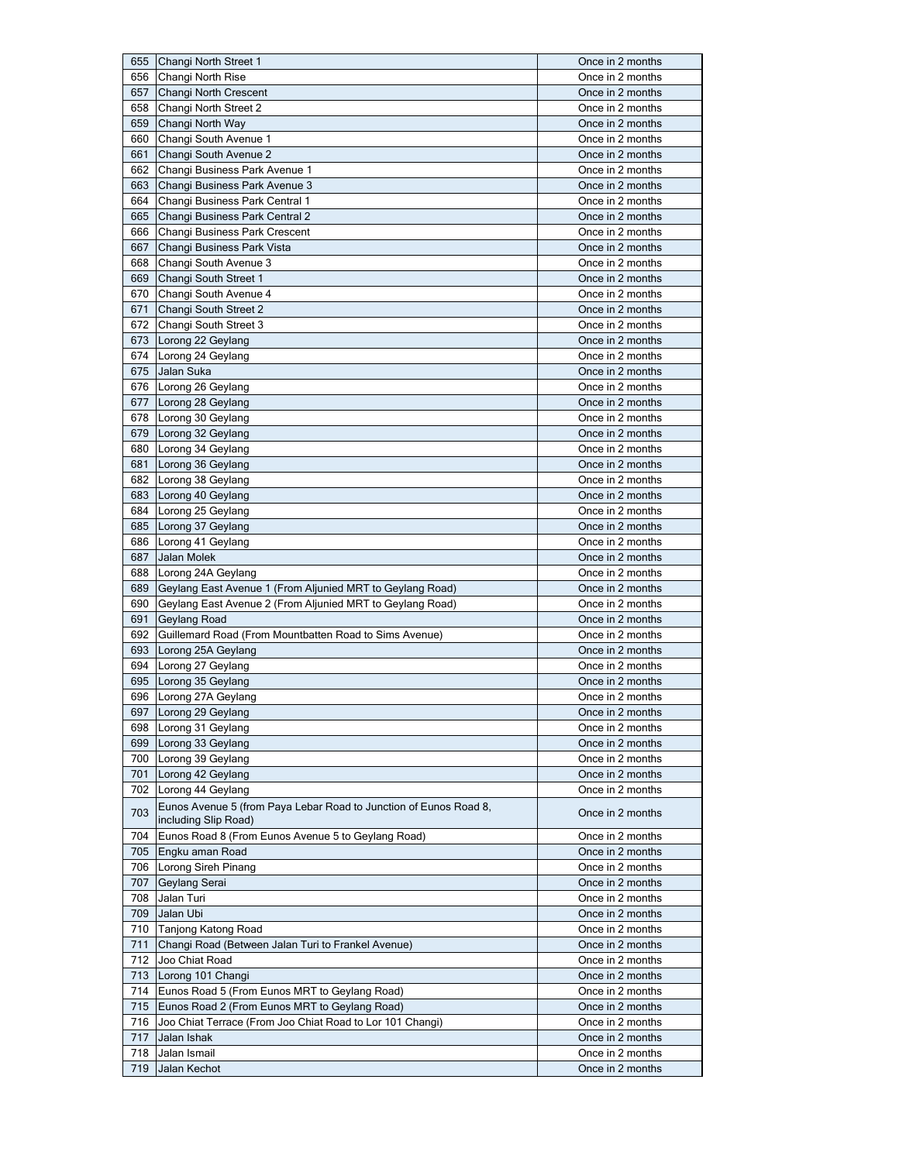| 655        | Changi North Street 1                                                                     | Once in 2 months                     |
|------------|-------------------------------------------------------------------------------------------|--------------------------------------|
| 656        | Changi North Rise                                                                         | Once in 2 months                     |
| 657        | Changi North Crescent                                                                     | Once in 2 months                     |
| 658        | Changi North Street 2                                                                     | Once in 2 months                     |
| 659        | Changi North Way                                                                          | Once in 2 months                     |
| 660        | Changi South Avenue 1                                                                     | Once in 2 months                     |
| 661        | Changi South Avenue 2                                                                     | Once in 2 months                     |
| 662        |                                                                                           | Once in 2 months                     |
|            | Changi Business Park Avenue 1                                                             |                                      |
| 663        | Changi Business Park Avenue 3                                                             | Once in 2 months                     |
| 664        | Changi Business Park Central 1                                                            | Once in 2 months                     |
| 665        | Changi Business Park Central 2                                                            | Once in 2 months                     |
| 666        | Changi Business Park Crescent                                                             | Once in 2 months                     |
| 667        | Changi Business Park Vista                                                                | Once in 2 months                     |
| 668        | Changi South Avenue 3                                                                     | Once in 2 months                     |
| 669        | Changi South Street 1                                                                     | Once in 2 months                     |
| 670        | Changi South Avenue 4                                                                     | Once in 2 months                     |
| 671        | Changi South Street 2                                                                     | Once in 2 months                     |
| 672        | Changi South Street 3                                                                     | Once in 2 months                     |
| 673        | Lorong 22 Geylang                                                                         | Once in 2 months                     |
| 674        | Lorong 24 Geylang                                                                         | Once in 2 months                     |
| 675        | Jalan Suka                                                                                | Once in 2 months                     |
|            | 676 Lorong 26 Geylang                                                                     | Once in 2 months                     |
| 677        | Lorong 28 Geylang                                                                         | Once in 2 months                     |
| 678        | Lorong 30 Geylang                                                                         | Once in 2 months                     |
| 679        | Lorong 32 Geylang                                                                         | Once in 2 months                     |
|            |                                                                                           |                                      |
| 680        | Lorong 34 Geylang                                                                         | Once in 2 months                     |
| 681        | Lorong 36 Geylang                                                                         | Once in 2 months                     |
| 682        | Lorong 38 Geylang                                                                         | Once in 2 months                     |
| 683        | Lorong 40 Geylang                                                                         | Once in 2 months                     |
| 684        | Lorong 25 Geylang                                                                         | Once in 2 months                     |
| 685        | Lorong 37 Geylang                                                                         | Once in 2 months                     |
| 686        | Lorong 41 Geylang                                                                         | Once in 2 months                     |
| 687        | Jalan Molek                                                                               | Once in 2 months                     |
| 688        | Lorong 24A Geylang                                                                        | Once in 2 months                     |
| 689        | Geylang East Avenue 1 (From Aljunied MRT to Geylang Road)                                 | Once in 2 months                     |
| 690        | Geylang East Avenue 2 (From Aljunied MRT to Geylang Road)                                 | Once in 2 months                     |
| 691        | <b>Geylang Road</b>                                                                       | Once in 2 months                     |
| 692        | Guillemard Road (From Mountbatten Road to Sims Avenue)                                    | Once in 2 months                     |
| 693        | Lorong 25A Geylang                                                                        | Once in 2 months                     |
|            | 694 Lorong 27 Geylang                                                                     | Once in 2 months                     |
| 695        | Lorong 35 Geylang                                                                         | Once in 2 months                     |
| 696        | Lorong 27A Geylang                                                                        | Once in 2 months                     |
|            | 697 Lorong 29 Geylang                                                                     | Once in 2 months                     |
|            | 698 Lorong 31 Geylang                                                                     | Once in 2 months                     |
|            | 699 Lorong 33 Geylang                                                                     | Once in 2 months                     |
|            |                                                                                           |                                      |
|            | 700 Lorong 39 Geylang                                                                     | Once in 2 months                     |
| 701        | Lorong 42 Geylang                                                                         | Once in 2 months                     |
| 702        | Lorong 44 Geylang                                                                         | Once in 2 months                     |
| 703        | Eunos Avenue 5 (from Paya Lebar Road to Junction of Eunos Road 8,<br>including Slip Road) | Once in 2 months                     |
| 704        | Eunos Road 8 (From Eunos Avenue 5 to Geylang Road)                                        | Once in 2 months                     |
| 705        | Engku aman Road                                                                           | Once in 2 months                     |
| 706        | Lorong Sireh Pinang                                                                       | Once in 2 months                     |
| 707        | Geylang Serai                                                                             | Once in 2 months                     |
| 708        | Jalan Turi                                                                                | Once in 2 months                     |
| 709        | Jalan Ubi                                                                                 | Once in 2 months                     |
| 710        | Tanjong Katong Road                                                                       | Once in 2 months                     |
| 711        | Changi Road (Between Jalan Turi to Frankel Avenue)                                        | Once in 2 months                     |
| 712        | Joo Chiat Road                                                                            | Once in 2 months                     |
| 713        | Lorong 101 Changi                                                                         | Once in 2 months                     |
| 714        | Eunos Road 5 (From Eunos MRT to Geylang Road)                                             | Once in 2 months                     |
| 715        | Eunos Road 2 (From Eunos MRT to Geylang Road)                                             | Once in 2 months                     |
|            | Joo Chiat Terrace (From Joo Chiat Road to Lor 101 Changi)                                 | Once in 2 months                     |
| 716        |                                                                                           |                                      |
| 717<br>718 | Jalan Ishak                                                                               | Once in 2 months                     |
|            |                                                                                           |                                      |
| 719        | Jalan Ismail<br>Jalan Kechot                                                              | Once in 2 months<br>Once in 2 months |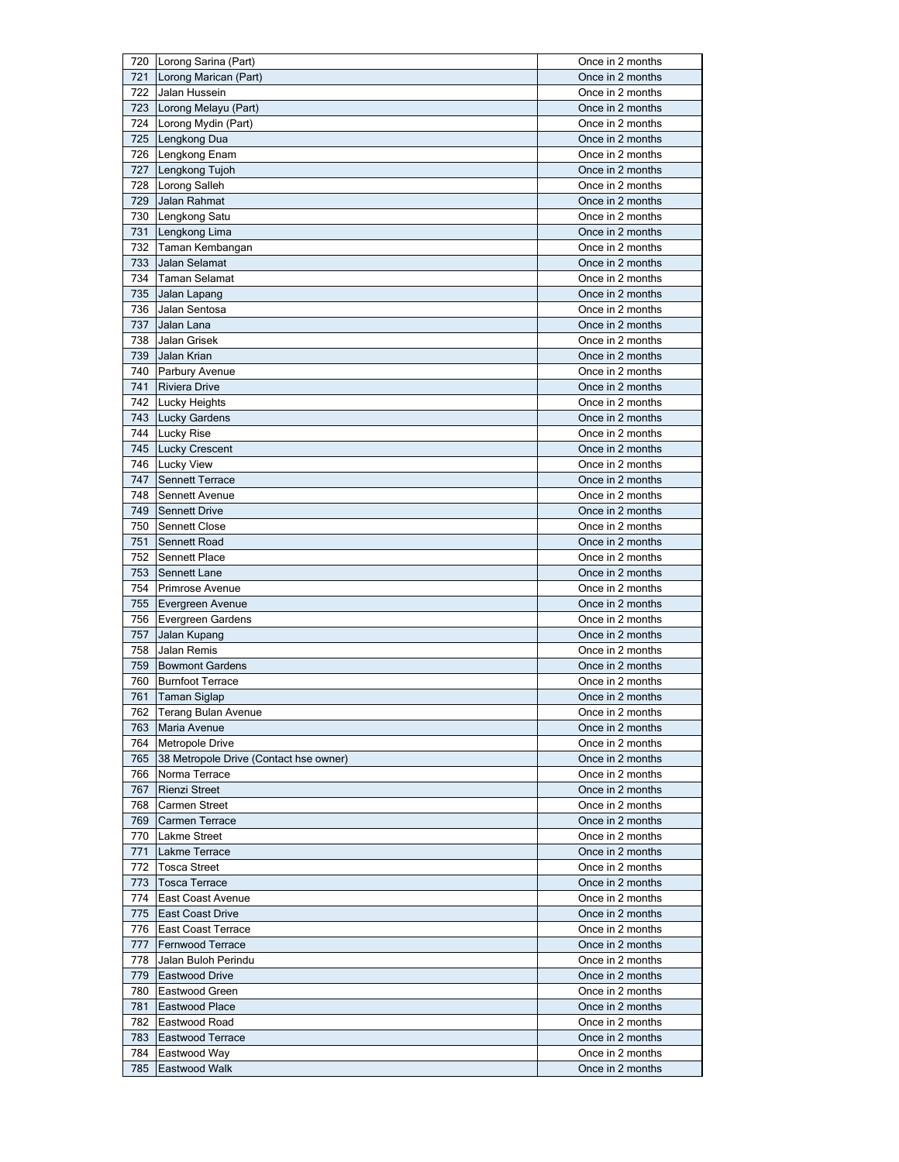| 721 | 720 Lorong Sarina (Part)               | Once in 2 months |
|-----|----------------------------------------|------------------|
|     | Lorong Marican (Part)                  | Once in 2 months |
| 722 | Jalan Hussein                          | Once in 2 months |
| 723 | Lorong Melayu (Part)                   | Once in 2 months |
|     | 724 Lorong Mydin (Part)                | Once in 2 months |
|     | 725 Lengkong Dua                       | Once in 2 months |
|     | 726 Lengkong Enam                      | Once in 2 months |
| 727 | Lengkong Tujoh                         | Once in 2 months |
|     | 728 Lorong Salleh                      | Once in 2 months |
| 729 | Jalan Rahmat                           | Once in 2 months |
|     |                                        |                  |
|     | 730 Lengkong Satu                      | Once in 2 months |
| 731 | Lengkong Lima                          | Once in 2 months |
| 732 | Taman Kembangan                        | Once in 2 months |
| 733 | Jalan Selamat                          | Once in 2 months |
| 734 | <b>Taman Selamat</b>                   | Once in 2 months |
| 735 | Jalan Lapang                           | Once in 2 months |
| 736 | Jalan Sentosa                          | Once in 2 months |
| 737 | Jalan Lana                             | Once in 2 months |
| 738 | Jalan Grisek                           | Once in 2 months |
| 739 | Jalan Krian                            | Once in 2 months |
|     | 740 Parbury Avenue                     | Once in 2 months |
| 741 | <b>Riviera Drive</b>                   | Once in 2 months |
| 742 | <b>Lucky Heights</b>                   | Once in 2 months |
| 743 | Lucky Gardens                          | Once in 2 months |
| 744 | Lucky Rise                             | Once in 2 months |
| 745 | <b>Lucky Crescent</b>                  | Once in 2 months |
| 746 | <b>Lucky View</b>                      | Once in 2 months |
| 747 | <b>Sennett Terrace</b>                 | Once in 2 months |
| 748 | Sennett Avenue                         | Once in 2 months |
|     |                                        |                  |
| 749 | Sennett Drive                          | Once in 2 months |
| 750 | <b>Sennett Close</b>                   | Once in 2 months |
| 751 | Sennett Road                           | Once in 2 months |
| 752 | <b>Sennett Place</b>                   | Once in 2 months |
| 753 | Sennett Lane                           | Once in 2 months |
| 754 | Primrose Avenue                        | Once in 2 months |
| 755 | Evergreen Avenue                       | Once in 2 months |
| 756 | <b>Evergreen Gardens</b>               | Once in 2 months |
| 757 | Jalan Kupang                           | Once in 2 months |
| 758 | Jalan Remis                            |                  |
|     |                                        | Once in 2 months |
| 759 | <b>Bowmont Gardens</b>                 | Once in 2 months |
| 760 | <b>Burnfoot Terrace</b>                | Once in 2 months |
| 761 | <b>Taman Siglap</b>                    | Once in 2 months |
| 762 |                                        | Once in 2 months |
| 763 | Terang Bulan Avenue<br>Maria Avenue    | Once in 2 months |
| 764 | <b>Metropole Drive</b>                 | Once in 2 months |
| 765 | 38 Metropole Drive (Contact hse owner) | Once in 2 months |
| 766 |                                        |                  |
|     | Norma Terrace                          | Once in 2 months |
| 767 | <b>Rienzi Street</b>                   | Once in 2 months |
| 768 | <b>Carmen Street</b>                   | Once in 2 months |
| 769 | Carmen Terrace                         | Once in 2 months |
| 770 | <b>Lakme Street</b>                    | Once in 2 months |
| 771 | Lakme Terrace                          | Once in 2 months |
|     | 772 Tosca Street                       | Once in 2 months |
| 773 | <b>Tosca Terrace</b>                   | Once in 2 months |
| 774 | East Coast Avenue                      | Once in 2 months |
| 775 | <b>East Coast Drive</b>                | Once in 2 months |
| 776 | East Coast Terrace                     | Once in 2 months |
| 777 | Fernwood Terrace                       | Once in 2 months |
| 778 | Jalan Buloh Perindu                    | Once in 2 months |
| 779 | <b>Eastwood Drive</b>                  | Once in 2 months |
| 780 | Eastwood Green                         | Once in 2 months |
| 781 | Eastwood Place                         | Once in 2 months |
| 782 | Eastwood Road                          | Once in 2 months |
| 783 | Eastwood Terrace                       | Once in 2 months |
| 784 | Eastwood Way                           | Once in 2 months |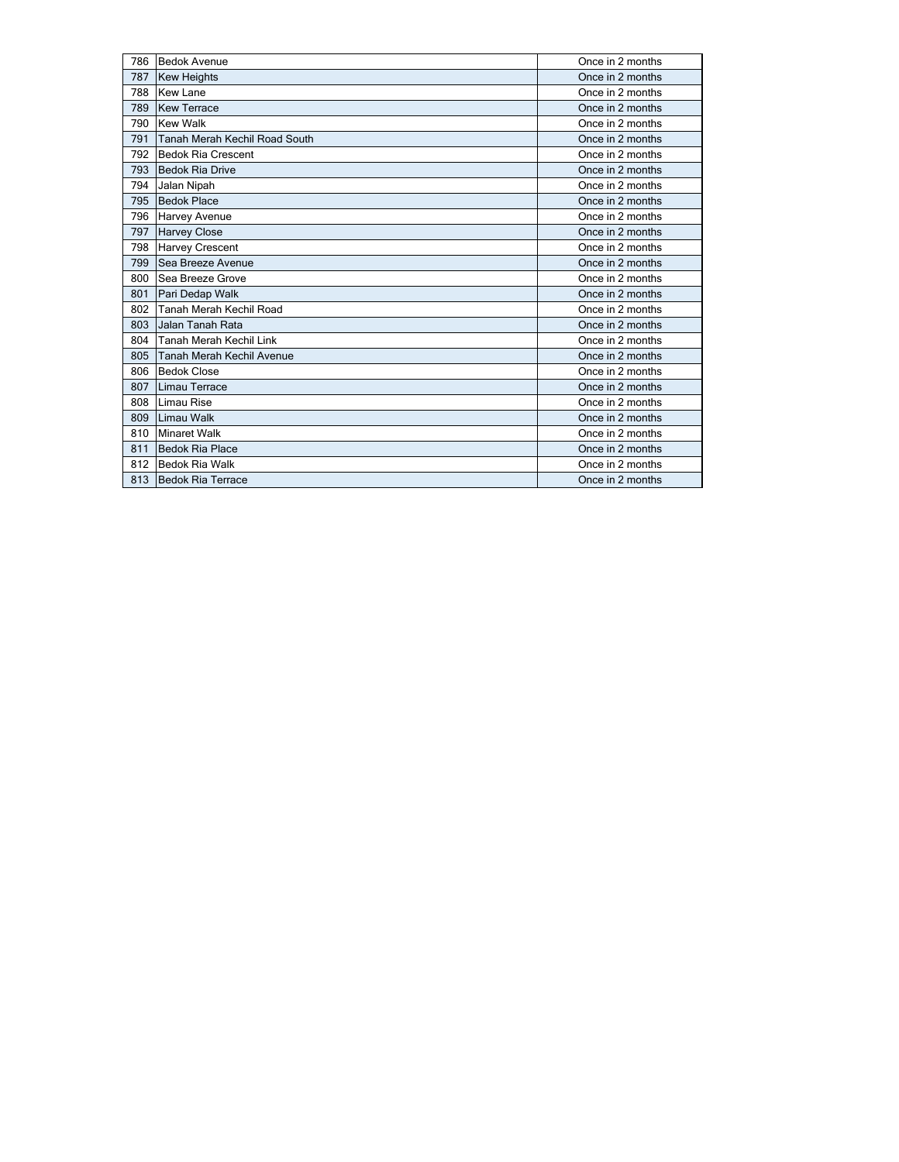| 786 | <b>Bedok Avenue</b>           | Once in 2 months |
|-----|-------------------------------|------------------|
| 787 | <b>Kew Heights</b>            | Once in 2 months |
| 788 | <b>Kew Lane</b>               | Once in 2 months |
| 789 | <b>Kew Terrace</b>            | Once in 2 months |
| 790 | <b>Kew Walk</b>               | Once in 2 months |
| 791 | Tanah Merah Kechil Road South | Once in 2 months |
| 792 | <b>Bedok Ria Crescent</b>     | Once in 2 months |
| 793 | <b>Bedok Ria Drive</b>        | Once in 2 months |
| 794 | Jalan Nipah                   | Once in 2 months |
| 795 | <b>Bedok Place</b>            | Once in 2 months |
| 796 | Harvey Avenue                 | Once in 2 months |
| 797 | <b>Harvey Close</b>           | Once in 2 months |
| 798 | Harvey Crescent               | Once in 2 months |
| 799 | Sea Breeze Avenue             | Once in 2 months |
| 800 | Sea Breeze Grove              | Once in 2 months |
| 801 | Pari Dedap Walk               | Once in 2 months |
| 802 | Tanah Merah Kechil Road       | Once in 2 months |
| 803 | Jalan Tanah Rata              | Once in 2 months |
| 804 | Tanah Merah Kechil Link       | Once in 2 months |
| 805 | Tanah Merah Kechil Avenue     | Once in 2 months |
| 806 | <b>Bedok Close</b>            | Once in 2 months |
| 807 | Limau Terrace                 | Once in 2 months |
| 808 | Limau Rise                    | Once in 2 months |
| 809 | Limau Walk                    | Once in 2 months |
| 810 | <b>Minaret Walk</b>           | Once in 2 months |
| 811 | <b>Bedok Ria Place</b>        | Once in 2 months |
| 812 | <b>Bedok Ria Walk</b>         | Once in 2 months |
| 813 | <b>Bedok Ria Terrace</b>      | Once in 2 months |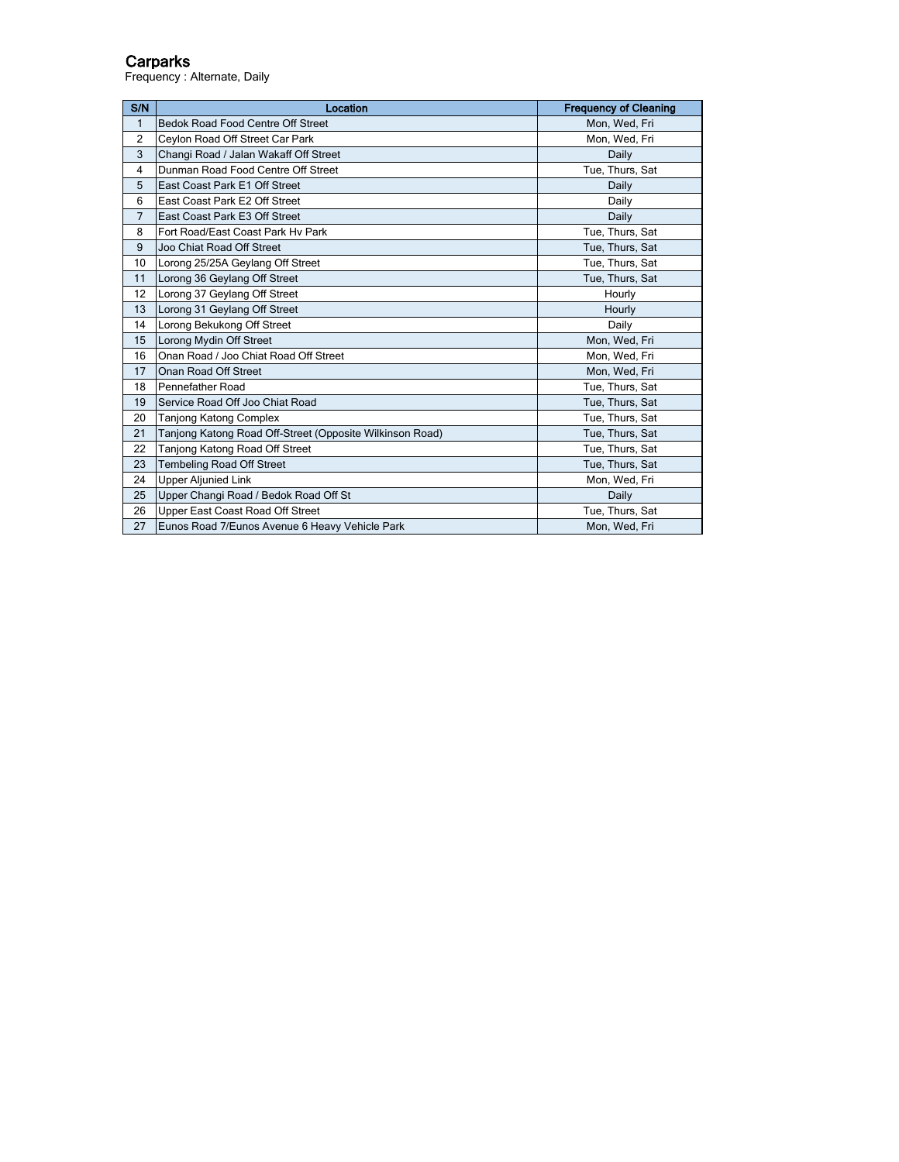#### Carparks

Frequency : Alternate, Daily

| S/N            | Location                                                 | <b>Frequency of Cleaning</b> |
|----------------|----------------------------------------------------------|------------------------------|
| $\mathbf{1}$   | <b>Bedok Road Food Centre Off Street</b>                 | Mon, Wed, Fri                |
| $\overline{2}$ | Ceylon Road Off Street Car Park                          | Mon, Wed, Fri                |
| 3              | Changi Road / Jalan Wakaff Off Street                    | Daily                        |
| $\overline{4}$ | Dunman Road Food Centre Off Street                       | Tue, Thurs, Sat              |
| 5              | East Coast Park E1 Off Street                            | Daily                        |
| 6              | East Coast Park E2 Off Street                            | Daily                        |
| $\overline{7}$ | East Coast Park E3 Off Street                            | Daily                        |
| 8              | Fort Road/East Coast Park Hy Park                        | Tue, Thurs, Sat              |
| 9              | Joo Chiat Road Off Street                                | Tue, Thurs, Sat              |
| 10             | Lorong 25/25A Geylang Off Street                         | Tue, Thurs, Sat              |
| 11             | Lorong 36 Geylang Off Street                             | Tue, Thurs, Sat              |
| 12             | Lorong 37 Geylang Off Street                             | Hourly                       |
| 13             | Lorong 31 Geylang Off Street                             | Hourly                       |
| 14             | Lorong Bekukong Off Street                               | Daily                        |
| 15             | Lorong Mydin Off Street                                  | Mon, Wed, Fri                |
| 16             | Onan Road / Joo Chiat Road Off Street                    | Mon, Wed, Fri                |
| 17             | Onan Road Off Street                                     | Mon, Wed, Fri                |
| 18             | Pennefather Road                                         | Tue, Thurs, Sat              |
| 19             | Service Road Off Joo Chiat Road                          | Tue, Thurs, Sat              |
| 20             | <b>Tanjong Katong Complex</b>                            | Tue, Thurs, Sat              |
| 21             | Tanjong Katong Road Off-Street (Opposite Wilkinson Road) | Tue, Thurs, Sat              |
| 22             | Tanjong Katong Road Off Street                           | Tue, Thurs, Sat              |
| 23             | <b>Tembeling Road Off Street</b>                         | Tue, Thurs, Sat              |
| 24             | <b>Upper Aljunied Link</b>                               | Mon, Wed, Fri                |
| 25             | Upper Changi Road / Bedok Road Off St                    | Daily                        |
| 26             | Upper East Coast Road Off Street                         | Tue, Thurs, Sat              |
| 27             | Eunos Road 7/Eunos Avenue 6 Heavy Vehicle Park           | Mon, Wed, Fri                |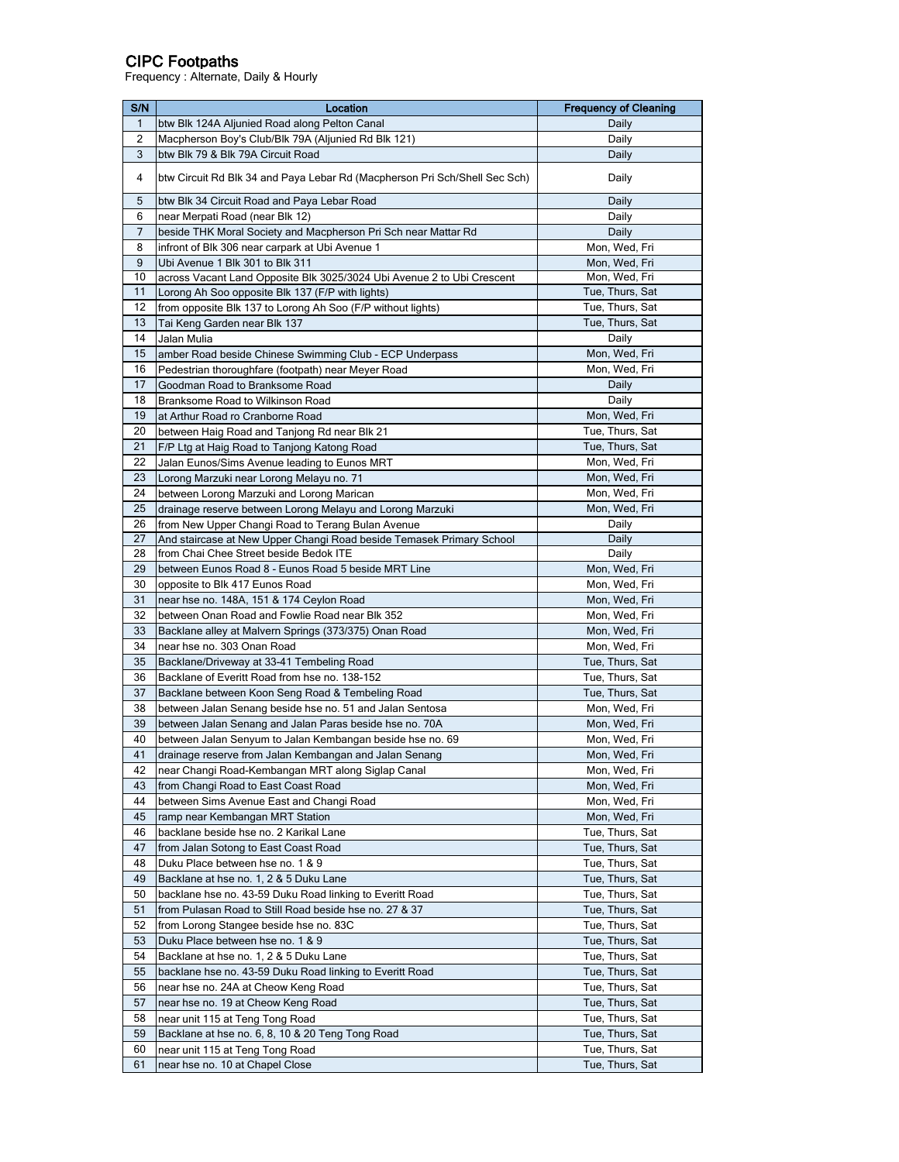## CIPC Footpaths

Frequency : Alternate, Daily & Hourly

| S/N          | Location                                                                                   | <b>Frequency of Cleaning</b>   |
|--------------|--------------------------------------------------------------------------------------------|--------------------------------|
| $\mathbf{1}$ | btw Blk 124A Aljunied Road along Pelton Canal                                              | Daily                          |
| 2            | Macpherson Boy's Club/Blk 79A (Aljunied Rd Blk 121)                                        | Daily                          |
| 3            | btw Blk 79 & Blk 79A Circuit Road                                                          | Daily                          |
| 4            | btw Circuit Rd Blk 34 and Paya Lebar Rd (Macpherson Pri Sch/Shell Sec Sch)                 | Daily                          |
| 5            | btw Blk 34 Circuit Road and Paya Lebar Road                                                | Daily                          |
| 6            | near Merpati Road (near Blk 12)                                                            | Daily                          |
| 7            | beside THK Moral Society and Macpherson Pri Sch near Mattar Rd                             | Daily                          |
| 8            | infront of Blk 306 near carpark at Ubi Avenue 1                                            | Mon, Wed, Fri                  |
| 9            | Ubi Avenue 1 Blk 301 to Blk 311                                                            | Mon, Wed, Fri                  |
| 10           | across Vacant Land Opposite Blk 3025/3024 Ubi Avenue 2 to Ubi Crescent                     | Mon, Wed, Fri                  |
| 11           | Lorong Ah Soo opposite Blk 137 (F/P with lights)                                           | Tue, Thurs, Sat                |
| 12           | from opposite Blk 137 to Lorong Ah Soo (F/P without lights)                                | Tue, Thurs, Sat                |
| 13           | Tai Keng Garden near Blk 137                                                               | Tue, Thurs, Sat                |
| 14           | Jalan Mulia                                                                                | Daily                          |
| 15           | amber Road beside Chinese Swimming Club - ECP Underpass                                    | Mon, Wed, Fri                  |
| 16           | Pedestrian thoroughfare (footpath) near Meyer Road                                         | Mon, Wed, Fri                  |
| 17           | Goodman Road to Branksome Road                                                             | Daily                          |
| 18           | Branksome Road to Wilkinson Road                                                           | Daily                          |
| 19           | at Arthur Road ro Cranborne Road                                                           | Mon, Wed, Fri                  |
| 20           | between Haig Road and Tanjong Rd near Blk 21                                               | Tue, Thurs, Sat                |
| 21           | F/P Ltg at Haig Road to Tanjong Katong Road                                                | Tue, Thurs, Sat                |
| 22           | Jalan Eunos/Sims Avenue leading to Eunos MRT                                               | Mon, Wed, Fri                  |
| 23           | Lorong Marzuki near Lorong Melayu no. 71                                                   | Mon, Wed, Fri                  |
| 24           | between Lorong Marzuki and Lorong Marican                                                  | Mon, Wed, Fri                  |
| 25           | drainage reserve between Lorong Melayu and Lorong Marzuki                                  | Mon, Wed, Fri                  |
| 26           | from New Upper Changi Road to Terang Bulan Avenue                                          | Daily                          |
| 27           | And staircase at New Upper Changi Road beside Temasek Primary School                       | Daily                          |
| 28           | from Chai Chee Street beside Bedok ITE                                                     | Daily                          |
| 29           | between Eunos Road 8 - Eunos Road 5 beside MRT Line                                        | Mon, Wed, Fri                  |
| 30<br>31     | opposite to Blk 417 Eunos Road                                                             | Mon, Wed, Fri                  |
| 32           | near hse no. 148A, 151 & 174 Ceylon Road<br>between Onan Road and Fowlie Road near Blk 352 | Mon, Wed, Fri<br>Mon, Wed, Fri |
| 33           | Backlane alley at Malvern Springs (373/375) Onan Road                                      | Mon, Wed, Fri                  |
| 34           | near hse no. 303 Onan Road                                                                 | Mon, Wed, Fri                  |
| 35           | Backlane/Driveway at 33-41 Tembeling Road                                                  | Tue, Thurs, Sat                |
| 36           | Backlane of Everitt Road from hse no. 138-152                                              | Tue, Thurs, Sat                |
| 37           | Backlane between Koon Seng Road & Tembeling Road                                           | Tue, Thurs, Sat                |
| 38           | between Jalan Senang beside hse no. 51 and Jalan Sentosa                                   | Mon, Wed, Fri                  |
| 39           | between Jalan Senang and Jalan Paras beside hse no. 70A                                    | Mon, Wed, Fri                  |
| 40           | between Jalan Senyum to Jalan Kembangan beside hse no. 69                                  | Mon, Wed, Fri                  |
| 41           | drainage reserve from Jalan Kembangan and Jalan Senang                                     | Mon, Wed, Fri                  |
| 42           | near Changi Road-Kembangan MRT along Siglap Canal                                          | Mon, Wed, Fri                  |
| 43           | from Changi Road to East Coast Road                                                        | Mon, Wed, Fri                  |
| 44           | between Sims Avenue East and Changi Road                                                   | Mon, Wed, Fri                  |
| 45           | ramp near Kembangan MRT Station                                                            | Mon, Wed, Fri                  |
| 46           | backlane beside hse no. 2 Karikal Lane                                                     | Tue, Thurs, Sat                |
| 47           | from Jalan Sotong to East Coast Road                                                       | Tue, Thurs, Sat                |
| 48           | Duku Place between hse no. 1 & 9                                                           | Tue, Thurs, Sat                |
| 49           | Backlane at hse no. 1, 2 & 5 Duku Lane                                                     | Tue, Thurs, Sat                |
| 50           | backlane hse no. 43-59 Duku Road linking to Everitt Road                                   | Tue, Thurs, Sat                |
| 51           | from Pulasan Road to Still Road beside hse no. 27 & 37                                     | Tue, Thurs, Sat                |
| 52           | from Lorong Stangee beside hse no. 83C                                                     | Tue, Thurs, Sat                |
| 53           | Duku Place between hse no. 1 & 9                                                           | Tue, Thurs, Sat                |
| 54           | Backlane at hse no. 1, 2 & 5 Duku Lane                                                     | Tue, Thurs, Sat                |
| 55           | backlane hse no. 43-59 Duku Road linking to Everitt Road                                   | Tue, Thurs, Sat                |
| 56           | near hse no. 24A at Cheow Keng Road                                                        | Tue, Thurs, Sat                |
| 57           | near hse no. 19 at Cheow Keng Road                                                         | Tue, Thurs, Sat                |
| 58           | near unit 115 at Teng Tong Road                                                            | Tue, Thurs, Sat                |
| 59           | Backlane at hse no. 6, 8, 10 & 20 Teng Tong Road                                           | Tue, Thurs, Sat                |
| 60           | near unit 115 at Teng Tong Road                                                            | Tue, Thurs, Sat                |
| 61           | near hse no. 10 at Chapel Close                                                            | Tue, Thurs, Sat                |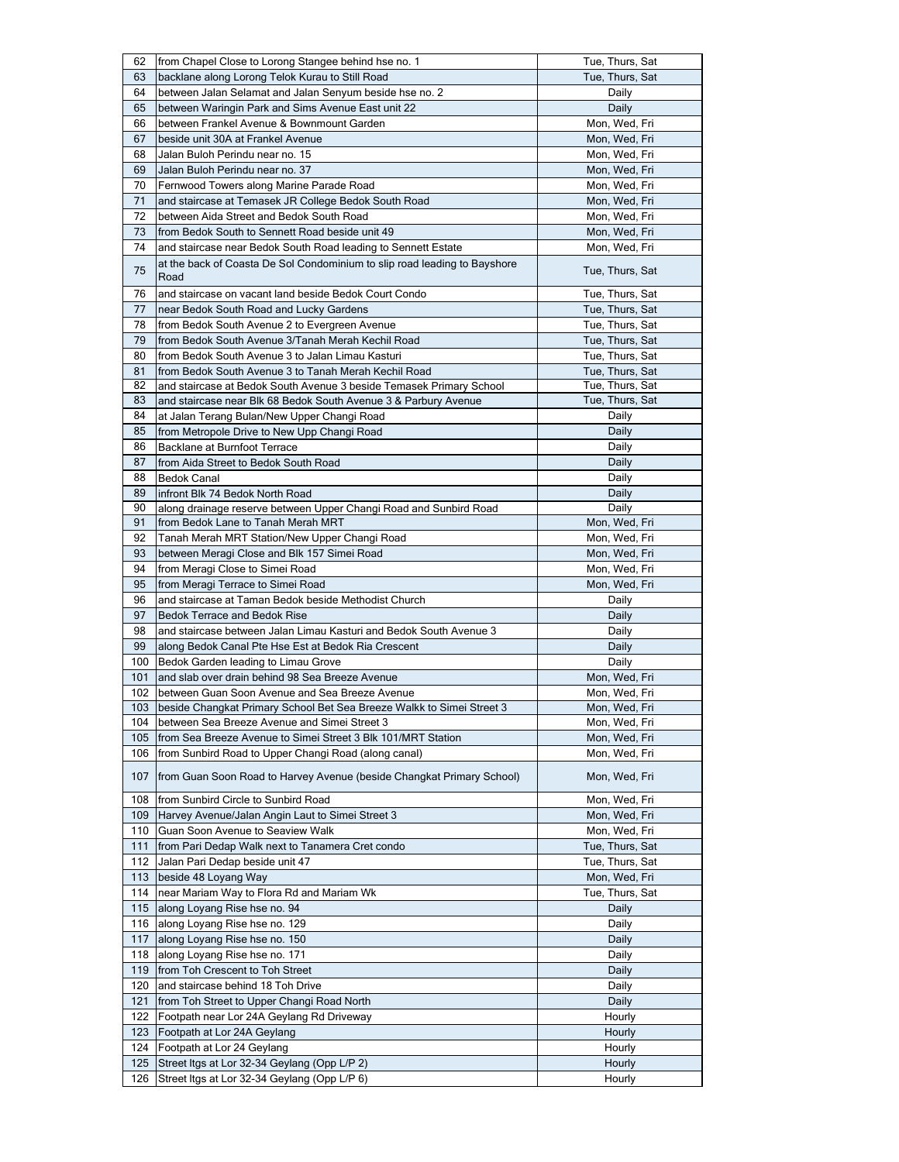| 62         | from Chapel Close to Lorong Stangee behind hse no. 1                                                         | Tue, Thurs, Sat                |
|------------|--------------------------------------------------------------------------------------------------------------|--------------------------------|
| 63         | backlane along Lorong Telok Kurau to Still Road                                                              | Tue, Thurs, Sat                |
| 64         | between Jalan Selamat and Jalan Senyum beside hse no. 2                                                      | Daily                          |
| 65         | between Waringin Park and Sims Avenue East unit 22                                                           | Daily                          |
| 66         | between Frankel Avenue & Bownmount Garden                                                                    | Mon, Wed, Fri                  |
| 67         | beside unit 30A at Frankel Avenue                                                                            | Mon, Wed, Fri                  |
|            |                                                                                                              |                                |
| 68         | Jalan Buloh Perindu near no. 15                                                                              | Mon, Wed, Fri                  |
| 69         | Jalan Buloh Perindu near no. 37                                                                              | Mon, Wed, Fri                  |
| 70         | Fernwood Towers along Marine Parade Road                                                                     | Mon, Wed, Fri                  |
| 71         | and staircase at Temasek JR College Bedok South Road                                                         | Mon, Wed, Fri                  |
| 72         | between Aida Street and Bedok South Road                                                                     | Mon, Wed, Fri                  |
| 73         | from Bedok South to Sennett Road beside unit 49                                                              | Mon, Wed, Fri                  |
| 74         | and staircase near Bedok South Road leading to Sennett Estate                                                | Mon, Wed, Fri                  |
| 75         | at the back of Coasta De Sol Condominium to slip road leading to Bayshore<br>Road                            | Tue, Thurs, Sat                |
| 76         | and staircase on vacant land beside Bedok Court Condo                                                        | Tue, Thurs, Sat                |
| 77         | near Bedok South Road and Lucky Gardens                                                                      | Tue, Thurs, Sat                |
| 78         | from Bedok South Avenue 2 to Evergreen Avenue                                                                | Tue, Thurs, Sat                |
| 79         | from Bedok South Avenue 3/Tanah Merah Kechil Road                                                            | Tue, Thurs, Sat                |
|            |                                                                                                              |                                |
| 80         | from Bedok South Avenue 3 to Jalan Limau Kasturi                                                             | Tue, Thurs, Sat                |
| 81         | from Bedok South Avenue 3 to Tanah Merah Kechil Road                                                         | Tue, Thurs, Sat                |
| 82         | and staircase at Bedok South Avenue 3 beside Temasek Primary School                                          | Tue, Thurs, Sat                |
| 83         | and staircase near Blk 68 Bedok South Avenue 3 & Parbury Avenue                                              | Tue, Thurs, Sat                |
| 84         | at Jalan Terang Bulan/New Upper Changi Road                                                                  | Daily                          |
| 85         | from Metropole Drive to New Upp Changi Road                                                                  | Daily                          |
| 86         | Backlane at Burnfoot Terrace                                                                                 | Daily                          |
| 87         | from Aida Street to Bedok South Road                                                                         | Daily                          |
| 88         | <b>Bedok Canal</b>                                                                                           | Daily                          |
| 89         | infront Blk 74 Bedok North Road                                                                              | Daily                          |
| 90         | along drainage reserve between Upper Changi Road and Sunbird Road                                            | Daily                          |
| 91         | from Bedok Lane to Tanah Merah MRT                                                                           | Mon, Wed, Fri                  |
| 92         | Tanah Merah MRT Station/New Upper Changi Road                                                                | Mon, Wed, Fri                  |
|            |                                                                                                              |                                |
| 93         | between Meragi Close and Blk 157 Simei Road                                                                  | Mon, Wed, Fri                  |
|            |                                                                                                              |                                |
| 94         | from Meragi Close to Simei Road                                                                              | Mon, Wed, Fri                  |
| 95         | from Meragi Terrace to Simei Road                                                                            | Mon, Wed, Fri                  |
| 96         | and staircase at Taman Bedok beside Methodist Church                                                         | Daily                          |
| 97         | Bedok Terrace and Bedok Rise                                                                                 | Daily                          |
| 98         | and staircase between Jalan Limau Kasturi and Bedok South Avenue 3                                           | Daily                          |
| 99         | along Bedok Canal Pte Hse Est at Bedok Ria Crescent                                                          | Daily                          |
| 100        | Bedok Garden leading to Limau Grove                                                                          | Daily                          |
| 101        | and slab over drain behind 98 Sea Breeze Avenue                                                              | Mon, Wed, Fri                  |
|            |                                                                                                              |                                |
| 102        | between Guan Soon Avenue and Sea Breeze Avenue                                                               | Mon, Wed, Fri                  |
|            | 103   beside Changkat Primary School Bet Sea Breeze Walkk to Simei Street 3                                  | Mon, Wed, Fri                  |
| 104        | between Sea Breeze Avenue and Simei Street 3                                                                 | Mon, Wed, Fri                  |
| 105        | from Sea Breeze Avenue to Simei Street 3 Blk 101/MRT Station                                                 | Mon, Wed, Fri                  |
| 106<br>107 | from Sunbird Road to Upper Changi Road (along canal)                                                         | Mon, Wed, Fri<br>Mon, Wed, Fri |
| 108        | from Guan Soon Road to Harvey Avenue (beside Changkat Primary School)<br>from Sunbird Circle to Sunbird Road | Mon, Wed, Fri                  |
|            | 109 Harvey Avenue/Jalan Angin Laut to Simei Street 3                                                         | Mon, Wed, Fri                  |
| 110        | Guan Soon Avenue to Seaview Walk                                                                             |                                |
|            |                                                                                                              | Mon, Wed, Fri                  |
| 111        | from Pari Dedap Walk next to Tanamera Cret condo                                                             | Tue, Thurs, Sat                |
| 112        | Jalan Pari Dedap beside unit 47                                                                              | Tue, Thurs, Sat                |
| 113        | beside 48 Loyang Way                                                                                         | Mon, Wed, Fri                  |
| 114        | near Mariam Way to Flora Rd and Mariam Wk                                                                    | Tue, Thurs, Sat                |
| 115        | along Loyang Rise hse no. 94                                                                                 | Daily                          |
|            | 116 along Loyang Rise hse no. 129                                                                            | Daily                          |
| 117        | along Loyang Rise hse no. 150                                                                                | Daily                          |
| 118        | along Loyang Rise hse no. 171                                                                                | Daily                          |
| 119        | from Toh Crescent to Toh Street                                                                              | Daily                          |
| 120        | and staircase behind 18 Toh Drive                                                                            | Daily                          |
| 121        |                                                                                                              | Daily                          |
|            | from Toh Street to Upper Changi Road North                                                                   |                                |
| 122        | Footpath near Lor 24A Geylang Rd Driveway                                                                    | Hourly                         |
| 123        | Footpath at Lor 24A Geylang                                                                                  | Hourly                         |
| 124        | Footpath at Lor 24 Geylang                                                                                   | Hourly                         |
| 125<br>126 | Street Itgs at Lor 32-34 Geylang (Opp L/P 2)<br>Street Itgs at Lor 32-34 Geylang (Opp L/P 6)                 | Hourly<br>Hourly               |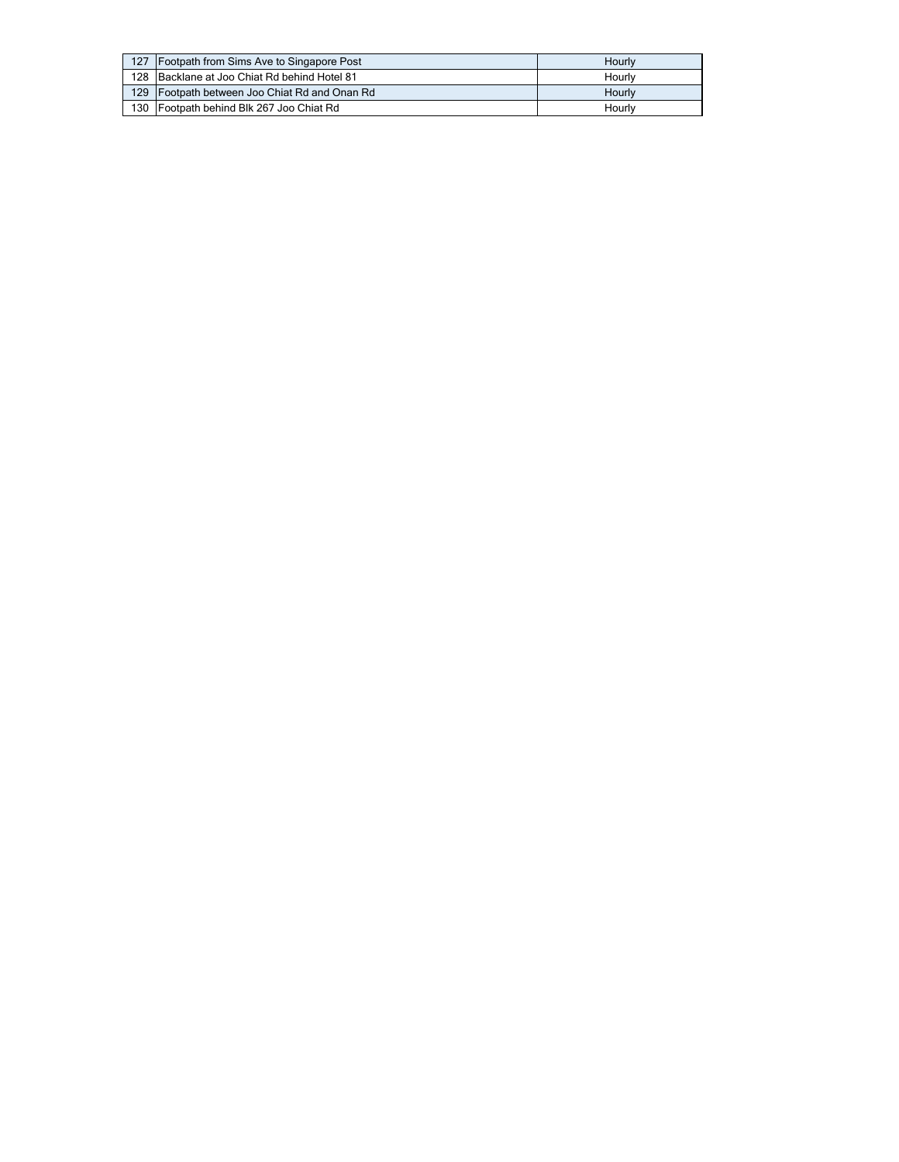| 127 | Footpath from Sims Ave to Singapore Post      | Hourly |
|-----|-----------------------------------------------|--------|
|     | 128 Backlane at Joo Chiat Rd behind Hotel 81  | Hourly |
|     | 129 Footpath between Joo Chiat Rd and Onan Rd | Hourly |
|     | 130 Footpath behind Blk 267 Joo Chiat Rd      | Hourly |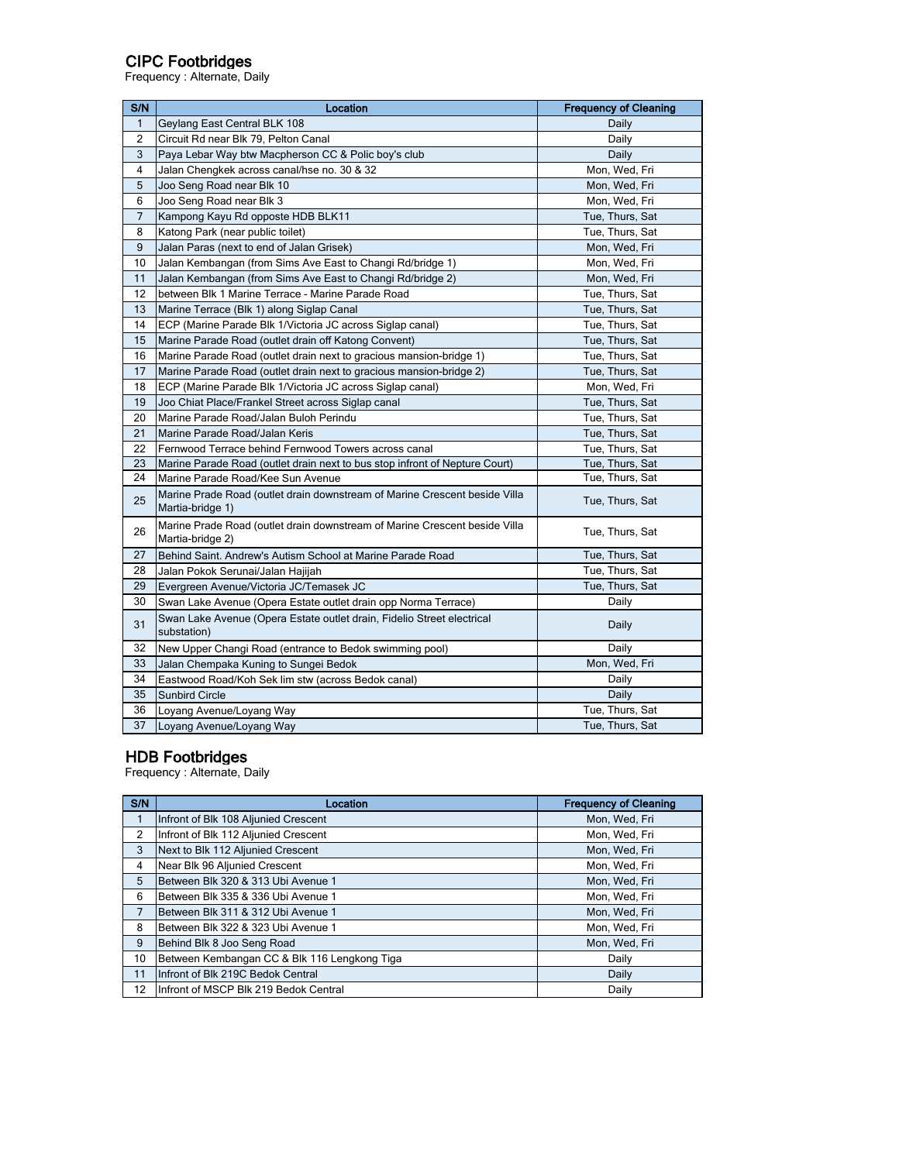## CIPC Footbridges

Frequency : Alternate, Daily

| S/N            | Location                                                                                       | <b>Frequency of Cleaning</b> |
|----------------|------------------------------------------------------------------------------------------------|------------------------------|
| $\mathbf{1}$   | Geylang East Central BLK 108                                                                   | Daily                        |
| $\overline{2}$ | Circuit Rd near Blk 79, Pelton Canal                                                           | Daily                        |
| 3              | Paya Lebar Way btw Macpherson CC & Polic boy's club                                            | Daily                        |
| 4              | Jalan Chengkek across canal/hse no. 30 & 32                                                    | Mon, Wed, Fri                |
| 5              | Joo Seng Road near Blk 10                                                                      | Mon, Wed, Fri                |
| 6              | Joo Seng Road near Blk 3                                                                       | Mon, Wed, Fri                |
| 7              | Kampong Kayu Rd opposte HDB BLK11                                                              | Tue, Thurs, Sat              |
| 8              | Katong Park (near public toilet)                                                               | Tue, Thurs, Sat              |
| 9              | Jalan Paras (next to end of Jalan Grisek)                                                      | Mon, Wed, Fri                |
| 10             | Jalan Kembangan (from Sims Ave East to Changi Rd/bridge 1)                                     | Mon, Wed, Fri                |
| 11             | Jalan Kembangan (from Sims Ave East to Changi Rd/bridge 2)                                     | Mon, Wed, Fri                |
| 12             | between Blk 1 Marine Terrace - Marine Parade Road                                              | Tue, Thurs, Sat              |
| 13             | Marine Terrace (Blk 1) along Siglap Canal                                                      | Tue, Thurs, Sat              |
| 14             | ECP (Marine Parade Blk 1/Victoria JC across Siglap canal)                                      | Tue, Thurs, Sat              |
| 15             | Marine Parade Road (outlet drain off Katong Convent)                                           | Tue, Thurs, Sat              |
| 16             | Marine Parade Road (outlet drain next to gracious mansion-bridge 1)                            | Tue, Thurs, Sat              |
| 17             | Marine Parade Road (outlet drain next to gracious mansion-bridge 2)                            | Tue, Thurs, Sat              |
| 18             | ECP (Marine Parade Blk 1/Victoria JC across Siglap canal)                                      | Mon, Wed, Fri                |
| 19             | Joo Chiat Place/Frankel Street across Siglap canal                                             | Tue, Thurs, Sat              |
| 20             | Marine Parade Road/Jalan Buloh Perindu                                                         | Tue, Thurs, Sat              |
| 21             | Marine Parade Road/Jalan Keris                                                                 | Tue, Thurs, Sat              |
| 22             | Fernwood Terrace behind Fernwood Towers across canal                                           | Tue, Thurs, Sat              |
| 23             | Marine Parade Road (outlet drain next to bus stop infront of Nepture Court)                    | Tue, Thurs, Sat              |
| 24             | Marine Parade Road/Kee Sun Avenue                                                              | Tue, Thurs, Sat              |
| 25             | Marine Prade Road (outlet drain downstream of Marine Crescent beside Villa<br>Martia-bridge 1) | Tue, Thurs, Sat              |
| 26             | Marine Prade Road (outlet drain downstream of Marine Crescent beside Villa<br>Martia-bridge 2) | Tue, Thurs, Sat              |
| 27             | Behind Saint. Andrew's Autism School at Marine Parade Road                                     | Tue, Thurs, Sat              |
| 28             | Jalan Pokok Serunai/Jalan Hajijah                                                              | Tue, Thurs, Sat              |
| 29             | Evergreen Avenue/Victoria JC/Temasek JC                                                        | Tue, Thurs, Sat              |
| 30             | Swan Lake Avenue (Opera Estate outlet drain opp Norma Terrace)                                 | Daily                        |
| 31             | Swan Lake Avenue (Opera Estate outlet drain, Fidelio Street electrical<br>substation)          | Daily                        |
| 32             | New Upper Changi Road (entrance to Bedok swimming pool)                                        | Daily                        |
| 33             | Jalan Chempaka Kuning to Sungei Bedok                                                          | Mon, Wed, Fri                |
| 34             | Eastwood Road/Koh Sek lim stw (across Bedok canal)                                             | Daily                        |
| 35             | <b>Sunbird Circle</b>                                                                          | Daily                        |
| 36             | Loyang Avenue/Loyang Way                                                                       | Tue, Thurs, Sat              |
| 37             | Loyang Avenue/Loyang Way                                                                       | Tue, Thurs, Sat              |

#### HDB Footbridges

Frequency : Alternate, Daily

| S/N            | Location                                     | <b>Frequency of Cleaning</b> |
|----------------|----------------------------------------------|------------------------------|
|                | Infront of Blk 108 Aljunied Crescent         | Mon, Wed, Fri                |
| 2              | Infront of Blk 112 Aljunied Crescent         | Mon, Wed, Fri                |
| 3              | Next to Blk 112 Aljunied Crescent            | Mon, Wed, Fri                |
| 4              | Near Blk 96 Aljunied Crescent                | Mon, Wed, Fri                |
| 5              | Between Blk 320 & 313 Ubi Avenue 1           | Mon, Wed, Fri                |
| 6              | Between Blk 335 & 336 Ubi Avenue 1           | Mon, Wed, Fri                |
| $\overline{7}$ | Between Blk 311 & 312 Ubi Avenue 1           | Mon, Wed, Fri                |
| 8              | Between Blk 322 & 323 Ubi Avenue 1           | Mon, Wed, Fri                |
| 9              | Behind Blk 8 Joo Seng Road                   | Mon, Wed, Fri                |
| 10             | Between Kembangan CC & Blk 116 Lengkong Tiga | Daily                        |
| 11             | Infront of Blk 219C Bedok Central            | Daily                        |
| 12             | Infront of MSCP Blk 219 Bedok Central        | Daily                        |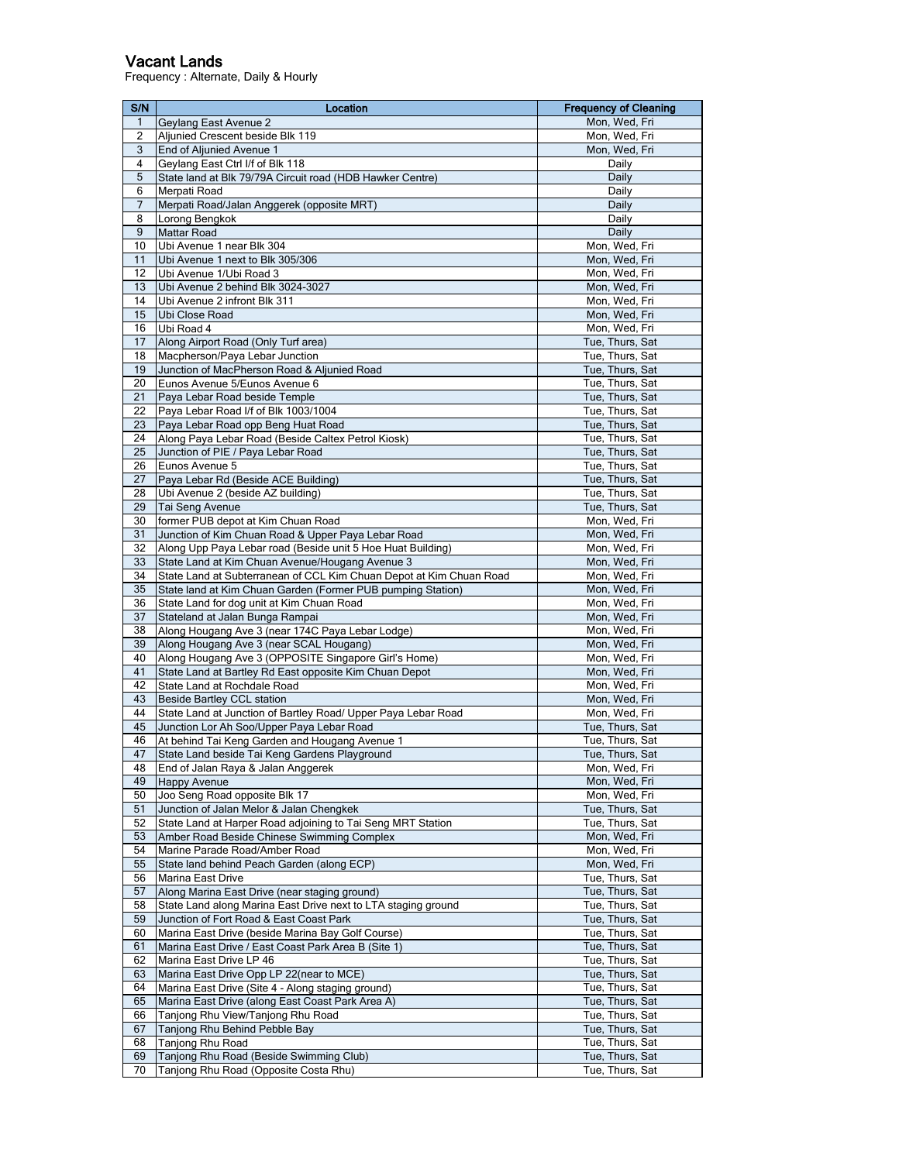#### Vacant Lands

Frequency : Alternate, Daily & Hourly

| S/N            | Location                                                                                                | <b>Frequency of Cleaning</b>       |
|----------------|---------------------------------------------------------------------------------------------------------|------------------------------------|
| $\mathbf{1}$   | Geylang East Avenue 2                                                                                   | Mon, Wed, Fri                      |
| $\overline{c}$ | Aljunied Crescent beside Blk 119                                                                        | Mon, Wed, Fri                      |
| 3              | End of Aljunied Avenue 1                                                                                | Mon, Wed, Fri                      |
| 4              | Geylang East Ctrl I/f of Blk 118                                                                        | Daily                              |
| 5              | State land at Blk 79/79A Circuit road (HDB Hawker Centre)                                               | Daily                              |
| 6              | Merpati Road                                                                                            | Daily                              |
| 7              | Merpati Road/Jalan Anggerek (opposite MRT)                                                              | Daily                              |
| 8              | Lorong Bengkok                                                                                          | Daily                              |
| 9<br>10        | <b>Mattar Road</b><br>Ubi Avenue 1 near Blk 304                                                         | Daily<br>Mon, Wed, Fri             |
| 11             | Ubi Avenue 1 next to Blk 305/306                                                                        | Mon, Wed, Fri                      |
| 12             | Ubi Avenue 1/Ubi Road 3                                                                                 | Mon, Wed, Fri                      |
| 13             | Ubi Avenue 2 behind Blk 3024-3027                                                                       | Mon, Wed, Fri                      |
| 14             | Ubi Avenue 2 infront Blk 311                                                                            | Mon, Wed, Fri                      |
| 15             | Ubi Close Road                                                                                          | Mon, Wed, Fri                      |
| 16             | Ubi Road 4                                                                                              | Mon, Wed, Fri                      |
| 17             | Along Airport Road (Only Turf area)                                                                     | Tue, Thurs, Sat                    |
| 18             | Macpherson/Paya Lebar Junction                                                                          | Tue, Thurs, Sat                    |
| 19             | Junction of MacPherson Road & Aljunied Road                                                             | Tue, Thurs, Sat                    |
| 20             | Eunos Avenue 5/Eunos Avenue 6                                                                           | Tue, Thurs, Sat                    |
| 21             | Paya Lebar Road beside Temple                                                                           | Tue, Thurs, Sat                    |
| 22             | Paya Lebar Road I/f of Blk 1003/1004                                                                    | Tue, Thurs, Sat                    |
| 23<br>24       | Paya Lebar Road opp Beng Huat Road                                                                      | Tue, Thurs, Sat                    |
| 25             | Along Paya Lebar Road (Beside Caltex Petrol Kiosk)<br>Junction of PIE / Paya Lebar Road                 | Tue, Thurs, Sat<br>Tue, Thurs, Sat |
| 26             | Eunos Avenue 5                                                                                          | Tue, Thurs, Sat                    |
| 27             | Paya Lebar Rd (Beside ACE Building)                                                                     | Tue, Thurs, Sat                    |
| 28             | Ubi Avenue 2 (beside AZ building)                                                                       | Tue, Thurs, Sat                    |
| 29             | Tai Seng Avenue                                                                                         | Tue, Thurs, Sat                    |
| 30             | former PUB depot at Kim Chuan Road                                                                      | Mon, Wed, Fri                      |
| 31             | Junction of Kim Chuan Road & Upper Paya Lebar Road                                                      | Mon, Wed, Fri                      |
| 32             | Along Upp Paya Lebar road (Beside unit 5 Hoe Huat Building)                                             | Mon, Wed, Fri                      |
| 33             | State Land at Kim Chuan Avenue/Hougang Avenue 3                                                         | Mon, Wed, Fri                      |
| 34             | State Land at Subterranean of CCL Kim Chuan Depot at Kim Chuan Road                                     | Mon, Wed, Fri                      |
| 35             | State land at Kim Chuan Garden (Former PUB pumping Station)                                             | Mon, Wed, Fri                      |
| 36             | State Land for dog unit at Kim Chuan Road                                                               | Mon, Wed, Fri                      |
| 37<br>38       | Stateland at Jalan Bunga Rampai                                                                         | Mon, Wed, Fri<br>Mon, Wed, Fri     |
| 39             | Along Hougang Ave 3 (near 174C Paya Lebar Lodge)<br>Along Hougang Ave 3 (near SCAL Hougang)             | Mon, Wed, Fri                      |
| 40             | Along Hougang Ave 3 (OPPOSITE Singapore Girl's Home)                                                    | Mon, Wed, Fri                      |
| 41             | State Land at Bartley Rd East opposite Kim Chuan Depot                                                  | Mon, Wed, Fri                      |
| 42             | State Land at Rochdale Road                                                                             | Mon, Wed, Fri                      |
| 43             | <b>Beside Bartley CCL station</b>                                                                       | Mon, Wed, Fri                      |
| 44             | State Land at Junction of Bartley Road/ Upper Paya Lebar Road                                           | Mon, Wed, Fri                      |
| 45             | Junction Lor Ah Soo/Upper Paya Lebar Road                                                               | Tue, Thurs, Sat                    |
| 46             | At behind Tai Keng Garden and Hougang Avenue 1                                                          | Tue, Thurs, Sat                    |
| 47             | State Land beside Tai Keng Gardens Plavground                                                           | Tue, Thurs, Sat                    |
| 48             | End of Jalan Raya & Jalan Anggerek                                                                      | Mon, Wed, Fri                      |
| 49             | <b>Happy Avenue</b>                                                                                     | Mon, Wed, Fri                      |
| 50             | Joo Seng Road opposite Blk 17                                                                           | Mon, Wed, Fri                      |
| 51<br>52       | Junction of Jalan Melor & Jalan Chengkek<br>State Land at Harper Road adjoining to Tai Seng MRT Station | Tue, Thurs, Sat<br>Tue, Thurs, Sat |
| 53             | Amber Road Beside Chinese Swimming Complex                                                              | Mon, Wed, Fri                      |
| 54             | Marine Parade Road/Amber Road                                                                           | Mon, Wed, Fri                      |
| 55             | State land behind Peach Garden (along ECP)                                                              | Mon, Wed, Fri                      |
| 56             | Marina East Drive                                                                                       | Tue, Thurs, Sat                    |
| 57             | Along Marina East Drive (near staging ground)                                                           | Tue, Thurs, Sat                    |
| 58             | State Land along Marina East Drive next to LTA staging ground                                           | Tue, Thurs, Sat                    |
| 59             | Junction of Fort Road & East Coast Park                                                                 | Tue, Thurs, Sat                    |
| 60             | Marina East Drive (beside Marina Bay Golf Course)                                                       | Tue, Thurs, Sat                    |
| 61             | Marina East Drive / East Coast Park Area B (Site 1)                                                     | Tue, Thurs, Sat                    |
| 62             | Marina East Drive LP 46                                                                                 | Tue, Thurs, Sat                    |
| 63             | Marina East Drive Opp LP 22(near to MCE)                                                                | Tue, Thurs, Sat                    |
| 64             | Marina East Drive (Site 4 - Along staging ground)                                                       | Tue, Thurs, Sat                    |
| 65             | Marina East Drive (along East Coast Park Area A)                                                        | Tue, Thurs, Sat<br>Tue, Thurs, Sat |
| 66<br>67       | Tanjong Rhu View/Tanjong Rhu Road<br>Tanjong Rhu Behind Pebble Bay                                      | Tue, Thurs, Sat                    |
| 68             | Tanjong Rhu Road                                                                                        | Tue, Thurs, Sat                    |
| 69             | Tanjong Rhu Road (Beside Swimming Club)                                                                 | Tue, Thurs, Sat                    |
| 70             | Tanjong Rhu Road (Opposite Costa Rhu)                                                                   | Tue, Thurs, Sat                    |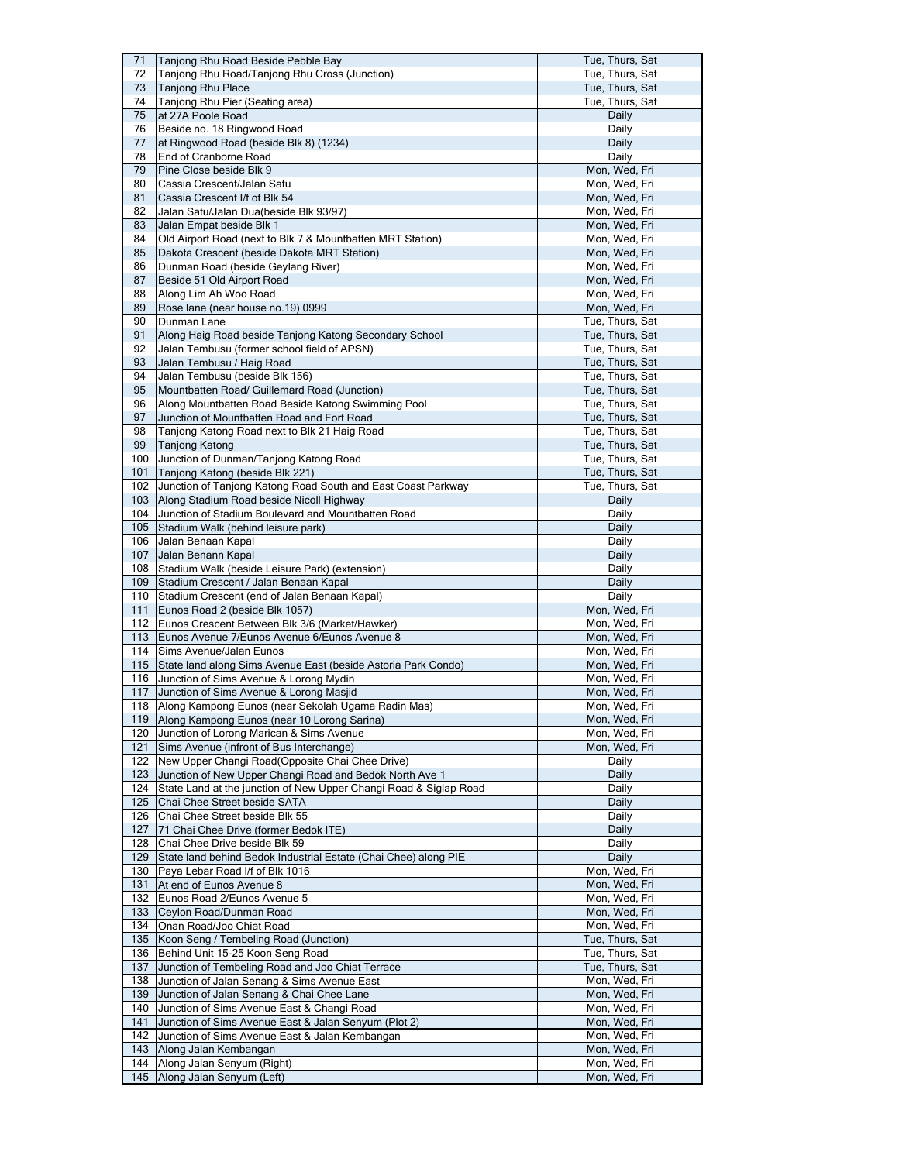| 71         | Tanjong Rhu Road Beside Pebble Bay                                                                        | Tue, Thurs, Sat                  |
|------------|-----------------------------------------------------------------------------------------------------------|----------------------------------|
| 72         | Tanjong Rhu Road/Tanjong Rhu Cross (Junction)                                                             | Tue, Thurs, Sat                  |
| 73         | Tanjong Rhu Place                                                                                         | Tue, Thurs, Sat                  |
| 74         | Tanjong Rhu Pier (Seating area)                                                                           | Tue, Thurs, Sat                  |
| 75         | at 27A Poole Road                                                                                         | Daily                            |
| 76         | Beside no. 18 Ringwood Road                                                                               | Daily                            |
| 77         | at Ringwood Road (beside Blk 8) (1234)                                                                    | Daily                            |
| 78         | End of Cranborne Road                                                                                     | Daily                            |
| 79         | Pine Close beside Blk 9                                                                                   | Mon, Wed, Fri                    |
| 80         | Cassia Crescent/Jalan Satu                                                                                | Mon, Wed, Fri                    |
| 81         | Cassia Crescent I/f of Blk 54                                                                             | Mon, Wed, Fri                    |
| 82         | Jalan Satu/Jalan Dua(beside Blk 93/97)                                                                    | Mon, Wed, Fri<br>Mon, Wed, Fri   |
| 83<br>84   | Jalan Empat beside Blk 1                                                                                  | Mon, Wed, Fri                    |
| 85         | Old Airport Road (next to Blk 7 & Mountbatten MRT Station)<br>Dakota Crescent (beside Dakota MRT Station) | Mon, Wed, Fri                    |
| 86         | Dunman Road (beside Geylang River)                                                                        | Mon, Wed, Fri                    |
| 87         | Beside 51 Old Airport Road                                                                                | Mon, Wed, Fri                    |
| 88         | Along Lim Ah Woo Road                                                                                     | Mon, Wed, Fri                    |
| 89         | Rose lane (near house no.19) 0999                                                                         | Mon, Wed, Fri                    |
| 90         | Dunman Lane                                                                                               | Tue, Thurs, Sat                  |
| 91         | Along Haig Road beside Tanjong Katong Secondary School                                                    | Tue, Thurs, Sat                  |
| 92         | Jalan Tembusu (former school field of APSN)                                                               | Tue, Thurs, Sat                  |
| 93         | Jalan Tembusu / Haig Road                                                                                 | Tue, Thurs, Sat                  |
| 94         | Jalan Tembusu (beside Blk 156)                                                                            | Tue, Thurs, Sat                  |
| 95         | Mountbatten Road/ Guillemard Road (Junction)                                                              | Tue, Thurs, Sat                  |
| 96         | Along Mountbatten Road Beside Katong Swimming Pool                                                        | Tue, Thurs, Sat                  |
| 97         | Junction of Mountbatten Road and Fort Road                                                                | Tue, Thurs, Sat                  |
| 98         | Tanjong Katong Road next to Blk 21 Haig Road                                                              | Tue, Thurs, Sat                  |
| 99         | <b>Tanjong Katong</b>                                                                                     | Tue, Thurs, Sat                  |
|            | 100 Junction of Dunman/Tanjong Katong Road                                                                | Tue, Thurs, Sat                  |
| 101        | Tanjong Katong (beside Blk 221)                                                                           | Tue, Thurs, Sat                  |
| 102        | Junction of Tanjong Katong Road South and East Coast Parkway                                              | Tue, Thurs, Sat                  |
|            | 103 Along Stadium Road beside Nicoll Highway                                                              | Daily                            |
|            | 104 Junction of Stadium Boulevard and Mountbatten Road                                                    | Daily                            |
| 105        | Stadium Walk (behind leisure park)                                                                        | Daily                            |
|            | 106 Jalan Benaan Kapal                                                                                    | Daily                            |
|            | 107 Jalan Benann Kapal                                                                                    | Daily                            |
|            | 108 Stadium Walk (beside Leisure Park) (extension)                                                        | Daily                            |
| 109        | Stadium Crescent / Jalan Benaan Kapal                                                                     | Daily                            |
|            |                                                                                                           |                                  |
| 110        | Stadium Crescent (end of Jalan Benaan Kapal)                                                              | Daily                            |
| 111        | Eunos Road 2 (beside Blk 1057)                                                                            | Mon, Wed, Fri                    |
|            | 112 Eunos Crescent Between Blk 3/6 (Market/Hawker)                                                        | Mon, Wed, Fri                    |
| 113        | Eunos Avenue 7/Eunos Avenue 6/Eunos Avenue 8                                                              | Mon, Wed, Fri                    |
| 114        | Sims Avenue/Jalan Eunos                                                                                   | Mon, Wed, Fri                    |
| 115        | State land along Sims Avenue East (beside Astoria Park Condo)                                             | Mon, Wed, Fri                    |
| 116        | Junction of Sims Avenue & Lorong Mydin                                                                    | Mon, Wed, Fri                    |
| 117        | Junction of Sims Avenue & Lorong Masjid                                                                   | Mon, Wed, Fri                    |
| 118        | Along Kampong Eunos (near Sekolah Ugama Radin Mas)                                                        | Mon, Wed, Fri                    |
|            | 119 Along Kampong Eunos (near 10 Lorong Sarina)                                                           | Mon, Wed, Fri                    |
|            | 120 Junction of Lorong Marican & Sims Avenue                                                              | Mon, Wed, Fri                    |
| 121        | Sims Avenue (infront of Bus Interchange)                                                                  | Mon, Wed, Fri                    |
| 122        | New Upper Changi Road (Opposite Chai Chee Drive)                                                          | Daily                            |
| 123        | Junction of New Upper Changi Road and Bedok North Ave 1                                                   | Daily                            |
| 124        | State Land at the junction of New Upper Changi Road & Siglap Road                                         | Daily                            |
| 125        | Chai Chee Street beside SATA                                                                              | Daily                            |
| 126        | Chai Chee Street beside Blk 55                                                                            | Daily                            |
| 127        | 71 Chai Chee Drive (former Bedok ITE)                                                                     | Daily                            |
| 128        | Chai Chee Drive beside Blk 59                                                                             | Daily                            |
|            | 129 State land behind Bedok Industrial Estate (Chai Chee) along PIE                                       | Daily                            |
|            | 130 Paya Lebar Road I/f of Blk 1016                                                                       | Mon, Wed, Fri                    |
| 131        | At end of Eunos Avenue 8<br>Eunos Road 2/Eunos Avenue 5                                                   | Mon, Wed, Fri                    |
| 132        |                                                                                                           | Mon, Wed, Fri                    |
| 133<br>134 | Ceylon Road/Dunman Road                                                                                   | Mon, Wed, Fri                    |
| 135        | Onan Road/Joo Chiat Road                                                                                  | Mon, Wed, Fri<br>Tue, Thurs, Sat |
| 136        | Koon Seng / Tembeling Road (Junction)<br>Behind Unit 15-25 Koon Seng Road                                 | Tue, Thurs, Sat                  |
| 137        |                                                                                                           |                                  |
| 138        | Junction of Tembeling Road and Joo Chiat Terrace<br>Junction of Jalan Senang & Sims Avenue East           | Tue, Thurs, Sat                  |
| 139        | Junction of Jalan Senang & Chai Chee Lane                                                                 | Mon, Wed, Fri<br>Mon, Wed, Fri   |
| 140        | Junction of Sims Avenue East & Changi Road                                                                | Mon, Wed, Fri                    |
| 141        | Junction of Sims Avenue East & Jalan Senyum (Plot 2)                                                      | Mon, Wed, Fri                    |
| 142        | Junction of Sims Avenue East & Jalan Kembangan                                                            | Mon, Wed, Fri                    |
| 143        | Along Jalan Kembangan                                                                                     | Mon, Wed, Fri                    |
| 144        | Along Jalan Senyum (Right)<br>Along Jalan Senyum (Left)                                                   | Mon, Wed, Fri                    |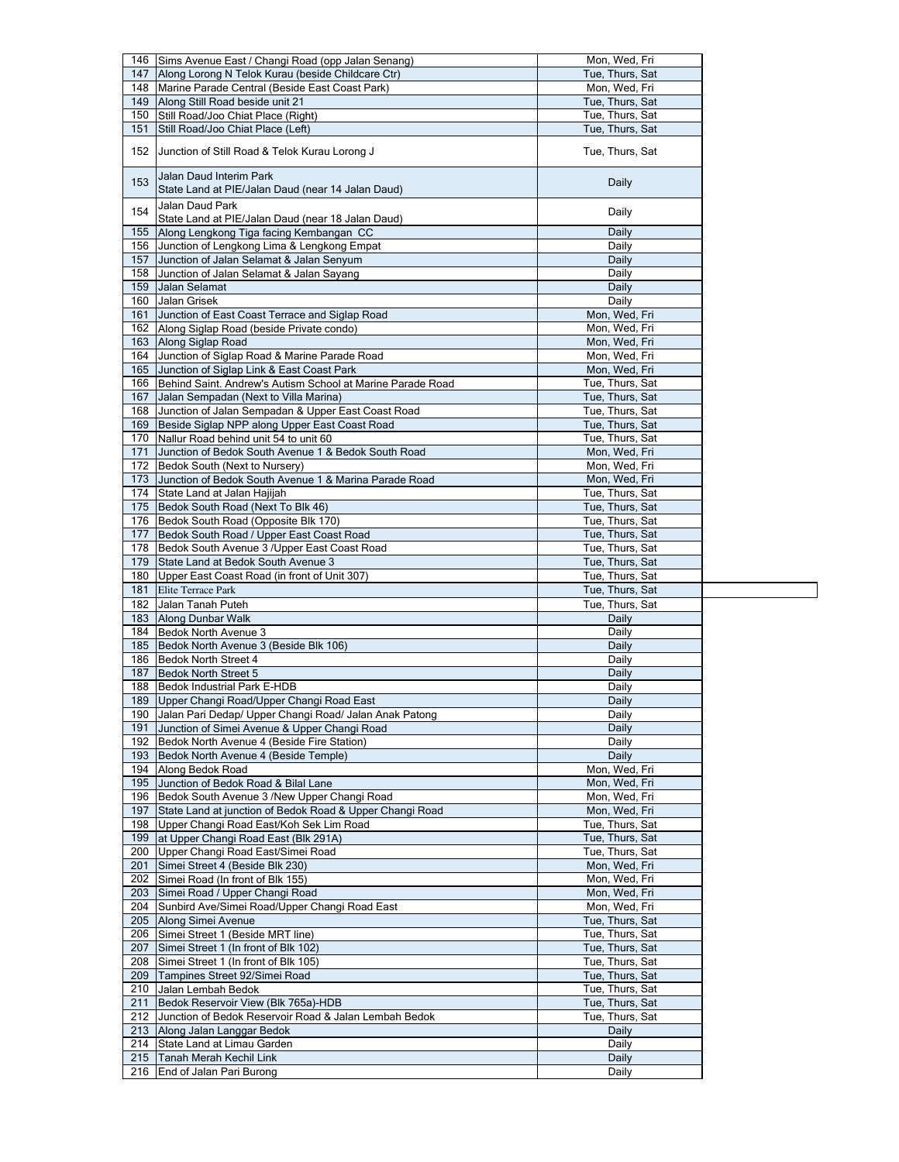|     | 146 Sims Avenue East / Changi Road (opp Jalan Senang)                                                      | Mon, Wed, Fri                      |
|-----|------------------------------------------------------------------------------------------------------------|------------------------------------|
| 147 | Along Lorong N Telok Kurau (beside Childcare Ctr)                                                          | Tue, Thurs, Sat                    |
|     | 148 Marine Parade Central (Beside East Coast Park)                                                         | Mon, Wed, Fri                      |
|     | 149 Along Still Road beside unit 21                                                                        | Tue, Thurs, Sat                    |
|     | 150 Still Road/Joo Chiat Place (Right)                                                                     | Tue, Thurs, Sat                    |
| 151 | Still Road/Joo Chiat Place (Left)                                                                          | Tue, Thurs, Sat                    |
| 152 | Junction of Still Road & Telok Kurau Lorong J                                                              | Tue, Thurs, Sat                    |
| 153 | Jalan Daud Interim Park<br>State Land at PIE/Jalan Daud (near 14 Jalan Daud)                               | Daily                              |
| 154 | Jalan Daud Park                                                                                            | Daily                              |
|     | State Land at PIE/Jalan Daud (near 18 Jalan Daud)                                                          |                                    |
| 155 | Along Lengkong Tiga facing Kembangan CC                                                                    | Daily                              |
|     | 156 Junction of Lengkong Lima & Lengkong Empat                                                             | Daily                              |
| 157 | Junction of Jalan Selamat & Jalan Senyum<br>158 Junction of Jalan Selamat & Jalan Sayang                   | Daily<br>Daily                     |
|     | 159 Jalan Selamat                                                                                          | Daily                              |
|     | 160 Jalan Grisek                                                                                           | Daily                              |
| 161 | Junction of East Coast Terrace and Siglap Road                                                             | Mon, Wed, Fri                      |
|     | 162   Along Siglap Road (beside Private condo)                                                             | Mon, Wed, Fri                      |
|     | 163 Along Siglap Road                                                                                      | Mon, Wed, Fri                      |
|     | 164 Junction of Siglap Road & Marine Parade Road                                                           | Mon, Wed, Fri                      |
| 165 | Junction of Siglap Link & East Coast Park                                                                  | Mon, Wed, Fri                      |
|     | 166 Behind Saint. Andrew's Autism School at Marine Parade Road                                             | Tue, Thurs, Sat                    |
| 167 | Jalan Sempadan (Next to Villa Marina)                                                                      | Tue, Thurs, Sat                    |
|     | 168 Junction of Jalan Sempadan & Upper East Coast Road                                                     | Tue, Thurs, Sat                    |
|     | 169 Beside Siglap NPP along Upper East Coast Road                                                          | Tue, Thurs, Sat                    |
|     | 170   Nallur Road behind unit 54 to unit 60                                                                | Tue, Thurs, Sat                    |
| 171 | Junction of Bedok South Avenue 1 & Bedok South Road                                                        | Mon, Wed, Fri                      |
|     | 172 Bedok South (Next to Nursery)                                                                          | Mon, Wed, Fri                      |
|     | 173 Junction of Bedok South Avenue 1 & Marina Parade Road                                                  | Mon. Wed. Fri                      |
|     | 174 State Land at Jalan Hajijah                                                                            | Tue, Thurs, Sat                    |
|     | 175 Bedok South Road (Next To Blk 46)                                                                      | Tue, Thurs, Sat                    |
|     | 176 Bedok South Road (Opposite Blk 170)                                                                    | Tue, Thurs, Sat                    |
| 177 | Bedok South Road / Upper East Coast Road                                                                   | Tue, Thurs, Sat                    |
|     | 178 Bedok South Avenue 3 / Upper East Coast Road<br>179 State Land at Bedok South Avenue 3                 | Tue, Thurs, Sat<br>Tue, Thurs, Sat |
|     | 180 Upper East Coast Road (in front of Unit 307)                                                           | Tue, Thurs, Sat                    |
| 181 | <b>Elite Terrace Park</b>                                                                                  | Tue, Thurs, Sat                    |
|     | 182 Jalan Tanah Puteh                                                                                      | Tue, Thurs, Sat                    |
|     | 183 Along Dunbar Walk                                                                                      | Daily                              |
|     | 184 Bedok North Avenue 3                                                                                   |                                    |
|     |                                                                                                            |                                    |
|     |                                                                                                            | Daily                              |
|     | 185 Bedok North Avenue 3 (Beside Blk 106)<br>186 Bedok North Street 4                                      | Daily<br>Daily                     |
| 187 | Bedok North Street 5                                                                                       | Daily                              |
|     |                                                                                                            | Daily                              |
| 189 | 188 Bedok Industrial Park E-HDB<br>Upper Changi Road/Upper Changi Road East                                | Daily                              |
|     |                                                                                                            | Daily                              |
| 191 | 190 Jalan Pari Dedap/ Upper Changi Road/ Jalan Anak Patong<br>Junction of Simei Avenue & Upper Changi Road | Daily                              |
|     | 192 Bedok North Avenue 4 (Beside Fire Station)                                                             | Daily                              |
|     | 193 Bedok North Avenue 4 (Beside Temple)                                                                   | Daily                              |
| 194 | Along Bedok Road                                                                                           | Mon, Wed, Fri                      |
| 195 | Junction of Bedok Road & Bilal Lane                                                                        | Mon, Wed, Fri                      |
|     | 196 Bedok South Avenue 3 / New Upper Changi Road                                                           | Mon, Wed, Fri                      |
| 197 | State Land at junction of Bedok Road & Upper Changi Road                                                   | Mon, Wed, Fri                      |
|     | 198 Upper Changi Road East/Koh Sek Lim Road                                                                | Tue, Thurs, Sat                    |
|     | 199 at Upper Changi Road East (Blk 291A)                                                                   | Tue, Thurs, Sat                    |
|     | 200 Upper Changi Road East/Simei Road                                                                      | Tue, Thurs, Sat                    |
| 201 | Simei Street 4 (Beside Blk 230)                                                                            | Mon, Wed, Fri                      |
|     | 202 Simei Road (In front of Blk 155)                                                                       | Mon, Wed, Fri                      |
|     | 203 Simei Road / Upper Changi Road                                                                         | Mon, Wed, Fri                      |
| 204 | Sunbird Ave/Simei Road/Upper Changi Road East                                                              | Mon, Wed, Fri                      |
|     | 205 Along Simei Avenue                                                                                     | Tue, Thurs, Sat                    |
|     | 206 Simei Street 1 (Beside MRT line)                                                                       | Tue, Thurs, Sat                    |
|     | 207   Simei Street 1 (In front of Blk 102)                                                                 | Tue, Thurs, Sat                    |
|     | 208   Simei Street 1 (In front of Blk 105)                                                                 | Tue, Thurs, Sat                    |
|     | 209 Tampines Street 92/Simei Road                                                                          | Tue, Thurs, Sat                    |
| 211 | 210 Jalan Lembah Bedok<br>Bedok Reservoir View (Blk 765a)-HDB                                              | Tue, Thurs, Sat<br>Tue, Thurs, Sat |
|     | 212 Junction of Bedok Reservoir Road & Jalan Lembah Bedok                                                  | Tue, Thurs, Sat                    |
|     | 213 Along Jalan Langgar Bedok                                                                              | Daily                              |
|     | 214 State Land at Limau Garden                                                                             | Daily                              |
|     | 215 Tanah Merah Kechil Link                                                                                | Daily                              |
|     | 216 End of Jalan Pari Burong                                                                               | Daily                              |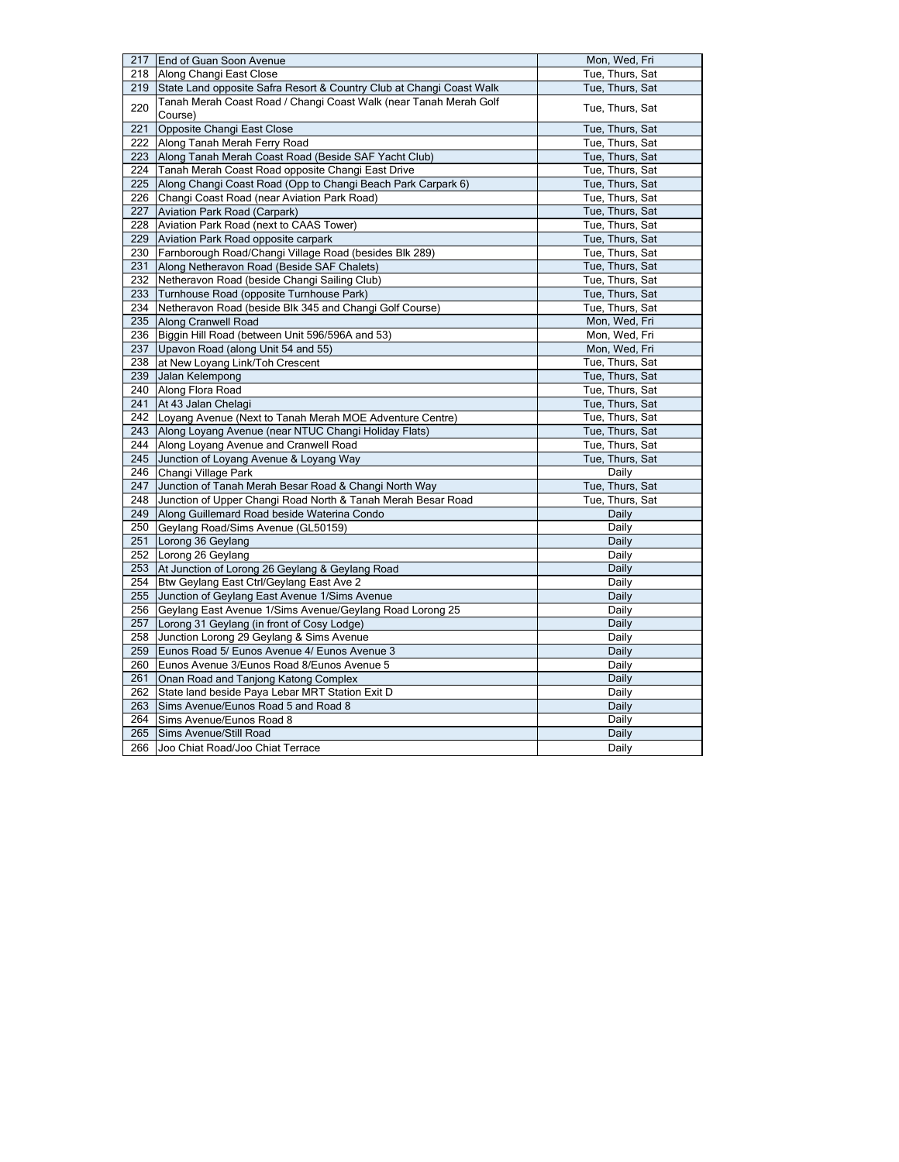| 217            | End of Guan Soon Avenue                                              | Mon, Wed, Fri   |
|----------------|----------------------------------------------------------------------|-----------------|
|                | 218 Along Changi East Close                                          | Tue, Thurs, Sat |
| 219            | State Land opposite Safra Resort & Country Club at Changi Coast Walk | Tue, Thurs, Sat |
| 220<br>Course) | Tanah Merah Coast Road / Changi Coast Walk (near Tanah Merah Golf    | Tue, Thurs, Sat |
| 221            | Opposite Changi East Close                                           | Tue, Thurs, Sat |
| 222            | Along Tanah Merah Ferry Road                                         | Tue, Thurs, Sat |
| 223            | Along Tanah Merah Coast Road (Beside SAF Yacht Club)                 | Tue, Thurs, Sat |
| 224            | Tanah Merah Coast Road opposite Changi East Drive                    | Tue, Thurs, Sat |
| 225            | Along Changi Coast Road (Opp to Changi Beach Park Carpark 6)         | Tue, Thurs, Sat |
| 226            | Changi Coast Road (near Aviation Park Road)                          | Tue, Thurs, Sat |
| 227            | <b>Aviation Park Road (Carpark)</b>                                  | Tue, Thurs, Sat |
| 228            | Aviation Park Road (next to CAAS Tower)                              | Tue, Thurs, Sat |
| 229            | Aviation Park Road opposite carpark                                  | Tue, Thurs, Sat |
| 230            | Farnborough Road/Changi Village Road (besides Blk 289)               | Tue, Thurs, Sat |
| 231            | Along Netheravon Road (Beside SAF Chalets)                           | Tue, Thurs, Sat |
| 232            | Netheravon Road (beside Changi Sailing Club)                         | Tue, Thurs, Sat |
| 233            | Turnhouse Road (opposite Turnhouse Park)                             | Tue, Thurs, Sat |
| 234            | Netheravon Road (beside Blk 345 and Changi Golf Course)              | Tue, Thurs, Sat |
| 235            | Along Cranwell Road                                                  | Mon, Wed, Fri   |
| 236            | Biggin Hill Road (between Unit 596/596A and 53)                      | Mon, Wed, Fri   |
| 237            | Upavon Road (along Unit 54 and 55)                                   | Mon, Wed, Fri   |
| 238            | at New Loyang Link/Toh Crescent                                      | Tue, Thurs, Sat |
| 239            | Jalan Kelempong                                                      | Tue, Thurs, Sat |
| 240            | Along Flora Road                                                     | Tue, Thurs, Sat |
| 241            | At 43 Jalan Chelagi                                                  | Tue, Thurs, Sat |
|                | 242 Loyang Avenue (Next to Tanah Merah MOE Adventure Centre)         | Tue, Thurs, Sat |
| 243            | Along Loyang Avenue (near NTUC Changi Holiday Flats)                 | Tue, Thurs, Sat |
| 244            | Along Loyang Avenue and Cranwell Road                                | Tue, Thurs, Sat |
| 245            | Junction of Loyang Avenue & Loyang Way                               | Tue, Thurs, Sat |
| 246            | Changi Village Park                                                  | Daily           |
| 247            | Junction of Tanah Merah Besar Road & Changi North Way                | Tue, Thurs, Sat |
| 248            | Junction of Upper Changi Road North & Tanah Merah Besar Road         | Tue, Thurs, Sat |
| 249            | Along Guillemard Road beside Waterina Condo                          | Daily           |
| 250            | Geylang Road/Sims Avenue (GL50159)                                   | Daily           |
| 251            | Lorong 36 Geylang                                                    | Daily           |
| 252            | Lorong 26 Geylang                                                    | Daily           |
| 253            | At Junction of Lorong 26 Geylang & Geylang Road                      | Daily           |
| 254            | Btw Geylang East Ctrl/Geylang East Ave 2                             | Daily           |
| 255            | Junction of Geylang East Avenue 1/Sims Avenue                        | Daily           |
| 256            | Geylang East Avenue 1/Sims Avenue/Geylang Road Lorong 25             | Daily           |
| 257            | Lorong 31 Geylang (in front of Cosy Lodge)                           | Daily           |
| 258            | Junction Lorong 29 Geylang & Sims Avenue                             | Daily           |
| 259            | Eunos Road 5/ Eunos Avenue 4/ Eunos Avenue 3                         | Daily           |
| 260            | Eunos Avenue 3/Eunos Road 8/Eunos Avenue 5                           | Daily           |
| 261            | Onan Road and Tanjong Katong Complex                                 | Daily           |
| 262            | State land beside Paya Lebar MRT Station Exit D                      | Daily           |
| 263            | Sims Avenue/Eunos Road 5 and Road 8                                  | Daily           |
| 264            | Sims Avenue/Eunos Road 8                                             | Daily           |
| 265            | Sims Avenue/Still Road                                               | Daily           |
| 266            | Joo Chiat Road/Joo Chiat Terrace                                     | Daily           |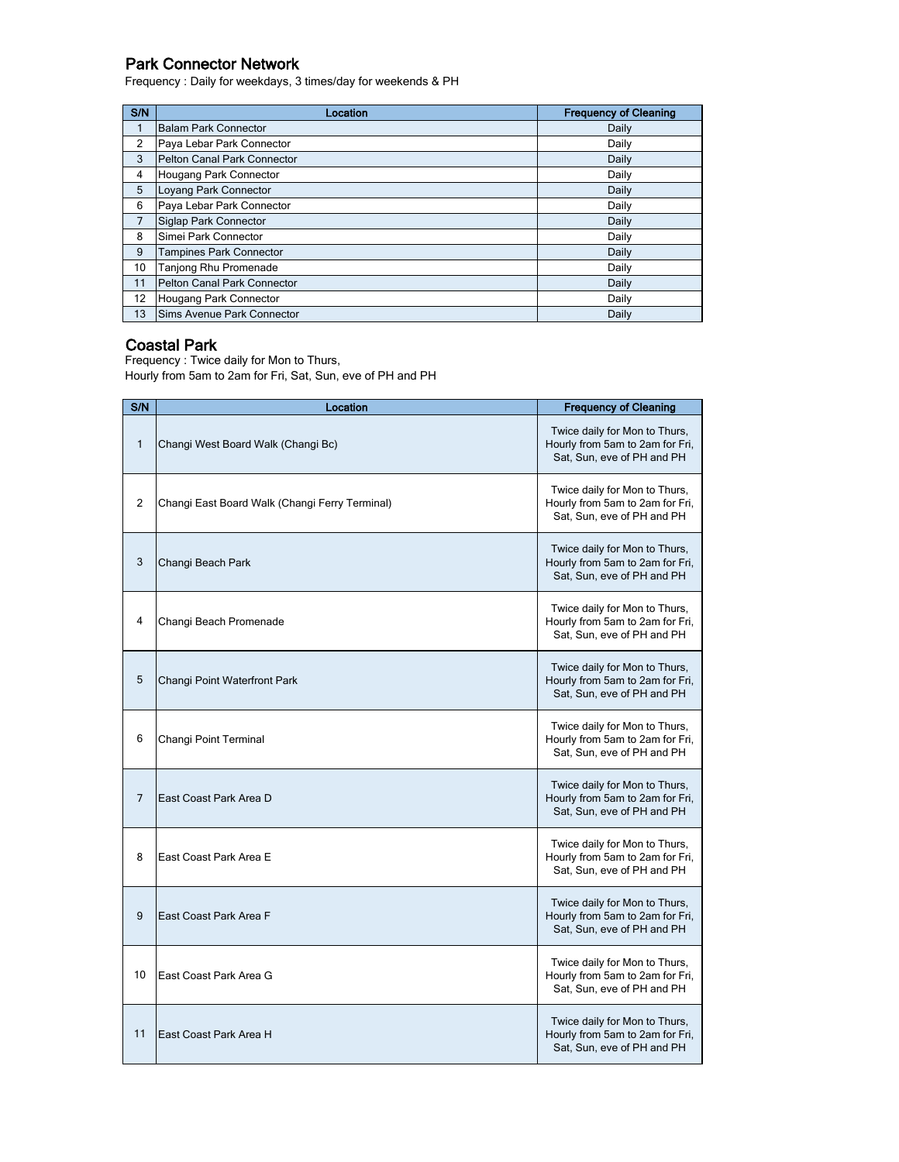# Park Connector Network

Frequency : Daily for weekdays, 3 times/day for weekends & PH

| S/N | Location                       | <b>Frequency of Cleaning</b> |
|-----|--------------------------------|------------------------------|
|     | <b>Balam Park Connector</b>    | Daily                        |
| 2   | Paya Lebar Park Connector      | Daily                        |
| 3   | Pelton Canal Park Connector    | Daily                        |
| 4   | Hougang Park Connector         | Daily                        |
| 5   | Loyang Park Connector          | Daily                        |
| 6   | Paya Lebar Park Connector      | Daily                        |
| 7   | Siglap Park Connector          | Daily                        |
| 8   | Simei Park Connector           | Daily                        |
| 9   | <b>Tampines Park Connector</b> | Daily                        |
| 10  | Tanjong Rhu Promenade          | Daily                        |
| 11  | Pelton Canal Park Connector    | Daily                        |
| 12  | Hougang Park Connector         | Daily                        |
| 13  | Sims Avenue Park Connector     | Daily                        |

## Coastal Park

Frequency : Twice daily for Mon to Thurs, Hourly from 5am to 2am for Fri, Sat, Sun, eve of PH and PH

| S/N          | Location                                       | <b>Frequency of Cleaning</b>                                                                   |
|--------------|------------------------------------------------|------------------------------------------------------------------------------------------------|
| $\mathbf{1}$ | Changi West Board Walk (Changi Bc)             | Twice daily for Mon to Thurs,<br>Hourly from 5am to 2am for Fri,<br>Sat, Sun, eve of PH and PH |
| 2            | Changi East Board Walk (Changi Ferry Terminal) | Twice daily for Mon to Thurs,<br>Hourly from 5am to 2am for Fri,<br>Sat, Sun, eve of PH and PH |
| 3            | Changi Beach Park                              | Twice daily for Mon to Thurs,<br>Hourly from 5am to 2am for Fri,<br>Sat, Sun, eve of PH and PH |
| 4            | Changi Beach Promenade                         | Twice daily for Mon to Thurs,<br>Hourly from 5am to 2am for Fri,<br>Sat, Sun, eve of PH and PH |
| 5            | Changi Point Waterfront Park                   | Twice daily for Mon to Thurs,<br>Hourly from 5am to 2am for Fri,<br>Sat, Sun, eve of PH and PH |
| 6            | Changi Point Terminal                          | Twice daily for Mon to Thurs,<br>Hourly from 5am to 2am for Fri,<br>Sat. Sun. eve of PH and PH |
| 7            | East Coast Park Area D                         | Twice daily for Mon to Thurs,<br>Hourly from 5am to 2am for Fri,<br>Sat, Sun, eve of PH and PH |
| 8            | East Coast Park Area E                         | Twice daily for Mon to Thurs,<br>Hourly from 5am to 2am for Fri,<br>Sat, Sun, eve of PH and PH |
| 9            | East Coast Park Area F                         | Twice daily for Mon to Thurs,<br>Hourly from 5am to 2am for Fri,<br>Sat, Sun, eve of PH and PH |
| 10           | East Coast Park Area G                         | Twice daily for Mon to Thurs,<br>Hourly from 5am to 2am for Fri,<br>Sat, Sun, eve of PH and PH |
| 11           | East Coast Park Area H                         | Twice daily for Mon to Thurs,<br>Hourly from 5am to 2am for Fri,<br>Sat, Sun, eve of PH and PH |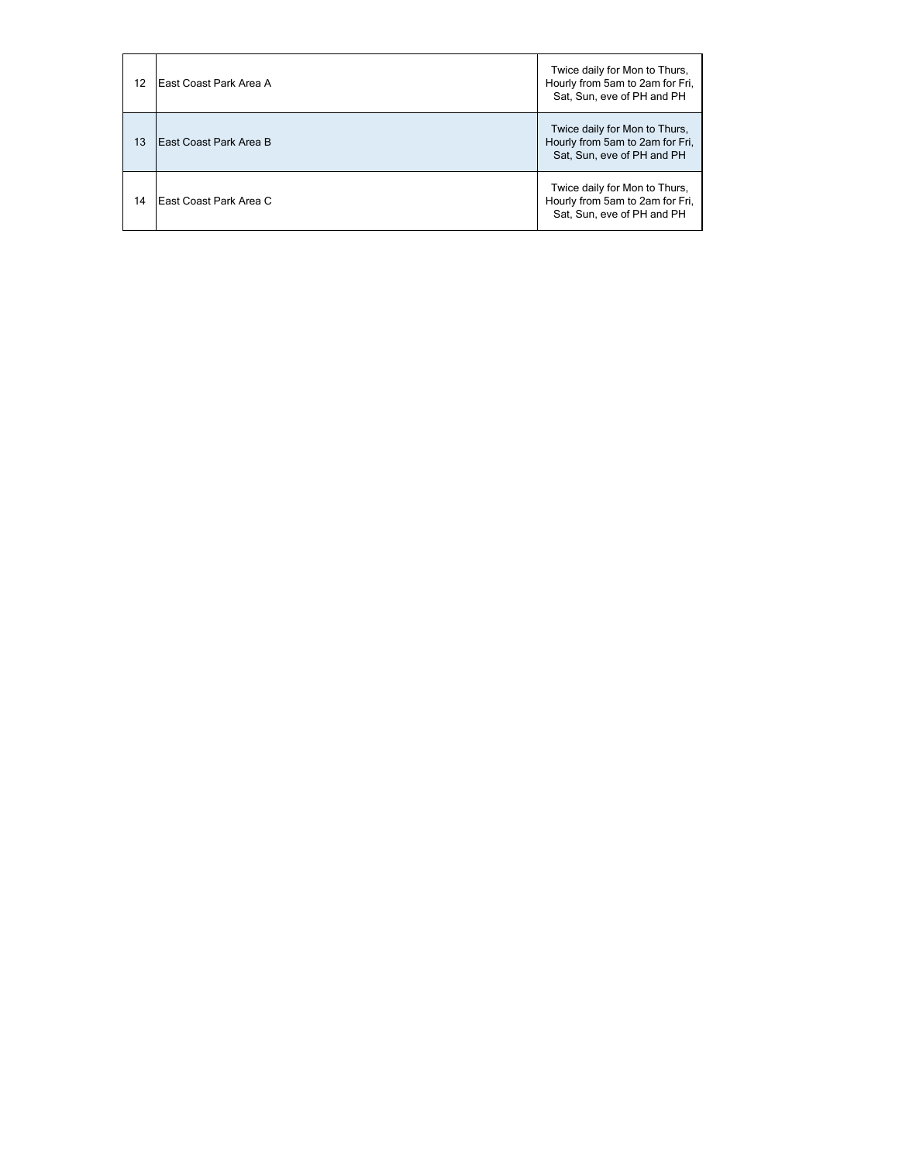| 12 | East Coast Park Area A | Twice daily for Mon to Thurs,<br>Hourly from 5am to 2am for Fri,<br>Sat, Sun, eve of PH and PH |
|----|------------------------|------------------------------------------------------------------------------------------------|
| 13 | East Coast Park Area B | Twice daily for Mon to Thurs,<br>Hourly from 5am to 2am for Fri,<br>Sat, Sun, eve of PH and PH |
| 14 | East Coast Park Area C | Twice daily for Mon to Thurs,<br>Hourly from 5am to 2am for Fri,<br>Sat, Sun, eve of PH and PH |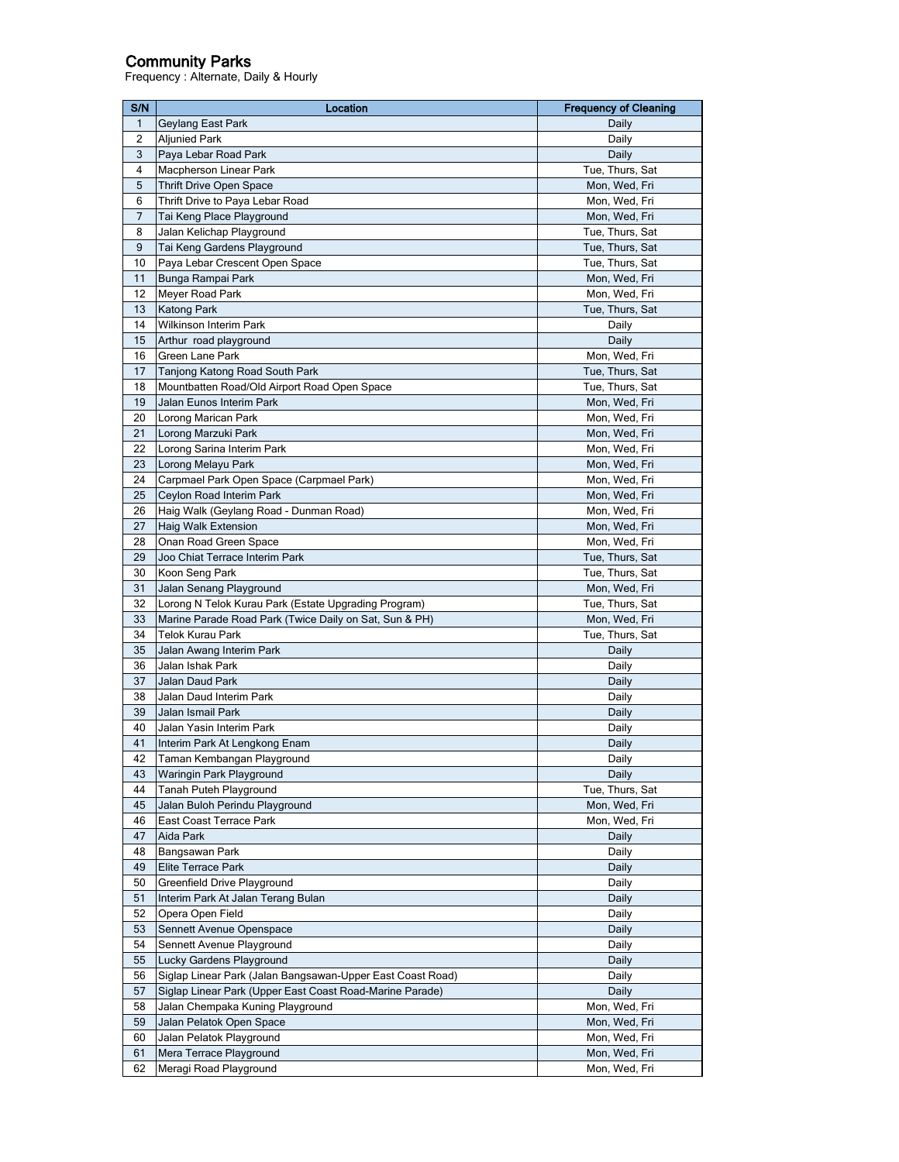#### Community Parks

Frequency : Alternate, Daily & Hourly

| S/N      | Location                                                   | <b>Frequency of Cleaning</b>   |
|----------|------------------------------------------------------------|--------------------------------|
| 1        | Geylang East Park                                          | Daily                          |
| 2        | <b>Aljunied Park</b>                                       | Daily                          |
| 3        | Paya Lebar Road Park                                       | Daily                          |
| 4        | Macpherson Linear Park                                     | Tue, Thurs, Sat                |
| 5        | <b>Thrift Drive Open Space</b>                             | Mon, Wed, Fri                  |
| 6        | Thrift Drive to Paya Lebar Road                            | Mon, Wed, Fri                  |
| 7        | Tai Keng Place Playground                                  | Mon, Wed, Fri                  |
| 8        | Jalan Kelichap Playground                                  | Tue, Thurs, Sat                |
| 9        | Tai Keng Gardens Playground                                | Tue, Thurs, Sat                |
| 10       | Paya Lebar Crescent Open Space                             | Tue, Thurs, Sat                |
| 11       | Bunga Rampai Park                                          | Mon, Wed, Fri                  |
| 12       | Meyer Road Park                                            | Mon, Wed, Fri                  |
| 13       | <b>Katong Park</b>                                         | Tue, Thurs, Sat                |
| 14       | <b>Wilkinson Interim Park</b>                              | Daily                          |
| 15       | Arthur road playground                                     | Daily                          |
| 16       | Green Lane Park                                            | Mon, Wed, Fri                  |
| 17       | Tanjong Katong Road South Park                             | Tue, Thurs, Sat                |
| 18       | Mountbatten Road/Old Airport Road Open Space               | Tue, Thurs, Sat                |
| 19       | Jalan Eunos Interim Park                                   | Mon, Wed, Fri                  |
| 20       | Lorong Marican Park                                        | Mon, Wed, Fri                  |
|          |                                                            | Mon, Wed, Fri                  |
| 21<br>22 | Lorong Marzuki Park                                        |                                |
| 23       | Lorong Sarina Interim Park<br>Lorong Melayu Park           | Mon, Wed, Fri<br>Mon, Wed, Fri |
| 24       |                                                            |                                |
|          | Carpmael Park Open Space (Carpmael Park)                   | Mon, Wed, Fri<br>Mon, Wed, Fri |
| 25       | Ceylon Road Interim Park                                   |                                |
| 26       | Haig Walk (Geylang Road - Dunman Road)                     | Mon, Wed, Fri                  |
| 27       | <b>Haig Walk Extension</b>                                 | Mon, Wed, Fri                  |
| 28       | Onan Road Green Space                                      | Mon, Wed, Fri                  |
| 29       | Joo Chiat Terrace Interim Park                             | Tue, Thurs, Sat                |
| 30       | Koon Seng Park                                             | Tue, Thurs, Sat                |
| 31       | Jalan Senang Playground                                    | Mon, Wed, Fri                  |
| 32       | Lorong N Telok Kurau Park (Estate Upgrading Program)       | Tue, Thurs, Sat                |
| 33       | Marine Parade Road Park (Twice Daily on Sat, Sun & PH)     | Mon, Wed, Fri                  |
| 34       | Telok Kurau Park                                           | Tue, Thurs, Sat                |
| 35       | Jalan Awang Interim Park                                   | Daily                          |
| 36       | Jalan Ishak Park                                           | Daily                          |
| 37       | Jalan Daud Park                                            | Daily                          |
| 38       | Jalan Daud Interim Park                                    | Daily                          |
| 39       | Jalan Ismail Park                                          | Daily                          |
| 40       | Jalan Yasin Interim Park                                   | Daily                          |
| 41       | Interim Park At Lengkong Enam                              | Daily                          |
| 42       | Taman Kembangan Playground                                 | Daily                          |
| 43       | Waringin Park Playground                                   | Daily                          |
| 44       | Tanah Puteh Playground                                     | Tue, Thurs, Sat                |
| 45       | Jalan Buloh Perindu Playground                             | Mon, Wed, Fri                  |
| 46       | East Coast Terrace Park                                    | Mon, Wed, Fri                  |
| 47       | Aida Park                                                  | Daily                          |
| 48       | Bangsawan Park                                             | Daily                          |
| 49       | <b>Elite Terrace Park</b>                                  | Daily                          |
| 50       | Greenfield Drive Playground                                | Daily                          |
| 51       | Interim Park At Jalan Terang Bulan                         | Daily                          |
| 52       | Opera Open Field                                           | Daily                          |
| 53       | Sennett Avenue Openspace                                   | Daily                          |
| 54       | Sennett Avenue Playground                                  | Daily                          |
| 55       | Lucky Gardens Playground                                   | Daily                          |
| 56       | Siglap Linear Park (Jalan Bangsawan-Upper East Coast Road) | Daily                          |
| 57       | Siglap Linear Park (Upper East Coast Road-Marine Parade)   | Daily                          |
| 58       | Jalan Chempaka Kuning Playground                           | Mon, Wed, Fri                  |
| 59       | Jalan Pelatok Open Space                                   | Mon, Wed, Fri                  |
| 60       | Jalan Pelatok Playground                                   | Mon, Wed, Fri                  |
| 61       | Mera Terrace Playground                                    | Mon, Wed, Fri                  |
| 62       | Meragi Road Playground                                     | Mon, Wed, Fri                  |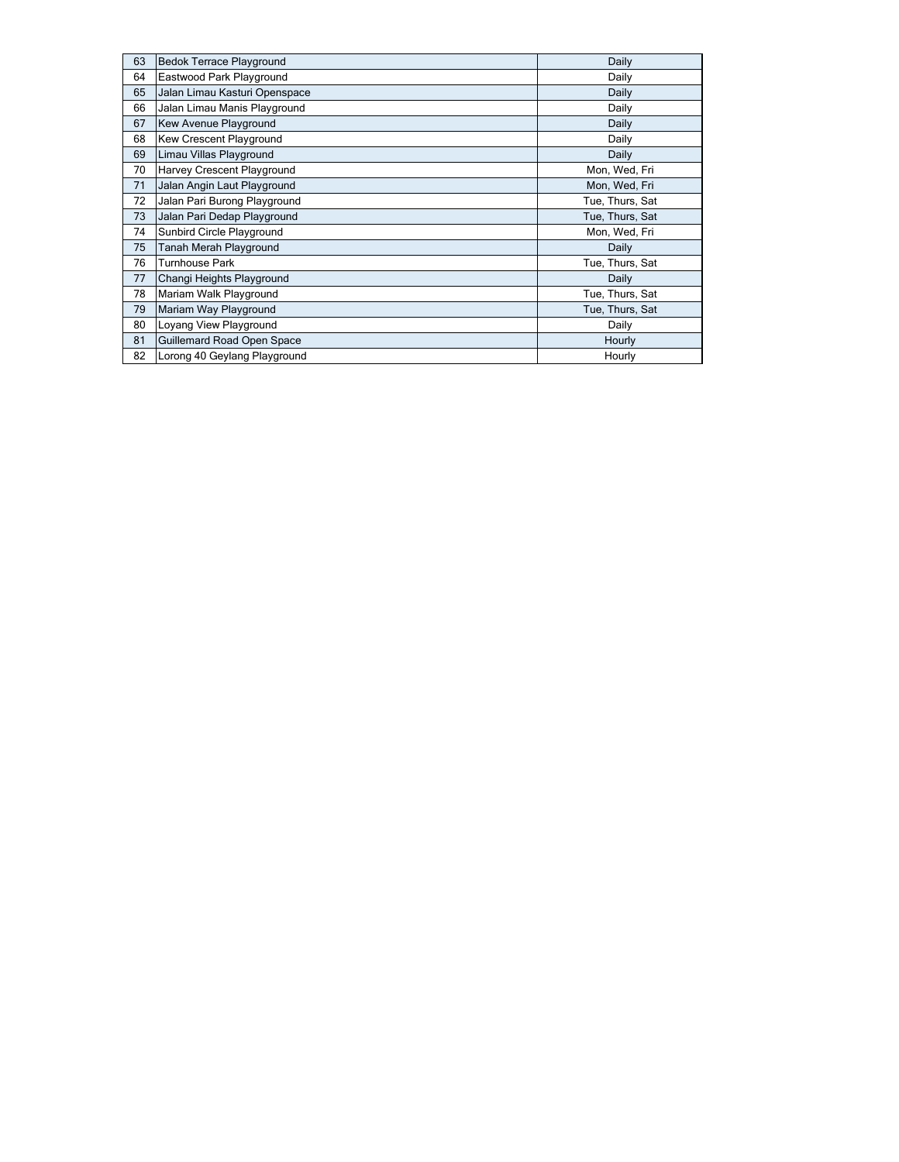| 63 | <b>Bedok Terrace Playground</b> | Daily           |
|----|---------------------------------|-----------------|
| 64 | Eastwood Park Playground        | Daily           |
| 65 | Jalan Limau Kasturi Openspace   | Daily           |
| 66 | Jalan Limau Manis Playground    | Daily           |
| 67 | Kew Avenue Playground           | Daily           |
| 68 | Kew Crescent Playground         | Daily           |
| 69 | Limau Villas Playground         | Daily           |
| 70 | Harvey Crescent Playground      | Mon, Wed, Fri   |
| 71 | Jalan Angin Laut Playground     | Mon, Wed, Fri   |
| 72 | Jalan Pari Burong Playground    | Tue, Thurs, Sat |
| 73 | Jalan Pari Dedap Playground     | Tue, Thurs, Sat |
| 74 | Sunbird Circle Playground       | Mon, Wed, Fri   |
| 75 | Tanah Merah Playground          | Daily           |
| 76 | Turnhouse Park                  | Tue, Thurs, Sat |
| 77 | Changi Heights Playground       | Daily           |
| 78 | Mariam Walk Playground          | Tue, Thurs, Sat |
| 79 | Mariam Way Playground           | Tue, Thurs, Sat |
| 80 | Loyang View Playground          | Daily           |
| 81 | Guillemard Road Open Space      | Hourly          |
| 82 | Lorong 40 Geylang Playground    | Hourly          |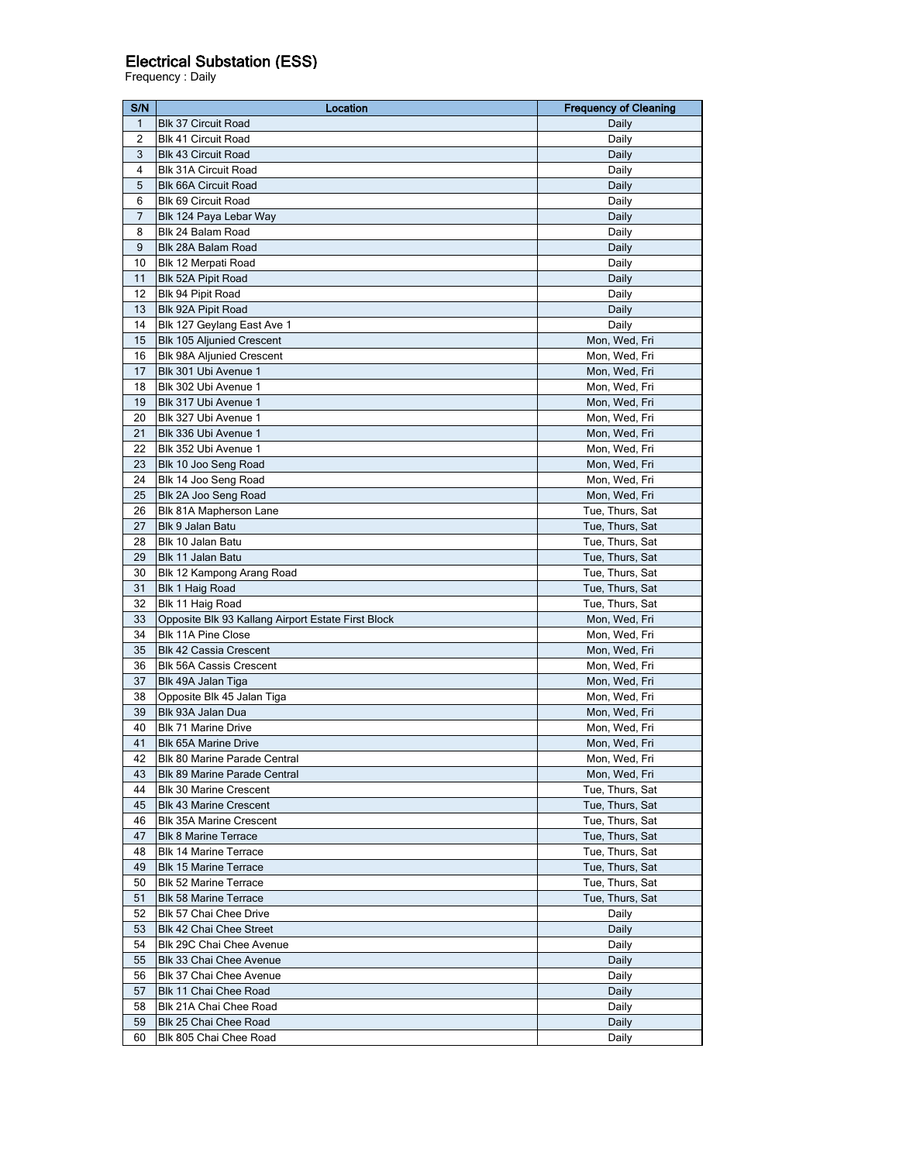## Electrical Substation (ESS)

Frequency : Daily

| S/N            | Location                                           | <b>Frequency of Cleaning</b> |
|----------------|----------------------------------------------------|------------------------------|
| 1              | <b>Blk 37 Circuit Road</b>                         | Daily                        |
| $\overline{2}$ | <b>Blk 41 Circuit Road</b>                         | Daily                        |
| 3              | <b>Blk 43 Circuit Road</b>                         | Daily                        |
| 4              | <b>Blk 31A Circuit Road</b>                        | Daily                        |
| 5              | <b>Blk 66A Circuit Road</b>                        | Daily                        |
| 6              | Blk 69 Circuit Road                                | Daily                        |
| 7              | Blk 124 Paya Lebar Way                             | Daily                        |
| 8              | Blk 24 Balam Road                                  | Daily                        |
| 9              | Blk 28A Balam Road                                 | Daily                        |
| 10             | Blk 12 Merpati Road                                | Daily                        |
| 11             | Blk 52A Pipit Road                                 | Daily                        |
| 12             | Blk 94 Pipit Road                                  | Daily                        |
| 13             | Blk 92A Pipit Road                                 | Daily                        |
| 14             | Blk 127 Geylang East Ave 1                         | Daily                        |
| 15             | Blk 105 Aljunied Crescent                          | Mon, Wed, Fri                |
| 16             | <b>Blk 98A Aljunied Crescent</b>                   | Mon, Wed, Fri                |
| 17             | Blk 301 Ubi Avenue 1                               | Mon, Wed, Fri                |
| 18             | Blk 302 Ubi Avenue 1                               | Mon, Wed, Fri                |
| 19             | Blk 317 Ubi Avenue 1                               | Mon, Wed, Fri                |
|                |                                                    |                              |
| 20<br>21       | Blk 327 Ubi Avenue 1                               | Mon, Wed, Fri                |
|                | Blk 336 Ubi Avenue 1                               | Mon, Wed, Fri                |
| 22             | Blk 352 Ubi Avenue 1                               | Mon, Wed, Fri                |
| 23             | Blk 10 Joo Seng Road                               | Mon, Wed, Fri                |
| 24             | Blk 14 Joo Seng Road                               | Mon, Wed, Fri                |
| 25             | Blk 2A Joo Seng Road                               | Mon, Wed, Fri                |
| 26             | Blk 81A Mapherson Lane                             | Tue, Thurs, Sat              |
| 27             | Blk 9 Jalan Batu                                   | Tue, Thurs, Sat              |
| 28             | Blk 10 Jalan Batu                                  | Tue, Thurs, Sat              |
| 29             | Blk 11 Jalan Batu                                  | Tue, Thurs, Sat              |
| 30             | Blk 12 Kampong Arang Road                          | Tue, Thurs, Sat              |
| 31             | Blk 1 Haig Road                                    | Tue, Thurs, Sat              |
| 32             | Blk 11 Haig Road                                   | Tue, Thurs, Sat              |
| 33             | Opposite Blk 93 Kallang Airport Estate First Block | Mon, Wed, Fri                |
| 34             | <b>Blk 11A Pine Close</b>                          | Mon, Wed, Fri                |
| 35             | <b>Blk 42 Cassia Crescent</b>                      | Mon, Wed, Fri                |
| 36             | <b>Blk 56A Cassis Crescent</b>                     | Mon, Wed, Fri                |
| 37             | Blk 49A Jalan Tiga                                 | Mon, Wed, Fri                |
| 38             | Opposite Blk 45 Jalan Tiga                         | Mon, Wed, Fri                |
| 39             | Blk 93A Jalan Dua                                  | Mon, Wed, Fri                |
| 40             | <b>Blk 71 Marine Drive</b>                         | Mon, Wed, Fri                |
| 41             | <b>Blk 65A Marine Drive</b>                        | Mon, Wed, Fri                |
| 42             | Blk 80 Marine Parade Central                       | Mon, Wed, Fri                |
| 43             | Blk 89 Marine Parade Central                       | Mon, Wed, Fri                |
| 44             | <b>Blk 30 Marine Crescent</b>                      | Tue, Thurs, Sat              |
| 45             | <b>Blk 43 Marine Crescent</b>                      | Tue, Thurs, Sat              |
| 46             | <b>Blk 35A Marine Crescent</b>                     | Tue, Thurs, Sat              |
| 47             | <b>Blk 8 Marine Terrace</b>                        | Tue, Thurs, Sat              |
| 48             | Blk 14 Marine Terrace                              | Tue, Thurs, Sat              |
| 49             | <b>Blk 15 Marine Terrace</b>                       | Tue, Thurs, Sat              |
| 50             | <b>Blk 52 Marine Terrace</b>                       | Tue, Thurs, Sat              |
| 51             | <b>Blk 58 Marine Terrace</b>                       | Tue, Thurs, Sat              |
| 52             | Blk 57 Chai Chee Drive                             | Daily                        |
| 53             | Blk 42 Chai Chee Street                            | Daily                        |
| 54             | Blk 29C Chai Chee Avenue                           | Daily                        |
| 55             | Blk 33 Chai Chee Avenue                            | Daily                        |
| 56             | Blk 37 Chai Chee Avenue                            | Daily                        |
| 57             | Blk 11 Chai Chee Road                              | Daily                        |
| 58             |                                                    |                              |
|                | Blk 21A Chai Chee Road                             | Daily                        |
| 59             | Blk 25 Chai Chee Road                              | Daily                        |
| 60             | Blk 805 Chai Chee Road                             | Daily                        |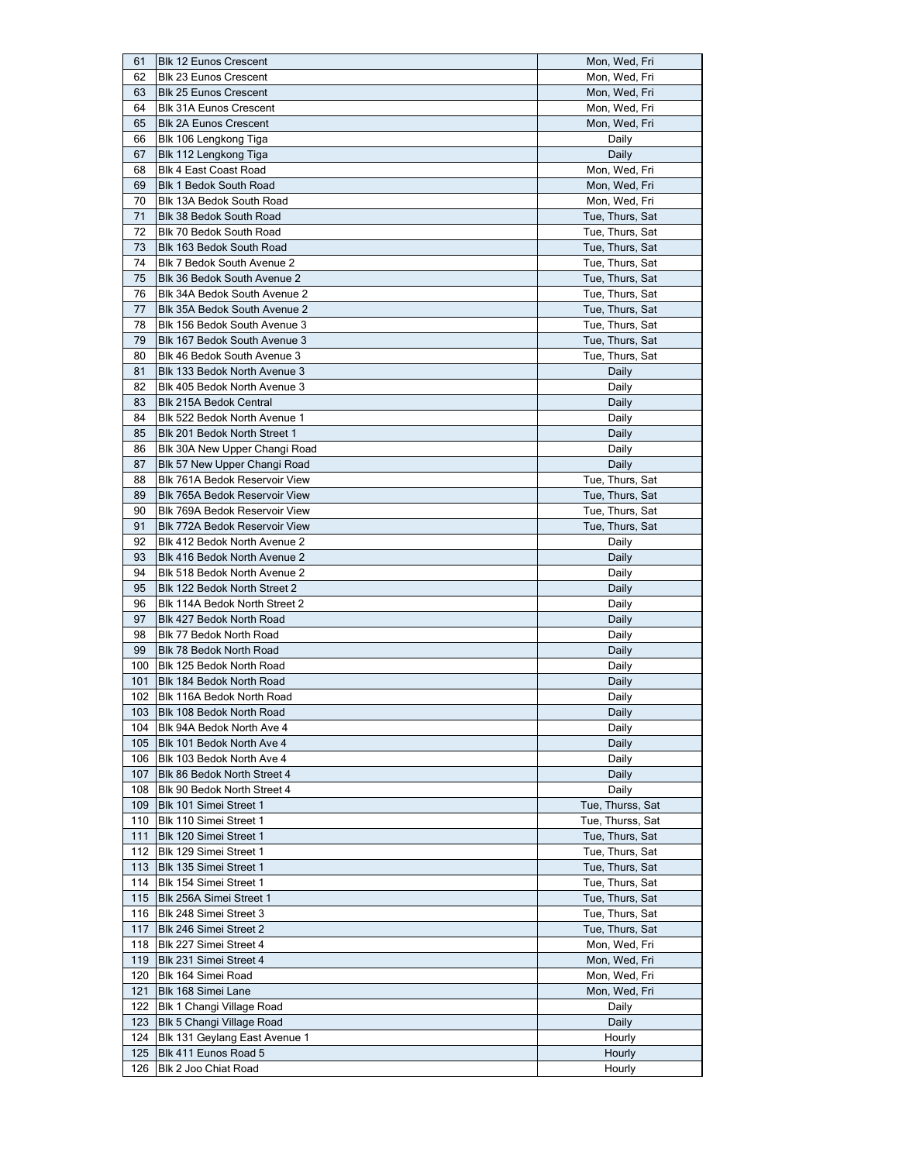| 61  | <b>Blk 12 Eunos Crescent</b>    | Mon, Wed, Fri    |
|-----|---------------------------------|------------------|
| 62  | <b>Blk 23 Eunos Crescent</b>    | Mon, Wed, Fri    |
| 63  | Blk 25 Eunos Crescent           | Mon, Wed, Fri    |
| 64  | <b>Blk 31A Eunos Crescent</b>   | Mon, Wed, Fri    |
| 65  | <b>Blk 2A Eunos Crescent</b>    | Mon, Wed, Fri    |
| 66  | Blk 106 Lengkong Tiga           | Daily            |
| 67  | Blk 112 Lengkong Tiga           | Daily            |
| 68  | Blk 4 East Coast Road           | Mon, Wed, Fri    |
| 69  | Blk 1 Bedok South Road          | Mon, Wed, Fri    |
| 70  | Blk 13A Bedok South Road        | Mon, Wed, Fri    |
| 71  | <b>Blk 38 Bedok South Road</b>  | Tue, Thurs, Sat  |
| 72  | Blk 70 Bedok South Road         | Tue, Thurs, Sat  |
| 73  | Blk 163 Bedok South Road        | Tue, Thurs, Sat  |
| 74  | Blk 7 Bedok South Avenue 2      | Tue, Thurs, Sat  |
| 75  | Blk 36 Bedok South Avenue 2     | Tue, Thurs, Sat  |
| 76  | Blk 34A Bedok South Avenue 2    | Tue, Thurs, Sat  |
| 77  | Blk 35A Bedok South Avenue 2    | Tue, Thurs, Sat  |
| 78  | Blk 156 Bedok South Avenue 3    | Tue, Thurs, Sat  |
| 79  | Blk 167 Bedok South Avenue 3    | Tue, Thurs, Sat  |
| 80  | Blk 46 Bedok South Avenue 3     | Tue, Thurs, Sat  |
|     |                                 |                  |
| 81  | Blk 133 Bedok North Avenue 3    | Daily            |
| 82  | Blk 405 Bedok North Avenue 3    | Daily            |
| 83  | Blk 215A Bedok Central          | Daily            |
| 84  | Blk 522 Bedok North Avenue 1    | Daily            |
| 85  | Blk 201 Bedok North Street 1    | Daily            |
| 86  | Blk 30A New Upper Changi Road   | Daily            |
| 87  | Blk 57 New Upper Changi Road    | Daily            |
| 88  | Blk 761A Bedok Reservoir View   | Tue, Thurs, Sat  |
| 89  | Blk 765A Bedok Reservoir View   | Tue, Thurs, Sat  |
| 90  | Blk 769A Bedok Reservoir View   | Tue, Thurs, Sat  |
| 91  | Blk 772A Bedok Reservoir View   | Tue, Thurs, Sat  |
| 92  | Blk 412 Bedok North Avenue 2    | Daily            |
| 93  | Blk 416 Bedok North Avenue 2    | Daily            |
| 94  | Blk 518 Bedok North Avenue 2    | Daily            |
| 95  | Blk 122 Bedok North Street 2    | Daily            |
| 96  | Blk 114A Bedok North Street 2   | Daily            |
| 97  | Blk 427 Bedok North Road        | Daily            |
| 98  | Blk 77 Bedok North Road         | Daily            |
| 99  | Blk 78 Bedok North Road         | Daily            |
| 100 | Blk 125 Bedok North Road        | Daily            |
| 101 | Blk 184 Bedok North Road        | Daily            |
| 102 | Blk 116A Bedok North Road       | Daily            |
|     | 103 Blk 108 Bedok North Road    | Daily            |
|     | 104 Blk 94A Bedok North Ave 4   | Daily            |
|     | 105   Blk 101 Bedok North Ave 4 | Daily            |
|     | 106 Blk 103 Bedok North Ave 4   | Daily            |
| 107 | Blk 86 Bedok North Street 4     | Daily            |
| 108 | Blk 90 Bedok North Street 4     | Daily            |
| 109 | Blk 101 Simei Street 1          | Tue, Thurss, Sat |
| 110 | Blk 110 Simei Street 1          | Tue, Thurss, Sat |
| 111 | Blk 120 Simei Street 1          | Tue, Thurs, Sat  |
| 112 | Blk 129 Simei Street 1          | Tue, Thurs, Sat  |
| 113 | Blk 135 Simei Street 1          | Tue, Thurs, Sat  |
| 114 | Blk 154 Simei Street 1          | Tue, Thurs, Sat  |
| 115 | Blk 256A Simei Street 1         | Tue, Thurs, Sat  |
| 116 | Blk 248 Simei Street 3          | Tue, Thurs, Sat  |
|     |                                 |                  |
| 117 | Blk 246 Simei Street 2          | Tue, Thurs, Sat  |
| 118 | Blk 227 Simei Street 4          | Mon, Wed, Fri    |
| 119 | Blk 231 Simei Street 4          | Mon, Wed, Fri    |
| 120 | Blk 164 Simei Road              | Mon, Wed, Fri    |
| 121 | Blk 168 Simei Lane              | Mon, Wed, Fri    |
| 122 | Blk 1 Changi Village Road       | Daily            |
| 123 | Blk 5 Changi Village Road       | Daily            |
| 124 | Blk 131 Geylang East Avenue 1   | Hourly           |
| 125 | Blk 411 Eunos Road 5            | Hourly           |
| 126 | Blk 2 Joo Chiat Road            | Hourly           |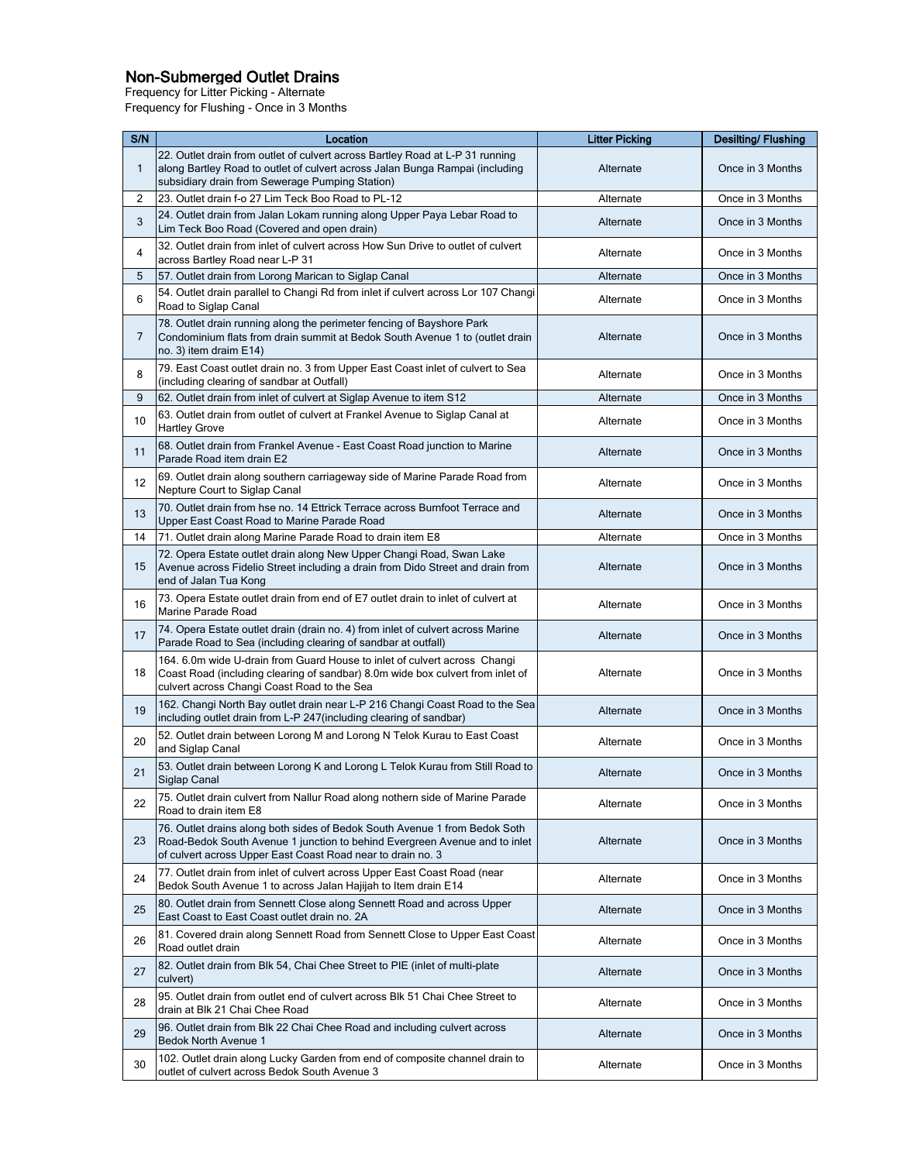## Non-Submerged Outlet Drains

Frequency for Litter Picking - Alternate

Frequency for Flushing - Once in 3 Months

| S/N          | Location                                                                                                                                                                                                                | <b>Litter Picking</b> | <b>Desilting/Flushing</b> |
|--------------|-------------------------------------------------------------------------------------------------------------------------------------------------------------------------------------------------------------------------|-----------------------|---------------------------|
| $\mathbf{1}$ | 22. Outlet drain from outlet of culvert across Bartley Road at L-P 31 running<br>along Bartley Road to outlet of culvert across Jalan Bunga Rampai (including<br>subsidiary drain from Sewerage Pumping Station)        | Alternate             | Once in 3 Months          |
| 2            | 23. Outlet drain f-o 27 Lim Teck Boo Road to PL-12                                                                                                                                                                      | Alternate             | Once in 3 Months          |
| 3            | 24. Outlet drain from Jalan Lokam running along Upper Paya Lebar Road to<br>Lim Teck Boo Road (Covered and open drain)                                                                                                  | Alternate             | Once in 3 Months          |
| 4            | 32. Outlet drain from inlet of culvert across How Sun Drive to outlet of culvert<br>across Bartley Road near L-P 31                                                                                                     | Alternate             | Once in 3 Months          |
| 5            | 57. Outlet drain from Lorong Marican to Siglap Canal                                                                                                                                                                    | Alternate             | Once in 3 Months          |
| 6            | 54. Outlet drain parallel to Changi Rd from inlet if culvert across Lor 107 Changi<br>Road to Siglap Canal                                                                                                              | Alternate             | Once in 3 Months          |
| 7            | 78. Outlet drain running along the perimeter fencing of Bayshore Park<br>Condominium flats from drain summit at Bedok South Avenue 1 to (outlet drain<br>no. 3) item draim E14)                                         | Alternate             | Once in 3 Months          |
| 8            | 79. East Coast outlet drain no. 3 from Upper East Coast inlet of culvert to Sea<br>(including clearing of sandbar at Outfall)                                                                                           | Alternate             | Once in 3 Months          |
| 9            | 62. Outlet drain from inlet of culvert at Siglap Avenue to item S12                                                                                                                                                     | Alternate             | Once in 3 Months          |
| 10           | 63. Outlet drain from outlet of culvert at Frankel Avenue to Siglap Canal at<br><b>Hartley Grove</b>                                                                                                                    | Alternate             | Once in 3 Months          |
| 11           | 68. Outlet drain from Frankel Avenue - East Coast Road junction to Marine<br>Parade Road item drain E2                                                                                                                  | Alternate             | Once in 3 Months          |
| 12           | 69. Outlet drain along southern carriageway side of Marine Parade Road from<br>Nepture Court to Siglap Canal                                                                                                            | Alternate             | Once in 3 Months          |
| 13           | 70. Outlet drain from hse no. 14 Ettrick Terrace across Burnfoot Terrace and<br>Upper East Coast Road to Marine Parade Road                                                                                             | Alternate             | Once in 3 Months          |
| 14           | 71. Outlet drain along Marine Parade Road to drain item E8                                                                                                                                                              | Alternate             | Once in 3 Months          |
| 15           | 72. Opera Estate outlet drain along New Upper Changi Road, Swan Lake<br>Avenue across Fidelio Street including a drain from Dido Street and drain from<br>end of Jalan Tua Kong                                         | Alternate             | Once in 3 Months          |
| 16           | 73. Opera Estate outlet drain from end of E7 outlet drain to inlet of culvert at<br>Marine Parade Road                                                                                                                  | Alternate             | Once in 3 Months          |
| 17           | 74. Opera Estate outlet drain (drain no. 4) from inlet of culvert across Marine<br>Parade Road to Sea (including clearing of sandbar at outfall)                                                                        | Alternate             | Once in 3 Months          |
| 18           | 164. 6.0m wide U-drain from Guard House to inlet of culvert across Changi<br>Coast Road (including clearing of sandbar) 8.0m wide box culvert from inlet of<br>culvert across Changi Coast Road to the Sea              | Alternate             | Once in 3 Months          |
| 19           | 162. Changi North Bay outlet drain near L-P 216 Changi Coast Road to the Sea<br>including outlet drain from L-P 247(including clearing of sandbar)                                                                      | Alternate             | Once in 3 Months          |
| 20           | 52. Outlet drain between Lorong M and Lorong N Telok Kurau to East Coast<br>and Siglap Canal                                                                                                                            | Alternate             | Once in 3 Months          |
| 21           | 53. Outlet drain between Lorong K and Lorong L Telok Kurau from Still Road to<br><b>Siglap Canal</b>                                                                                                                    | Alternate             | Once in 3 Months          |
| 22           | 75. Outlet drain culvert from Nallur Road along nothern side of Marine Parade<br>Road to drain item E8                                                                                                                  | Alternate             | Once in 3 Months          |
| 23           | 76. Outlet drains along both sides of Bedok South Avenue 1 from Bedok Soth<br>Road-Bedok South Avenue 1 junction to behind Evergreen Avenue and to inlet<br>of culvert across Upper East Coast Road near to drain no. 3 | Alternate             | Once in 3 Months          |
| 24           | 77. Outlet drain from inlet of culvert across Upper East Coast Road (near<br>Bedok South Avenue 1 to across Jalan Hajijah to Item drain E14                                                                             | Alternate             | Once in 3 Months          |
| 25           | 80. Outlet drain from Sennett Close along Sennett Road and across Upper<br>East Coast to East Coast outlet drain no. 2A                                                                                                 | Alternate             | Once in 3 Months          |
| 26           | 81. Covered drain along Sennett Road from Sennett Close to Upper East Coast<br>Road outlet drain                                                                                                                        | Alternate             | Once in 3 Months          |
| 27           | 82. Outlet drain from Blk 54, Chai Chee Street to PIE (inlet of multi-plate<br>culvert)                                                                                                                                 | Alternate             | Once in 3 Months          |
| 28           | 95. Outlet drain from outlet end of culvert across Blk 51 Chai Chee Street to<br>drain at Blk 21 Chai Chee Road                                                                                                         | Alternate             | Once in 3 Months          |
| 29           | 96. Outlet drain from Blk 22 Chai Chee Road and including culvert across<br><b>Bedok North Avenue 1</b>                                                                                                                 | Alternate             | Once in 3 Months          |
| 30           | 102. Outlet drain along Lucky Garden from end of composite channel drain to<br>outlet of culvert across Bedok South Avenue 3                                                                                            | Alternate             | Once in 3 Months          |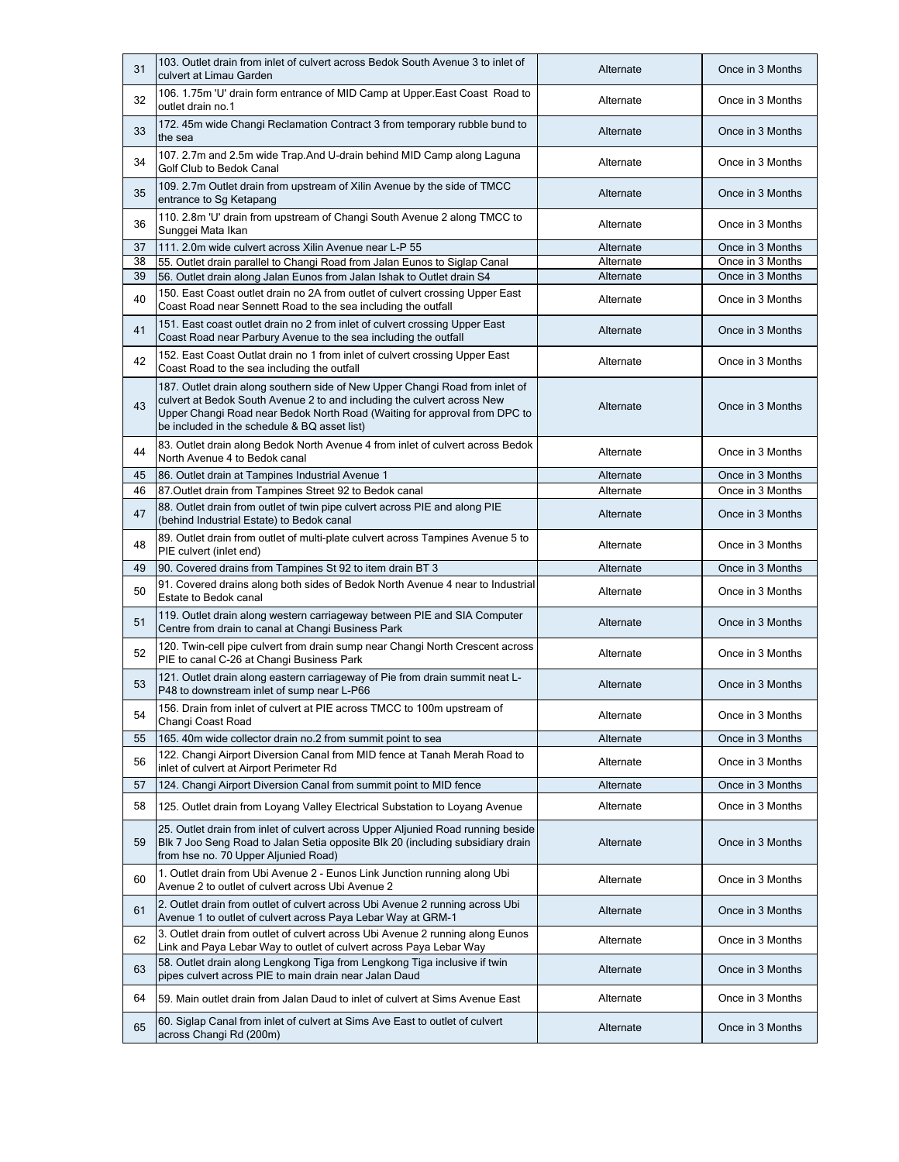| 31 | 103. Outlet drain from inlet of culvert across Bedok South Avenue 3 to inlet of<br>culvert at Limau Garden                                                                                                                                                                           | Alternate | Once in 3 Months |
|----|--------------------------------------------------------------------------------------------------------------------------------------------------------------------------------------------------------------------------------------------------------------------------------------|-----------|------------------|
| 32 | 106. 1.75m 'U' drain form entrance of MID Camp at Upper East Coast Road to<br>outlet drain no.1                                                                                                                                                                                      | Alternate | Once in 3 Months |
| 33 | 172. 45m wide Changi Reclamation Contract 3 from temporary rubble bund to<br>the sea                                                                                                                                                                                                 | Alternate | Once in 3 Months |
| 34 | 107. 2.7m and 2.5m wide Trap. And U-drain behind MID Camp along Laguna<br>Golf Club to Bedok Canal                                                                                                                                                                                   | Alternate | Once in 3 Months |
| 35 | 109. 2.7m Outlet drain from upstream of Xilin Avenue by the side of TMCC<br>entrance to Sg Ketapang                                                                                                                                                                                  | Alternate | Once in 3 Months |
| 36 | 110. 2.8m 'U' drain from upstream of Changi South Avenue 2 along TMCC to<br>Sunggei Mata Ikan                                                                                                                                                                                        | Alternate | Once in 3 Months |
| 37 | 111. 2.0m wide culvert across Xilin Avenue near L-P 55                                                                                                                                                                                                                               | Alternate | Once in 3 Months |
| 38 | 55. Outlet drain parallel to Changi Road from Jalan Eunos to Siglap Canal                                                                                                                                                                                                            | Alternate | Once in 3 Months |
| 39 | 56. Outlet drain along Jalan Eunos from Jalan Ishak to Outlet drain S4                                                                                                                                                                                                               | Alternate | Once in 3 Months |
| 40 | 150. East Coast outlet drain no 2A from outlet of culvert crossing Upper East<br>Coast Road near Sennett Road to the sea including the outfall                                                                                                                                       | Alternate | Once in 3 Months |
| 41 | 151. East coast outlet drain no 2 from inlet of culvert crossing Upper East<br>Coast Road near Parbury Avenue to the sea including the outfall                                                                                                                                       | Alternate | Once in 3 Months |
| 42 | 152. East Coast Outlat drain no 1 from inlet of culvert crossing Upper East<br>Coast Road to the sea including the outfall                                                                                                                                                           | Alternate | Once in 3 Months |
| 43 | 187. Outlet drain along southern side of New Upper Changi Road from inlet of<br>culvert at Bedok South Avenue 2 to and including the culvert across New<br>Upper Changi Road near Bedok North Road (Waiting for approval from DPC to<br>be included in the schedule & BQ asset list) | Alternate | Once in 3 Months |
| 44 | 83. Outlet drain along Bedok North Avenue 4 from inlet of culvert across Bedok<br>North Avenue 4 to Bedok canal                                                                                                                                                                      | Alternate | Once in 3 Months |
| 45 | 86. Outlet drain at Tampines Industrial Avenue 1                                                                                                                                                                                                                                     | Alternate | Once in 3 Months |
| 46 | 87. Outlet drain from Tampines Street 92 to Bedok canal                                                                                                                                                                                                                              | Alternate | Once in 3 Months |
| 47 | 88. Outlet drain from outlet of twin pipe culvert across PIE and along PIE<br>(behind Industrial Estate) to Bedok canal                                                                                                                                                              | Alternate | Once in 3 Months |
| 48 | 89. Outlet drain from outlet of multi-plate culvert across Tampines Avenue 5 to<br>PIE culvert (inlet end)                                                                                                                                                                           | Alternate | Once in 3 Months |
| 49 | 90. Covered drains from Tampines St 92 to item drain BT 3                                                                                                                                                                                                                            | Alternate | Once in 3 Months |
| 50 | 91. Covered drains along both sides of Bedok North Avenue 4 near to Industrial<br>Estate to Bedok canal                                                                                                                                                                              | Alternate | Once in 3 Months |
| 51 | 119. Outlet drain along western carriageway between PIE and SIA Computer<br>Centre from drain to canal at Changi Business Park                                                                                                                                                       | Alternate | Once in 3 Months |
| 52 | 120. Twin-cell pipe culvert from drain sump near Changi North Crescent across<br>PIE to canal C-26 at Changi Business Park                                                                                                                                                           | Alternate | Once in 3 Months |
| 53 | 121. Outlet drain along eastern carriageway of Pie from drain summit neat L-<br>P48 to downstream inlet of sump near L-P66                                                                                                                                                           | Alternate | Once in 3 Months |
| 54 | 156. Drain from inlet of culvert at PIE across TMCC to 100m upstream of<br>Changi Coast Road                                                                                                                                                                                         | Alternate | Once in 3 Months |
| 55 | 165. 40m wide collector drain no.2 from summit point to sea                                                                                                                                                                                                                          | Alternate | Once in 3 Months |
| 56 | 122. Changi Airport Diversion Canal from MID fence at Tanah Merah Road to<br>inlet of culvert at Airport Perimeter Rd                                                                                                                                                                | Alternate | Once in 3 Months |
| 57 | 124. Changi Airport Diversion Canal from summit point to MID fence                                                                                                                                                                                                                   | Alternate | Once in 3 Months |
| 58 | 125. Outlet drain from Loyang Valley Electrical Substation to Loyang Avenue                                                                                                                                                                                                          | Alternate | Once in 3 Months |
| 59 | 25. Outlet drain from inlet of culvert across Upper Aljunied Road running beside<br>Blk 7 Joo Seng Road to Jalan Setia opposite Blk 20 (including subsidiary drain<br>from hse no. 70 Upper Aljunied Road)                                                                           | Alternate | Once in 3 Months |
| 60 | 1. Outlet drain from Ubi Avenue 2 - Eunos Link Junction running along Ubi<br>Avenue 2 to outlet of culvert across Ubi Avenue 2                                                                                                                                                       | Alternate | Once in 3 Months |
| 61 | 2. Outlet drain from outlet of culvert across Ubi Avenue 2 running across Ubi<br>Avenue 1 to outlet of culvert across Paya Lebar Way at GRM-1                                                                                                                                        | Alternate | Once in 3 Months |
| 62 | 3. Outlet drain from outlet of culvert across Ubi Avenue 2 running along Eunos<br>Link and Paya Lebar Way to outlet of culvert across Paya Lebar Way                                                                                                                                 | Alternate | Once in 3 Months |
| 63 | 58. Outlet drain along Lengkong Tiga from Lengkong Tiga inclusive if twin<br>pipes culvert across PIE to main drain near Jalan Daud                                                                                                                                                  | Alternate | Once in 3 Months |
| 64 | 59. Main outlet drain from Jalan Daud to inlet of culvert at Sims Avenue East                                                                                                                                                                                                        | Alternate | Once in 3 Months |
| 65 | 60. Siglap Canal from inlet of culvert at Sims Ave East to outlet of culvert<br>across Changi Rd (200m)                                                                                                                                                                              | Alternate | Once in 3 Months |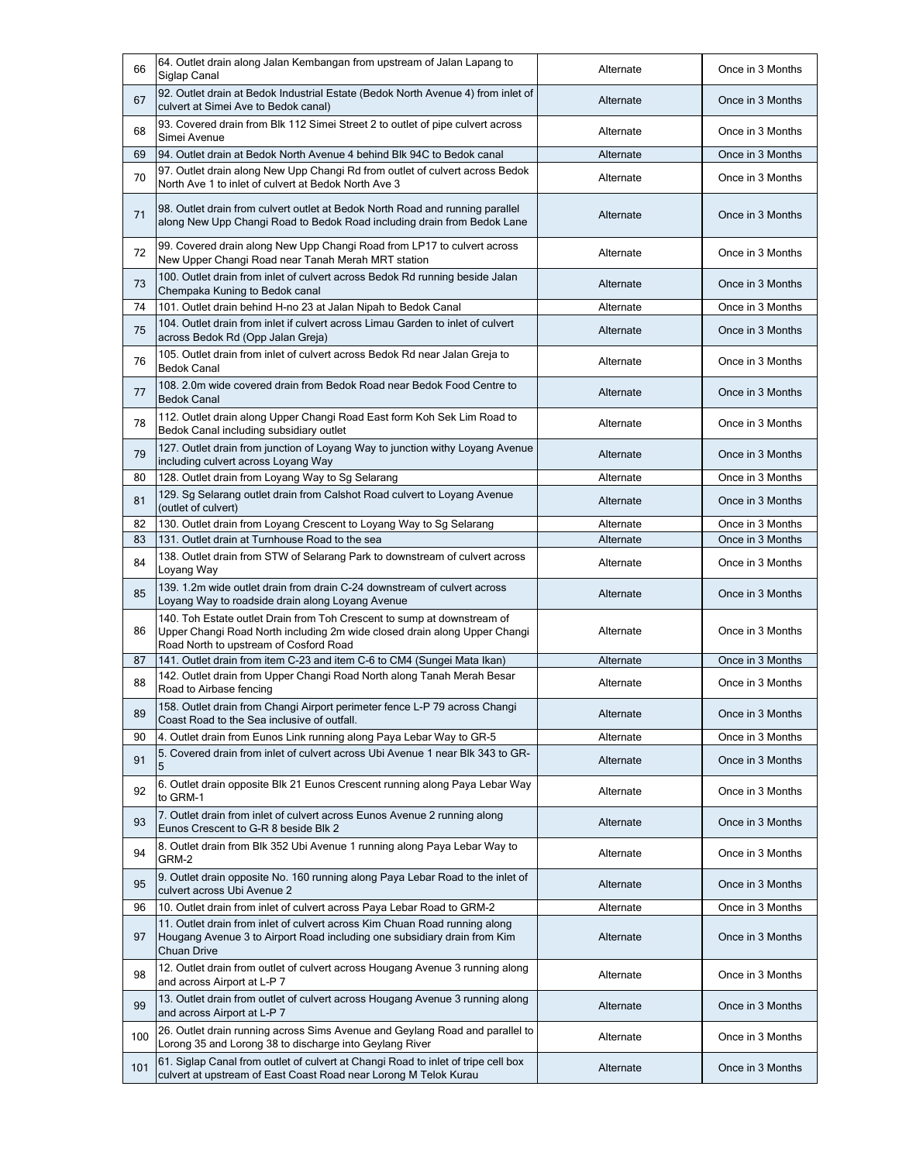| 66  | 64. Outlet drain along Jalan Kembangan from upstream of Jalan Lapang to<br>Siglap Canal                                                                                                        | Alternate | Once in 3 Months |
|-----|------------------------------------------------------------------------------------------------------------------------------------------------------------------------------------------------|-----------|------------------|
| 67  | 92. Outlet drain at Bedok Industrial Estate (Bedok North Avenue 4) from inlet of<br>culvert at Simei Ave to Bedok canal)                                                                       | Alternate | Once in 3 Months |
| 68  | 93. Covered drain from Blk 112 Simei Street 2 to outlet of pipe culvert across<br>Simei Avenue                                                                                                 | Alternate | Once in 3 Months |
| 69  | 94. Outlet drain at Bedok North Avenue 4 behind Blk 94C to Bedok canal                                                                                                                         | Alternate | Once in 3 Months |
| 70  | 97. Outlet drain along New Upp Changi Rd from outlet of culvert across Bedok<br>North Ave 1 to inlet of culvert at Bedok North Ave 3                                                           | Alternate | Once in 3 Months |
| 71  | 98. Outlet drain from culvert outlet at Bedok North Road and running parallel<br>along New Upp Changi Road to Bedok Road including drain from Bedok Lane                                       | Alternate | Once in 3 Months |
| 72  | 99. Covered drain along New Upp Changi Road from LP17 to culvert across<br>New Upper Changi Road near Tanah Merah MRT station                                                                  | Alternate | Once in 3 Months |
| 73  | 100. Outlet drain from inlet of culvert across Bedok Rd running beside Jalan<br>Chempaka Kuning to Bedok canal                                                                                 | Alternate | Once in 3 Months |
| 74  | 101. Outlet drain behind H-no 23 at Jalan Nipah to Bedok Canal                                                                                                                                 | Alternate | Once in 3 Months |
| 75  | 104. Outlet drain from inlet if culvert across Limau Garden to inlet of culvert<br>across Bedok Rd (Opp Jalan Greja)                                                                           | Alternate | Once in 3 Months |
| 76  | 105. Outlet drain from inlet of culvert across Bedok Rd near Jalan Greja to<br><b>Bedok Canal</b>                                                                                              | Alternate | Once in 3 Months |
| 77  | 108, 2.0m wide covered drain from Bedok Road near Bedok Food Centre to<br><b>Bedok Canal</b>                                                                                                   | Alternate | Once in 3 Months |
| 78  | 112. Outlet drain along Upper Changi Road East form Koh Sek Lim Road to<br>Bedok Canal including subsidiary outlet                                                                             | Alternate | Once in 3 Months |
| 79  | 127. Outlet drain from junction of Loyang Way to junction withy Loyang Avenue<br>including culvert across Loyang Way                                                                           | Alternate | Once in 3 Months |
| 80  | 128. Outlet drain from Loyang Way to Sg Selarang                                                                                                                                               | Alternate | Once in 3 Months |
| 81  | 129. Sg Selarang outlet drain from Calshot Road culvert to Loyang Avenue<br>(outlet of culvert)                                                                                                | Alternate | Once in 3 Months |
| 82  | 130. Outlet drain from Loyang Crescent to Loyang Way to Sg Selarang                                                                                                                            | Alternate | Once in 3 Months |
| 83  | 131. Outlet drain at Turnhouse Road to the sea                                                                                                                                                 | Alternate | Once in 3 Months |
| 84  | 138. Outlet drain from STW of Selarang Park to downstream of culvert across<br>Loyang Way                                                                                                      | Alternate | Once in 3 Months |
| 85  | 139. 1.2m wide outlet drain from drain C-24 downstream of culvert across<br>Loyang Way to roadside drain along Loyang Avenue                                                                   | Alternate | Once in 3 Months |
| 86  | 140. Toh Estate outlet Drain from Toh Crescent to sump at downstream of<br>Upper Changi Road North including 2m wide closed drain along Upper Changi<br>Road North to upstream of Cosford Road | Alternate | Once in 3 Months |
| 87  | 141. Outlet drain from item C-23 and item C-6 to CM4 (Sungei Mata Ikan)                                                                                                                        | Alternate | Once in 3 Months |
| 88  | 142. Outlet drain from Upper Changi Road North along Tanah Merah Besar<br>Road to Airbase fencing                                                                                              | Alternate | Once in 3 Months |
| 89  | 158. Outlet drain from Changi Airport perimeter fence L-P 79 across Changi<br>Coast Road to the Sea inclusive of outfall.                                                                      | Alternate | Once in 3 Months |
| 90  | 4. Outlet drain from Eunos Link running along Paya Lebar Way to GR-5                                                                                                                           | Alternate | Once in 3 Months |
| 91  | 5. Covered drain from inlet of culvert across Ubi Avenue 1 near Blk 343 to GR-<br>5                                                                                                            | Alternate | Once in 3 Months |
| 92  | 6. Outlet drain opposite Blk 21 Eunos Crescent running along Paya Lebar Way<br>to GRM-1                                                                                                        | Alternate | Once in 3 Months |
| 93  | 7. Outlet drain from inlet of culvert across Eunos Avenue 2 running along<br>Eunos Crescent to G-R 8 beside Blk 2                                                                              | Alternate | Once in 3 Months |
| 94  | 8. Outlet drain from Blk 352 Ubi Avenue 1 running along Paya Lebar Way to<br>GRM-2                                                                                                             | Alternate | Once in 3 Months |
| 95  | 9. Outlet drain opposite No. 160 running along Paya Lebar Road to the inlet of<br>culvert across Ubi Avenue 2                                                                                  | Alternate | Once in 3 Months |
| 96  | 10. Outlet drain from inlet of culvert across Paya Lebar Road to GRM-2                                                                                                                         | Alternate | Once in 3 Months |
| 97  | 11. Outlet drain from inlet of culvert across Kim Chuan Road running along<br>Hougang Avenue 3 to Airport Road including one subsidiary drain from Kim<br>Chuan Drive                          | Alternate | Once in 3 Months |
| 98  | 12. Outlet drain from outlet of culvert across Hougang Avenue 3 running along<br>and across Airport at L-P 7                                                                                   | Alternate | Once in 3 Months |
| 99  | 13. Outlet drain from outlet of culvert across Hougang Avenue 3 running along<br>and across Airport at L-P 7                                                                                   | Alternate | Once in 3 Months |
| 100 | 26. Outlet drain running across Sims Avenue and Geylang Road and parallel to<br>Lorong 35 and Lorong 38 to discharge into Geylang River                                                        | Alternate | Once in 3 Months |
| 101 | 61. Siglap Canal from outlet of culvert at Changi Road to inlet of tripe cell box<br>culvert at upstream of East Coast Road near Lorong M Telok Kurau                                          | Alternate | Once in 3 Months |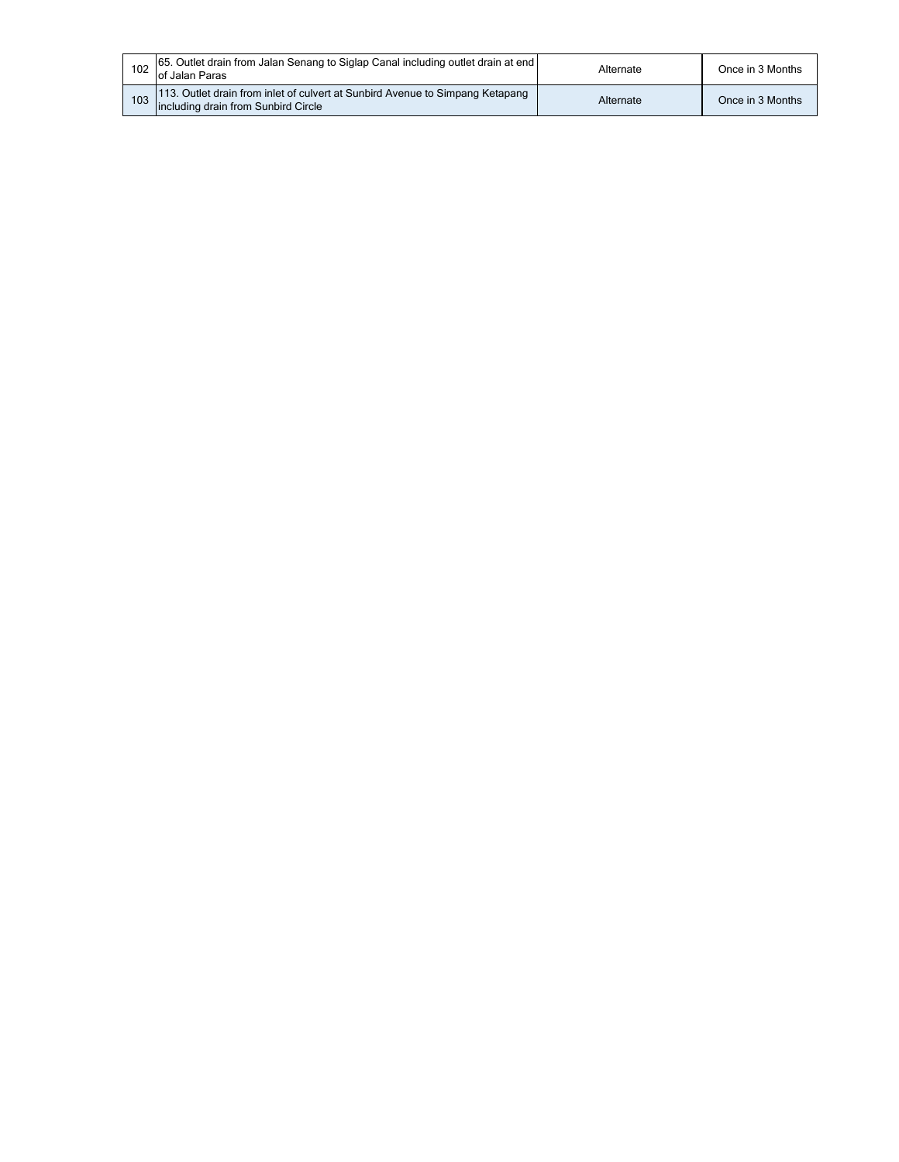| 102 65. Outlet drain from Jalan Senang to Siglap Canal including outlet drain at end<br>of Jalan Paras               | Alternate | Once in 3 Months |
|----------------------------------------------------------------------------------------------------------------------|-----------|------------------|
| 113. Outlet drain from inlet of culvert at Sunbird Avenue to Simpang Ketapang<br>including drain from Sunbird Circle | Alternate | Once in 3 Months |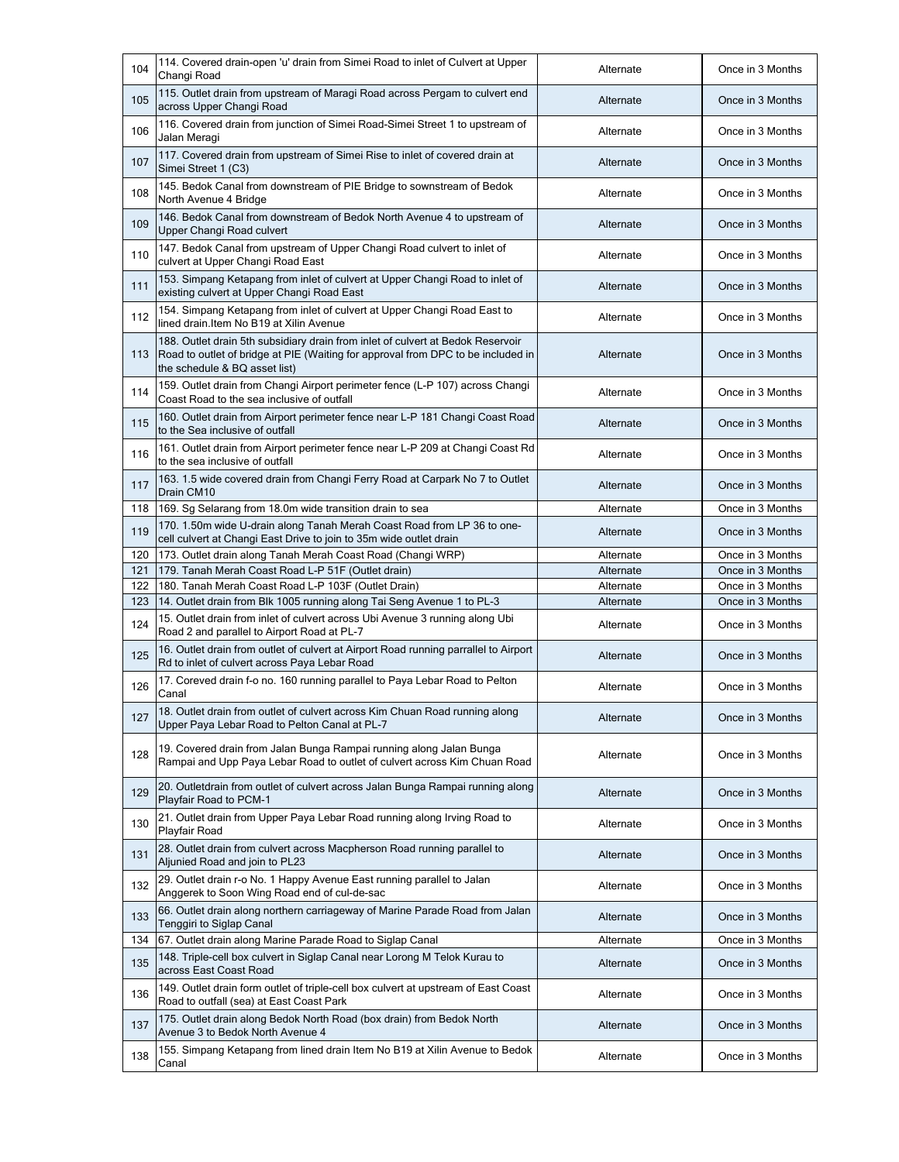| 115. Outlet drain from upstream of Maragi Road across Pergam to culvert end<br>105<br>Once in 3 Months<br>Alternate<br>across Upper Changi Road<br>116. Covered drain from junction of Simei Road-Simei Street 1 to upstream of<br>106<br>Once in 3 Months<br>Alternate<br>Jalan Meragi<br>117. Covered drain from upstream of Simei Rise to inlet of covered drain at<br>107<br>Once in 3 Months<br>Alternate<br>Simei Street 1 (C3)<br>145. Bedok Canal from downstream of PIE Bridge to sownstream of Bedok<br>108<br>Alternate<br>Once in 3 Months<br>North Avenue 4 Bridge<br>146. Bedok Canal from downstream of Bedok North Avenue 4 to upstream of<br>109<br>Once in 3 Months<br>Alternate<br>Upper Changi Road culvert<br>147. Bedok Canal from upstream of Upper Changi Road culvert to inlet of<br>110<br>Once in 3 Months<br>Alternate<br>culvert at Upper Changi Road East<br>153. Simpang Ketapang from inlet of culvert at Upper Changi Road to inlet of<br>111<br>Once in 3 Months<br>Alternate<br>existing culvert at Upper Changi Road East<br>154. Simpang Ketapang from inlet of culvert at Upper Changi Road East to<br>112<br>Alternate<br>Once in 3 Months<br>lined drain. Item No B19 at Xilin Avenue<br>188. Outlet drain 5th subsidiary drain from inlet of culvert at Bedok Reservoir<br>113<br>Once in 3 Months<br>Road to outlet of bridge at PIE (Waiting for approval from DPC to be included in<br>Alternate<br>the schedule & BQ asset list)<br>159. Outlet drain from Changi Airport perimeter fence (L-P 107) across Changi<br>114<br>Once in 3 Months<br>Alternate<br>Coast Road to the sea inclusive of outfall<br>160. Outlet drain from Airport perimeter fence near L-P 181 Changi Coast Road<br>115<br>Once in 3 Months<br>Alternate<br>to the Sea inclusive of outfall<br>161. Outlet drain from Airport perimeter fence near L-P 209 at Changi Coast Rd<br>116<br>Once in 3 Months<br>Alternate<br>to the sea inclusive of outfall<br>163. 1.5 wide covered drain from Changi Ferry Road at Carpark No 7 to Outlet<br>117<br>Alternate<br>Once in 3 Months<br>Drain CM10<br>118<br>169. Sg Selarang from 18.0m wide transition drain to sea<br>Once in 3 Months<br>Alternate<br>170. 1.50m wide U-drain along Tanah Merah Coast Road from LP 36 to one-<br>119<br>Once in 3 Months<br>Alternate<br>cell culvert at Changi East Drive to join to 35m wide outlet drain<br>120<br>Alternate<br>173. Outlet drain along Tanah Merah Coast Road (Changi WRP)<br>Once in 3 Months<br>121<br>179. Tanah Merah Coast Road L-P 51F (Outlet drain)<br>Once in 3 Months<br>Alternate<br>122<br>180. Tanah Merah Coast Road L-P 103F (Outlet Drain)<br>Alternate<br>Once in 3 Months<br>123<br>14. Outlet drain from Blk 1005 running along Tai Seng Avenue 1 to PL-3<br>Alternate<br>Once in 3 Months<br>15. Outlet drain from inlet of culvert across Ubi Avenue 3 running along Ubi<br>124<br>Alternate<br>Once in 3 Months<br>Road 2 and parallel to Airport Road at PL-7<br>16. Outlet drain from outlet of culvert at Airport Road running parrallel to Airport<br>125<br>Once in 3 Months<br>Alternate<br>Rd to inlet of culvert across Paya Lebar Road<br>17. Coreved drain f-o no. 160 running parallel to Paya Lebar Road to Pelton<br>126<br>Once in 3 Months<br>Alternate<br>Canal<br>18. Outlet drain from outlet of culvert across Kim Chuan Road running along<br>127<br>Once in 3 Months<br>Alternate<br>Upper Paya Lebar Road to Pelton Canal at PL-7<br>19. Covered drain from Jalan Bunga Rampai running along Jalan Bunga<br>128<br>Once in 3 Months<br>Alternate<br>Rampai and Upp Paya Lebar Road to outlet of culvert across Kim Chuan Road<br>20. Outletdrain from outlet of culvert across Jalan Bunga Rampai running along<br>129<br>Once in 3 Months<br>Alternate<br>Playfair Road to PCM-1<br>21. Outlet drain from Upper Paya Lebar Road running along Irving Road to<br>130<br>Once in 3 Months<br>Alternate<br>Playfair Road<br>28. Outlet drain from culvert across Macpherson Road running parallel to<br>131<br>Alternate<br>Once in 3 Months<br>Aljunied Road and join to PL23<br>29. Outlet drain r-o No. 1 Happy Avenue East running parallel to Jalan<br>132<br>Alternate<br>Once in 3 Months<br>Anggerek to Soon Wing Road end of cul-de-sac<br>66. Outlet drain along northern carriageway of Marine Parade Road from Jalan<br>133<br>Once in 3 Months<br>Alternate<br>Tenggiri to Siglap Canal<br>Alternate<br>Once in 3 Months<br>134<br>67. Outlet drain along Marine Parade Road to Siglap Canal<br>148. Triple-cell box culvert in Siglap Canal near Lorong M Telok Kurau to<br>135<br>Once in 3 Months<br>Alternate<br>across East Coast Road<br>149. Outlet drain form outlet of triple-cell box culvert at upstream of East Coast<br>136<br>Once in 3 Months<br>Alternate<br>Road to outfall (sea) at East Coast Park<br>175. Outlet drain along Bedok North Road (box drain) from Bedok North<br>137<br>Once in 3 Months<br>Alternate<br>Avenue 3 to Bedok North Avenue 4<br>155. Simpang Ketapang from lined drain Item No B19 at Xilin Avenue to Bedok<br>138<br>Alternate<br>Once in 3 Months<br>Canal | 104 | 114. Covered drain-open 'u' drain from Simei Road to inlet of Culvert at Upper<br>Changi Road | Alternate | Once in 3 Months |
|--------------------------------------------------------------------------------------------------------------------------------------------------------------------------------------------------------------------------------------------------------------------------------------------------------------------------------------------------------------------------------------------------------------------------------------------------------------------------------------------------------------------------------------------------------------------------------------------------------------------------------------------------------------------------------------------------------------------------------------------------------------------------------------------------------------------------------------------------------------------------------------------------------------------------------------------------------------------------------------------------------------------------------------------------------------------------------------------------------------------------------------------------------------------------------------------------------------------------------------------------------------------------------------------------------------------------------------------------------------------------------------------------------------------------------------------------------------------------------------------------------------------------------------------------------------------------------------------------------------------------------------------------------------------------------------------------------------------------------------------------------------------------------------------------------------------------------------------------------------------------------------------------------------------------------------------------------------------------------------------------------------------------------------------------------------------------------------------------------------------------------------------------------------------------------------------------------------------------------------------------------------------------------------------------------------------------------------------------------------------------------------------------------------------------------------------------------------------------------------------------------------------------------------------------------------------------------------------------------------------------------------------------------------------------------------------------------------------------------------------------------------------------------------------------------------------------------------------------------------------------------------------------------------------------------------------------------------------------------------------------------------------------------------------------------------------------------------------------------------------------------------------------------------------------------------------------------------------------------------------------------------------------------------------------------------------------------------------------------------------------------------------------------------------------------------------------------------------------------------------------------------------------------------------------------------------------------------------------------------------------------------------------------------------------------------------------------------------------------------------------------------------------------------------------------------------------------------------------------------------------------------------------------------------------------------------------------------------------------------------------------------------------------------------------------------------------------------------------------------------------------------------------------------------------------------------------------------------------------------------------------------------------------------------------------------------------------------------------------------------------------------------------------------------------------------------------------------------------------------------------------------------------------------------------------------------------------------------------------------------------------------------------------------------------------------------------------------------------------------------------------------------------------------------------------------------------------------------------------------------------------------------------------------------------------------------------------------------------------------------------------------------------------------------------------------------------------------------------------------------------------------------------------------------------------------------|-----|-----------------------------------------------------------------------------------------------|-----------|------------------|
|                                                                                                                                                                                                                                                                                                                                                                                                                                                                                                                                                                                                                                                                                                                                                                                                                                                                                                                                                                                                                                                                                                                                                                                                                                                                                                                                                                                                                                                                                                                                                                                                                                                                                                                                                                                                                                                                                                                                                                                                                                                                                                                                                                                                                                                                                                                                                                                                                                                                                                                                                                                                                                                                                                                                                                                                                                                                                                                                                                                                                                                                                                                                                                                                                                                                                                                                                                                                                                                                                                                                                                                                                                                                                                                                                                                                                                                                                                                                                                                                                                                                                                                                                                                                                                                                                                                                                                                                                                                                                                                                                                                                                                                                                                                                                                                                                                                                                                                                                                                                                                                                                                                                                                                            |     |                                                                                               |           |                  |
|                                                                                                                                                                                                                                                                                                                                                                                                                                                                                                                                                                                                                                                                                                                                                                                                                                                                                                                                                                                                                                                                                                                                                                                                                                                                                                                                                                                                                                                                                                                                                                                                                                                                                                                                                                                                                                                                                                                                                                                                                                                                                                                                                                                                                                                                                                                                                                                                                                                                                                                                                                                                                                                                                                                                                                                                                                                                                                                                                                                                                                                                                                                                                                                                                                                                                                                                                                                                                                                                                                                                                                                                                                                                                                                                                                                                                                                                                                                                                                                                                                                                                                                                                                                                                                                                                                                                                                                                                                                                                                                                                                                                                                                                                                                                                                                                                                                                                                                                                                                                                                                                                                                                                                                            |     |                                                                                               |           |                  |
|                                                                                                                                                                                                                                                                                                                                                                                                                                                                                                                                                                                                                                                                                                                                                                                                                                                                                                                                                                                                                                                                                                                                                                                                                                                                                                                                                                                                                                                                                                                                                                                                                                                                                                                                                                                                                                                                                                                                                                                                                                                                                                                                                                                                                                                                                                                                                                                                                                                                                                                                                                                                                                                                                                                                                                                                                                                                                                                                                                                                                                                                                                                                                                                                                                                                                                                                                                                                                                                                                                                                                                                                                                                                                                                                                                                                                                                                                                                                                                                                                                                                                                                                                                                                                                                                                                                                                                                                                                                                                                                                                                                                                                                                                                                                                                                                                                                                                                                                                                                                                                                                                                                                                                                            |     |                                                                                               |           |                  |
|                                                                                                                                                                                                                                                                                                                                                                                                                                                                                                                                                                                                                                                                                                                                                                                                                                                                                                                                                                                                                                                                                                                                                                                                                                                                                                                                                                                                                                                                                                                                                                                                                                                                                                                                                                                                                                                                                                                                                                                                                                                                                                                                                                                                                                                                                                                                                                                                                                                                                                                                                                                                                                                                                                                                                                                                                                                                                                                                                                                                                                                                                                                                                                                                                                                                                                                                                                                                                                                                                                                                                                                                                                                                                                                                                                                                                                                                                                                                                                                                                                                                                                                                                                                                                                                                                                                                                                                                                                                                                                                                                                                                                                                                                                                                                                                                                                                                                                                                                                                                                                                                                                                                                                                            |     |                                                                                               |           |                  |
|                                                                                                                                                                                                                                                                                                                                                                                                                                                                                                                                                                                                                                                                                                                                                                                                                                                                                                                                                                                                                                                                                                                                                                                                                                                                                                                                                                                                                                                                                                                                                                                                                                                                                                                                                                                                                                                                                                                                                                                                                                                                                                                                                                                                                                                                                                                                                                                                                                                                                                                                                                                                                                                                                                                                                                                                                                                                                                                                                                                                                                                                                                                                                                                                                                                                                                                                                                                                                                                                                                                                                                                                                                                                                                                                                                                                                                                                                                                                                                                                                                                                                                                                                                                                                                                                                                                                                                                                                                                                                                                                                                                                                                                                                                                                                                                                                                                                                                                                                                                                                                                                                                                                                                                            |     |                                                                                               |           |                  |
|                                                                                                                                                                                                                                                                                                                                                                                                                                                                                                                                                                                                                                                                                                                                                                                                                                                                                                                                                                                                                                                                                                                                                                                                                                                                                                                                                                                                                                                                                                                                                                                                                                                                                                                                                                                                                                                                                                                                                                                                                                                                                                                                                                                                                                                                                                                                                                                                                                                                                                                                                                                                                                                                                                                                                                                                                                                                                                                                                                                                                                                                                                                                                                                                                                                                                                                                                                                                                                                                                                                                                                                                                                                                                                                                                                                                                                                                                                                                                                                                                                                                                                                                                                                                                                                                                                                                                                                                                                                                                                                                                                                                                                                                                                                                                                                                                                                                                                                                                                                                                                                                                                                                                                                            |     |                                                                                               |           |                  |
|                                                                                                                                                                                                                                                                                                                                                                                                                                                                                                                                                                                                                                                                                                                                                                                                                                                                                                                                                                                                                                                                                                                                                                                                                                                                                                                                                                                                                                                                                                                                                                                                                                                                                                                                                                                                                                                                                                                                                                                                                                                                                                                                                                                                                                                                                                                                                                                                                                                                                                                                                                                                                                                                                                                                                                                                                                                                                                                                                                                                                                                                                                                                                                                                                                                                                                                                                                                                                                                                                                                                                                                                                                                                                                                                                                                                                                                                                                                                                                                                                                                                                                                                                                                                                                                                                                                                                                                                                                                                                                                                                                                                                                                                                                                                                                                                                                                                                                                                                                                                                                                                                                                                                                                            |     |                                                                                               |           |                  |
|                                                                                                                                                                                                                                                                                                                                                                                                                                                                                                                                                                                                                                                                                                                                                                                                                                                                                                                                                                                                                                                                                                                                                                                                                                                                                                                                                                                                                                                                                                                                                                                                                                                                                                                                                                                                                                                                                                                                                                                                                                                                                                                                                                                                                                                                                                                                                                                                                                                                                                                                                                                                                                                                                                                                                                                                                                                                                                                                                                                                                                                                                                                                                                                                                                                                                                                                                                                                                                                                                                                                                                                                                                                                                                                                                                                                                                                                                                                                                                                                                                                                                                                                                                                                                                                                                                                                                                                                                                                                                                                                                                                                                                                                                                                                                                                                                                                                                                                                                                                                                                                                                                                                                                                            |     |                                                                                               |           |                  |
|                                                                                                                                                                                                                                                                                                                                                                                                                                                                                                                                                                                                                                                                                                                                                                                                                                                                                                                                                                                                                                                                                                                                                                                                                                                                                                                                                                                                                                                                                                                                                                                                                                                                                                                                                                                                                                                                                                                                                                                                                                                                                                                                                                                                                                                                                                                                                                                                                                                                                                                                                                                                                                                                                                                                                                                                                                                                                                                                                                                                                                                                                                                                                                                                                                                                                                                                                                                                                                                                                                                                                                                                                                                                                                                                                                                                                                                                                                                                                                                                                                                                                                                                                                                                                                                                                                                                                                                                                                                                                                                                                                                                                                                                                                                                                                                                                                                                                                                                                                                                                                                                                                                                                                                            |     |                                                                                               |           |                  |
|                                                                                                                                                                                                                                                                                                                                                                                                                                                                                                                                                                                                                                                                                                                                                                                                                                                                                                                                                                                                                                                                                                                                                                                                                                                                                                                                                                                                                                                                                                                                                                                                                                                                                                                                                                                                                                                                                                                                                                                                                                                                                                                                                                                                                                                                                                                                                                                                                                                                                                                                                                                                                                                                                                                                                                                                                                                                                                                                                                                                                                                                                                                                                                                                                                                                                                                                                                                                                                                                                                                                                                                                                                                                                                                                                                                                                                                                                                                                                                                                                                                                                                                                                                                                                                                                                                                                                                                                                                                                                                                                                                                                                                                                                                                                                                                                                                                                                                                                                                                                                                                                                                                                                                                            |     |                                                                                               |           |                  |
|                                                                                                                                                                                                                                                                                                                                                                                                                                                                                                                                                                                                                                                                                                                                                                                                                                                                                                                                                                                                                                                                                                                                                                                                                                                                                                                                                                                                                                                                                                                                                                                                                                                                                                                                                                                                                                                                                                                                                                                                                                                                                                                                                                                                                                                                                                                                                                                                                                                                                                                                                                                                                                                                                                                                                                                                                                                                                                                                                                                                                                                                                                                                                                                                                                                                                                                                                                                                                                                                                                                                                                                                                                                                                                                                                                                                                                                                                                                                                                                                                                                                                                                                                                                                                                                                                                                                                                                                                                                                                                                                                                                                                                                                                                                                                                                                                                                                                                                                                                                                                                                                                                                                                                                            |     |                                                                                               |           |                  |
|                                                                                                                                                                                                                                                                                                                                                                                                                                                                                                                                                                                                                                                                                                                                                                                                                                                                                                                                                                                                                                                                                                                                                                                                                                                                                                                                                                                                                                                                                                                                                                                                                                                                                                                                                                                                                                                                                                                                                                                                                                                                                                                                                                                                                                                                                                                                                                                                                                                                                                                                                                                                                                                                                                                                                                                                                                                                                                                                                                                                                                                                                                                                                                                                                                                                                                                                                                                                                                                                                                                                                                                                                                                                                                                                                                                                                                                                                                                                                                                                                                                                                                                                                                                                                                                                                                                                                                                                                                                                                                                                                                                                                                                                                                                                                                                                                                                                                                                                                                                                                                                                                                                                                                                            |     |                                                                                               |           |                  |
|                                                                                                                                                                                                                                                                                                                                                                                                                                                                                                                                                                                                                                                                                                                                                                                                                                                                                                                                                                                                                                                                                                                                                                                                                                                                                                                                                                                                                                                                                                                                                                                                                                                                                                                                                                                                                                                                                                                                                                                                                                                                                                                                                                                                                                                                                                                                                                                                                                                                                                                                                                                                                                                                                                                                                                                                                                                                                                                                                                                                                                                                                                                                                                                                                                                                                                                                                                                                                                                                                                                                                                                                                                                                                                                                                                                                                                                                                                                                                                                                                                                                                                                                                                                                                                                                                                                                                                                                                                                                                                                                                                                                                                                                                                                                                                                                                                                                                                                                                                                                                                                                                                                                                                                            |     |                                                                                               |           |                  |
|                                                                                                                                                                                                                                                                                                                                                                                                                                                                                                                                                                                                                                                                                                                                                                                                                                                                                                                                                                                                                                                                                                                                                                                                                                                                                                                                                                                                                                                                                                                                                                                                                                                                                                                                                                                                                                                                                                                                                                                                                                                                                                                                                                                                                                                                                                                                                                                                                                                                                                                                                                                                                                                                                                                                                                                                                                                                                                                                                                                                                                                                                                                                                                                                                                                                                                                                                                                                                                                                                                                                                                                                                                                                                                                                                                                                                                                                                                                                                                                                                                                                                                                                                                                                                                                                                                                                                                                                                                                                                                                                                                                                                                                                                                                                                                                                                                                                                                                                                                                                                                                                                                                                                                                            |     |                                                                                               |           |                  |
|                                                                                                                                                                                                                                                                                                                                                                                                                                                                                                                                                                                                                                                                                                                                                                                                                                                                                                                                                                                                                                                                                                                                                                                                                                                                                                                                                                                                                                                                                                                                                                                                                                                                                                                                                                                                                                                                                                                                                                                                                                                                                                                                                                                                                                                                                                                                                                                                                                                                                                                                                                                                                                                                                                                                                                                                                                                                                                                                                                                                                                                                                                                                                                                                                                                                                                                                                                                                                                                                                                                                                                                                                                                                                                                                                                                                                                                                                                                                                                                                                                                                                                                                                                                                                                                                                                                                                                                                                                                                                                                                                                                                                                                                                                                                                                                                                                                                                                                                                                                                                                                                                                                                                                                            |     |                                                                                               |           |                  |
|                                                                                                                                                                                                                                                                                                                                                                                                                                                                                                                                                                                                                                                                                                                                                                                                                                                                                                                                                                                                                                                                                                                                                                                                                                                                                                                                                                                                                                                                                                                                                                                                                                                                                                                                                                                                                                                                                                                                                                                                                                                                                                                                                                                                                                                                                                                                                                                                                                                                                                                                                                                                                                                                                                                                                                                                                                                                                                                                                                                                                                                                                                                                                                                                                                                                                                                                                                                                                                                                                                                                                                                                                                                                                                                                                                                                                                                                                                                                                                                                                                                                                                                                                                                                                                                                                                                                                                                                                                                                                                                                                                                                                                                                                                                                                                                                                                                                                                                                                                                                                                                                                                                                                                                            |     |                                                                                               |           |                  |
|                                                                                                                                                                                                                                                                                                                                                                                                                                                                                                                                                                                                                                                                                                                                                                                                                                                                                                                                                                                                                                                                                                                                                                                                                                                                                                                                                                                                                                                                                                                                                                                                                                                                                                                                                                                                                                                                                                                                                                                                                                                                                                                                                                                                                                                                                                                                                                                                                                                                                                                                                                                                                                                                                                                                                                                                                                                                                                                                                                                                                                                                                                                                                                                                                                                                                                                                                                                                                                                                                                                                                                                                                                                                                                                                                                                                                                                                                                                                                                                                                                                                                                                                                                                                                                                                                                                                                                                                                                                                                                                                                                                                                                                                                                                                                                                                                                                                                                                                                                                                                                                                                                                                                                                            |     |                                                                                               |           |                  |
|                                                                                                                                                                                                                                                                                                                                                                                                                                                                                                                                                                                                                                                                                                                                                                                                                                                                                                                                                                                                                                                                                                                                                                                                                                                                                                                                                                                                                                                                                                                                                                                                                                                                                                                                                                                                                                                                                                                                                                                                                                                                                                                                                                                                                                                                                                                                                                                                                                                                                                                                                                                                                                                                                                                                                                                                                                                                                                                                                                                                                                                                                                                                                                                                                                                                                                                                                                                                                                                                                                                                                                                                                                                                                                                                                                                                                                                                                                                                                                                                                                                                                                                                                                                                                                                                                                                                                                                                                                                                                                                                                                                                                                                                                                                                                                                                                                                                                                                                                                                                                                                                                                                                                                                            |     |                                                                                               |           |                  |
|                                                                                                                                                                                                                                                                                                                                                                                                                                                                                                                                                                                                                                                                                                                                                                                                                                                                                                                                                                                                                                                                                                                                                                                                                                                                                                                                                                                                                                                                                                                                                                                                                                                                                                                                                                                                                                                                                                                                                                                                                                                                                                                                                                                                                                                                                                                                                                                                                                                                                                                                                                                                                                                                                                                                                                                                                                                                                                                                                                                                                                                                                                                                                                                                                                                                                                                                                                                                                                                                                                                                                                                                                                                                                                                                                                                                                                                                                                                                                                                                                                                                                                                                                                                                                                                                                                                                                                                                                                                                                                                                                                                                                                                                                                                                                                                                                                                                                                                                                                                                                                                                                                                                                                                            |     |                                                                                               |           |                  |
|                                                                                                                                                                                                                                                                                                                                                                                                                                                                                                                                                                                                                                                                                                                                                                                                                                                                                                                                                                                                                                                                                                                                                                                                                                                                                                                                                                                                                                                                                                                                                                                                                                                                                                                                                                                                                                                                                                                                                                                                                                                                                                                                                                                                                                                                                                                                                                                                                                                                                                                                                                                                                                                                                                                                                                                                                                                                                                                                                                                                                                                                                                                                                                                                                                                                                                                                                                                                                                                                                                                                                                                                                                                                                                                                                                                                                                                                                                                                                                                                                                                                                                                                                                                                                                                                                                                                                                                                                                                                                                                                                                                                                                                                                                                                                                                                                                                                                                                                                                                                                                                                                                                                                                                            |     |                                                                                               |           |                  |
|                                                                                                                                                                                                                                                                                                                                                                                                                                                                                                                                                                                                                                                                                                                                                                                                                                                                                                                                                                                                                                                                                                                                                                                                                                                                                                                                                                                                                                                                                                                                                                                                                                                                                                                                                                                                                                                                                                                                                                                                                                                                                                                                                                                                                                                                                                                                                                                                                                                                                                                                                                                                                                                                                                                                                                                                                                                                                                                                                                                                                                                                                                                                                                                                                                                                                                                                                                                                                                                                                                                                                                                                                                                                                                                                                                                                                                                                                                                                                                                                                                                                                                                                                                                                                                                                                                                                                                                                                                                                                                                                                                                                                                                                                                                                                                                                                                                                                                                                                                                                                                                                                                                                                                                            |     |                                                                                               |           |                  |
|                                                                                                                                                                                                                                                                                                                                                                                                                                                                                                                                                                                                                                                                                                                                                                                                                                                                                                                                                                                                                                                                                                                                                                                                                                                                                                                                                                                                                                                                                                                                                                                                                                                                                                                                                                                                                                                                                                                                                                                                                                                                                                                                                                                                                                                                                                                                                                                                                                                                                                                                                                                                                                                                                                                                                                                                                                                                                                                                                                                                                                                                                                                                                                                                                                                                                                                                                                                                                                                                                                                                                                                                                                                                                                                                                                                                                                                                                                                                                                                                                                                                                                                                                                                                                                                                                                                                                                                                                                                                                                                                                                                                                                                                                                                                                                                                                                                                                                                                                                                                                                                                                                                                                                                            |     |                                                                                               |           |                  |
|                                                                                                                                                                                                                                                                                                                                                                                                                                                                                                                                                                                                                                                                                                                                                                                                                                                                                                                                                                                                                                                                                                                                                                                                                                                                                                                                                                                                                                                                                                                                                                                                                                                                                                                                                                                                                                                                                                                                                                                                                                                                                                                                                                                                                                                                                                                                                                                                                                                                                                                                                                                                                                                                                                                                                                                                                                                                                                                                                                                                                                                                                                                                                                                                                                                                                                                                                                                                                                                                                                                                                                                                                                                                                                                                                                                                                                                                                                                                                                                                                                                                                                                                                                                                                                                                                                                                                                                                                                                                                                                                                                                                                                                                                                                                                                                                                                                                                                                                                                                                                                                                                                                                                                                            |     |                                                                                               |           |                  |
|                                                                                                                                                                                                                                                                                                                                                                                                                                                                                                                                                                                                                                                                                                                                                                                                                                                                                                                                                                                                                                                                                                                                                                                                                                                                                                                                                                                                                                                                                                                                                                                                                                                                                                                                                                                                                                                                                                                                                                                                                                                                                                                                                                                                                                                                                                                                                                                                                                                                                                                                                                                                                                                                                                                                                                                                                                                                                                                                                                                                                                                                                                                                                                                                                                                                                                                                                                                                                                                                                                                                                                                                                                                                                                                                                                                                                                                                                                                                                                                                                                                                                                                                                                                                                                                                                                                                                                                                                                                                                                                                                                                                                                                                                                                                                                                                                                                                                                                                                                                                                                                                                                                                                                                            |     |                                                                                               |           |                  |
|                                                                                                                                                                                                                                                                                                                                                                                                                                                                                                                                                                                                                                                                                                                                                                                                                                                                                                                                                                                                                                                                                                                                                                                                                                                                                                                                                                                                                                                                                                                                                                                                                                                                                                                                                                                                                                                                                                                                                                                                                                                                                                                                                                                                                                                                                                                                                                                                                                                                                                                                                                                                                                                                                                                                                                                                                                                                                                                                                                                                                                                                                                                                                                                                                                                                                                                                                                                                                                                                                                                                                                                                                                                                                                                                                                                                                                                                                                                                                                                                                                                                                                                                                                                                                                                                                                                                                                                                                                                                                                                                                                                                                                                                                                                                                                                                                                                                                                                                                                                                                                                                                                                                                                                            |     |                                                                                               |           |                  |
|                                                                                                                                                                                                                                                                                                                                                                                                                                                                                                                                                                                                                                                                                                                                                                                                                                                                                                                                                                                                                                                                                                                                                                                                                                                                                                                                                                                                                                                                                                                                                                                                                                                                                                                                                                                                                                                                                                                                                                                                                                                                                                                                                                                                                                                                                                                                                                                                                                                                                                                                                                                                                                                                                                                                                                                                                                                                                                                                                                                                                                                                                                                                                                                                                                                                                                                                                                                                                                                                                                                                                                                                                                                                                                                                                                                                                                                                                                                                                                                                                                                                                                                                                                                                                                                                                                                                                                                                                                                                                                                                                                                                                                                                                                                                                                                                                                                                                                                                                                                                                                                                                                                                                                                            |     |                                                                                               |           |                  |
|                                                                                                                                                                                                                                                                                                                                                                                                                                                                                                                                                                                                                                                                                                                                                                                                                                                                                                                                                                                                                                                                                                                                                                                                                                                                                                                                                                                                                                                                                                                                                                                                                                                                                                                                                                                                                                                                                                                                                                                                                                                                                                                                                                                                                                                                                                                                                                                                                                                                                                                                                                                                                                                                                                                                                                                                                                                                                                                                                                                                                                                                                                                                                                                                                                                                                                                                                                                                                                                                                                                                                                                                                                                                                                                                                                                                                                                                                                                                                                                                                                                                                                                                                                                                                                                                                                                                                                                                                                                                                                                                                                                                                                                                                                                                                                                                                                                                                                                                                                                                                                                                                                                                                                                            |     |                                                                                               |           |                  |
|                                                                                                                                                                                                                                                                                                                                                                                                                                                                                                                                                                                                                                                                                                                                                                                                                                                                                                                                                                                                                                                                                                                                                                                                                                                                                                                                                                                                                                                                                                                                                                                                                                                                                                                                                                                                                                                                                                                                                                                                                                                                                                                                                                                                                                                                                                                                                                                                                                                                                                                                                                                                                                                                                                                                                                                                                                                                                                                                                                                                                                                                                                                                                                                                                                                                                                                                                                                                                                                                                                                                                                                                                                                                                                                                                                                                                                                                                                                                                                                                                                                                                                                                                                                                                                                                                                                                                                                                                                                                                                                                                                                                                                                                                                                                                                                                                                                                                                                                                                                                                                                                                                                                                                                            |     |                                                                                               |           |                  |
|                                                                                                                                                                                                                                                                                                                                                                                                                                                                                                                                                                                                                                                                                                                                                                                                                                                                                                                                                                                                                                                                                                                                                                                                                                                                                                                                                                                                                                                                                                                                                                                                                                                                                                                                                                                                                                                                                                                                                                                                                                                                                                                                                                                                                                                                                                                                                                                                                                                                                                                                                                                                                                                                                                                                                                                                                                                                                                                                                                                                                                                                                                                                                                                                                                                                                                                                                                                                                                                                                                                                                                                                                                                                                                                                                                                                                                                                                                                                                                                                                                                                                                                                                                                                                                                                                                                                                                                                                                                                                                                                                                                                                                                                                                                                                                                                                                                                                                                                                                                                                                                                                                                                                                                            |     |                                                                                               |           |                  |
|                                                                                                                                                                                                                                                                                                                                                                                                                                                                                                                                                                                                                                                                                                                                                                                                                                                                                                                                                                                                                                                                                                                                                                                                                                                                                                                                                                                                                                                                                                                                                                                                                                                                                                                                                                                                                                                                                                                                                                                                                                                                                                                                                                                                                                                                                                                                                                                                                                                                                                                                                                                                                                                                                                                                                                                                                                                                                                                                                                                                                                                                                                                                                                                                                                                                                                                                                                                                                                                                                                                                                                                                                                                                                                                                                                                                                                                                                                                                                                                                                                                                                                                                                                                                                                                                                                                                                                                                                                                                                                                                                                                                                                                                                                                                                                                                                                                                                                                                                                                                                                                                                                                                                                                            |     |                                                                                               |           |                  |
|                                                                                                                                                                                                                                                                                                                                                                                                                                                                                                                                                                                                                                                                                                                                                                                                                                                                                                                                                                                                                                                                                                                                                                                                                                                                                                                                                                                                                                                                                                                                                                                                                                                                                                                                                                                                                                                                                                                                                                                                                                                                                                                                                                                                                                                                                                                                                                                                                                                                                                                                                                                                                                                                                                                                                                                                                                                                                                                                                                                                                                                                                                                                                                                                                                                                                                                                                                                                                                                                                                                                                                                                                                                                                                                                                                                                                                                                                                                                                                                                                                                                                                                                                                                                                                                                                                                                                                                                                                                                                                                                                                                                                                                                                                                                                                                                                                                                                                                                                                                                                                                                                                                                                                                            |     |                                                                                               |           |                  |
|                                                                                                                                                                                                                                                                                                                                                                                                                                                                                                                                                                                                                                                                                                                                                                                                                                                                                                                                                                                                                                                                                                                                                                                                                                                                                                                                                                                                                                                                                                                                                                                                                                                                                                                                                                                                                                                                                                                                                                                                                                                                                                                                                                                                                                                                                                                                                                                                                                                                                                                                                                                                                                                                                                                                                                                                                                                                                                                                                                                                                                                                                                                                                                                                                                                                                                                                                                                                                                                                                                                                                                                                                                                                                                                                                                                                                                                                                                                                                                                                                                                                                                                                                                                                                                                                                                                                                                                                                                                                                                                                                                                                                                                                                                                                                                                                                                                                                                                                                                                                                                                                                                                                                                                            |     |                                                                                               |           |                  |
|                                                                                                                                                                                                                                                                                                                                                                                                                                                                                                                                                                                                                                                                                                                                                                                                                                                                                                                                                                                                                                                                                                                                                                                                                                                                                                                                                                                                                                                                                                                                                                                                                                                                                                                                                                                                                                                                                                                                                                                                                                                                                                                                                                                                                                                                                                                                                                                                                                                                                                                                                                                                                                                                                                                                                                                                                                                                                                                                                                                                                                                                                                                                                                                                                                                                                                                                                                                                                                                                                                                                                                                                                                                                                                                                                                                                                                                                                                                                                                                                                                                                                                                                                                                                                                                                                                                                                                                                                                                                                                                                                                                                                                                                                                                                                                                                                                                                                                                                                                                                                                                                                                                                                                                            |     |                                                                                               |           |                  |
|                                                                                                                                                                                                                                                                                                                                                                                                                                                                                                                                                                                                                                                                                                                                                                                                                                                                                                                                                                                                                                                                                                                                                                                                                                                                                                                                                                                                                                                                                                                                                                                                                                                                                                                                                                                                                                                                                                                                                                                                                                                                                                                                                                                                                                                                                                                                                                                                                                                                                                                                                                                                                                                                                                                                                                                                                                                                                                                                                                                                                                                                                                                                                                                                                                                                                                                                                                                                                                                                                                                                                                                                                                                                                                                                                                                                                                                                                                                                                                                                                                                                                                                                                                                                                                                                                                                                                                                                                                                                                                                                                                                                                                                                                                                                                                                                                                                                                                                                                                                                                                                                                                                                                                                            |     |                                                                                               |           |                  |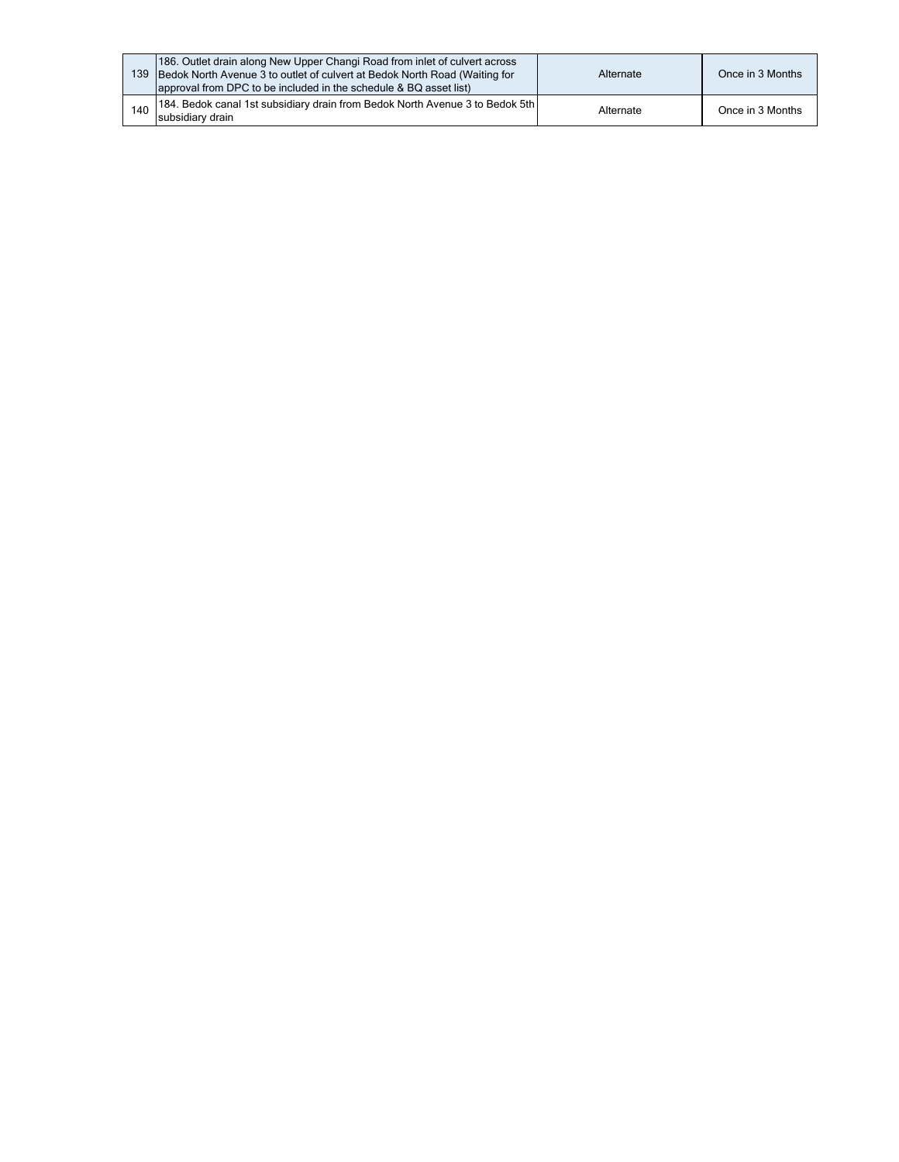| 139. | 186. Outlet drain along New Upper Changi Road from inlet of culvert across<br>Bedok North Avenue 3 to outlet of culvert at Bedok North Road (Waiting for<br>approval from DPC to be included in the schedule & BQ asset list) | Alternate | Once in 3 Months |
|------|-------------------------------------------------------------------------------------------------------------------------------------------------------------------------------------------------------------------------------|-----------|------------------|
| 140  | [184. Bedok canal 1st subsidiary drain from Bedok North Avenue 3 to Bedok 5th]<br>subsidiary drain                                                                                                                            | Alternate | Once in 3 Months |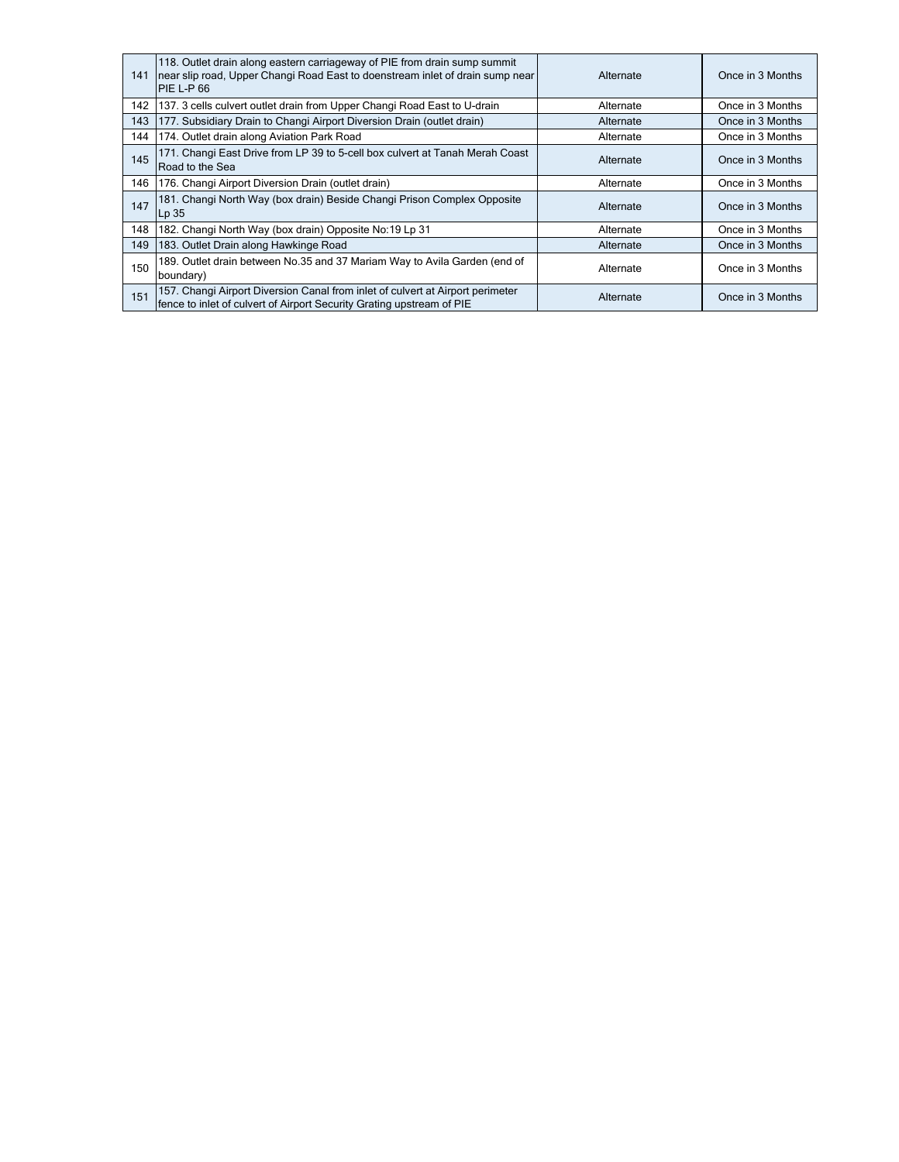| 141 | 118. Outlet drain along eastern carriageway of PIE from drain sump summit<br>near slip road, Upper Changi Road East to doenstream inlet of drain sump near<br><b>PIE L-P 66</b> | Alternate | Once in 3 Months |
|-----|---------------------------------------------------------------------------------------------------------------------------------------------------------------------------------|-----------|------------------|
| 142 | 137. 3 cells culvert outlet drain from Upper Changi Road East to U-drain                                                                                                        | Alternate | Once in 3 Months |
| 143 | 177. Subsidiary Drain to Changi Airport Diversion Drain (outlet drain)                                                                                                          | Alternate | Once in 3 Months |
| 144 | 174. Outlet drain along Aviation Park Road                                                                                                                                      | Alternate | Once in 3 Months |
| 145 | 171. Changi East Drive from LP 39 to 5-cell box culvert at Tanah Merah Coast<br>Road to the Sea                                                                                 | Alternate | Once in 3 Months |
| 146 | 176. Changi Airport Diversion Drain (outlet drain)                                                                                                                              | Alternate | Once in 3 Months |
| 147 | 181. Changi North Way (box drain) Beside Changi Prison Complex Opposite<br>$Lp$ 35                                                                                              | Alternate | Once in 3 Months |
| 148 | 182. Changi North Way (box drain) Opposite No:19 Lp 31                                                                                                                          | Alternate | Once in 3 Months |
| 149 | 183. Outlet Drain along Hawkinge Road                                                                                                                                           | Alternate | Once in 3 Months |
| 150 | 189. Outlet drain between No.35 and 37 Mariam Way to Avila Garden (end of<br>boundary)                                                                                          | Alternate | Once in 3 Months |
| 151 | 157. Changi Airport Diversion Canal from inlet of culvert at Airport perimeter<br>fence to inlet of culvert of Airport Security Grating upstream of PIE                         | Alternate | Once in 3 Months |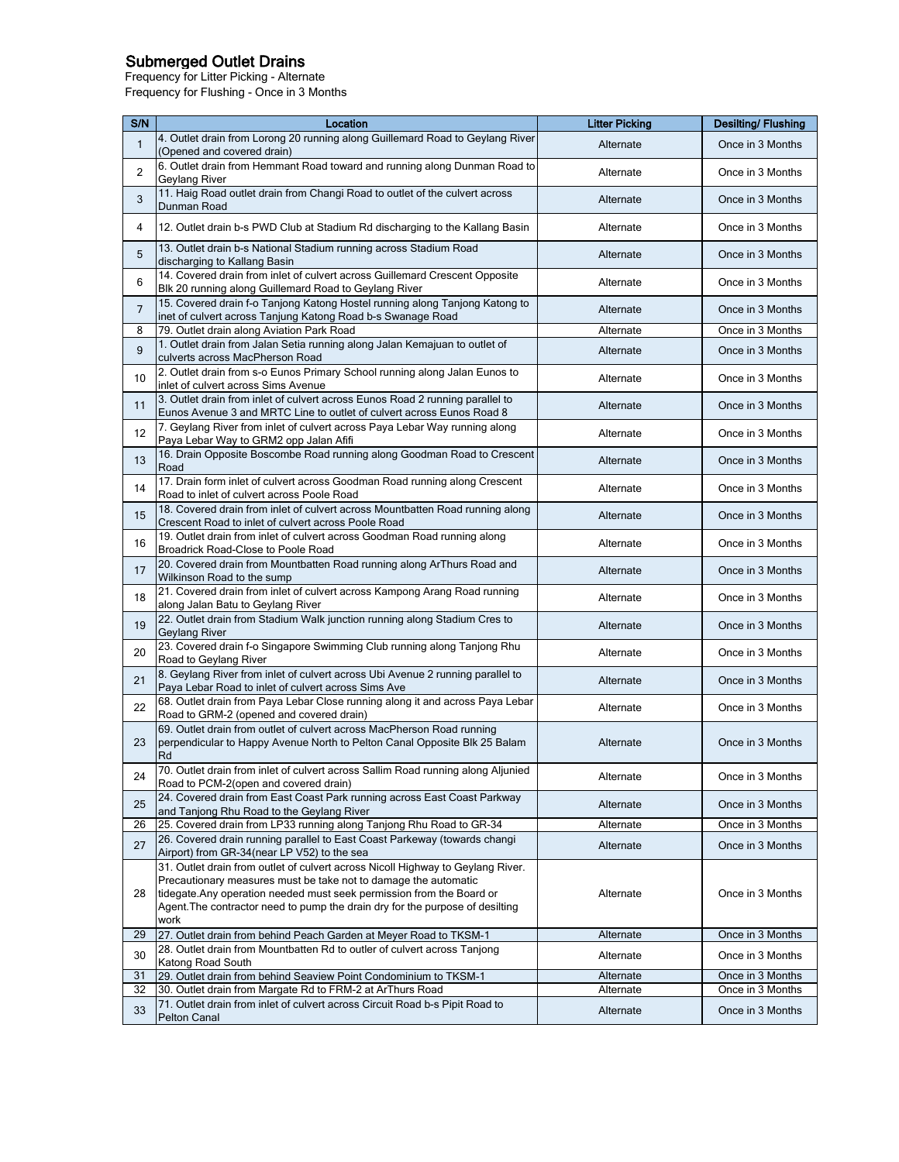## Submerged Outlet Drains

Frequency for Litter Picking - Alternate Frequency for Flushing - Once in 3 Months

| S/N            | Location                                                                                                                                                                                                                                                                                                             | <b>Litter Picking</b> | <b>Desilting/Flushing</b> |
|----------------|----------------------------------------------------------------------------------------------------------------------------------------------------------------------------------------------------------------------------------------------------------------------------------------------------------------------|-----------------------|---------------------------|
|                | 4. Outlet drain from Lorong 20 running along Guillemard Road to Geylang River                                                                                                                                                                                                                                        |                       |                           |
| $\mathbf{1}$   | (Opened and covered drain)                                                                                                                                                                                                                                                                                           | Alternate             | Once in 3 Months          |
| $\overline{c}$ | 6. Outlet drain from Hemmant Road toward and running along Dunman Road to<br>Geylang River                                                                                                                                                                                                                           | Alternate             | Once in 3 Months          |
| 3              | 11. Haig Road outlet drain from Changi Road to outlet of the culvert across<br>Dunman Road                                                                                                                                                                                                                           | Alternate             | Once in 3 Months          |
| 4              | 12. Outlet drain b-s PWD Club at Stadium Rd discharging to the Kallang Basin                                                                                                                                                                                                                                         | Alternate             | Once in 3 Months          |
| 5              | 13. Outlet drain b-s National Stadium running across Stadium Road<br>discharging to Kallang Basin                                                                                                                                                                                                                    | Alternate             | Once in 3 Months          |
| 6              | 14. Covered drain from inlet of culvert across Guillemard Crescent Opposite<br>Blk 20 running along Guillemard Road to Geylang River                                                                                                                                                                                 | Alternate             | Once in 3 Months          |
| $\overline{7}$ | 15. Covered drain f-o Tanjong Katong Hostel running along Tanjong Katong to<br>inet of culvert across Tanjung Katong Road b-s Swanage Road                                                                                                                                                                           | Alternate             | Once in 3 Months          |
| 8              | 79. Outlet drain along Aviation Park Road                                                                                                                                                                                                                                                                            | Alternate             | Once in 3 Months          |
| 9              | 1. Outlet drain from Jalan Setia running along Jalan Kemajuan to outlet of<br>culverts across MacPherson Road                                                                                                                                                                                                        | Alternate             | Once in 3 Months          |
| 10             | 2. Outlet drain from s-o Eunos Primary School running along Jalan Eunos to<br>inlet of culvert across Sims Avenue                                                                                                                                                                                                    | Alternate             | Once in 3 Months          |
| 11             | 3. Outlet drain from inlet of culvert across Eunos Road 2 running parallel to<br>Eunos Avenue 3 and MRTC Line to outlet of culvert across Eunos Road 8                                                                                                                                                               | Alternate             | Once in 3 Months          |
| 12             | 7. Geylang River from inlet of culvert across Paya Lebar Way running along<br>Paya Lebar Way to GRM2 opp Jalan Afifi                                                                                                                                                                                                 | Alternate             | Once in 3 Months          |
| 13             | 16. Drain Opposite Boscombe Road running along Goodman Road to Crescent<br>Road                                                                                                                                                                                                                                      | Alternate             | Once in 3 Months          |
| 14             | 17. Drain form inlet of culvert across Goodman Road running along Crescent<br>Road to inlet of culvert across Poole Road                                                                                                                                                                                             | Alternate             | Once in 3 Months          |
| 15             | 18. Covered drain from inlet of culvert across Mountbatten Road running along<br>Crescent Road to inlet of culvert across Poole Road                                                                                                                                                                                 | Alternate             | Once in 3 Months          |
| 16             | 19. Outlet drain from inlet of culvert across Goodman Road running along<br>Broadrick Road-Close to Poole Road                                                                                                                                                                                                       | Alternate             | Once in 3 Months          |
| 17             | 20. Covered drain from Mountbatten Road running along ArThurs Road and<br>Wilkinson Road to the sump                                                                                                                                                                                                                 | Alternate             | Once in 3 Months          |
| 18             | 21. Covered drain from inlet of culvert across Kampong Arang Road running<br>along Jalan Batu to Geylang River                                                                                                                                                                                                       | Alternate             | Once in 3 Months          |
| 19             | 22. Outlet drain from Stadium Walk junction running along Stadium Cres to<br>Geylang River                                                                                                                                                                                                                           | Alternate             | Once in 3 Months          |
| 20             | 23. Covered drain f-o Singapore Swimming Club running along Tanjong Rhu<br>Road to Geylang River                                                                                                                                                                                                                     | Alternate             | Once in 3 Months          |
| 21             | 8. Geylang River from inlet of culvert across Ubi Avenue 2 running parallel to<br>Paya Lebar Road to inlet of culvert across Sims Ave                                                                                                                                                                                | Alternate             | Once in 3 Months          |
| 22             | 68. Outlet drain from Paya Lebar Close running along it and across Paya Lebar<br>Road to GRM-2 (opened and covered drain)                                                                                                                                                                                            | Alternate             | Once in 3 Months          |
| 23             | 69. Outlet drain from outlet of culvert across MacPherson Road running<br>perpendicular to Happy Avenue North to Pelton Canal Opposite Blk 25 Balam<br>Rd                                                                                                                                                            | Alternate             | Once in 3 Months          |
| 24             | 70. Outlet drain from inlet of culvert across Sallim Road running along Aljunied<br>Road to PCM-2(open and covered drain)                                                                                                                                                                                            | Alternate             | Once in 3 Months          |
| 25             | 24. Covered drain from East Coast Park running across East Coast Parkway<br>and Tanjong Rhu Road to the Geylang River                                                                                                                                                                                                | Alternate             | Once in 3 Months          |
| 26             | 25. Covered drain from LP33 running along Tanjong Rhu Road to GR-34                                                                                                                                                                                                                                                  | Alternate             | Once in 3 Months          |
| 27             | 26. Covered drain running parallel to East Coast Parkeway (towards changi<br>Airport) from GR-34(near LP V52) to the sea                                                                                                                                                                                             | Alternate             | Once in 3 Months          |
| 28             | 31. Outlet drain from outlet of culvert across Nicoll Highway to Geylang River.<br>Precautionary measures must be take not to damage the automatic<br>tidegate. Any operation needed must seek permission from the Board or<br>Agent. The contractor need to pump the drain dry for the purpose of desilting<br>work | Alternate             | Once in 3 Months          |
| 29             | 27. Outlet drain from behind Peach Garden at Meyer Road to TKSM-1                                                                                                                                                                                                                                                    | Alternate             | Once in 3 Months          |
| 30             | 28. Outlet drain from Mountbatten Rd to outler of culvert across Tanjong<br>Katong Road South                                                                                                                                                                                                                        | Alternate             | Once in 3 Months          |
| 31             | 29. Outlet drain from behind Seaview Point Condominium to TKSM-1                                                                                                                                                                                                                                                     | Alternate             | Once in 3 Months          |
| 32             | 30. Outlet drain from Margate Rd to FRM-2 at ArThurs Road                                                                                                                                                                                                                                                            | Alternate             | Once in 3 Months          |
| 33             | 71. Outlet drain from inlet of culvert across Circuit Road b-s Pipit Road to<br>Pelton Canal                                                                                                                                                                                                                         | Alternate             | Once in 3 Months          |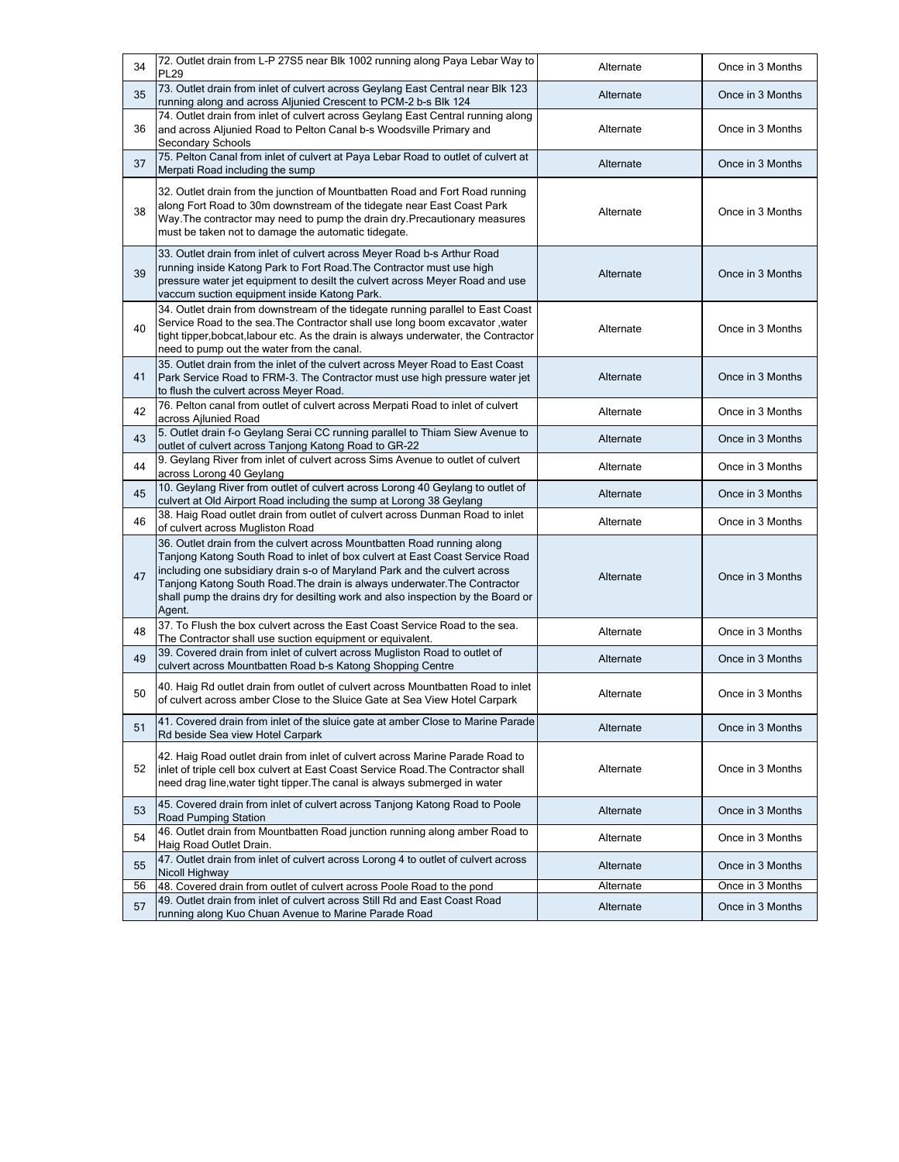| 34 | 72. Outlet drain from L-P 27S5 near Blk 1002 running along Paya Lebar Way to<br><b>PL29</b>                                                                                                                                                                                                                                                                                                                      | Alternate | Once in 3 Months |
|----|------------------------------------------------------------------------------------------------------------------------------------------------------------------------------------------------------------------------------------------------------------------------------------------------------------------------------------------------------------------------------------------------------------------|-----------|------------------|
| 35 | 73. Outlet drain from inlet of culvert across Geylang East Central near Blk 123<br>running along and across Aljunied Crescent to PCM-2 b-s Blk 124                                                                                                                                                                                                                                                               | Alternate | Once in 3 Months |
| 36 | 74. Outlet drain from inlet of culvert across Geylang East Central running along<br>and across Aljunied Road to Pelton Canal b-s Woodsville Primary and<br>Secondary Schools                                                                                                                                                                                                                                     | Alternate | Once in 3 Months |
| 37 | 75. Pelton Canal from inlet of culvert at Paya Lebar Road to outlet of culvert at<br>Merpati Road including the sump                                                                                                                                                                                                                                                                                             | Alternate | Once in 3 Months |
| 38 | 32. Outlet drain from the junction of Mountbatten Road and Fort Road running<br>along Fort Road to 30m downstream of the tidegate near East Coast Park<br>Way. The contractor may need to pump the drain dry. Precautionary measures<br>must be taken not to damage the automatic tidegate.                                                                                                                      | Alternate | Once in 3 Months |
| 39 | 33. Outlet drain from inlet of culvert across Meyer Road b-s Arthur Road<br>running inside Katong Park to Fort Road. The Contractor must use high<br>pressure water jet equipment to desilt the culvert across Meyer Road and use<br>vaccum suction equipment inside Katong Park.                                                                                                                                | Alternate | Once in 3 Months |
| 40 | 34. Outlet drain from downstream of the tidegate running parallel to East Coast<br>Service Road to the sea. The Contractor shall use long boom excavator, water<br>tight tipper, bobcat, labour etc. As the drain is always underwater, the Contractor<br>need to pump out the water from the canal.                                                                                                             | Alternate | Once in 3 Months |
| 41 | 35. Outlet drain from the inlet of the culvert across Meyer Road to East Coast<br>Park Service Road to FRM-3. The Contractor must use high pressure water jet<br>to flush the culvert across Meyer Road.                                                                                                                                                                                                         | Alternate | Once in 3 Months |
| 42 | 76. Pelton canal from outlet of culvert across Merpati Road to inlet of culvert<br>across Ailunied Road                                                                                                                                                                                                                                                                                                          | Alternate | Once in 3 Months |
| 43 | 5. Outlet drain f-o Geylang Serai CC running parallel to Thiam Siew Avenue to<br>outlet of culvert across Tanjong Katong Road to GR-22                                                                                                                                                                                                                                                                           | Alternate | Once in 3 Months |
| 44 | 9. Geylang River from inlet of culvert across Sims Avenue to outlet of culvert<br>across Lorong 40 Geylang                                                                                                                                                                                                                                                                                                       | Alternate | Once in 3 Months |
| 45 | 10. Geylang River from outlet of culvert across Lorong 40 Geylang to outlet of<br>culvert at Old Airport Road including the sump at Lorong 38 Geylang                                                                                                                                                                                                                                                            | Alternate | Once in 3 Months |
| 46 | 38. Haig Road outlet drain from outlet of culvert across Dunman Road to inlet<br>of culvert across Mugliston Road                                                                                                                                                                                                                                                                                                | Alternate | Once in 3 Months |
| 47 | 36. Outlet drain from the culvert across Mountbatten Road running along<br>Tanjong Katong South Road to inlet of box culvert at East Coast Service Road<br>including one subsidiary drain s-o of Maryland Park and the culvert across<br>Tanjong Katong South Road. The drain is always underwater. The Contractor<br>shall pump the drains dry for desilting work and also inspection by the Board or<br>Agent. | Alternate | Once in 3 Months |
| 48 | 37. To Flush the box culvert across the East Coast Service Road to the sea.<br>The Contractor shall use suction equipment or equivalent.                                                                                                                                                                                                                                                                         | Alternate | Once in 3 Months |
| 49 | 39. Covered drain from inlet of culvert across Mugliston Road to outlet of<br>culvert across Mountbatten Road b-s Katong Shopping Centre                                                                                                                                                                                                                                                                         | Alternate | Once in 3 Months |
| 50 | 40. Haig Rd outlet drain from outlet of culvert across Mountbatten Road to inlet<br>of culvert across amber Close to the Sluice Gate at Sea View Hotel Carpark                                                                                                                                                                                                                                                   | Alternate | Once in 3 Months |
| 51 | 41. Covered drain from inlet of the sluice gate at amber Close to Marine Parade<br>Rd beside Sea view Hotel Carpark                                                                                                                                                                                                                                                                                              | Alternate | Once in 3 Months |
| 52 | 42. Haig Road outlet drain from inlet of culvert across Marine Parade Road to<br>inlet of triple cell box culvert at East Coast Service Road. The Contractor shall<br>need drag line, water tight tipper. The canal is always submerged in water                                                                                                                                                                 | Alternate | Once in 3 Months |
| 53 | 45. Covered drain from inlet of culvert across Tanjong Katong Road to Poole<br>Road Pumping Station                                                                                                                                                                                                                                                                                                              | Alternate | Once in 3 Months |
| 54 | 46. Outlet drain from Mountbatten Road junction running along amber Road to<br>Haig Road Outlet Drain.                                                                                                                                                                                                                                                                                                           | Alternate | Once in 3 Months |
| 55 | 47. Outlet drain from inlet of culvert across Lorong 4 to outlet of culvert across<br>Nicoll Highway                                                                                                                                                                                                                                                                                                             | Alternate | Once in 3 Months |
| 56 | 48. Covered drain from outlet of culvert across Poole Road to the pond<br>49. Outlet drain from inlet of culvert across Still Rd and East Coast Road                                                                                                                                                                                                                                                             | Alternate | Once in 3 Months |
| 57 | running along Kuo Chuan Avenue to Marine Parade Road                                                                                                                                                                                                                                                                                                                                                             | Alternate | Once in 3 Months |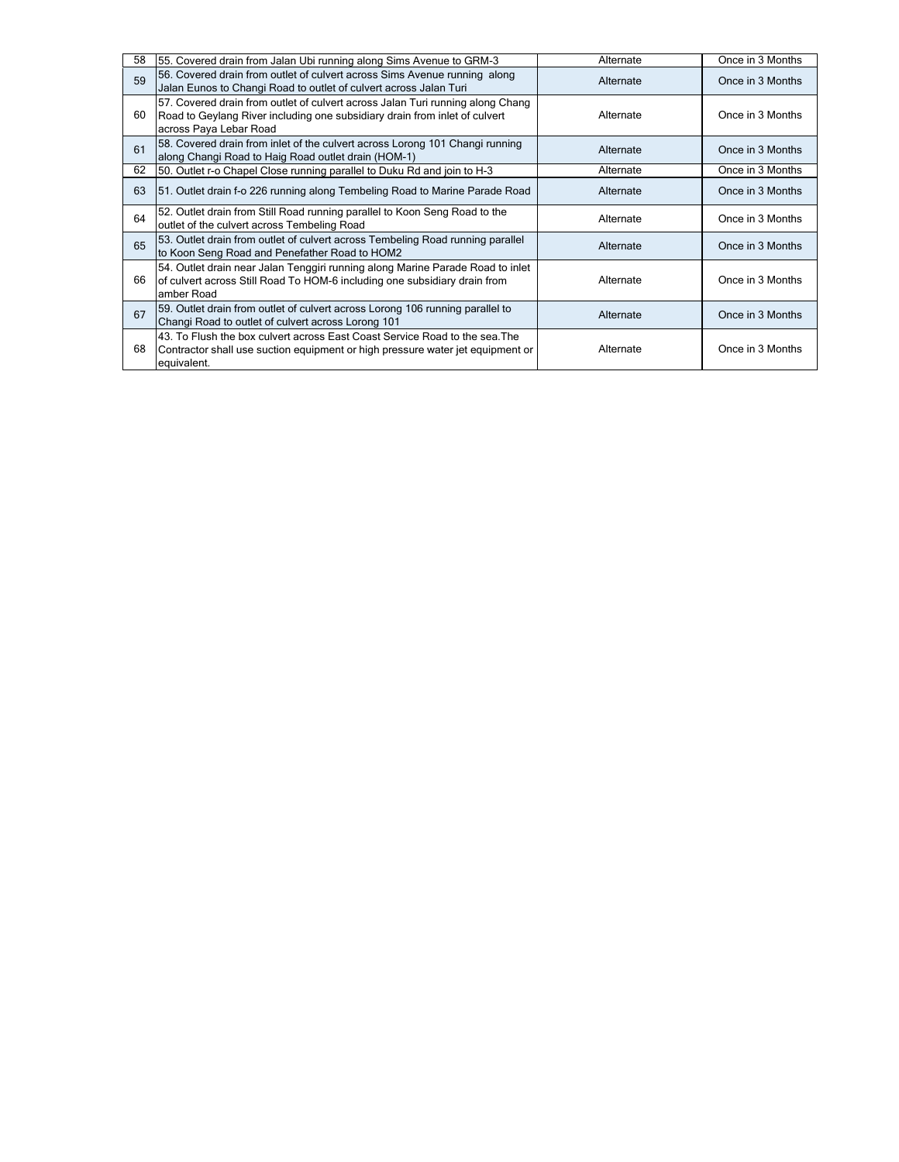| 58 | 55. Covered drain from Jalan Ubi running along Sims Avenue to GRM-3                                                                                                                    | Alternate | Once in 3 Months |  |
|----|----------------------------------------------------------------------------------------------------------------------------------------------------------------------------------------|-----------|------------------|--|
| 59 | 56. Covered drain from outlet of culvert across Sims Avenue running along<br>Jalan Eunos to Changi Road to outlet of culvert across Jalan Turi                                         | Alternate | Once in 3 Months |  |
| 60 | 57. Covered drain from outlet of culvert across Jalan Turi running along Chang<br>Road to Geylang River including one subsidiary drain from inlet of culvert<br>across Paya Lebar Road | Alternate | Once in 3 Months |  |
| 61 | 58. Covered drain from inlet of the culvert across Lorong 101 Changi running<br>along Changi Road to Haig Road outlet drain (HOM-1)                                                    | Alternate | Once in 3 Months |  |
| 62 | 50. Outlet r-o Chapel Close running parallel to Duku Rd and join to H-3                                                                                                                | Alternate | Once in 3 Months |  |
| 63 | 51. Outlet drain f-o 226 running along Tembeling Road to Marine Parade Road                                                                                                            | Alternate | Once in 3 Months |  |
| 64 | 52. Outlet drain from Still Road running parallel to Koon Seng Road to the<br>outlet of the culvert across Tembeling Road                                                              | Alternate | Once in 3 Months |  |
| 65 | 53. Outlet drain from outlet of culvert across Tembeling Road running parallel<br>to Koon Seng Road and Penefather Road to HOM2                                                        | Alternate | Once in 3 Months |  |
| 66 | 54. Outlet drain near Jalan Tenggiri running along Marine Parade Road to inlet<br>of culvert across Still Road To HOM-6 including one subsidiary drain from<br>amber Road              | Alternate | Once in 3 Months |  |
| 67 | 59. Outlet drain from outlet of culvert across Lorong 106 running parallel to<br>Changi Road to outlet of culvert across Lorong 101                                                    | Alternate | Once in 3 Months |  |
| 68 | 43. To Flush the box culvert across East Coast Service Road to the sea. The<br>Contractor shall use suction equipment or high pressure water jet equipment or<br>equivalent.           | Alternate | Once in 3 Months |  |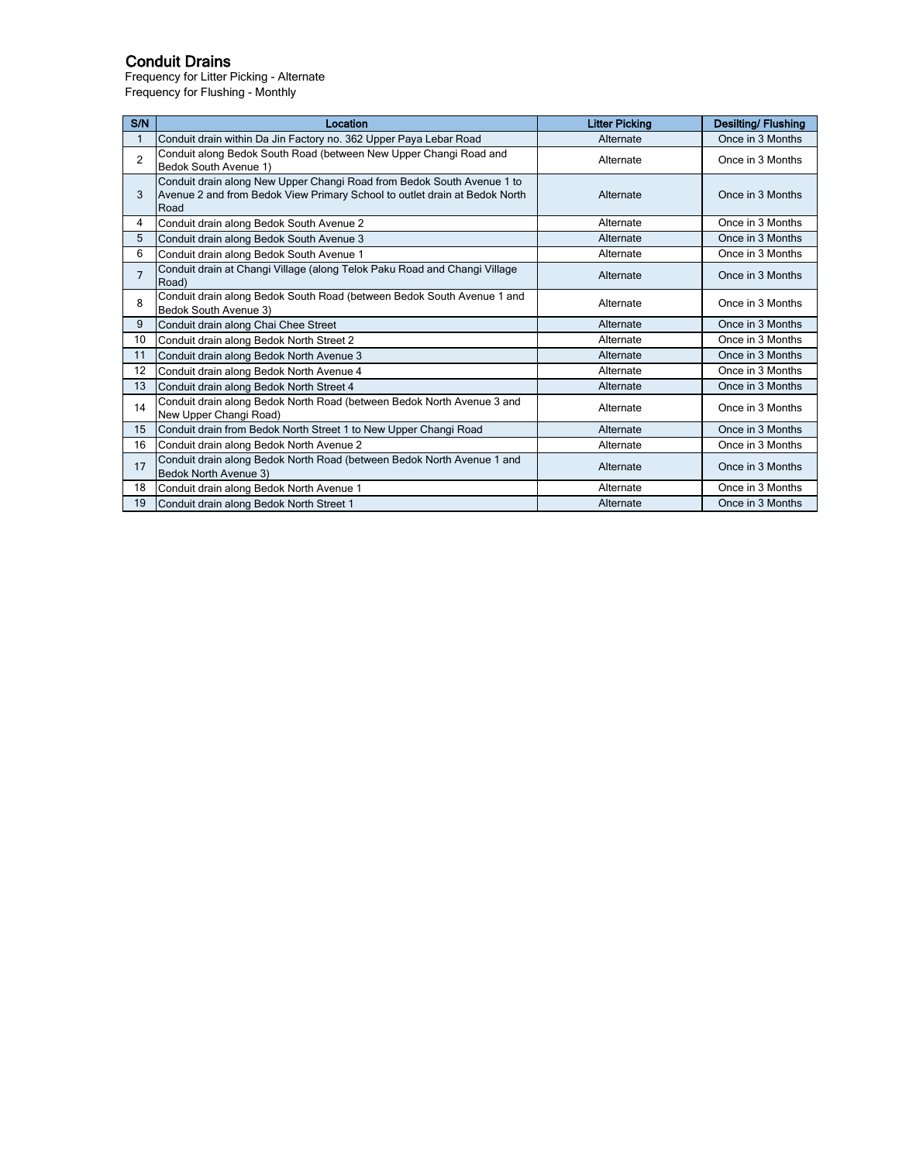# Conduit Drains

Frequency for Litter Picking - Alternate Frequency for Flushing - Monthly

| S/N            | Location                                                                                                                                                     | <b>Litter Picking</b> | <b>Desilting/Flushing</b> |
|----------------|--------------------------------------------------------------------------------------------------------------------------------------------------------------|-----------------------|---------------------------|
|                | Conduit drain within Da Jin Factory no. 362 Upper Paya Lebar Road                                                                                            | Alternate             |                           |
| $\overline{2}$ | Conduit along Bedok South Road (between New Upper Changi Road and<br>Alternate<br>Bedok South Avenue 1)                                                      |                       | Once in 3 Months          |
| 3              | Conduit drain along New Upper Changi Road from Bedok South Avenue 1 to<br>Avenue 2 and from Bedok View Primary School to outlet drain at Bedok North<br>Road | Alternate             | Once in 3 Months          |
| 4              | Conduit drain along Bedok South Avenue 2                                                                                                                     | Alternate             | Once in 3 Months          |
| 5              | Conduit drain along Bedok South Avenue 3                                                                                                                     | Alternate             | Once in 3 Months          |
| 6              | Conduit drain along Bedok South Avenue 1                                                                                                                     | Alternate             | Once in 3 Months          |
| $\overline{7}$ | Conduit drain at Changi Village (along Telok Paku Road and Changi Village<br>Road)                                                                           | Alternate             | Once in 3 Months          |
| 8              | Conduit drain along Bedok South Road (between Bedok South Avenue 1 and<br>Bedok South Avenue 3)                                                              | Alternate             | Once in 3 Months          |
| 9              | Conduit drain along Chai Chee Street                                                                                                                         | Alternate             | Once in 3 Months          |
| 10             | Conduit drain along Bedok North Street 2                                                                                                                     | Alternate             | Once in 3 Months          |
| 11             | Conduit drain along Bedok North Avenue 3                                                                                                                     | Alternate             | Once in 3 Months          |
| 12             | Conduit drain along Bedok North Avenue 4                                                                                                                     | Alternate             | Once in 3 Months          |
| 13             | Conduit drain along Bedok North Street 4                                                                                                                     | Alternate             | Once in 3 Months          |
| 14             | Conduit drain along Bedok North Road (between Bedok North Avenue 3 and<br>New Upper Changi Road)                                                             | Alternate             | Once in 3 Months          |
| 15             | Conduit drain from Bedok North Street 1 to New Upper Changi Road                                                                                             | Alternate             | Once in 3 Months          |
| 16             | Conduit drain along Bedok North Avenue 2                                                                                                                     | Alternate             | Once in 3 Months          |
| 17             | Conduit drain along Bedok North Road (between Bedok North Avenue 1 and<br>Bedok North Avenue 3)                                                              | Alternate             | Once in 3 Months          |
| 18             | Conduit drain along Bedok North Avenue 1                                                                                                                     | Alternate             | Once in 3 Months          |
| 19             | Conduit drain along Bedok North Street 1                                                                                                                     | Alternate             | Once in 3 Months          |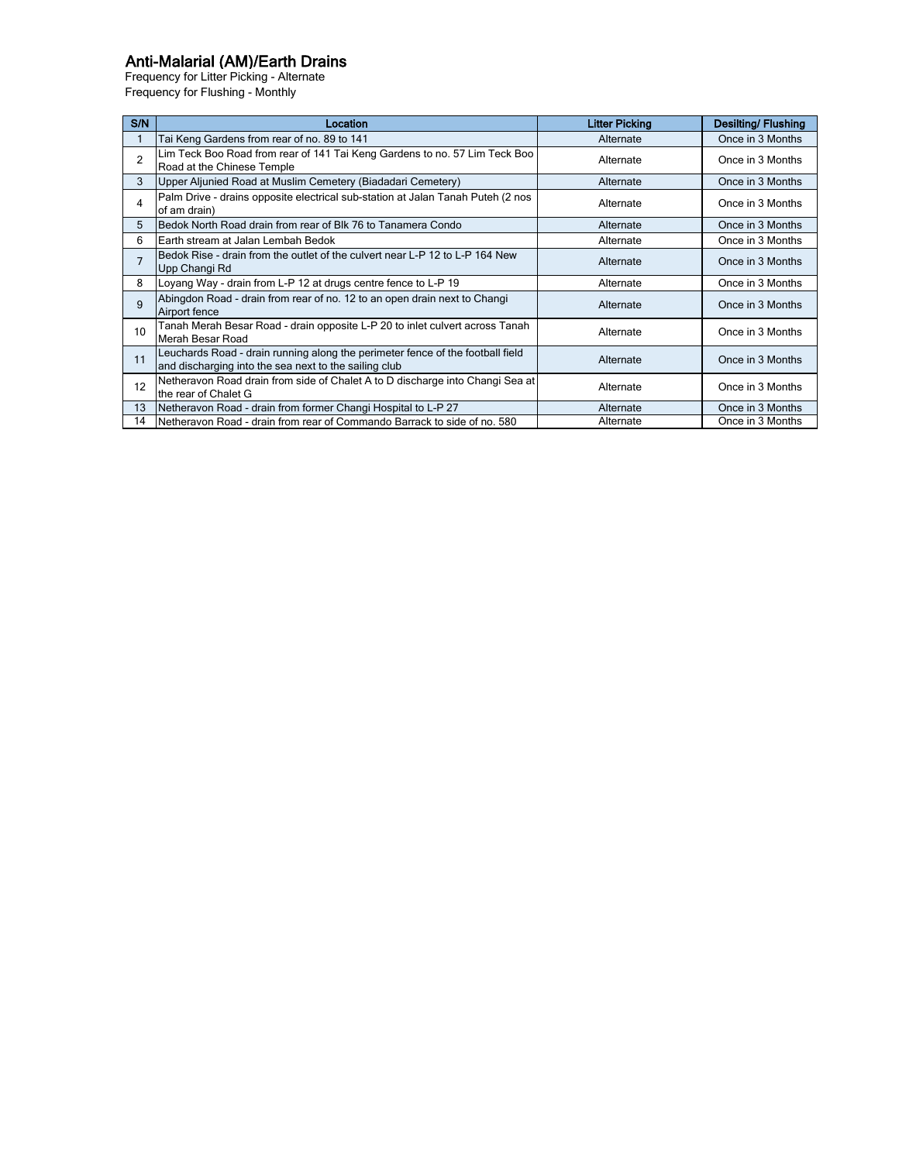# Anti-Malarial (AM)/Earth Drains

Frequency for Litter Picking - Alternate Frequency for Flushing - Monthly

| S/N            | Location                                                                                                                                | <b>Litter Picking</b>         | <b>Desilting/Flushing</b> |
|----------------|-----------------------------------------------------------------------------------------------------------------------------------------|-------------------------------|---------------------------|
|                | Tai Keng Gardens from rear of no. 89 to 141                                                                                             | Alternate                     | Once in 3 Months          |
| $\overline{2}$ | Lim Teck Boo Road from rear of 141 Tai Keng Gardens to no. 57 Lim Teck Boo<br>Road at the Chinese Temple                                | Alternate                     | Once in 3 Months          |
| 3              | Upper Aljunied Road at Muslim Cemetery (Biadadari Cemetery)                                                                             | Alternate                     | Once in 3 Months          |
| 4              | Palm Drive - drains opposite electrical sub-station at Jalan Tanah Puteh (2 nos<br>Alternate<br>of am drain)                            |                               | Once in 3 Months          |
| 5              | Bedok North Road drain from rear of Blk 76 to Tanamera Condo                                                                            | Alternate                     | Once in 3 Months          |
| 6              | Earth stream at Jalan Lembah Bedok                                                                                                      | Alternate                     | Once in 3 Months          |
| $\overline{7}$ | Bedok Rise - drain from the outlet of the culvert near L-P 12 to L-P 164 New<br>Alternate<br>Upp Changi Rd                              |                               | Once in 3 Months          |
| 8              | Loyang Way - drain from L-P 12 at drugs centre fence to L-P 19                                                                          | Alternate                     | Once in 3 Months          |
| 9              | Abingdon Road - drain from rear of no. 12 to an open drain next to Changi<br>Airport fence                                              | Alternate                     | Once in 3 Months          |
| 10             | Tanah Merah Besar Road - drain opposite L-P 20 to inlet culvert across Tanah<br>Merah Besar Road                                        | Alternate                     | Once in 3 Months          |
| 11             | Leuchards Road - drain running along the perimeter fence of the football field<br>and discharging into the sea next to the sailing club | Alternate                     | Once in 3 Months          |
| 12             | Netheravon Road drain from side of Chalet A to D discharge into Changi Sea at<br>the rear of Chalet G                                   | Alternate                     |                           |
| 13             | Netheravon Road - drain from former Changi Hospital to L-P 27                                                                           | Alternate                     | Once in 3 Months          |
| 14             | Netheravon Road - drain from rear of Commando Barrack to side of no. 580                                                                | Once in 3 Months<br>Alternate |                           |